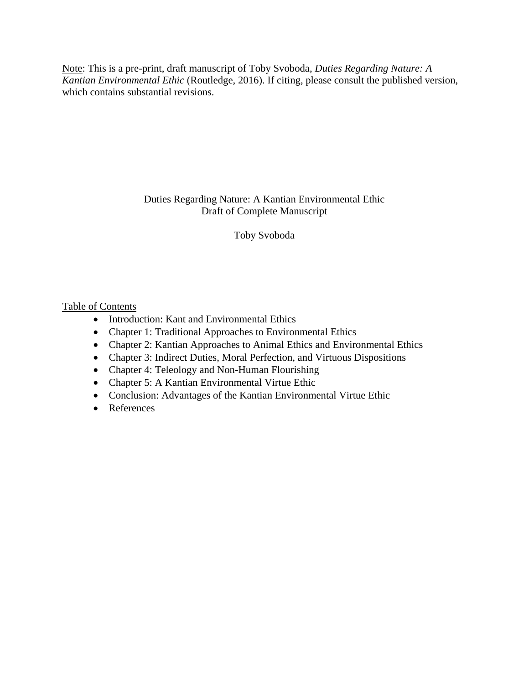Note: This is a pre-print, draft manuscript of Toby Svoboda, *Duties Regarding Nature: A Kantian Environmental Ethic* (Routledge, 2016). If citing, please consult the published version, which contains substantial revisions.

> Duties Regarding Nature: A Kantian Environmental Ethic Draft of Complete Manuscript

> > Toby Svoboda

## Table of Contents

- Introduction: Kant and Environmental Ethics
- Chapter 1: Traditional Approaches to Environmental Ethics
- Chapter 2: Kantian Approaches to Animal Ethics and Environmental Ethics
- Chapter 3: Indirect Duties, Moral Perfection, and Virtuous Dispositions
- Chapter 4: Teleology and Non-Human Flourishing
- Chapter 5: A Kantian Environmental Virtue Ethic
- Conclusion: Advantages of the Kantian Environmental Virtue Ethic
- References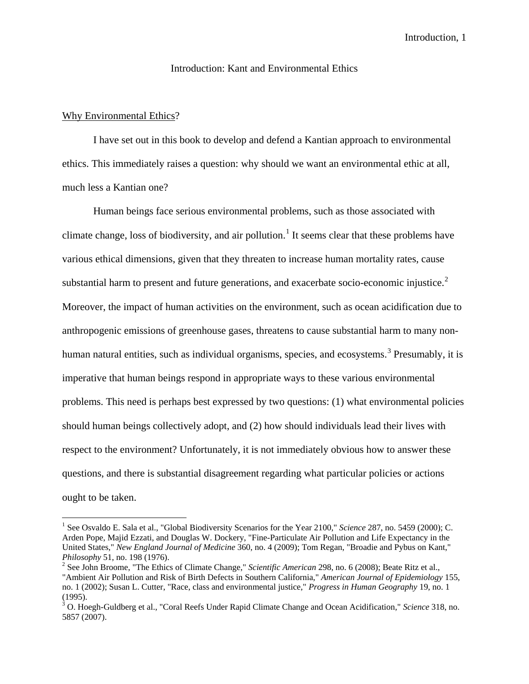## Introduction: Kant and Environmental Ethics

## Why Environmental Ethics?

I have set out in this book to develop and defend a Kantian approach to environmental ethics. This immediately raises a question: why should we want an environmental ethic at all, much less a Kantian one?

Human beings face serious environmental problems, such as those associated with climate change, loss of biodiversity, and air pollution.<sup>[1](#page-1-0)</sup> It seems clear that these problems have various ethical dimensions, given that they threaten to increase human mortality rates, cause substantial harm to present and future generations, and exacerbate socio-economic injustice. $2^2$  $2^2$ Moreover, the impact of human activities on the environment, such as ocean acidification due to anthropogenic emissions of greenhouse gases, threatens to cause substantial harm to many non-human natural entities, such as individual organisms, species, and ecosystems.<sup>[3](#page-1-2)</sup> Presumably, it is imperative that human beings respond in appropriate ways to these various environmental problems. This need is perhaps best expressed by two questions: (1) what environmental policies should human beings collectively adopt, and (2) how should individuals lead their lives with respect to the environment? Unfortunately, it is not immediately obvious how to answer these questions, and there is substantial disagreement regarding what particular policies or actions ought to be taken.

<span id="page-1-0"></span><sup>&</sup>lt;sup>1</sup> See Osvaldo E. Sala et al., "Global Biodiversity Scenarios for the Year 2100," *Science* 287, no. 5459 (2000); C. Arden Pope, Majid Ezzati, and Douglas W. Dockery, "Fine-Particulate Air Pollution and Life Expectancy in the United States," *New England Journal of Medicine* 360, no. 4 (2009); Tom Regan, "Broadie and Pybus on Kant,"

<span id="page-1-1"></span><sup>&</sup>lt;sup>2</sup> See John Broome, "The Ethics of Climate Change," *Scientific American* 298, no. 6 (2008); Beate Ritz et al., "Ambient Air Pollution and Risk of Birth Defects in Southern California," *American Journal of Epidemiology* 155, no. 1 (2002); Susan L. Cutter, "Race, class and environmental justice," *Progress in Human Geography* 19, no. 1 (1995).

<span id="page-1-2"></span><sup>3</sup> O. Hoegh-Guldberg et al., "Coral Reefs Under Rapid Climate Change and Ocean Acidification," *Science* 318, no. 5857 (2007).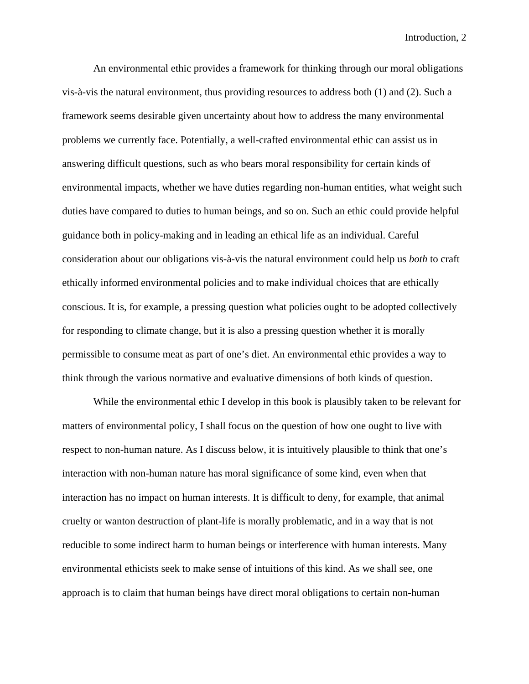An environmental ethic provides a framework for thinking through our moral obligations vis-à-vis the natural environment, thus providing resources to address both (1) and (2). Such a framework seems desirable given uncertainty about how to address the many environmental problems we currently face. Potentially, a well-crafted environmental ethic can assist us in answering difficult questions, such as who bears moral responsibility for certain kinds of environmental impacts, whether we have duties regarding non-human entities, what weight such duties have compared to duties to human beings, and so on. Such an ethic could provide helpful guidance both in policy-making and in leading an ethical life as an individual. Careful consideration about our obligations vis-à-vis the natural environment could help us *both* to craft ethically informed environmental policies and to make individual choices that are ethically conscious. It is, for example, a pressing question what policies ought to be adopted collectively for responding to climate change, but it is also a pressing question whether it is morally permissible to consume meat as part of one's diet. An environmental ethic provides a way to think through the various normative and evaluative dimensions of both kinds of question.

While the environmental ethic I develop in this book is plausibly taken to be relevant for matters of environmental policy, I shall focus on the question of how one ought to live with respect to non-human nature. As I discuss below, it is intuitively plausible to think that one's interaction with non-human nature has moral significance of some kind, even when that interaction has no impact on human interests. It is difficult to deny, for example, that animal cruelty or wanton destruction of plant-life is morally problematic, and in a way that is not reducible to some indirect harm to human beings or interference with human interests. Many environmental ethicists seek to make sense of intuitions of this kind. As we shall see, one approach is to claim that human beings have direct moral obligations to certain non-human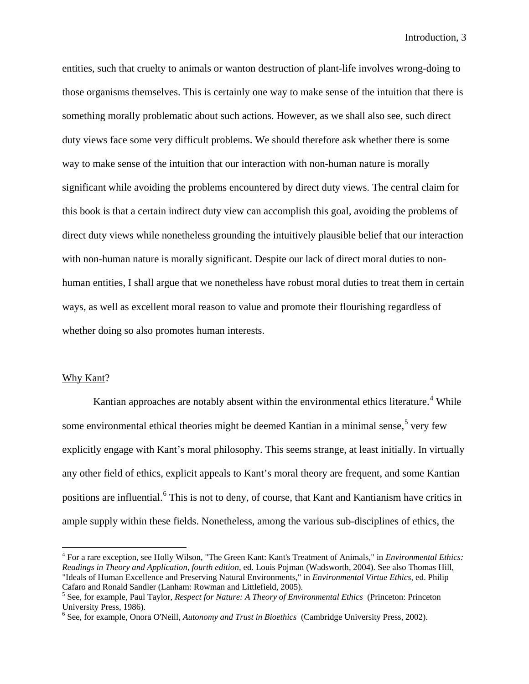entities, such that cruelty to animals or wanton destruction of plant-life involves wrong-doing to those organisms themselves. This is certainly one way to make sense of the intuition that there is something morally problematic about such actions. However, as we shall also see, such direct duty views face some very difficult problems. We should therefore ask whether there is some way to make sense of the intuition that our interaction with non-human nature is morally significant while avoiding the problems encountered by direct duty views. The central claim for this book is that a certain indirect duty view can accomplish this goal, avoiding the problems of direct duty views while nonetheless grounding the intuitively plausible belief that our interaction with non-human nature is morally significant. Despite our lack of direct moral duties to nonhuman entities, I shall argue that we nonetheless have robust moral duties to treat them in certain ways, as well as excellent moral reason to value and promote their flourishing regardless of whether doing so also promotes human interests.

## Why Kant?

Kantian approaches are notably absent within the environmental ethics literature.<sup>[4](#page-3-0)</sup> While some environmental ethical theories might be deemed Kantian in a minimal sense,<sup>[5](#page-3-1)</sup> very few explicitly engage with Kant's moral philosophy. This seems strange, at least initially. In virtually any other field of ethics, explicit appeals to Kant's moral theory are frequent, and some Kantian positions are influential.[6](#page-3-2) This is not to deny, of course, that Kant and Kantianism have critics in ample supply within these fields. Nonetheless, among the various sub-disciplines of ethics, the

<span id="page-3-0"></span> <sup>4</sup> For a rare exception, see Holly Wilson, "The Green Kant: Kant's Treatment of Animals," in *Environmental Ethics: Readings in Theory and Application, fourth edition*, ed. Louis Pojman (Wadsworth, 2004). See also Thomas Hill, "Ideals of Human Excellence and Preserving Natural Environments," in *Environmental Virtue Ethics*, ed. Philip Cafaro and Ronald Sandler (Lanham: Rowman and Littlefield, 2005).

<span id="page-3-1"></span><sup>5</sup> See, for example, Paul Taylor, *Respect for Nature: A Theory of Environmental Ethics* (Princeton: Princeton University Press, 1986).

<span id="page-3-2"></span><sup>6</sup> See, for example, Onora O'Neill, *Autonomy and Trust in Bioethics* (Cambridge University Press, 2002).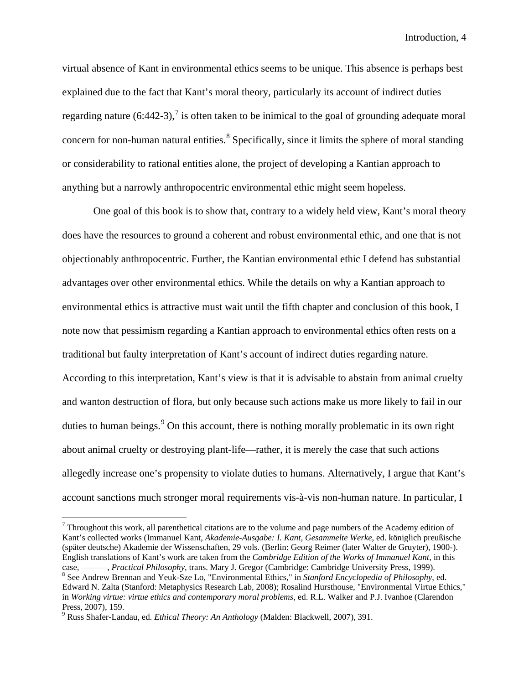virtual absence of Kant in environmental ethics seems to be unique. This absence is perhaps best explained due to the fact that Kant's moral theory, particularly its account of indirect duties regarding nature  $(6:442-3)$ , is often taken to be inimical to the goal of grounding adequate moral concern for non-human natural entities.<sup>[8](#page-4-1)</sup> Specifically, since it limits the sphere of moral standing or considerability to rational entities alone, the project of developing a Kantian approach to anything but a narrowly anthropocentric environmental ethic might seem hopeless.

One goal of this book is to show that, contrary to a widely held view, Kant's moral theory does have the resources to ground a coherent and robust environmental ethic, and one that is not objectionably anthropocentric. Further, the Kantian environmental ethic I defend has substantial advantages over other environmental ethics. While the details on why a Kantian approach to environmental ethics is attractive must wait until the fifth chapter and conclusion of this book, I note now that pessimism regarding a Kantian approach to environmental ethics often rests on a traditional but faulty interpretation of Kant's account of indirect duties regarding nature. According to this interpretation, Kant's view is that it is advisable to abstain from animal cruelty and wanton destruction of flora, but only because such actions make us more likely to fail in our duties to human beings.<sup>[9](#page-4-2)</sup> On this account, there is nothing morally problematic in its own right about animal cruelty or destroying plant-life—rather, it is merely the case that such actions allegedly increase one's propensity to violate duties to humans. Alternatively, I argue that Kant's account sanctions much stronger moral requirements vis-à-vis non-human nature. In particular, I

<span id="page-4-0"></span> $7$  Throughout this work, all parenthetical citations are to the volume and page numbers of the Academy edition of Kant's collected works (Immanuel Kant, *Akademie-Ausgabe: I. Kant, Gesammelte Werke*, ed. königlich preußische (später deutsche) Akademie der Wissenschaften, 29 vols. (Berlin: Georg Reimer (later Walter de Gruyter), 1900-). English translations of Kant's work are taken from the *Cambridge Edition of the Works of Immanuel Kant*, in this case, ———, *Practical Philosophy*, trans. Mary J. Gregor (Cambridge: Cambridge University Press, 1999). <sup>8</sup> See Andrew Brennan and Yeuk-Sze Lo, "Environmental Ethics," in *Stanford Encyclopedia of Philosophy*, ed.

<span id="page-4-1"></span>Edward N. Zalta (Stanford: Metaphysics Research Lab, 2008); Rosalind Hursthouse, "Environmental Virtue Ethics," in *Working virtue: virtue ethics and contemporary moral problems*, ed. R.L. Walker and P.J. Ivanhoe (Clarendon Press, 2007), 159.

<span id="page-4-2"></span><sup>9</sup> Russ Shafer-Landau, ed. *Ethical Theory: An Anthology* (Malden: Blackwell, 2007), 391.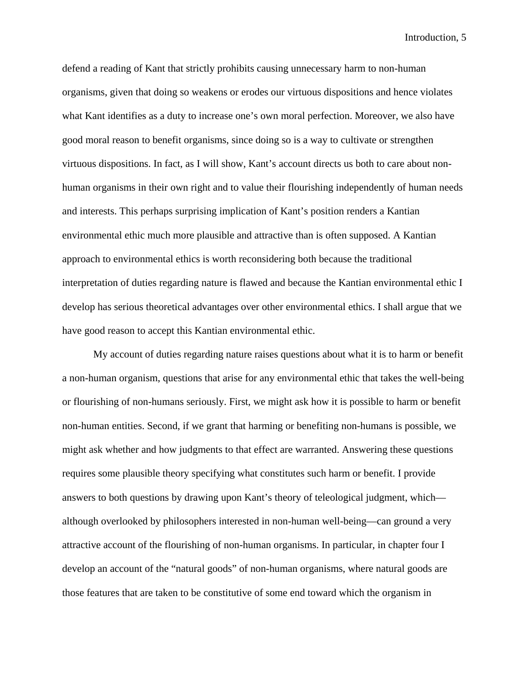defend a reading of Kant that strictly prohibits causing unnecessary harm to non-human organisms, given that doing so weakens or erodes our virtuous dispositions and hence violates what Kant identifies as a duty to increase one's own moral perfection. Moreover, we also have good moral reason to benefit organisms, since doing so is a way to cultivate or strengthen virtuous dispositions. In fact, as I will show, Kant's account directs us both to care about nonhuman organisms in their own right and to value their flourishing independently of human needs and interests. This perhaps surprising implication of Kant's position renders a Kantian environmental ethic much more plausible and attractive than is often supposed. A Kantian approach to environmental ethics is worth reconsidering both because the traditional interpretation of duties regarding nature is flawed and because the Kantian environmental ethic I develop has serious theoretical advantages over other environmental ethics. I shall argue that we have good reason to accept this Kantian environmental ethic.

My account of duties regarding nature raises questions about what it is to harm or benefit a non-human organism, questions that arise for any environmental ethic that takes the well-being or flourishing of non-humans seriously. First, we might ask how it is possible to harm or benefit non-human entities. Second, if we grant that harming or benefiting non-humans is possible, we might ask whether and how judgments to that effect are warranted. Answering these questions requires some plausible theory specifying what constitutes such harm or benefit. I provide answers to both questions by drawing upon Kant's theory of teleological judgment, which although overlooked by philosophers interested in non-human well-being—can ground a very attractive account of the flourishing of non-human organisms. In particular, in chapter four I develop an account of the "natural goods" of non-human organisms, where natural goods are those features that are taken to be constitutive of some end toward which the organism in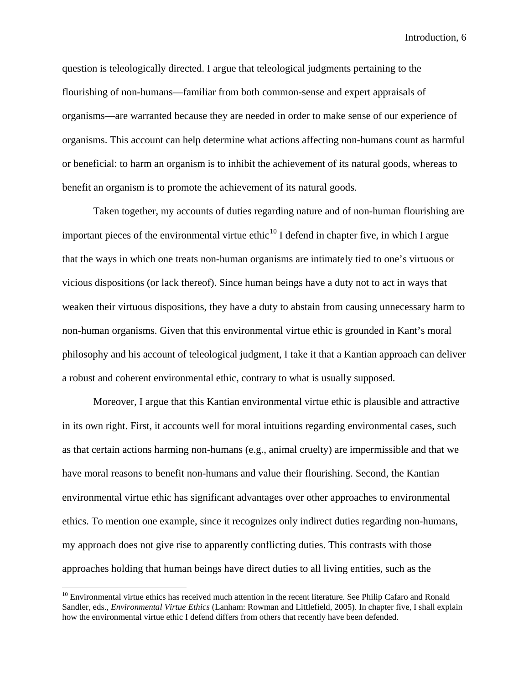question is teleologically directed. I argue that teleological judgments pertaining to the flourishing of non-humans—familiar from both common-sense and expert appraisals of organisms—are warranted because they are needed in order to make sense of our experience of organisms. This account can help determine what actions affecting non-humans count as harmful or beneficial: to harm an organism is to inhibit the achievement of its natural goods, whereas to benefit an organism is to promote the achievement of its natural goods.

Taken together, my accounts of duties regarding nature and of non-human flourishing are important pieces of the environmental virtue ethic<sup>[10](#page-6-0)</sup> I defend in chapter five, in which I argue that the ways in which one treats non-human organisms are intimately tied to one's virtuous or vicious dispositions (or lack thereof). Since human beings have a duty not to act in ways that weaken their virtuous dispositions, they have a duty to abstain from causing unnecessary harm to non-human organisms. Given that this environmental virtue ethic is grounded in Kant's moral philosophy and his account of teleological judgment, I take it that a Kantian approach can deliver a robust and coherent environmental ethic, contrary to what is usually supposed.

Moreover, I argue that this Kantian environmental virtue ethic is plausible and attractive in its own right. First, it accounts well for moral intuitions regarding environmental cases, such as that certain actions harming non-humans (e.g., animal cruelty) are impermissible and that we have moral reasons to benefit non-humans and value their flourishing. Second, the Kantian environmental virtue ethic has significant advantages over other approaches to environmental ethics. To mention one example, since it recognizes only indirect duties regarding non-humans, my approach does not give rise to apparently conflicting duties. This contrasts with those approaches holding that human beings have direct duties to all living entities, such as the

<span id="page-6-0"></span> $10$  Environmental virtue ethics has received much attention in the recent literature. See Philip Cafaro and Ronald Sandler, eds., *Environmental Virtue Ethics* (Lanham: Rowman and Littlefield, 2005). In chapter five, I shall explain how the environmental virtue ethic I defend differs from others that recently have been defended.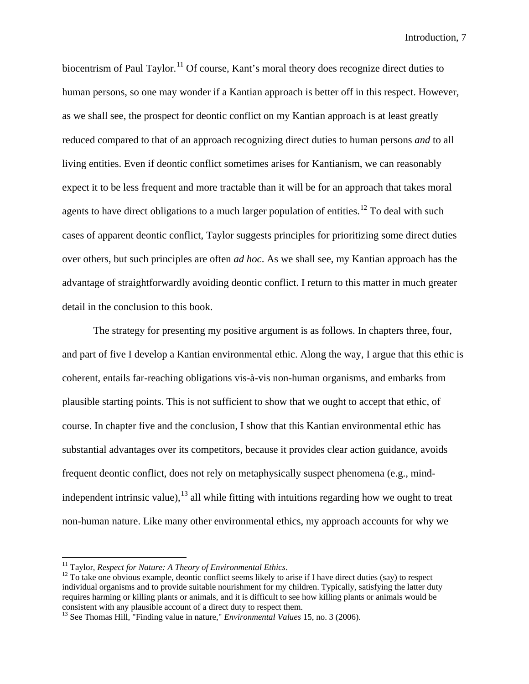biocentrism of Paul Taylor.<sup>[11](#page-7-0)</sup> Of course, Kant's moral theory does recognize direct duties to human persons, so one may wonder if a Kantian approach is better off in this respect. However, as we shall see, the prospect for deontic conflict on my Kantian approach is at least greatly reduced compared to that of an approach recognizing direct duties to human persons *and* to all living entities. Even if deontic conflict sometimes arises for Kantianism, we can reasonably expect it to be less frequent and more tractable than it will be for an approach that takes moral agents to have direct obligations to a much larger population of entities.<sup>[12](#page-7-1)</sup> To deal with such cases of apparent deontic conflict, Taylor suggests principles for prioritizing some direct duties over others, but such principles are often *ad hoc*. As we shall see, my Kantian approach has the advantage of straightforwardly avoiding deontic conflict. I return to this matter in much greater detail in the conclusion to this book.

The strategy for presenting my positive argument is as follows. In chapters three, four, and part of five I develop a Kantian environmental ethic. Along the way, I argue that this ethic is coherent, entails far-reaching obligations vis-à-vis non-human organisms, and embarks from plausible starting points. This is not sufficient to show that we ought to accept that ethic, of course. In chapter five and the conclusion, I show that this Kantian environmental ethic has substantial advantages over its competitors, because it provides clear action guidance, avoids frequent deontic conflict, does not rely on metaphysically suspect phenomena (e.g., mindindependent intrinsic value), $^{13}$  $^{13}$  $^{13}$  all while fitting with intuitions regarding how we ought to treat non-human nature. Like many other environmental ethics, my approach accounts for why we

<span id="page-7-1"></span>

<span id="page-7-0"></span><sup>&</sup>lt;sup>11</sup> Taylor, *Respect for Nature: A Theory of Environmental Ethics*.<br><sup>12</sup> To take one obvious example, deontic conflict seems likely to arise if I have direct duties (say) to respect individual organisms and to provide suitable nourishment for my children. Typically, satisfying the latter duty requires harming or killing plants or animals, and it is difficult to see how killing plants or animals would be consistent with any plausible account of a direct duty to respect them.

<span id="page-7-2"></span><sup>13</sup> See Thomas Hill, "Finding value in nature," *Environmental Values* 15, no. 3 (2006).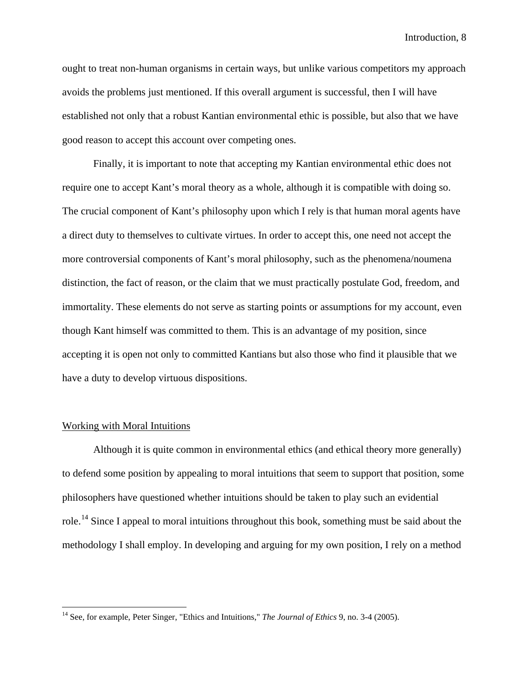ought to treat non-human organisms in certain ways, but unlike various competitors my approach avoids the problems just mentioned. If this overall argument is successful, then I will have established not only that a robust Kantian environmental ethic is possible, but also that we have good reason to accept this account over competing ones.

Finally, it is important to note that accepting my Kantian environmental ethic does not require one to accept Kant's moral theory as a whole, although it is compatible with doing so. The crucial component of Kant's philosophy upon which I rely is that human moral agents have a direct duty to themselves to cultivate virtues. In order to accept this, one need not accept the more controversial components of Kant's moral philosophy, such as the phenomena/noumena distinction, the fact of reason, or the claim that we must practically postulate God, freedom, and immortality. These elements do not serve as starting points or assumptions for my account, even though Kant himself was committed to them. This is an advantage of my position, since accepting it is open not only to committed Kantians but also those who find it plausible that we have a duty to develop virtuous dispositions.

## Working with Moral Intuitions

Although it is quite common in environmental ethics (and ethical theory more generally) to defend some position by appealing to moral intuitions that seem to support that position, some philosophers have questioned whether intuitions should be taken to play such an evidential role.<sup>[14](#page-8-0)</sup> Since I appeal to moral intuitions throughout this book, something must be said about the methodology I shall employ. In developing and arguing for my own position, I rely on a method

<span id="page-8-0"></span> <sup>14</sup> See, for example, Peter Singer, "Ethics and Intuitions," *The Journal of Ethics* 9, no. 3-4 (2005).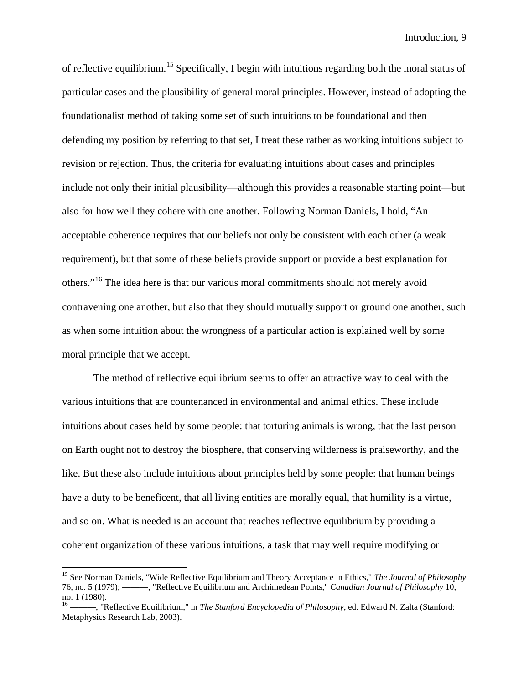of reflective equilibrium.<sup>[15](#page-9-0)</sup> Specifically, I begin with intuitions regarding both the moral status of particular cases and the plausibility of general moral principles. However, instead of adopting the foundationalist method of taking some set of such intuitions to be foundational and then defending my position by referring to that set, I treat these rather as working intuitions subject to revision or rejection. Thus, the criteria for evaluating intuitions about cases and principles include not only their initial plausibility—although this provides a reasonable starting point—but also for how well they cohere with one another. Following Norman Daniels, I hold, "An acceptable coherence requires that our beliefs not only be consistent with each other (a weak requirement), but that some of these beliefs provide support or provide a best explanation for others."[16](#page-9-1) The idea here is that our various moral commitments should not merely avoid contravening one another, but also that they should mutually support or ground one another, such as when some intuition about the wrongness of a particular action is explained well by some moral principle that we accept.

The method of reflective equilibrium seems to offer an attractive way to deal with the various intuitions that are countenanced in environmental and animal ethics. These include intuitions about cases held by some people: that torturing animals is wrong, that the last person on Earth ought not to destroy the biosphere, that conserving wilderness is praiseworthy, and the like. But these also include intuitions about principles held by some people: that human beings have a duty to be beneficent, that all living entities are morally equal, that humility is a virtue, and so on. What is needed is an account that reaches reflective equilibrium by providing a coherent organization of these various intuitions, a task that may well require modifying or

<span id="page-9-0"></span> <sup>15</sup> See Norman Daniels, "Wide Reflective Equilibrium and Theory Acceptance in Ethics," *The Journal of Philosophy* 76, no. 5 (1979); ———, "Reflective Equilibrium and Archimedean Points," *Canadian Journal of Philosophy* 10, no. 1 (1980).<br><sup>16</sup>  $\frac{1}{2}$  "R

<span id="page-9-1"></span><sup>16</sup> ———, "Reflective Equilibrium," in *The Stanford Encyclopedia of Philosophy*, ed. Edward N. Zalta (Stanford: Metaphysics Research Lab, 2003).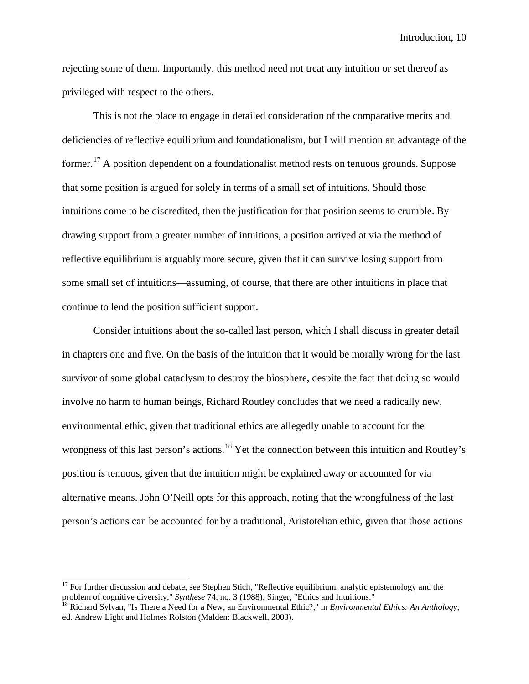rejecting some of them. Importantly, this method need not treat any intuition or set thereof as privileged with respect to the others.

This is not the place to engage in detailed consideration of the comparative merits and deficiencies of reflective equilibrium and foundationalism, but I will mention an advantage of the former.<sup>[17](#page-10-0)</sup> A position dependent on a foundationalist method rests on tenuous grounds. Suppose that some position is argued for solely in terms of a small set of intuitions. Should those intuitions come to be discredited, then the justification for that position seems to crumble. By drawing support from a greater number of intuitions, a position arrived at via the method of reflective equilibrium is arguably more secure, given that it can survive losing support from some small set of intuitions—assuming, of course, that there are other intuitions in place that continue to lend the position sufficient support.

Consider intuitions about the so-called last person, which I shall discuss in greater detail in chapters one and five. On the basis of the intuition that it would be morally wrong for the last survivor of some global cataclysm to destroy the biosphere, despite the fact that doing so would involve no harm to human beings, Richard Routley concludes that we need a radically new, environmental ethic, given that traditional ethics are allegedly unable to account for the wrongness of this last person's actions.<sup>[18](#page-10-1)</sup> Yet the connection between this intuition and Routley's position is tenuous, given that the intuition might be explained away or accounted for via alternative means. John O'Neill opts for this approach, noting that the wrongfulness of the last person's actions can be accounted for by a traditional, Aristotelian ethic, given that those actions

<span id="page-10-0"></span> $17$  For further discussion and debate, see Stephen Stich, "Reflective equilibrium, analytic epistemology and the problem of cognitive diversity," *Synthese* 74, no. 3 (1988); Singer, "Ethics and Intuitions."<br><sup>18</sup> Richard Sylvan, "Is There a Need for a New, an Environmental Ethic?," in *Environmental Ethics: An Anthology*,

<span id="page-10-1"></span>ed. Andrew Light and Holmes Rolston (Malden: Blackwell, 2003).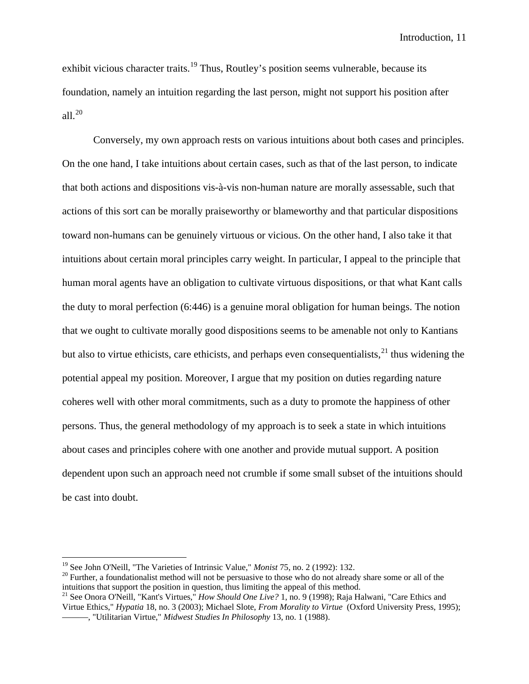exhibit vicious character traits.<sup>[19](#page-11-0)</sup> Thus, Routley's position seems vulnerable, because its foundation, namely an intuition regarding the last person, might not support his position after all. $^{20}$  $^{20}$  $^{20}$ 

Conversely, my own approach rests on various intuitions about both cases and principles. On the one hand, I take intuitions about certain cases, such as that of the last person, to indicate that both actions and dispositions vis-à-vis non-human nature are morally assessable, such that actions of this sort can be morally praiseworthy or blameworthy and that particular dispositions toward non-humans can be genuinely virtuous or vicious. On the other hand, I also take it that intuitions about certain moral principles carry weight. In particular, I appeal to the principle that human moral agents have an obligation to cultivate virtuous dispositions, or that what Kant calls the duty to moral perfection (6:446) is a genuine moral obligation for human beings. The notion that we ought to cultivate morally good dispositions seems to be amenable not only to Kantians but also to virtue ethicists, care ethicists, and perhaps even consequentialists,  $2<sup>1</sup>$  thus widening the potential appeal my position. Moreover, I argue that my position on duties regarding nature coheres well with other moral commitments, such as a duty to promote the happiness of other persons. Thus, the general methodology of my approach is to seek a state in which intuitions about cases and principles cohere with one another and provide mutual support. A position dependent upon such an approach need not crumble if some small subset of the intuitions should be cast into doubt.

<span id="page-11-1"></span>

<span id="page-11-0"></span><sup>&</sup>lt;sup>19</sup> See John O'Neill, "The Varieties of Intrinsic Value," *Monist* 75, no. 2 (1992): 132.<br><sup>20</sup> Further, a foundationalist method will not be persuasive to those who do not already share some or all of the intuitions that support the position in question, thus limiting the appeal of this method.

<span id="page-11-2"></span><sup>21</sup> See Onora O'Neill, "Kant's Virtues," *How Should One Live?* 1, no. 9 (1998); Raja Halwani, "Care Ethics and Virtue Ethics," *Hypatia* 18, no. 3 (2003); Michael Slote, *From Morality to Virtue* (Oxford University Press, 1995); ———, "Utilitarian Virtue," *Midwest Studies In Philosophy* 13, no. 1 (1988).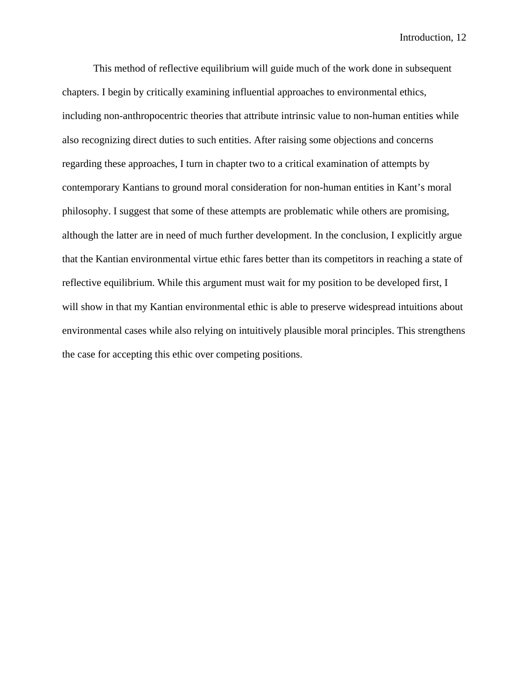This method of reflective equilibrium will guide much of the work done in subsequent chapters. I begin by critically examining influential approaches to environmental ethics, including non-anthropocentric theories that attribute intrinsic value to non-human entities while also recognizing direct duties to such entities. After raising some objections and concerns regarding these approaches, I turn in chapter two to a critical examination of attempts by contemporary Kantians to ground moral consideration for non-human entities in Kant's moral philosophy. I suggest that some of these attempts are problematic while others are promising, although the latter are in need of much further development. In the conclusion, I explicitly argue that the Kantian environmental virtue ethic fares better than its competitors in reaching a state of reflective equilibrium. While this argument must wait for my position to be developed first, I will show in that my Kantian environmental ethic is able to preserve widespread intuitions about environmental cases while also relying on intuitively plausible moral principles. This strengthens the case for accepting this ethic over competing positions.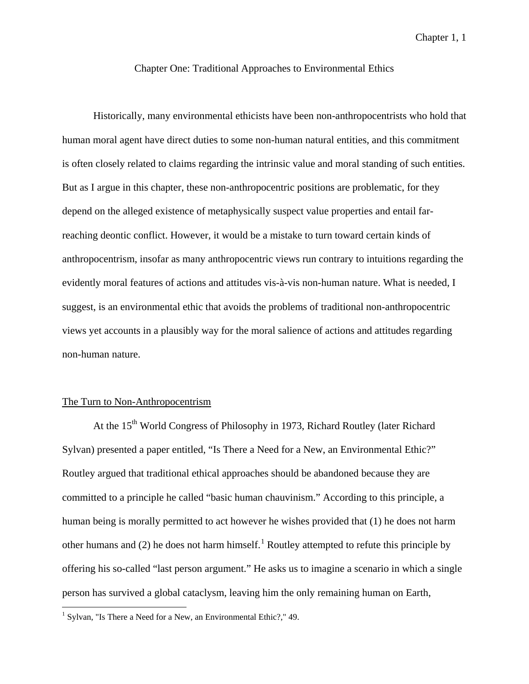## Chapter One: Traditional Approaches to Environmental Ethics

Historically, many environmental ethicists have been non-anthropocentrists who hold that human moral agent have direct duties to some non-human natural entities, and this commitment is often closely related to claims regarding the intrinsic value and moral standing of such entities. But as I argue in this chapter, these non-anthropocentric positions are problematic, for they depend on the alleged existence of metaphysically suspect value properties and entail farreaching deontic conflict. However, it would be a mistake to turn toward certain kinds of anthropocentrism, insofar as many anthropocentric views run contrary to intuitions regarding the evidently moral features of actions and attitudes vis-à-vis non-human nature. What is needed, I suggest, is an environmental ethic that avoids the problems of traditional non-anthropocentric views yet accounts in a plausibly way for the moral salience of actions and attitudes regarding non-human nature.

#### The Turn to Non-Anthropocentrism

At the 15<sup>th</sup> World Congress of Philosophy in 1973, Richard Routley (later Richard Sylvan) presented a paper entitled, "Is There a Need for a New, an Environmental Ethic?" Routley argued that traditional ethical approaches should be abandoned because they are committed to a principle he called "basic human chauvinism." According to this principle, a human being is morally permitted to act however he wishes provided that (1) he does not harm other humans and (2) he does not harm himself.<sup>[1](#page-13-0)</sup> Routley attempted to refute this principle by offering his so-called "last person argument." He asks us to imagine a scenario in which a single person has survived a global cataclysm, leaving him the only remaining human on Earth,

<span id="page-13-0"></span><sup>&</sup>lt;sup>1</sup> Sylvan, "Is There a Need for a New, an Environmental Ethic?," 49.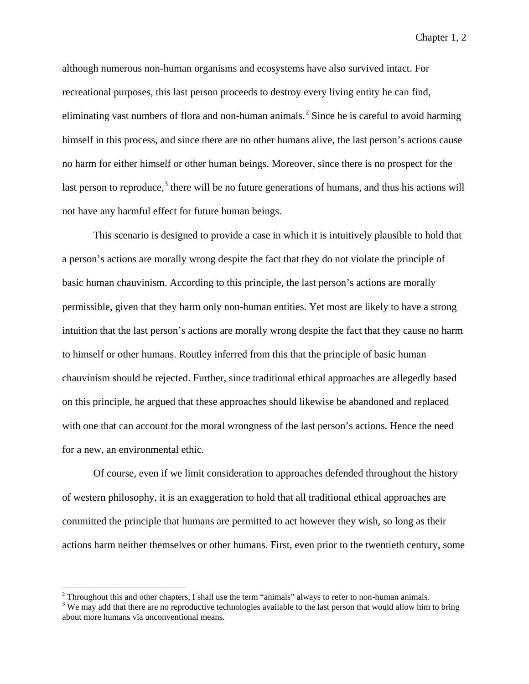although numerous non-human organisms and ecosystems have also survived intact. For recreational purposes, this last person proceeds to destroy every living entity he can find, eliminating vast numbers of flora and non-human animals.<sup>[2](#page-14-0)</sup> Since he is careful to avoid harming himself in this process, and since there are no other humans alive, the last person's actions cause no harm for either himself or other human beings. Moreover, since there is no prospect for the last person to reproduce,<sup>[3](#page-14-1)</sup> there will be no future generations of humans, and thus his actions will not have any harmful effect for future human beings.

This scenario is designed to provide a case in which it is intuitively plausible to hold that a person's actions are morally wrong despite the fact that they do not violate the principle of basic human chauvinism. According to this principle, the last person's actions are morally permissible, given that they harm only non-human entities. Yet most are likely to have a strong intuition that the last person's actions are morally wrong despite the fact that they cause no harm to himself or other humans. Routley inferred from this that the principle of basic human chauvinism should be rejected. Further, since traditional ethical approaches are allegedly based on this principle, he argued that these approaches should likewise be abandoned and replaced with one that can account for the moral wrongness of the last person's actions. Hence the need for a new, an environmental ethic.

Of course, even if we limit consideration to approaches defended throughout the history of western philosophy, it is an exaggeration to hold that all traditional ethical approaches are committed the principle that humans are permitted to act however they wish, so long as their actions harm neither themselves or other humans. First, even prior to the twentieth century, some

<span id="page-14-0"></span><sup>&</sup>lt;sup>2</sup> Throughout this and other chapters, I shall use the term "animals" always to refer to non-human animals. <sup>3</sup> We may add that there are no reproductive technologies available to the last person that would allow him to

<span id="page-14-1"></span>about more humans via unconventional means.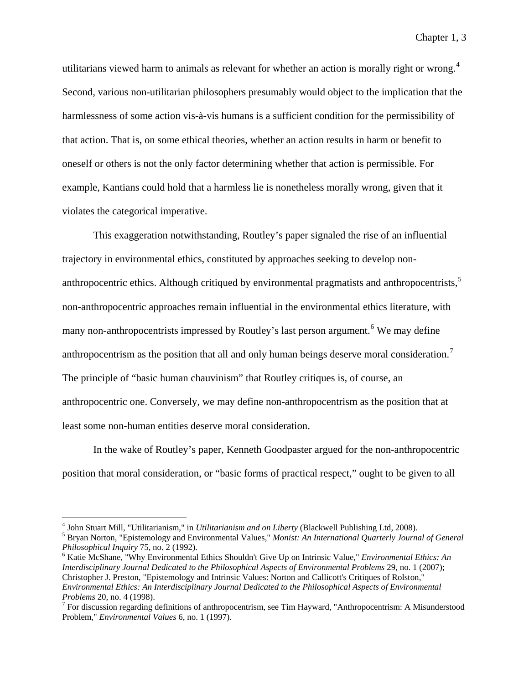utilitarians viewed harm to animals as relevant for whether an action is morally right or wrong.<sup>[4](#page-15-0)</sup> Second, various non-utilitarian philosophers presumably would object to the implication that the harmlessness of some action vis-à-vis humans is a sufficient condition for the permissibility of that action. That is, on some ethical theories, whether an action results in harm or benefit to oneself or others is not the only factor determining whether that action is permissible. For example, Kantians could hold that a harmless lie is nonetheless morally wrong, given that it violates the categorical imperative.

This exaggeration notwithstanding, Routley's paper signaled the rise of an influential trajectory in environmental ethics, constituted by approaches seeking to develop non-anthropocentric ethics. Although critiqued by environmental pragmatists and anthropocentrists,<sup>[5](#page-15-1)</sup> non-anthropocentric approaches remain influential in the environmental ethics literature, with many non-anthropocentrists impressed by Routley's last person argument.<sup>[6](#page-15-2)</sup> We may define anthropocentrism as the position that all and only human beings deserve moral consideration.<sup>[7](#page-15-3)</sup> The principle of "basic human chauvinism" that Routley critiques is, of course, an anthropocentric one. Conversely, we may define non-anthropocentrism as the position that at least some non-human entities deserve moral consideration.

In the wake of Routley's paper, Kenneth Goodpaster argued for the non-anthropocentric position that moral consideration, or "basic forms of practical respect," ought to be given to all

<span id="page-15-1"></span><span id="page-15-0"></span>

<sup>&</sup>lt;sup>4</sup> John Stuart Mill, "Utilitarianism," in *Utilitarianism and on Liberty* (Blackwell Publishing Ltd, 2008).<br><sup>5</sup> Bryan Norton, "Epistemology and Environmental Values," *Monist: An International Quarterly Journal of Genera* 

<span id="page-15-2"></span><sup>&</sup>lt;sup>6</sup> Katie McShane, "Why Environmental Ethics Shouldn't Give Up on Intrinsic Value," *Environmental Ethics: An Interdisciplinary Journal Dedicated to the Philosophical Aspects of Environmental Problems* 29, no. 1 (2007); Christopher J. Preston, "Epistemology and Intrinsic Values: Norton and Callicott's Critiques of Rolston," *Environmental Ethics: An Interdisciplinary Journal Dedicated to the Philosophical Aspects of Environmental Problems* 20, no. 4 (1998).<br><sup>7</sup> For discussion regarding definitions of anthropocentrism, see Tim Hayward, "Anthropocentrism: A Misunderstood

<span id="page-15-3"></span>Problem," *Environmental Values* 6, no. 1 (1997).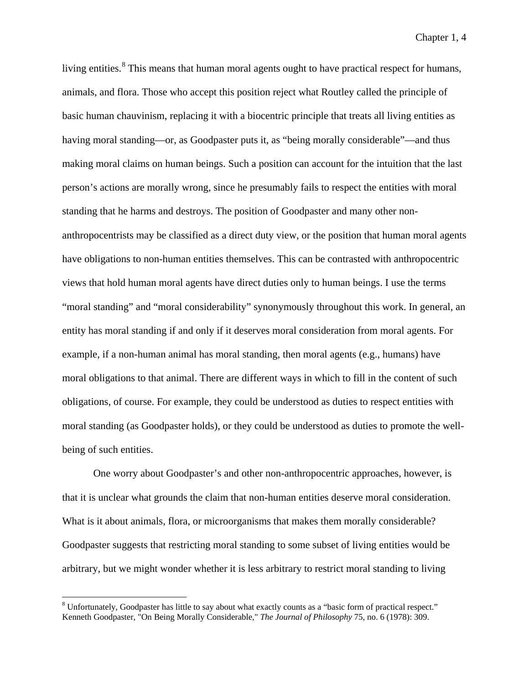living entities.<sup>[8](#page-16-0)</sup> This means that human moral agents ought to have practical respect for humans, animals, and flora. Those who accept this position reject what Routley called the principle of basic human chauvinism, replacing it with a biocentric principle that treats all living entities as having moral standing—or, as Goodpaster puts it, as "being morally considerable"—and thus making moral claims on human beings. Such a position can account for the intuition that the last person's actions are morally wrong, since he presumably fails to respect the entities with moral standing that he harms and destroys. The position of Goodpaster and many other nonanthropocentrists may be classified as a direct duty view, or the position that human moral agents have obligations to non-human entities themselves. This can be contrasted with anthropocentric views that hold human moral agents have direct duties only to human beings. I use the terms "moral standing" and "moral considerability" synonymously throughout this work. In general, an entity has moral standing if and only if it deserves moral consideration from moral agents. For example, if a non-human animal has moral standing, then moral agents (e.g., humans) have moral obligations to that animal. There are different ways in which to fill in the content of such obligations, of course. For example, they could be understood as duties to respect entities with moral standing (as Goodpaster holds), or they could be understood as duties to promote the wellbeing of such entities.

One worry about Goodpaster's and other non-anthropocentric approaches, however, is that it is unclear what grounds the claim that non-human entities deserve moral consideration. What is it about animals, flora, or microorganisms that makes them morally considerable? Goodpaster suggests that restricting moral standing to some subset of living entities would be arbitrary, but we might wonder whether it is less arbitrary to restrict moral standing to living

<span id="page-16-0"></span> <sup>8</sup> Unfortunately, Goodpaster has little to say about what exactly counts as a "basic form of practical respect." Kenneth Goodpaster, "On Being Morally Considerable," *The Journal of Philosophy* 75, no. 6 (1978): 309.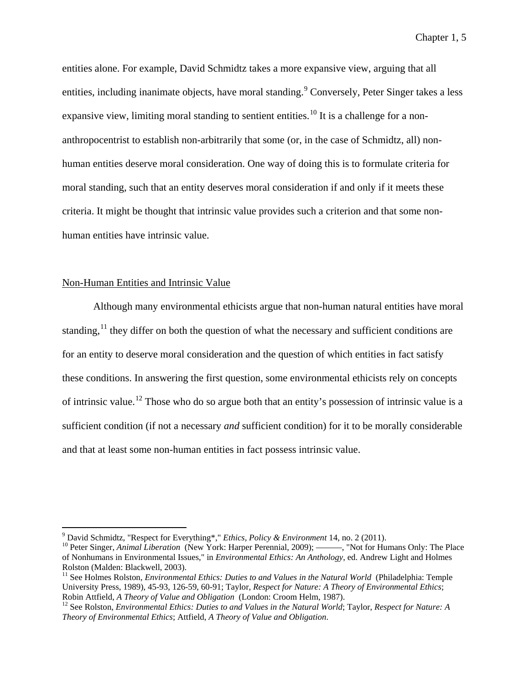entities alone. For example, David Schmidtz takes a more expansive view, arguing that all entities, including inanimate objects, have moral standing.<sup>[9](#page-17-0)</sup> Conversely, Peter Singer takes a less expansive view, limiting moral standing to sentient entities.<sup>[10](#page-17-1)</sup> It is a challenge for a nonanthropocentrist to establish non-arbitrarily that some (or, in the case of Schmidtz, all) nonhuman entities deserve moral consideration. One way of doing this is to formulate criteria for moral standing, such that an entity deserves moral consideration if and only if it meets these criteria. It might be thought that intrinsic value provides such a criterion and that some nonhuman entities have intrinsic value.

## Non-Human Entities and Intrinsic Value

Although many environmental ethicists argue that non-human natural entities have moral standing,<sup>[11](#page-17-2)</sup> they differ on both the question of what the necessary and sufficient conditions are for an entity to deserve moral consideration and the question of which entities in fact satisfy these conditions. In answering the first question, some environmental ethicists rely on concepts of intrinsic value.[12](#page-17-3) Those who do so argue both that an entity's possession of intrinsic value is a sufficient condition (if not a necessary *and* sufficient condition) for it to be morally considerable and that at least some non-human entities in fact possess intrinsic value.

<span id="page-17-1"></span><span id="page-17-0"></span><sup>&</sup>lt;sup>9</sup> David Schmidtz, "Respect for Everything\*," *Ethics, Policy & Environment* 14, no. 2 (2011).<br><sup>10</sup> Peter Singer, *Animal Liberation* (New York: Harper Perennial, 2009); ———, "Not for Humans Only: The Place of Nonhumans in Environmental Issues," in *Environmental Ethics: An Anthology*, ed. Andrew Light and Holmes Rolston (Malden: Blackwell, 2003).

<span id="page-17-2"></span><sup>&</sup>lt;sup>11</sup> See Holmes Rolston, *Environmental Ethics: Duties to and Values in the Natural World* (Philadelphia: Temple University Press, 1989), 45-93, 126-59, 60-91; Taylor, *Respect for Nature: A Theory of Environmental Ethics*;

<span id="page-17-3"></span><sup>&</sup>lt;sup>12</sup> See Rolston, *Environmental Ethics: Duties to and Values in the Natural World*; Taylor, *Respect for Nature: A Theory of Environmental Ethics*; Attfield, *A Theory of Value and Obligation*.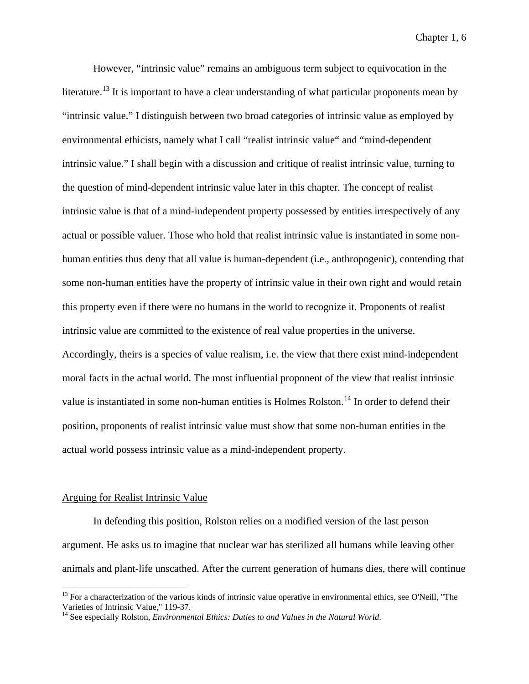However, "intrinsic value" remains an ambiguous term subject to equivocation in the literature.<sup>[13](#page-18-0)</sup> It is important to have a clear understanding of what particular proponents mean by "intrinsic value." I distinguish between two broad categories of intrinsic value as employed by environmental ethicists, namely what I call "realist intrinsic value" and "mind-dependent intrinsic value." I shall begin with a discussion and critique of realist intrinsic value, turning to the question of mind-dependent intrinsic value later in this chapter. The concept of realist intrinsic value is that of a mind-independent property possessed by entities irrespectively of any actual or possible valuer. Those who hold that realist intrinsic value is instantiated in some nonhuman entities thus deny that all value is human-dependent (i.e., anthropogenic), contending that some non-human entities have the property of intrinsic value in their own right and would retain this property even if there were no humans in the world to recognize it. Proponents of realist intrinsic value are committed to the existence of real value properties in the universe. Accordingly, theirs is a species of value realism, i.e. the view that there exist mind-independent moral facts in the actual world. The most influential proponent of the view that realist intrinsic value is instantiated in some non-human entities is Holmes Rolston.<sup>[14](#page-18-1)</sup> In order to defend their position, proponents of realist intrinsic value must show that some non-human entities in the actual world possess intrinsic value as a mind-independent property.

### Arguing for Realist Intrinsic Value

In defending this position, Rolston relies on a modified version of the last person argument. He asks us to imagine that nuclear war has sterilized all humans while leaving other animals and plant-life unscathed. After the current generation of humans dies, there will continue

<span id="page-18-0"></span> $^{13}$  For a characterization of the various kinds of intrinsic value operative in environmental ethics, see O'Neill, "The Varieties of Intrinsic Value," 119-37.

<span id="page-18-1"></span><sup>&</sup>lt;sup>14</sup> See especially Rolston, *Environmental Ethics: Duties to and Values in the Natural World.*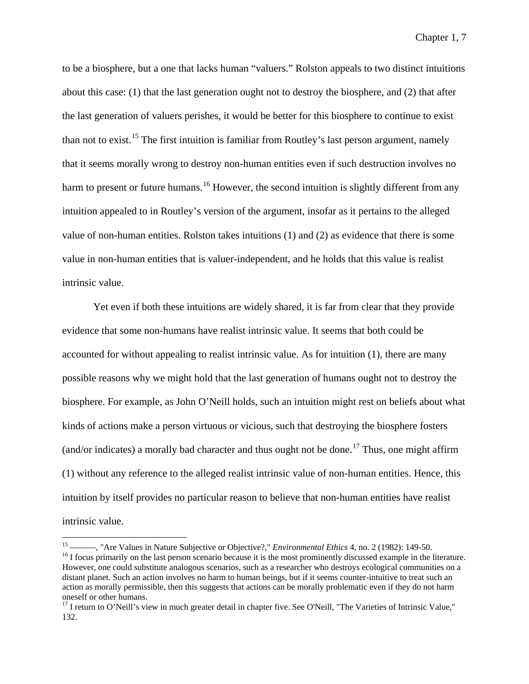to be a biosphere, but a one that lacks human "valuers." Rolston appeals to two distinct intuitions about this case: (1) that the last generation ought not to destroy the biosphere, and (2) that after the last generation of valuers perishes, it would be better for this biosphere to continue to exist than not to exist.<sup>[15](#page-19-0)</sup> The first intuition is familiar from Routley's last person argument, namely that it seems morally wrong to destroy non-human entities even if such destruction involves no harm to present or future humans.<sup>[16](#page-19-1)</sup> However, the second intuition is slightly different from any intuition appealed to in Routley's version of the argument, insofar as it pertains to the alleged value of non-human entities. Rolston takes intuitions (1) and (2) as evidence that there is some value in non-human entities that is valuer-independent, and he holds that this value is realist intrinsic value.

Yet even if both these intuitions are widely shared, it is far from clear that they provide evidence that some non-humans have realist intrinsic value. It seems that both could be accounted for without appealing to realist intrinsic value. As for intuition (1), there are many possible reasons why we might hold that the last generation of humans ought not to destroy the biosphere. For example, as John O'Neill holds, such an intuition might rest on beliefs about what kinds of actions make a person virtuous or vicious, such that destroying the biosphere fosters (and/or indicates) a morally bad character and thus ought not be done.<sup>[17](#page-19-2)</sup> Thus, one might affirm (1) without any reference to the alleged realist intrinsic value of non-human entities. Hence, this intuition by itself provides no particular reason to believe that non-human entities have realist intrinsic value.

<span id="page-19-1"></span><span id="page-19-0"></span><sup>&</sup>lt;sup>15</sup> <sup>15</sup> <sup>15</sup> <sup>16</sup> T focus primarily on the last person scenario because it is the most prominently discussed example in the literature. However, one could substitute analogous scenarios, such as a researcher who destroys ecological communities on a distant planet. Such an action involves no harm to human beings, but if it seems counter-intuitive to treat such an action as morally permissible, then this suggests that actions can be morally problematic even if they do not harm oneself or other humans.

<span id="page-19-2"></span> $17$  I return to O'Neill's view in much greater detail in chapter five. See O'Neill, "The Varieties of Intrinsic Value," 132.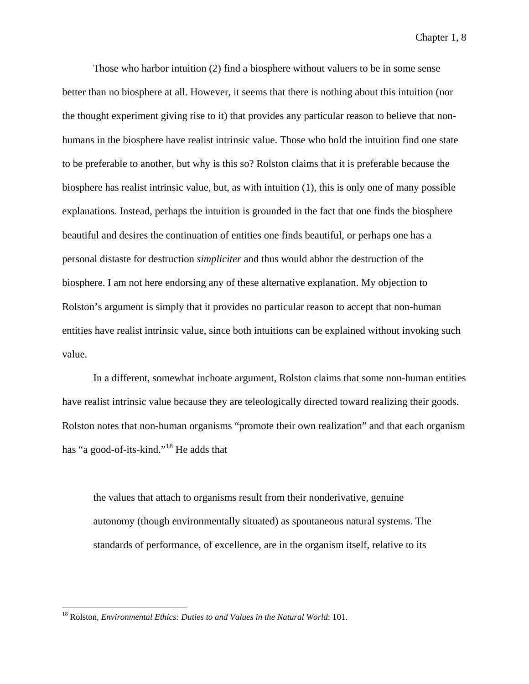Those who harbor intuition (2) find a biosphere without valuers to be in some sense better than no biosphere at all. However, it seems that there is nothing about this intuition (nor the thought experiment giving rise to it) that provides any particular reason to believe that nonhumans in the biosphere have realist intrinsic value. Those who hold the intuition find one state to be preferable to another, but why is this so? Rolston claims that it is preferable because the biosphere has realist intrinsic value, but, as with intuition (1), this is only one of many possible explanations. Instead, perhaps the intuition is grounded in the fact that one finds the biosphere beautiful and desires the continuation of entities one finds beautiful, or perhaps one has a personal distaste for destruction *simpliciter* and thus would abhor the destruction of the biosphere. I am not here endorsing any of these alternative explanation. My objection to Rolston's argument is simply that it provides no particular reason to accept that non-human entities have realist intrinsic value, since both intuitions can be explained without invoking such value.

In a different, somewhat inchoate argument, Rolston claims that some non-human entities have realist intrinsic value because they are teleologically directed toward realizing their goods. Rolston notes that non-human organisms "promote their own realization" and that each organism has "a good-of-its-kind."[18](#page-20-0) He adds that

the values that attach to organisms result from their nonderivative, genuine autonomy (though environmentally situated) as spontaneous natural systems. The standards of performance, of excellence, are in the organism itself, relative to its

<span id="page-20-0"></span> <sup>18</sup> Rolston, *Environmental Ethics: Duties to and Values in the Natural World*: 101.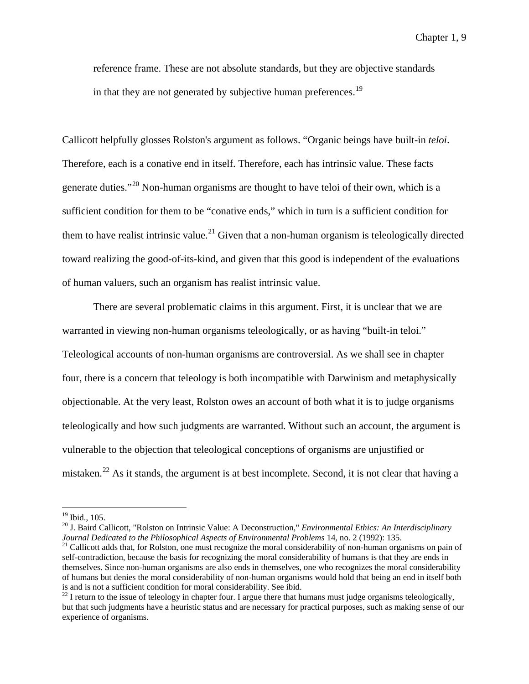reference frame. These are not absolute standards, but they are objective standards in that they are not generated by subjective human preferences.<sup>[19](#page-21-0)</sup>

Callicott helpfully glosses Rolston's argument as follows. "Organic beings have built-in *teloi*. Therefore, each is a conative end in itself. Therefore, each has intrinsic value. These facts generate duties."[20](#page-21-1) Non-human organisms are thought to have teloi of their own, which is a sufficient condition for them to be "conative ends," which in turn is a sufficient condition for them to have realist intrinsic value.<sup>[21](#page-21-2)</sup> Given that a non-human organism is teleologically directed toward realizing the good-of-its-kind, and given that this good is independent of the evaluations of human valuers, such an organism has realist intrinsic value.

There are several problematic claims in this argument. First, it is unclear that we are warranted in viewing non-human organisms teleologically, or as having "built-in teloi." Teleological accounts of non-human organisms are controversial. As we shall see in chapter four, there is a concern that teleology is both incompatible with Darwinism and metaphysically objectionable. At the very least, Rolston owes an account of both what it is to judge organisms teleologically and how such judgments are warranted. Without such an account, the argument is vulnerable to the objection that teleological conceptions of organisms are unjustified or mistaken.<sup>[22](#page-21-3)</sup> As it stands, the argument is at best incomplete. Second, it is not clear that having a

<span id="page-21-1"></span><span id="page-21-0"></span><sup>&</sup>lt;sup>19</sup> Ibid., 105.<br><sup>20</sup> J. Baird Callicott, "Rolston on Intrinsic Value: A Deconstruction," *Environmental Ethics: An Interdisciplinary*<br>Journal Dedicated to the Philosophical Aspects of Environmental Problems 14, no. 2 (199

<span id="page-21-2"></span><sup>&</sup>lt;sup>21</sup> Callicott adds that, for Rolston, one must recognize the moral considerability of non-human organisms on pain of self-contradiction, because the basis for recognizing the moral considerability of humans is that they are ends in themselves. Since non-human organisms are also ends in themselves, one who recognizes the moral considerability of humans but denies the moral considerability of non-human organisms would hold that being an end in itself both is and is not a sufficient condition for moral considerability. See ibid.  $22$  I return to the issue of teleology in chapter four. I argue there that humans must judge organisms teleologically,

<span id="page-21-3"></span>but that such judgments have a heuristic status and are necessary for practical purposes, such as making sense of our experience of organisms.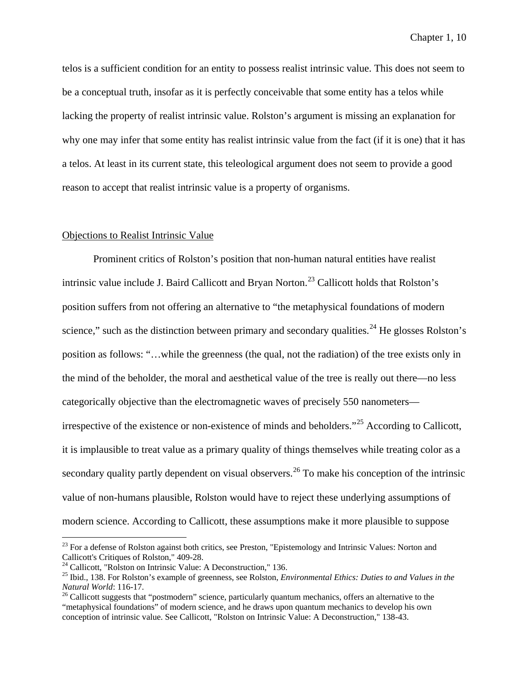telos is a sufficient condition for an entity to possess realist intrinsic value. This does not seem to be a conceptual truth, insofar as it is perfectly conceivable that some entity has a telos while lacking the property of realist intrinsic value. Rolston's argument is missing an explanation for why one may infer that some entity has realist intrinsic value from the fact (if it is one) that it has a telos. At least in its current state, this teleological argument does not seem to provide a good reason to accept that realist intrinsic value is a property of organisms.

## Objections to Realist Intrinsic Value

Prominent critics of Rolston's position that non-human natural entities have realist intrinsic value include J. Baird Callicott and Bryan Norton.<sup>[23](#page-22-0)</sup> Callicott holds that Rolston's position suffers from not offering an alternative to "the metaphysical foundations of modern science," such as the distinction between primary and secondary qualities.<sup>[24](#page-22-1)</sup> He glosses Rolston's position as follows: "…while the greenness (the qual, not the radiation) of the tree exists only in the mind of the beholder, the moral and aesthetical value of the tree is really out there—no less categorically objective than the electromagnetic waves of precisely 550 nanometers irrespective of the existence or non-existence of minds and beholders."[25](#page-22-2) According to Callicott, it is implausible to treat value as a primary quality of things themselves while treating color as a secondary quality partly dependent on visual observers.<sup>[26](#page-22-3)</sup> To make his conception of the intrinsic value of non-humans plausible, Rolston would have to reject these underlying assumptions of modern science. According to Callicott, these assumptions make it more plausible to suppose

<span id="page-22-0"></span><sup>&</sup>lt;sup>23</sup> For a defense of Rolston against both critics, see Preston, "Epistemology and Intrinsic Values: Norton and Callicott's Critiques of Rolston," 409-28.

<span id="page-22-2"></span><span id="page-22-1"></span><sup>&</sup>lt;sup>24</sup> Callicott, "Rolston on Intrinsic Value: A Deconstruction," 136.<br><sup>25</sup> Ibid., 138. For Rolston's example of greenness, see Rolston, *Environmental Ethics: Duties to and Values in the Natural World*: 116-17.<br><sup>26</sup> Callicott suggests that "postmodern" science, particularly quantum mechanics, offers an alternative to the

<span id="page-22-3"></span><sup>&</sup>quot;metaphysical foundations" of modern science, and he draws upon quantum mechanics to develop his own conception of intrinsic value. See Callicott, "Rolston on Intrinsic Value: A Deconstruction," 138-43.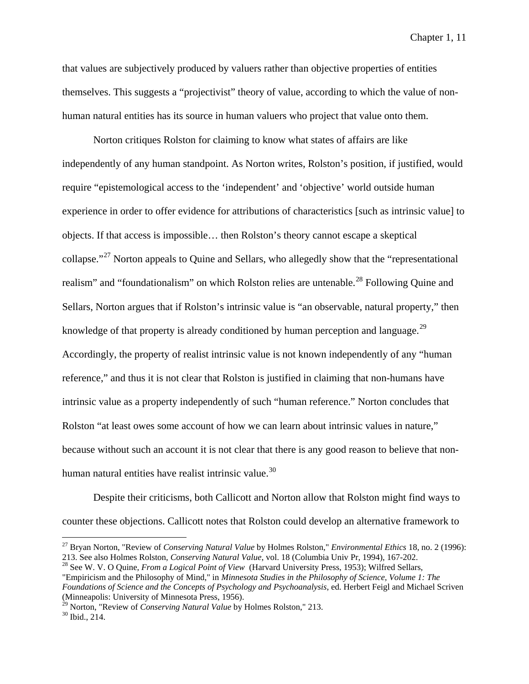that values are subjectively produced by valuers rather than objective properties of entities themselves. This suggests a "projectivist" theory of value, according to which the value of nonhuman natural entities has its source in human valuers who project that value onto them.

Norton critiques Rolston for claiming to know what states of affairs are like independently of any human standpoint. As Norton writes, Rolston's position, if justified, would require "epistemological access to the 'independent' and 'objective' world outside human experience in order to offer evidence for attributions of characteristics [such as intrinsic value] to objects. If that access is impossible… then Rolston's theory cannot escape a skeptical collapse."<sup>[27](#page-23-0)</sup> Norton appeals to Quine and Sellars, who allegedly show that the "representational" realism" and "foundationalism" on which Rolston relies are untenable.<sup>[28](#page-23-1)</sup> Following Quine and Sellars, Norton argues that if Rolston's intrinsic value is "an observable, natural property," then knowledge of that property is already conditioned by human perception and language.<sup>[29](#page-23-2)</sup> Accordingly, the property of realist intrinsic value is not known independently of any "human reference," and thus it is not clear that Rolston is justified in claiming that non-humans have intrinsic value as a property independently of such "human reference." Norton concludes that Rolston "at least owes some account of how we can learn about intrinsic values in nature," because without such an account it is not clear that there is any good reason to believe that non-human natural entities have realist intrinsic value.<sup>[30](#page-23-3)</sup>

Despite their criticisms, both Callicott and Norton allow that Rolston might find ways to counter these objections. Callicott notes that Rolston could develop an alternative framework to

<span id="page-23-0"></span><sup>&</sup>lt;sup>27</sup> Bryan Norton, "Review of *Conserving Natural Value* by Holmes Rolston," *Environmental Ethics* 18, no. 2 (1996):<br>213. See also Holmes Rolston, *Conserving Natural Value*, vol. 18 (Columbia Univ Pr, 1994), 167-202.

<span id="page-23-1"></span><sup>&</sup>lt;sup>28</sup> See W. V. O Quine, *From a Logical Point of View* (Harvard University Press, 1953); Wilfred Sellars, "Empiricism and the Philosophy of Mind," in *Minnesota Studies in the Philosophy of Science, Volume 1: The Foundations of Science and the Concepts of Psychology and Psychoanalysis*, ed. Herbert Feigl and Michael Scriven (Minneapolis: University of Minnesota Press, 1956).

<span id="page-23-3"></span><span id="page-23-2"></span><sup>&</sup>lt;sup>29</sup> Norton, "Review of *Conserving Natural Value* by Holmes Rolston," 213.<br><sup>30</sup> Ibid., 214.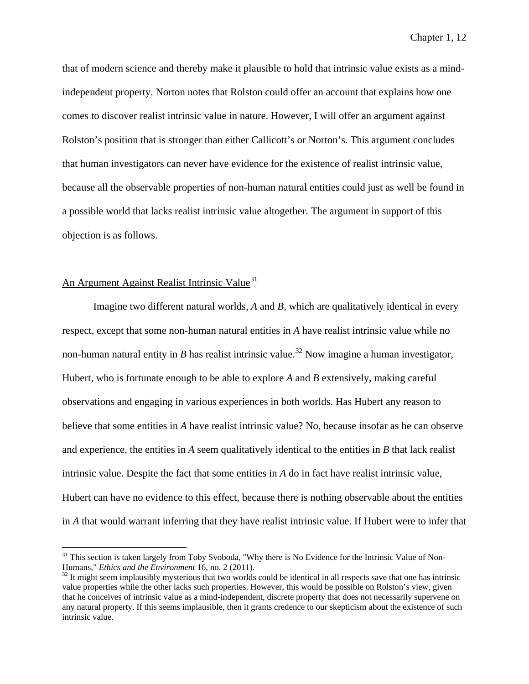that of modern science and thereby make it plausible to hold that intrinsic value exists as a mindindependent property. Norton notes that Rolston could offer an account that explains how one comes to discover realist intrinsic value in nature. However, I will offer an argument against Rolston's position that is stronger than either Callicott's or Norton's. This argument concludes that human investigators can never have evidence for the existence of realist intrinsic value, because all the observable properties of non-human natural entities could just as well be found in a possible world that lacks realist intrinsic value altogether. The argument in support of this objection is as follows.

# An Argument Against Realist Intrinsic Value<sup>[31](#page-24-0)</sup>

Imagine two different natural worlds, *A* and *B*, which are qualitatively identical in every respect, except that some non-human natural entities in *A* have realist intrinsic value while no non-human natural entity in *B* has realist intrinsic value.<sup>[32](#page-24-1)</sup> Now imagine a human investigator, Hubert, who is fortunate enough to be able to explore *A* and *B* extensively, making careful observations and engaging in various experiences in both worlds. Has Hubert any reason to believe that some entities in *A* have realist intrinsic value? No, because insofar as he can observe and experience, the entities in *A* seem qualitatively identical to the entities in *B* that lack realist intrinsic value. Despite the fact that some entities in *A* do in fact have realist intrinsic value, Hubert can have no evidence to this effect, because there is nothing observable about the entities in *A* that would warrant inferring that they have realist intrinsic value. If Hubert were to infer that

<span id="page-24-0"></span><sup>&</sup>lt;sup>31</sup> This section is taken largely from Toby Svoboda, "Why there is No Evidence for the Intrinsic Value of Non-Humans," *Ethics and the Environment* 16, no. 2 (2011).

<span id="page-24-1"></span><sup>&</sup>lt;sup>32</sup> It might seem implausibly mysterious that two worlds could be identical in all respects save that one has intrinsic value properties while the other lacks such properties. However, this would be possible on Rolston's view, given that he conceives of intrinsic value as a mind-independent, discrete property that does not necessarily supervene on any natural property. If this seems implausible, then it grants credence to our skepticism about the existence of such intrinsic value.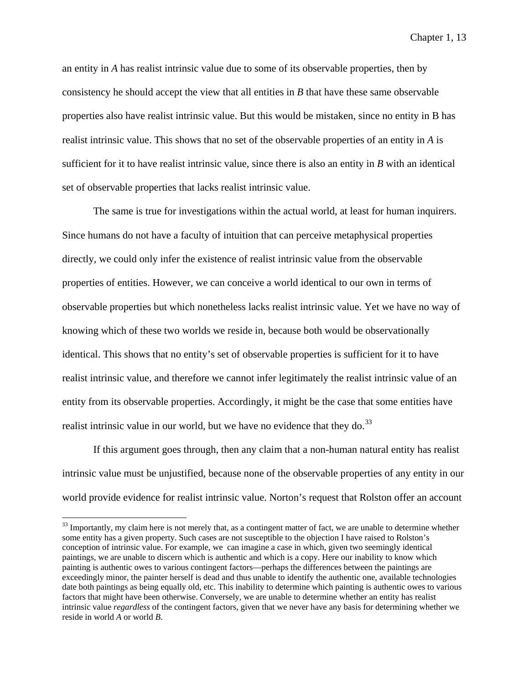an entity in *A* has realist intrinsic value due to some of its observable properties, then by consistency he should accept the view that all entities in *B* that have these same observable properties also have realist intrinsic value. But this would be mistaken, since no entity in B has realist intrinsic value. This shows that no set of the observable properties of an entity in *A* is sufficient for it to have realist intrinsic value, since there is also an entity in *B* with an identical set of observable properties that lacks realist intrinsic value.

The same is true for investigations within the actual world, at least for human inquirers. Since humans do not have a faculty of intuition that can perceive metaphysical properties directly, we could only infer the existence of realist intrinsic value from the observable properties of entities. However, we can conceive a world identical to our own in terms of observable properties but which nonetheless lacks realist intrinsic value. Yet we have no way of knowing which of these two worlds we reside in, because both would be observationally identical. This shows that no entity's set of observable properties is sufficient for it to have realist intrinsic value, and therefore we cannot infer legitimately the realist intrinsic value of an entity from its observable properties. Accordingly, it might be the case that some entities have realist intrinsic value in our world, but we have no evidence that they do.<sup>[33](#page-25-0)</sup>

If this argument goes through, then any claim that a non-human natural entity has realist intrinsic value must be unjustified, because none of the observable properties of any entity in our world provide evidence for realist intrinsic value. Norton's request that Rolston offer an account

<span id="page-25-0"></span> $33$  Importantly, my claim here is not merely that, as a contingent matter of fact, we are unable to determine whether some entity has a given property. Such cases are not susceptible to the objection I have raised to Rolston's conception of intrinsic value. For example, we can imagine a case in which, given two seemingly identical paintings, we are unable to discern which is authentic and which is a copy. Here our inability to know which painting is authentic owes to various contingent factors—perhaps the differences between the paintings are exceedingly minor, the painter herself is dead and thus unable to identify the authentic one, available technologies date both paintings as being equally old, etc. This inability to determine which painting is authentic owes to various factors that might have been otherwise. Conversely, we are unable to determine whether an entity has realist intrinsic value *regardless* of the contingent factors, given that we never have any basis for determining whether we reside in world *A* or world *B*.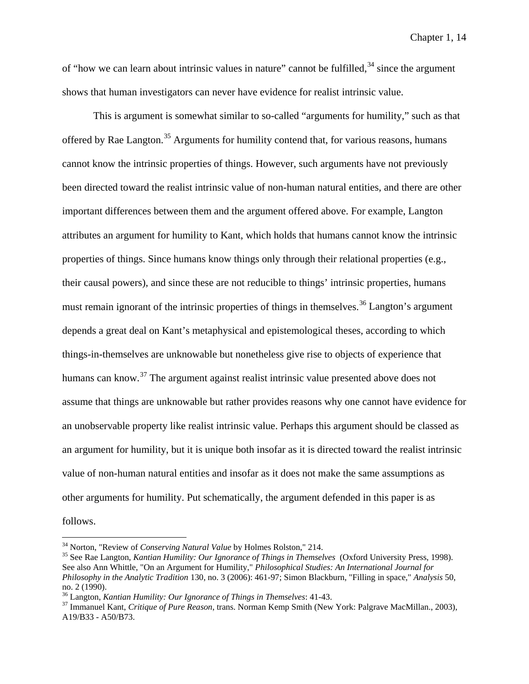of "how we can learn about intrinsic values in nature" cannot be fulfilled,  $34$  since the argument shows that human investigators can never have evidence for realist intrinsic value.

This is argument is somewhat similar to so-called "arguments for humility," such as that offered by Rae Langton.<sup>[35](#page-26-1)</sup> Arguments for humility contend that, for various reasons, humans cannot know the intrinsic properties of things. However, such arguments have not previously been directed toward the realist intrinsic value of non-human natural entities, and there are other important differences between them and the argument offered above. For example, Langton attributes an argument for humility to Kant, which holds that humans cannot know the intrinsic properties of things. Since humans know things only through their relational properties (e.g., their causal powers), and since these are not reducible to things' intrinsic properties, humans must remain ignorant of the intrinsic properties of things in themselves.<sup>[36](#page-26-2)</sup> Langton's argument depends a great deal on Kant's metaphysical and epistemological theses, according to which things-in-themselves are unknowable but nonetheless give rise to objects of experience that humans can know.<sup>[37](#page-26-3)</sup> The argument against realist intrinsic value presented above does not assume that things are unknowable but rather provides reasons why one cannot have evidence for an unobservable property like realist intrinsic value. Perhaps this argument should be classed as an argument for humility, but it is unique both insofar as it is directed toward the realist intrinsic value of non-human natural entities and insofar as it does not make the same assumptions as other arguments for humility. Put schematically, the argument defended in this paper is as follows.

<span id="page-26-1"></span><span id="page-26-0"></span><sup>&</sup>lt;sup>34</sup> Norton, "Review of *Conserving Natural Value* by Holmes Rolston," 214.<br><sup>35</sup> See Rae Langton, *Kantian Humility: Our Ignorance of Things in Themselves* (Oxford University Press, 1998). See also Ann Whittle, "On an Argument for Humility," *Philosophical Studies: An International Journal for Philosophy in the Analytic Tradition* 130, no. 3 (2006): 461-97; Simon Blackburn, "Filling in space," *Analysis* 50, no. 2 (1990).<br><sup>36</sup> Langton, *Kantian Humility: Our Ignorance of Things in Themselves*: 41-43.

<span id="page-26-3"></span><span id="page-26-2"></span><sup>&</sup>lt;sup>37</sup> Immanuel Kant, *Critique of Pure Reason*, trans. Norman Kemp Smith (New York: Palgrave MacMillan., 2003), A19/B33 - A50/B73.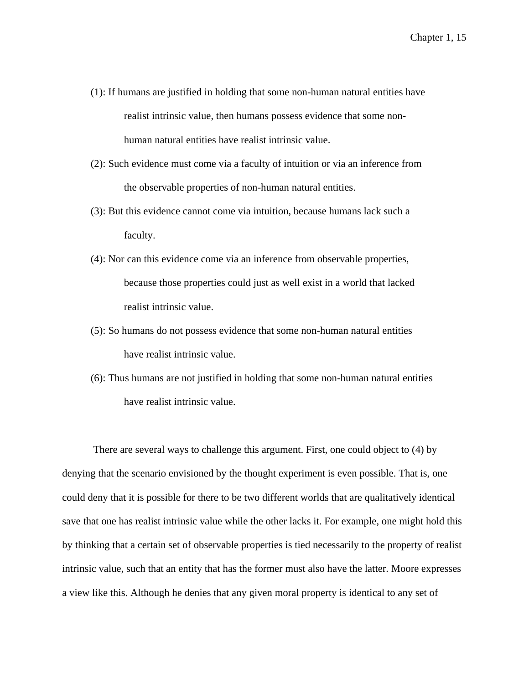- (1): If humans are justified in holding that some non-human natural entities have realist intrinsic value, then humans possess evidence that some nonhuman natural entities have realist intrinsic value.
- (2): Such evidence must come via a faculty of intuition or via an inference from the observable properties of non-human natural entities.
- (3): But this evidence cannot come via intuition, because humans lack such a faculty.
- (4): Nor can this evidence come via an inference from observable properties, because those properties could just as well exist in a world that lacked realist intrinsic value.
- (5): So humans do not possess evidence that some non-human natural entities have realist intrinsic value.
- (6): Thus humans are not justified in holding that some non-human natural entities have realist intrinsic value.

There are several ways to challenge this argument. First, one could object to (4) by denying that the scenario envisioned by the thought experiment is even possible. That is, one could deny that it is possible for there to be two different worlds that are qualitatively identical save that one has realist intrinsic value while the other lacks it. For example, one might hold this by thinking that a certain set of observable properties is tied necessarily to the property of realist intrinsic value, such that an entity that has the former must also have the latter. Moore expresses a view like this. Although he denies that any given moral property is identical to any set of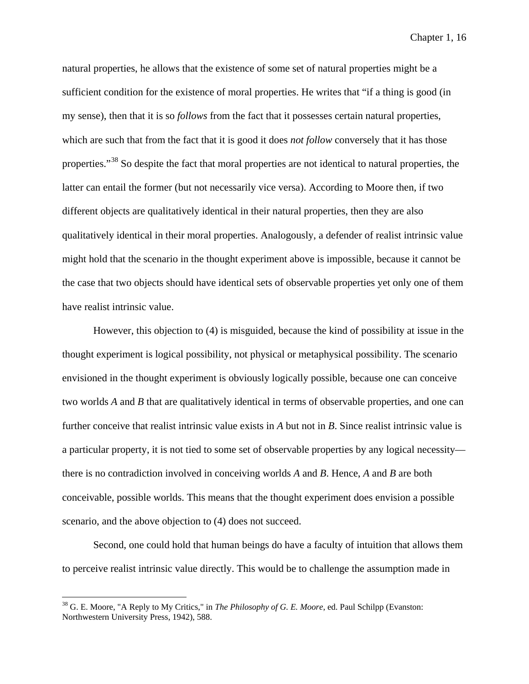natural properties, he allows that the existence of some set of natural properties might be a sufficient condition for the existence of moral properties. He writes that "if a thing is good (in my sense), then that it is so *follows* from the fact that it possesses certain natural properties, which are such that from the fact that it is good it does *not follow* conversely that it has those properties."<sup>[38](#page-28-0)</sup> So despite the fact that moral properties are not identical to natural properties, the latter can entail the former (but not necessarily vice versa). According to Moore then, if two different objects are qualitatively identical in their natural properties, then they are also qualitatively identical in their moral properties. Analogously, a defender of realist intrinsic value might hold that the scenario in the thought experiment above is impossible, because it cannot be the case that two objects should have identical sets of observable properties yet only one of them have realist intrinsic value.

However, this objection to (4) is misguided, because the kind of possibility at issue in the thought experiment is logical possibility, not physical or metaphysical possibility. The scenario envisioned in the thought experiment is obviously logically possible, because one can conceive two worlds *A* and *B* that are qualitatively identical in terms of observable properties, and one can further conceive that realist intrinsic value exists in *A* but not in *B*. Since realist intrinsic value is a particular property, it is not tied to some set of observable properties by any logical necessity there is no contradiction involved in conceiving worlds *A* and *B*. Hence, *A* and *B* are both conceivable, possible worlds. This means that the thought experiment does envision a possible scenario, and the above objection to (4) does not succeed.

Second, one could hold that human beings do have a faculty of intuition that allows them to perceive realist intrinsic value directly. This would be to challenge the assumption made in

<span id="page-28-0"></span> <sup>38</sup> G. E. Moore, "A Reply to My Critics," in *The Philosophy of G. E. Moore*, ed. Paul Schilpp (Evanston: Northwestern University Press, 1942), 588.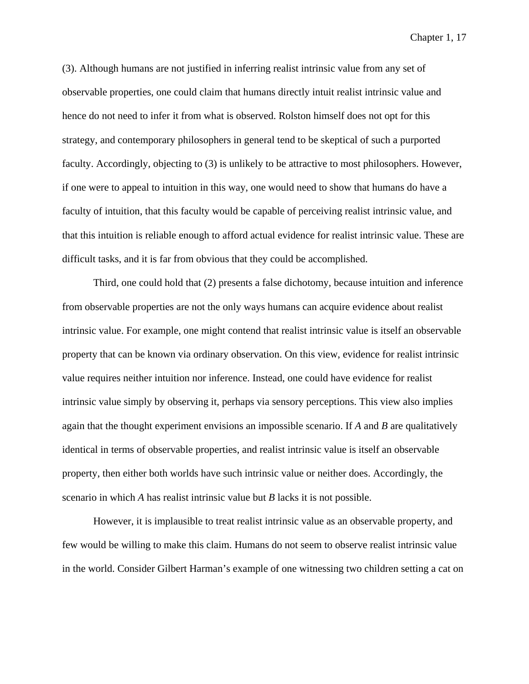(3). Although humans are not justified in inferring realist intrinsic value from any set of observable properties, one could claim that humans directly intuit realist intrinsic value and hence do not need to infer it from what is observed. Rolston himself does not opt for this strategy, and contemporary philosophers in general tend to be skeptical of such a purported faculty. Accordingly, objecting to (3) is unlikely to be attractive to most philosophers. However, if one were to appeal to intuition in this way, one would need to show that humans do have a faculty of intuition, that this faculty would be capable of perceiving realist intrinsic value, and that this intuition is reliable enough to afford actual evidence for realist intrinsic value. These are difficult tasks, and it is far from obvious that they could be accomplished.

Third, one could hold that (2) presents a false dichotomy, because intuition and inference from observable properties are not the only ways humans can acquire evidence about realist intrinsic value. For example, one might contend that realist intrinsic value is itself an observable property that can be known via ordinary observation. On this view, evidence for realist intrinsic value requires neither intuition nor inference. Instead, one could have evidence for realist intrinsic value simply by observing it, perhaps via sensory perceptions. This view also implies again that the thought experiment envisions an impossible scenario. If *A* and *B* are qualitatively identical in terms of observable properties, and realist intrinsic value is itself an observable property, then either both worlds have such intrinsic value or neither does. Accordingly, the scenario in which *A* has realist intrinsic value but *B* lacks it is not possible.

However, it is implausible to treat realist intrinsic value as an observable property, and few would be willing to make this claim. Humans do not seem to observe realist intrinsic value in the world. Consider Gilbert Harman's example of one witnessing two children setting a cat on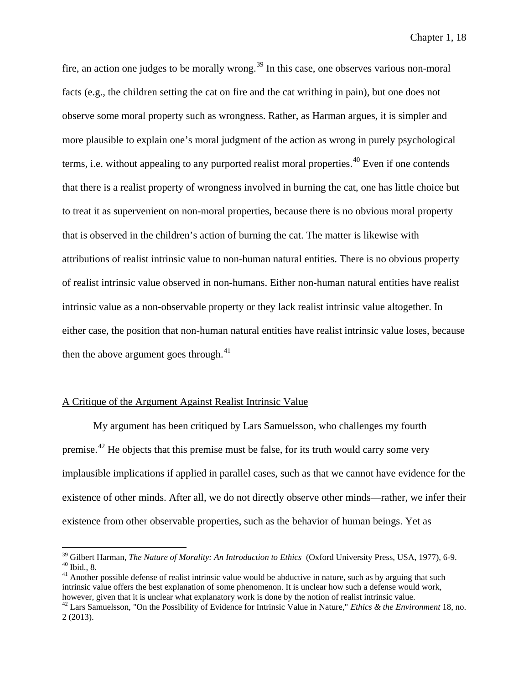fire, an action one judges to be morally wrong.<sup>[39](#page-30-0)</sup> In this case, one observes various non-moral facts (e.g., the children setting the cat on fire and the cat writhing in pain), but one does not observe some moral property such as wrongness. Rather, as Harman argues, it is simpler and more plausible to explain one's moral judgment of the action as wrong in purely psychological terms, i.e. without appealing to any purported realist moral properties.<sup>[40](#page-30-1)</sup> Even if one contends that there is a realist property of wrongness involved in burning the cat, one has little choice but to treat it as supervenient on non-moral properties, because there is no obvious moral property that is observed in the children's action of burning the cat. The matter is likewise with attributions of realist intrinsic value to non-human natural entities. There is no obvious property of realist intrinsic value observed in non-humans. Either non-human natural entities have realist intrinsic value as a non-observable property or they lack realist intrinsic value altogether. In either case, the position that non-human natural entities have realist intrinsic value loses, because then the above argument goes through. $41$ 

### A Critique of the Argument Against Realist Intrinsic Value

My argument has been critiqued by Lars Samuelsson, who challenges my fourth premise.<sup>[42](#page-30-3)</sup> He objects that this premise must be false, for its truth would carry some very implausible implications if applied in parallel cases, such as that we cannot have evidence for the existence of other minds. After all, we do not directly observe other minds—rather, we infer their existence from other observable properties, such as the behavior of human beings. Yet as

<span id="page-30-1"></span><span id="page-30-0"></span><sup>&</sup>lt;sup>39</sup> Gilbert Harman, *The Nature of Morality: An Introduction to Ethics* (Oxford University Press, USA, 1977), 6-9.<br><sup>40</sup> Ibid., 8.<br><sup>41</sup> Another possible defense of realist intrinsic value would be abductive in nature, suc

<span id="page-30-2"></span>intrinsic value offers the best explanation of some phenomenon. It is unclear how such a defense would work, however, given that it is unclear what explanatory work is done by the notion of realist intrinsic value.

<span id="page-30-3"></span><sup>42</sup> Lars Samuelsson, "On the Possibility of Evidence for Intrinsic Value in Nature," *Ethics & the Environment* 18, no. 2 (2013).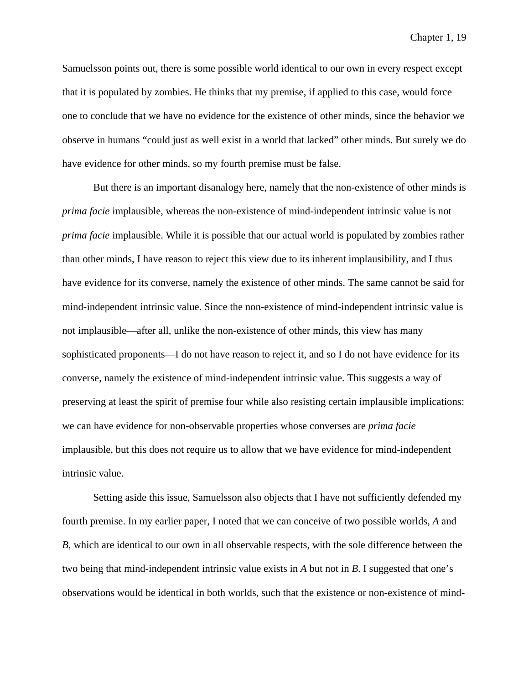Samuelsson points out, there is some possible world identical to our own in every respect except that it is populated by zombies. He thinks that my premise, if applied to this case, would force one to conclude that we have no evidence for the existence of other minds, since the behavior we observe in humans "could just as well exist in a world that lacked" other minds. But surely we do have evidence for other minds, so my fourth premise must be false.

But there is an important disanalogy here, namely that the non-existence of other minds is *prima facie* implausible, whereas the non-existence of mind-independent intrinsic value is not *prima facie* implausible. While it is possible that our actual world is populated by zombies rather than other minds, I have reason to reject this view due to its inherent implausibility, and I thus have evidence for its converse, namely the existence of other minds. The same cannot be said for mind-independent intrinsic value. Since the non-existence of mind-independent intrinsic value is not implausible—after all, unlike the non-existence of other minds, this view has many sophisticated proponents—I do not have reason to reject it, and so I do not have evidence for its converse, namely the existence of mind-independent intrinsic value. This suggests a way of preserving at least the spirit of premise four while also resisting certain implausible implications: we can have evidence for non-observable properties whose converses are *prima facie*  implausible, but this does not require us to allow that we have evidence for mind-independent intrinsic value.

Setting aside this issue, Samuelsson also objects that I have not sufficiently defended my fourth premise. In my earlier paper, I noted that we can conceive of two possible worlds, *A* and *B*, which are identical to our own in all observable respects, with the sole difference between the two being that mind-independent intrinsic value exists in *A* but not in *B*. I suggested that one's observations would be identical in both worlds, such that the existence or non-existence of mind-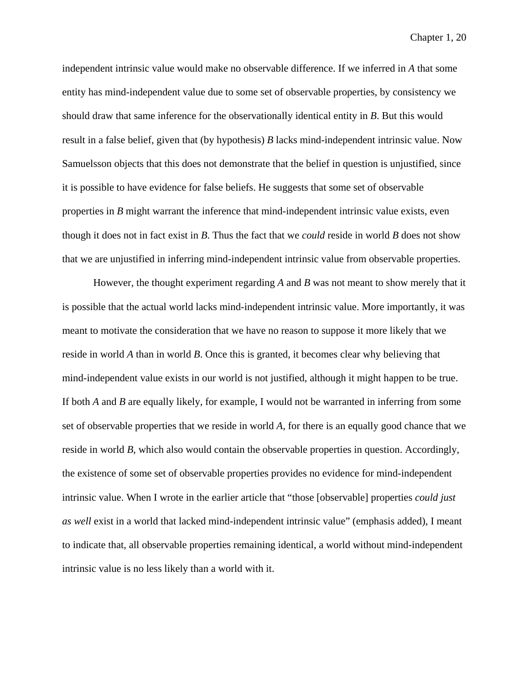independent intrinsic value would make no observable difference. If we inferred in *A* that some entity has mind-independent value due to some set of observable properties, by consistency we should draw that same inference for the observationally identical entity in *B*. But this would result in a false belief, given that (by hypothesis) *B* lacks mind-independent intrinsic value. Now Samuelsson objects that this does not demonstrate that the belief in question is unjustified, since it is possible to have evidence for false beliefs. He suggests that some set of observable properties in *B* might warrant the inference that mind-independent intrinsic value exists, even though it does not in fact exist in *B*. Thus the fact that we *could* reside in world *B* does not show that we are unjustified in inferring mind-independent intrinsic value from observable properties.

However, the thought experiment regarding *A* and *B* was not meant to show merely that it is possible that the actual world lacks mind-independent intrinsic value. More importantly, it was meant to motivate the consideration that we have no reason to suppose it more likely that we reside in world *A* than in world *B*. Once this is granted, it becomes clear why believing that mind-independent value exists in our world is not justified, although it might happen to be true. If both *A* and *B* are equally likely, for example, I would not be warranted in inferring from some set of observable properties that we reside in world *A*, for there is an equally good chance that we reside in world *B*, which also would contain the observable properties in question. Accordingly, the existence of some set of observable properties provides no evidence for mind-independent intrinsic value. When I wrote in the earlier article that "those [observable] properties *could just as well* exist in a world that lacked mind-independent intrinsic value" (emphasis added), I meant to indicate that, all observable properties remaining identical, a world without mind-independent intrinsic value is no less likely than a world with it.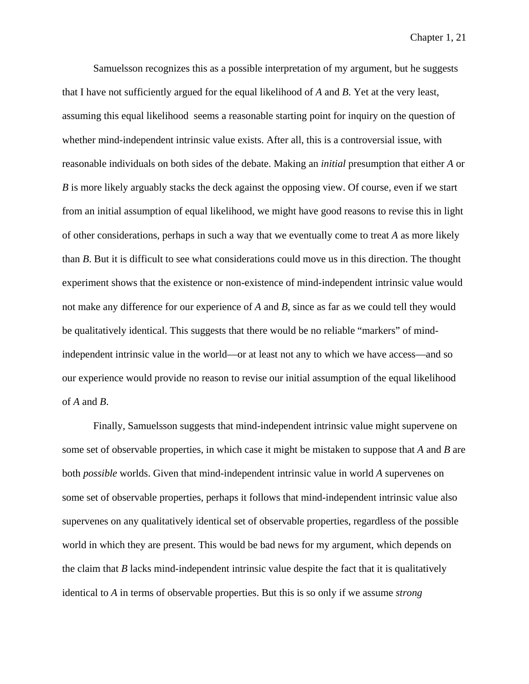Samuelsson recognizes this as a possible interpretation of my argument, but he suggests that I have not sufficiently argued for the equal likelihood of *A* and *B*. Yet at the very least, assuming this equal likelihood seems a reasonable starting point for inquiry on the question of whether mind-independent intrinsic value exists. After all, this is a controversial issue, with reasonable individuals on both sides of the debate. Making an *initial* presumption that either *A* or *B* is more likely arguably stacks the deck against the opposing view. Of course, even if we start from an initial assumption of equal likelihood, we might have good reasons to revise this in light of other considerations, perhaps in such a way that we eventually come to treat *A* as more likely than *B*. But it is difficult to see what considerations could move us in this direction. The thought experiment shows that the existence or non-existence of mind-independent intrinsic value would not make any difference for our experience of *A* and *B*, since as far as we could tell they would be qualitatively identical. This suggests that there would be no reliable "markers" of mindindependent intrinsic value in the world—or at least not any to which we have access—and so our experience would provide no reason to revise our initial assumption of the equal likelihood of *A* and *B*.

Finally, Samuelsson suggests that mind-independent intrinsic value might supervene on some set of observable properties, in which case it might be mistaken to suppose that *A* and *B* are both *possible* worlds. Given that mind-independent intrinsic value in world *A* supervenes on some set of observable properties, perhaps it follows that mind-independent intrinsic value also supervenes on any qualitatively identical set of observable properties, regardless of the possible world in which they are present. This would be bad news for my argument, which depends on the claim that *B* lacks mind-independent intrinsic value despite the fact that it is qualitatively identical to *A* in terms of observable properties. But this is so only if we assume *strong*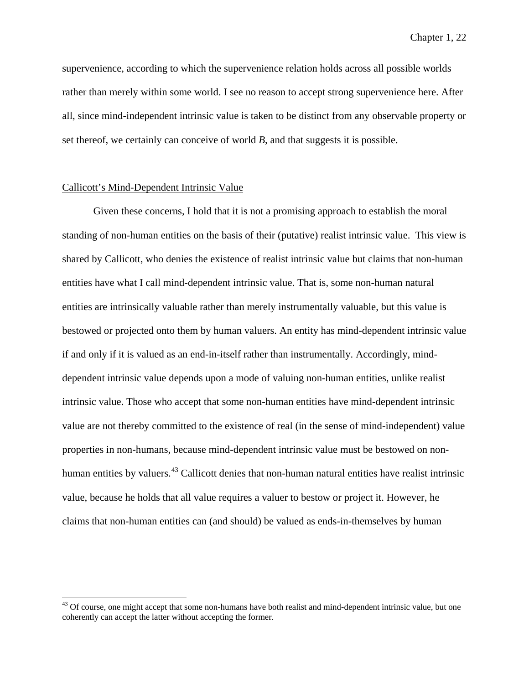supervenience, according to which the supervenience relation holds across all possible worlds rather than merely within some world. I see no reason to accept strong supervenience here. After all, since mind-independent intrinsic value is taken to be distinct from any observable property or set thereof, we certainly can conceive of world *B*, and that suggests it is possible.

#### Callicott's Mind-Dependent Intrinsic Value

Given these concerns, I hold that it is not a promising approach to establish the moral standing of non-human entities on the basis of their (putative) realist intrinsic value. This view is shared by Callicott, who denies the existence of realist intrinsic value but claims that non-human entities have what I call mind-dependent intrinsic value. That is, some non-human natural entities are intrinsically valuable rather than merely instrumentally valuable, but this value is bestowed or projected onto them by human valuers. An entity has mind-dependent intrinsic value if and only if it is valued as an end-in-itself rather than instrumentally. Accordingly, minddependent intrinsic value depends upon a mode of valuing non-human entities, unlike realist intrinsic value. Those who accept that some non-human entities have mind-dependent intrinsic value are not thereby committed to the existence of real (in the sense of mind-independent) value properties in non-humans, because mind-dependent intrinsic value must be bestowed on non-human entities by valuers.<sup>[43](#page-34-0)</sup> Callicott denies that non-human natural entities have realist intrinsic value, because he holds that all value requires a valuer to bestow or project it. However, he claims that non-human entities can (and should) be valued as ends-in-themselves by human

<span id="page-34-0"></span><sup>&</sup>lt;sup>43</sup> Of course, one might accept that some non-humans have both realist and mind-dependent intrinsic value, but one coherently can accept the latter without accepting the former.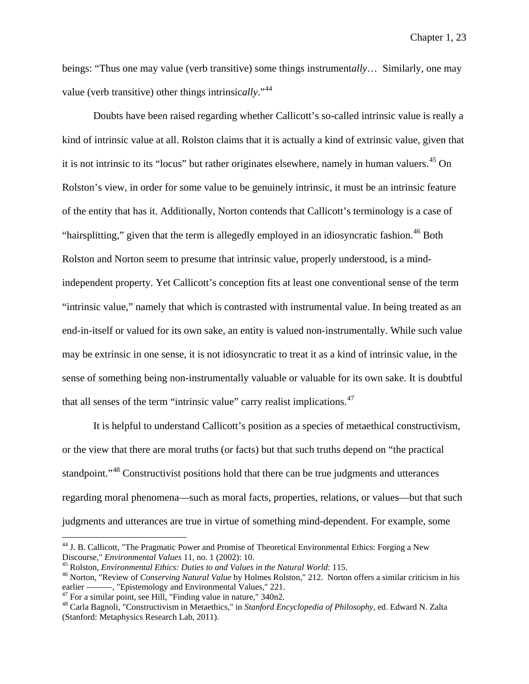beings: "Thus one may value (verb transitive) some things instrument*ally*… Similarly, one may value (verb transitive) other things intrinsic*ally*."[44](#page-35-0)

Doubts have been raised regarding whether Callicott's so-called intrinsic value is really a kind of intrinsic value at all. Rolston claims that it is actually a kind of extrinsic value, given that it is not intrinsic to its "locus" but rather originates elsewhere, namely in human valuers.<sup>[45](#page-35-1)</sup> On Rolston's view, in order for some value to be genuinely intrinsic, it must be an intrinsic feature of the entity that has it. Additionally, Norton contends that Callicott's terminology is a case of "hairsplitting," given that the term is allegedly employed in an idiosyncratic fashion.<sup>[46](#page-35-2)</sup> Both Rolston and Norton seem to presume that intrinsic value, properly understood, is a mindindependent property. Yet Callicott's conception fits at least one conventional sense of the term "intrinsic value," namely that which is contrasted with instrumental value. In being treated as an end-in-itself or valued for its own sake, an entity is valued non-instrumentally. While such value may be extrinsic in one sense, it is not idiosyncratic to treat it as a kind of intrinsic value, in the sense of something being non-instrumentally valuable or valuable for its own sake. It is doubtful that all senses of the term "intrinsic value" carry realist implications.<sup>[47](#page-35-3)</sup>

It is helpful to understand Callicott's position as a species of metaethical constructivism, or the view that there are moral truths (or facts) but that such truths depend on "the practical standpoint."<sup>[48](#page-35-4)</sup> Constructivist positions hold that there can be true judgments and utterances regarding moral phenomena—such as moral facts, properties, relations, or values—but that such judgments and utterances are true in virtue of something mind-dependent. For example, some

<span id="page-35-0"></span><sup>&</sup>lt;sup>44</sup> J. B. Callicott, "The Pragmatic Power and Promise of Theoretical Environmental Ethics: Forging a New Discourse," *Environmental Values* 11, no. 1 (2002): 10.

<span id="page-35-2"></span><span id="page-35-1"></span><sup>&</sup>lt;sup>45</sup> Rolston, *Environmental Ethics: Duties to and Values in the Natural World*: 115.<br><sup>46</sup> Norton, "Review of *Conserving Natural Value* by Holmes Rolston," 212. Norton offers a similar criticism in his earlier ——————————

<span id="page-35-4"></span><span id="page-35-3"></span><sup>&</sup>lt;sup>47</sup> For a similar point, see Hill, "Finding value in nature,"  $340n2$ .<br><sup>48</sup> Carla Bagnoli, "Constructivism in Metaethics," in *Stanford Encyclopedia of Philosophy*, ed. Edward N. Zalta (Stanford: Metaphysics Research Lab, 2011).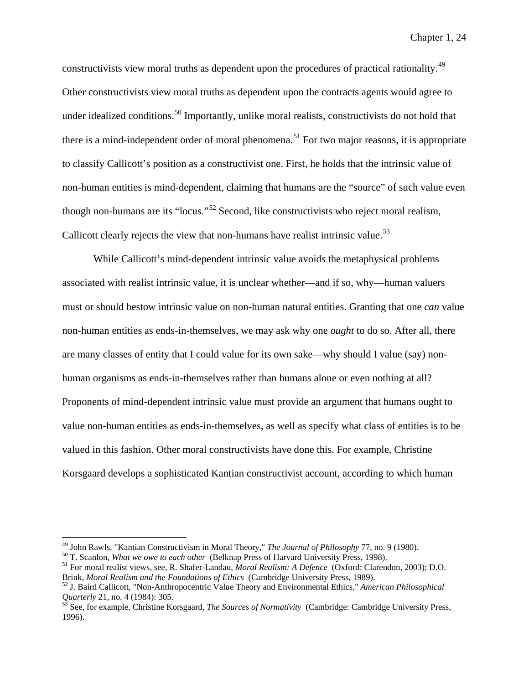constructivists view moral truths as dependent upon the procedures of practical rationality.<sup>[49](#page-36-0)</sup> Other constructivists view moral truths as dependent upon the contracts agents would agree to under idealized conditions.<sup>[50](#page-36-1)</sup> Importantly, unlike moral realists, constructivists do not hold that there is a mind-independent order of moral phenomena.<sup>[51](#page-36-2)</sup> For two major reasons, it is appropriate to classify Callicott's position as a constructivist one. First, he holds that the intrinsic value of non-human entities is mind-dependent, claiming that humans are the "source" of such value even though non-humans are its "locus."[52](#page-36-3) Second, like constructivists who reject moral realism, Callicott clearly rejects the view that non-humans have realist intrinsic value.<sup>[53](#page-36-4)</sup>

While Callicott's mind-dependent intrinsic value avoids the metaphysical problems associated with realist intrinsic value, it is unclear whether—and if so, why—human valuers must or should bestow intrinsic value on non-human natural entities. Granting that one *can* value non-human entities as ends-in-themselves, we may ask why one *ought* to do so. After all, there are many classes of entity that I could value for its own sake—why should I value (say) nonhuman organisms as ends-in-themselves rather than humans alone or even nothing at all? Proponents of mind-dependent intrinsic value must provide an argument that humans ought to value non-human entities as ends-in-themselves, as well as specify what class of entities is to be valued in this fashion. Other moral constructivists have done this. For example, Christine Korsgaard develops a sophisticated Kantian constructivist account, according to which human

<span id="page-36-0"></span><sup>&</sup>lt;sup>49</sup> John Rawls, "Kantian Constructivism in Moral Theory," *The Journal of Philosophy* 77, no. 9 (1980).<br><sup>50</sup> T. Scanlon, *What we owe to each other* (Belknap Press of Harvard University Press, 1998).<br><sup>51</sup> For moral reali

<span id="page-36-1"></span>

<span id="page-36-2"></span>Brink, *Moral Realism and the Foundations of Ethics* (Cambridge University Press, 1989).<br><sup>52</sup> J. Baird Callicott, "Non-Anthropocentric Value Theory and Environmental Ethics," *American Philosophical* 

<span id="page-36-3"></span>*Quarterly* 21, no. 4 (1984): 305.<br><sup>53</sup> See, for example, Christine Korsgaard, *The Sources of Normativity* (Cambridge: Cambridge University Press,

<span id="page-36-4"></span><sup>1996).</sup>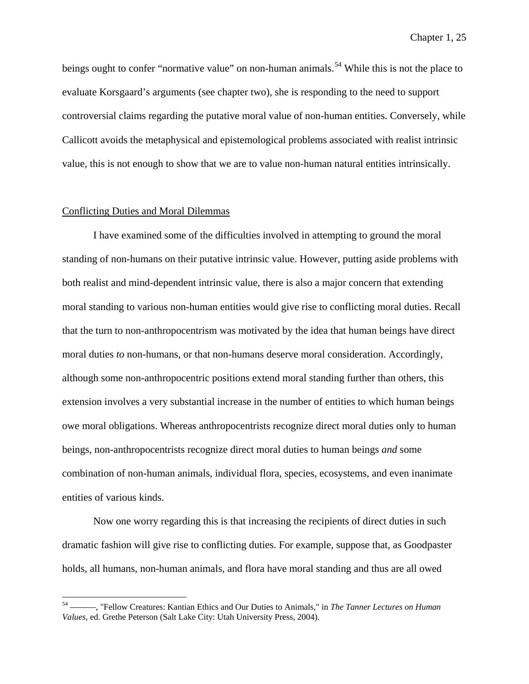beings ought to confer "normative value" on non-human animals.<sup>[54](#page-37-0)</sup> While this is not the place to evaluate Korsgaard's arguments (see chapter two), she is responding to the need to support controversial claims regarding the putative moral value of non-human entities. Conversely, while Callicott avoids the metaphysical and epistemological problems associated with realist intrinsic value, this is not enough to show that we are to value non-human natural entities intrinsically.

#### Conflicting Duties and Moral Dilemmas

I have examined some of the difficulties involved in attempting to ground the moral standing of non-humans on their putative intrinsic value. However, putting aside problems with both realist and mind-dependent intrinsic value, there is also a major concern that extending moral standing to various non-human entities would give rise to conflicting moral duties. Recall that the turn to non-anthropocentrism was motivated by the idea that human beings have direct moral duties *to* non-humans, or that non-humans deserve moral consideration. Accordingly, although some non-anthropocentric positions extend moral standing further than others, this extension involves a very substantial increase in the number of entities to which human beings owe moral obligations. Whereas anthropocentrists recognize direct moral duties only to human beings, non-anthropocentrists recognize direct moral duties to human beings *and* some combination of non-human animals, individual flora, species, ecosystems, and even inanimate entities of various kinds.

Now one worry regarding this is that increasing the recipients of direct duties in such dramatic fashion will give rise to conflicting duties. For example, suppose that, as Goodpaster holds, all humans, non-human animals, and flora have moral standing and thus are all owed

<span id="page-37-0"></span> <sup>54</sup> ———, "Fellow Creatures: Kantian Ethics and Our Duties to Animals," in *The Tanner Lectures on Human Values*, ed. Grethe Peterson (Salt Lake City: Utah University Press, 2004).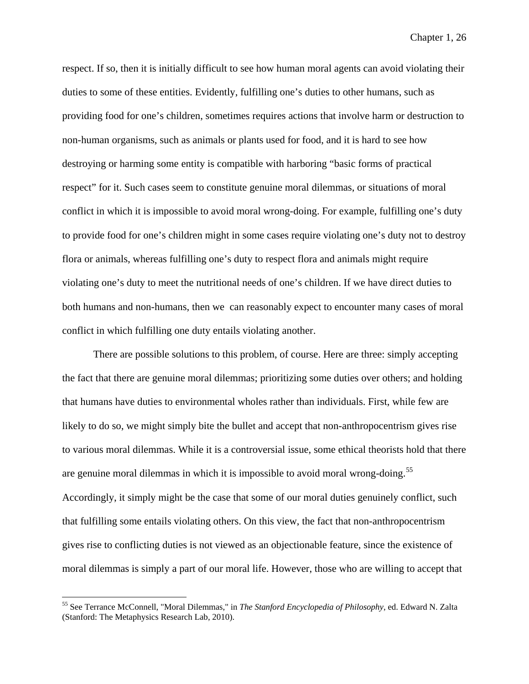respect. If so, then it is initially difficult to see how human moral agents can avoid violating their duties to some of these entities. Evidently, fulfilling one's duties to other humans, such as providing food for one's children, sometimes requires actions that involve harm or destruction to non-human organisms, such as animals or plants used for food, and it is hard to see how destroying or harming some entity is compatible with harboring "basic forms of practical respect" for it. Such cases seem to constitute genuine moral dilemmas, or situations of moral conflict in which it is impossible to avoid moral wrong-doing. For example, fulfilling one's duty to provide food for one's children might in some cases require violating one's duty not to destroy flora or animals, whereas fulfilling one's duty to respect flora and animals might require violating one's duty to meet the nutritional needs of one's children. If we have direct duties to both humans and non-humans, then we can reasonably expect to encounter many cases of moral conflict in which fulfilling one duty entails violating another.

There are possible solutions to this problem, of course. Here are three: simply accepting the fact that there are genuine moral dilemmas; prioritizing some duties over others; and holding that humans have duties to environmental wholes rather than individuals. First, while few are likely to do so, we might simply bite the bullet and accept that non-anthropocentrism gives rise to various moral dilemmas. While it is a controversial issue, some ethical theorists hold that there are genuine moral dilemmas in which it is impossible to avoid moral wrong-doing.<sup>[55](#page-38-0)</sup> Accordingly, it simply might be the case that some of our moral duties genuinely conflict, such that fulfilling some entails violating others. On this view, the fact that non-anthropocentrism gives rise to conflicting duties is not viewed as an objectionable feature, since the existence of moral dilemmas is simply a part of our moral life. However, those who are willing to accept that

<span id="page-38-0"></span> <sup>55</sup> See Terrance McConnell, "Moral Dilemmas," in *The Stanford Encyclopedia of Philosophy*, ed. Edward N. Zalta (Stanford: The Metaphysics Research Lab, 2010).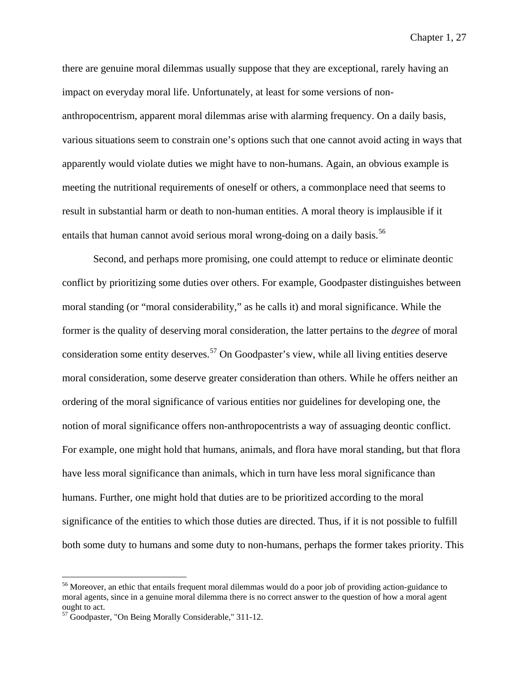there are genuine moral dilemmas usually suppose that they are exceptional, rarely having an impact on everyday moral life. Unfortunately, at least for some versions of nonanthropocentrism, apparent moral dilemmas arise with alarming frequency. On a daily basis, various situations seem to constrain one's options such that one cannot avoid acting in ways that apparently would violate duties we might have to non-humans. Again, an obvious example is meeting the nutritional requirements of oneself or others, a commonplace need that seems to result in substantial harm or death to non-human entities. A moral theory is implausible if it entails that human cannot avoid serious moral wrong-doing on a daily basis.<sup>[56](#page-39-0)</sup>

Second, and perhaps more promising, one could attempt to reduce or eliminate deontic conflict by prioritizing some duties over others. For example, Goodpaster distinguishes between moral standing (or "moral considerability," as he calls it) and moral significance. While the former is the quality of deserving moral consideration, the latter pertains to the *degree* of moral consideration some entity deserves.<sup>[57](#page-39-1)</sup> On Goodpaster's view, while all living entities deserve moral consideration, some deserve greater consideration than others. While he offers neither an ordering of the moral significance of various entities nor guidelines for developing one, the notion of moral significance offers non-anthropocentrists a way of assuaging deontic conflict. For example, one might hold that humans, animals, and flora have moral standing, but that flora have less moral significance than animals, which in turn have less moral significance than humans. Further, one might hold that duties are to be prioritized according to the moral significance of the entities to which those duties are directed. Thus, if it is not possible to fulfill both some duty to humans and some duty to non-humans, perhaps the former takes priority. This

<span id="page-39-0"></span><sup>&</sup>lt;sup>56</sup> Moreover, an ethic that entails frequent moral dilemmas would do a poor job of providing action-guidance to moral agents, since in a genuine moral dilemma there is no correct answer to the question of how a moral agent ought to act.

<span id="page-39-1"></span><sup>&</sup>lt;sup>57</sup> Goodpaster, "On Being Morally Considerable," 311-12.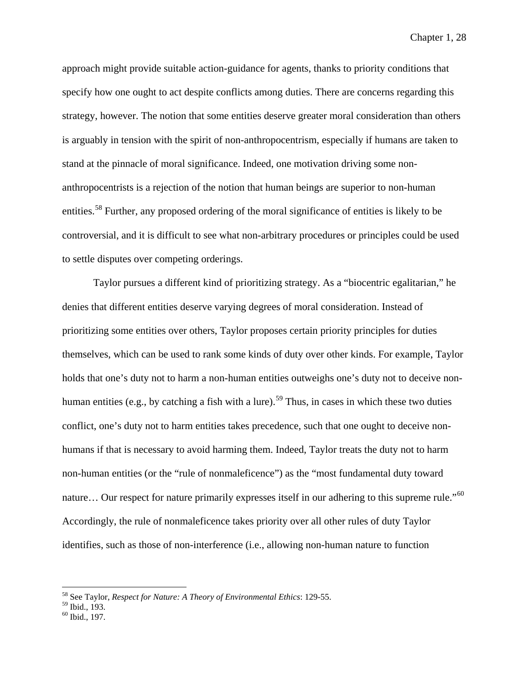approach might provide suitable action-guidance for agents, thanks to priority conditions that specify how one ought to act despite conflicts among duties. There are concerns regarding this strategy, however. The notion that some entities deserve greater moral consideration than others is arguably in tension with the spirit of non-anthropocentrism, especially if humans are taken to stand at the pinnacle of moral significance. Indeed, one motivation driving some nonanthropocentrists is a rejection of the notion that human beings are superior to non-human entities.<sup>[58](#page-40-0)</sup> Further, any proposed ordering of the moral significance of entities is likely to be controversial, and it is difficult to see what non-arbitrary procedures or principles could be used to settle disputes over competing orderings.

Taylor pursues a different kind of prioritizing strategy. As a "biocentric egalitarian," he denies that different entities deserve varying degrees of moral consideration. Instead of prioritizing some entities over others, Taylor proposes certain priority principles for duties themselves, which can be used to rank some kinds of duty over other kinds. For example, Taylor holds that one's duty not to harm a non-human entities outweighs one's duty not to deceive non-human entities (e.g., by catching a fish with a lure).<sup>[59](#page-40-1)</sup> Thus, in cases in which these two duties conflict, one's duty not to harm entities takes precedence, such that one ought to deceive nonhumans if that is necessary to avoid harming them. Indeed, Taylor treats the duty not to harm non-human entities (or the "rule of nonmaleficence") as the "most fundamental duty toward nature... Our respect for nature primarily expresses itself in our adhering to this supreme rule."<sup>[60](#page-40-2)</sup> Accordingly, the rule of nonmaleficence takes priority over all other rules of duty Taylor identifies, such as those of non-interference (i.e., allowing non-human nature to function

 <sup>58</sup> See Taylor, *Respect for Nature: A Theory of Environmental Ethics*: 129-55.

<span id="page-40-1"></span><span id="page-40-0"></span><sup>&</sup>lt;sup>59</sup> Ibid., 193.<br><sup>60</sup> Ibid., 197.

<span id="page-40-2"></span>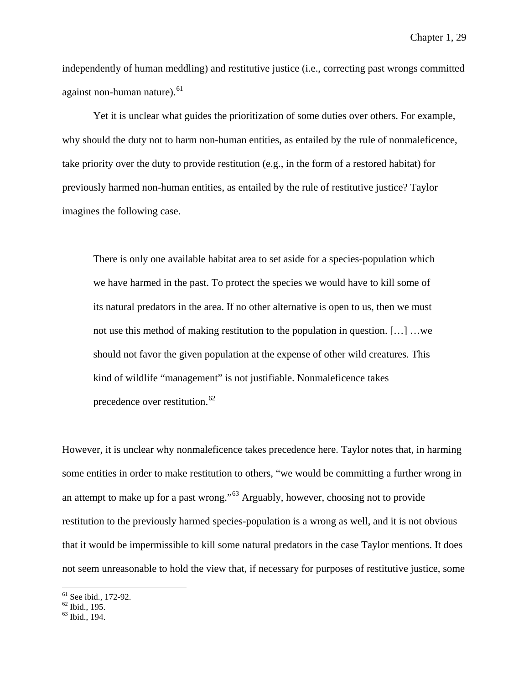independently of human meddling) and restitutive justice (i.e., correcting past wrongs committed against non-human nature). $61$ 

Yet it is unclear what guides the prioritization of some duties over others. For example, why should the duty not to harm non-human entities, as entailed by the rule of nonmaleficence, take priority over the duty to provide restitution (e.g., in the form of a restored habitat) for previously harmed non-human entities, as entailed by the rule of restitutive justice? Taylor imagines the following case.

There is only one available habitat area to set aside for a species-population which we have harmed in the past. To protect the species we would have to kill some of its natural predators in the area. If no other alternative is open to us, then we must not use this method of making restitution to the population in question. […] …we should not favor the given population at the expense of other wild creatures. This kind of wildlife "management" is not justifiable. Nonmaleficence takes precedence over restitution.<sup>[62](#page-41-1)</sup>

However, it is unclear why nonmaleficence takes precedence here. Taylor notes that, in harming some entities in order to make restitution to others, "we would be committing a further wrong in an attempt to make up for a past wrong."[63](#page-41-2) Arguably, however, choosing not to provide restitution to the previously harmed species-population is a wrong as well, and it is not obvious that it would be impermissible to kill some natural predators in the case Taylor mentions. It does not seem unreasonable to hold the view that, if necessary for purposes of restitutive justice, some

<span id="page-41-1"></span><span id="page-41-0"></span><sup>&</sup>lt;sup>61</sup> See ibid., 172-92.<br><sup>62</sup> Ibid., 195.<br><sup>63</sup> Ibid., 194.

<span id="page-41-2"></span>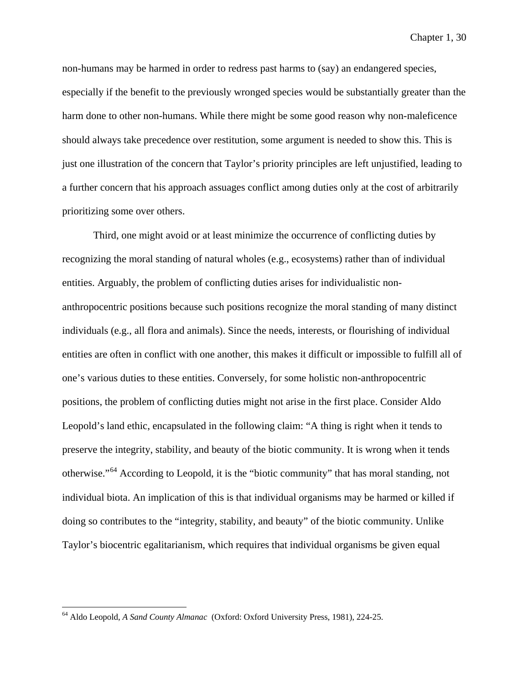non-humans may be harmed in order to redress past harms to (say) an endangered species, especially if the benefit to the previously wronged species would be substantially greater than the harm done to other non-humans. While there might be some good reason why non-maleficence should always take precedence over restitution, some argument is needed to show this. This is just one illustration of the concern that Taylor's priority principles are left unjustified, leading to a further concern that his approach assuages conflict among duties only at the cost of arbitrarily prioritizing some over others.

Third, one might avoid or at least minimize the occurrence of conflicting duties by recognizing the moral standing of natural wholes (e.g., ecosystems) rather than of individual entities. Arguably, the problem of conflicting duties arises for individualistic nonanthropocentric positions because such positions recognize the moral standing of many distinct individuals (e.g., all flora and animals). Since the needs, interests, or flourishing of individual entities are often in conflict with one another, this makes it difficult or impossible to fulfill all of one's various duties to these entities. Conversely, for some holistic non-anthropocentric positions, the problem of conflicting duties might not arise in the first place. Consider Aldo Leopold's land ethic, encapsulated in the following claim: "A thing is right when it tends to preserve the integrity, stability, and beauty of the biotic community. It is wrong when it tends otherwise."[64](#page-42-0) According to Leopold, it is the "biotic community" that has moral standing, not individual biota. An implication of this is that individual organisms may be harmed or killed if doing so contributes to the "integrity, stability, and beauty" of the biotic community. Unlike Taylor's biocentric egalitarianism, which requires that individual organisms be given equal

<span id="page-42-0"></span> <sup>64</sup> Aldo Leopold, *A Sand County Almanac* (Oxford: Oxford University Press, 1981), 224-25.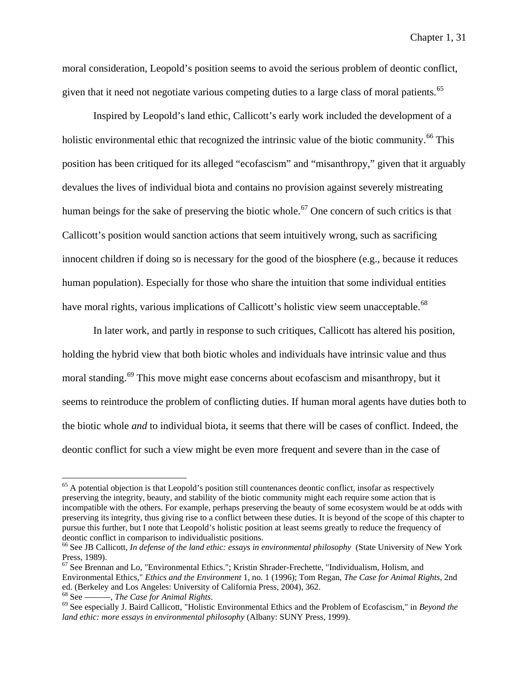moral consideration, Leopold's position seems to avoid the serious problem of deontic conflict, given that it need not negotiate various competing duties to a large class of moral patients.<sup>[65](#page-43-0)</sup>

Inspired by Leopold's land ethic, Callicott's early work included the development of a holistic environmental ethic that recognized the intrinsic value of the biotic community.<sup>[66](#page-43-1)</sup> This position has been critiqued for its alleged "ecofascism" and "misanthropy," given that it arguably devalues the lives of individual biota and contains no provision against severely mistreating human beings for the sake of preserving the biotic whole.<sup>[67](#page-43-2)</sup> One concern of such critics is that Callicott's position would sanction actions that seem intuitively wrong, such as sacrificing innocent children if doing so is necessary for the good of the biosphere (e.g., because it reduces human population). Especially for those who share the intuition that some individual entities have moral rights, various implications of Callicott's holistic view seem unacceptable.<sup>[68](#page-43-3)</sup>

In later work, and partly in response to such critiques, Callicott has altered his position, holding the hybrid view that both biotic wholes and individuals have intrinsic value and thus moral standing.<sup>[69](#page-43-4)</sup> This move might ease concerns about ecofascism and misanthropy, but it seems to reintroduce the problem of conflicting duties. If human moral agents have duties both to the biotic whole *and* to individual biota, it seems that there will be cases of conflict. Indeed, the deontic conflict for such a view might be even more frequent and severe than in the case of

<span id="page-43-0"></span> $<sup>65</sup>$  A potential objection is that Leopold's position still countenances deontic conflict, insofar as respectively</sup> preserving the integrity, beauty, and stability of the biotic community might each require some action that is incompatible with the others. For example, perhaps preserving the beauty of some ecosystem would be at odds with preserving its integrity, thus giving rise to a conflict between these duties. It is beyond of the scope of this chapter to pursue this further, but I note that Leopold's holistic position at least seems greatly to reduce the frequency of deontic conflict in comparison to individualistic positions.

<span id="page-43-1"></span><sup>&</sup>lt;sup>66</sup> See JB Callicott, *In defense of the land ethic: essays in environmental philosophy* (State University of New York Press, 1989).

<span id="page-43-2"></span> $67$  See Brennan and Lo, "Environmental Ethics."; Kristin Shrader-Frechette, "Individualism, Holism, and Environmental Ethics," *Ethics and the Environment* 1, no. 1 (1996); Tom Regan, *The Case for Animal Rights*, 2nd ed. (Berkeley and Los Angeles: University of California Press, 2004), 362.<br><sup>68</sup> See ——, *The Case for Animal Rights*.<br><sup>69</sup> See especially J. Baird Callicott, "Holistic Environmental Ethics and the Problem of Ecofascism," i

<span id="page-43-3"></span>

<span id="page-43-4"></span>*land ethic: more essays in environmental philosophy* (Albany: SUNY Press, 1999).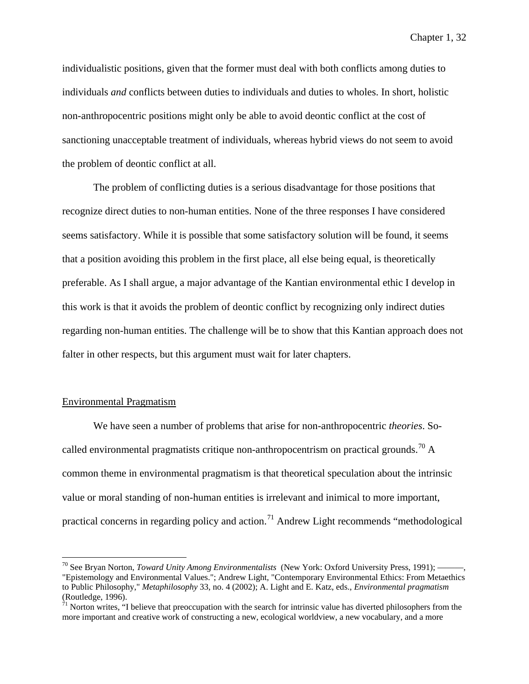individualistic positions, given that the former must deal with both conflicts among duties to individuals *and* conflicts between duties to individuals and duties to wholes. In short, holistic non-anthropocentric positions might only be able to avoid deontic conflict at the cost of sanctioning unacceptable treatment of individuals, whereas hybrid views do not seem to avoid the problem of deontic conflict at all.

The problem of conflicting duties is a serious disadvantage for those positions that recognize direct duties to non-human entities. None of the three responses I have considered seems satisfactory. While it is possible that some satisfactory solution will be found, it seems that a position avoiding this problem in the first place, all else being equal, is theoretically preferable. As I shall argue, a major advantage of the Kantian environmental ethic I develop in this work is that it avoids the problem of deontic conflict by recognizing only indirect duties regarding non-human entities. The challenge will be to show that this Kantian approach does not falter in other respects, but this argument must wait for later chapters.

## Environmental Pragmatism

We have seen a number of problems that arise for non-anthropocentric *theories*. So-called environmental pragmatists critique non-anthropocentrism on practical grounds.<sup>[70](#page-44-0)</sup> A common theme in environmental pragmatism is that theoretical speculation about the intrinsic value or moral standing of non-human entities is irrelevant and inimical to more important, practical concerns in regarding policy and action.<sup>[71](#page-44-1)</sup> Andrew Light recommends "methodological

<span id="page-44-0"></span><sup>&</sup>lt;sup>70</sup> See Bryan Norton, *Toward Unity Among Environmentalists* (New York: Oxford University Press, 1991); — "Epistemology and Environmental Values."; Andrew Light, "Contemporary Environmental Ethics: From Metaethics to Public Philosophy," *Metaphilosophy* 33, no. 4 (2002); A. Light and E. Katz, eds., *Environmental pragmatism* (Routledge, 1996).

<span id="page-44-1"></span> $71$  Norton writes, "I believe that preoccupation with the search for intrinsic value has diverted philosophers from the more important and creative work of constructing a new, ecological worldview, a new vocabulary, and a more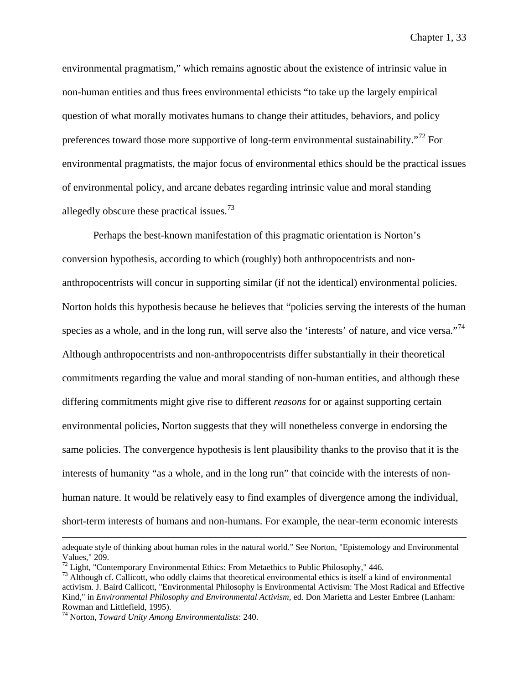environmental pragmatism," which remains agnostic about the existence of intrinsic value in non-human entities and thus frees environmental ethicists "to take up the largely empirical question of what morally motivates humans to change their attitudes, behaviors, and policy preferences toward those more supportive of long-term environmental sustainability."<sup>[72](#page-45-0)</sup> For environmental pragmatists, the major focus of environmental ethics should be the practical issues of environmental policy, and arcane debates regarding intrinsic value and moral standing allegedly obscure these practical issues.<sup>[73](#page-45-1)</sup>

Perhaps the best-known manifestation of this pragmatic orientation is Norton's conversion hypothesis, according to which (roughly) both anthropocentrists and nonanthropocentrists will concur in supporting similar (if not the identical) environmental policies. Norton holds this hypothesis because he believes that "policies serving the interests of the human species as a whole, and in the long run, will serve also the 'interests' of nature, and vice versa."<sup>[74](#page-45-2)</sup> Although anthropocentrists and non-anthropocentrists differ substantially in their theoretical commitments regarding the value and moral standing of non-human entities, and although these differing commitments might give rise to different *reasons* for or against supporting certain environmental policies, Norton suggests that they will nonetheless converge in endorsing the same policies. The convergence hypothesis is lent plausibility thanks to the proviso that it is the interests of humanity "as a whole, and in the long run" that coincide with the interests of nonhuman nature. It would be relatively easy to find examples of divergence among the individual, short-term interests of humans and non-humans. For example, the near-term economic interests

adequate style of thinking about human roles in the natural world." See Norton, "Epistemology and Environmental Values," 209.<br><sup>72</sup> Light, "Contemporary Environmental Ethics: From Metaethics to Public Philosophy," 446.

<span id="page-45-1"></span><span id="page-45-0"></span> $^{73}$  Although cf. Callicott, who oddly claims that theoretical environmental ethics is itself a kind of environmental activism. J. Baird Callicott, "Environmental Philosophy is Environmental Activism: The Most Radical and Effective Kind," in *Environmental Philosophy and Environmental Activism*, ed. Don Marietta and Lester Embree (Lanham: Rowman and Littlefield, 1995).

<span id="page-45-2"></span><sup>74</sup> Norton, *Toward Unity Among Environmentalists*: 240.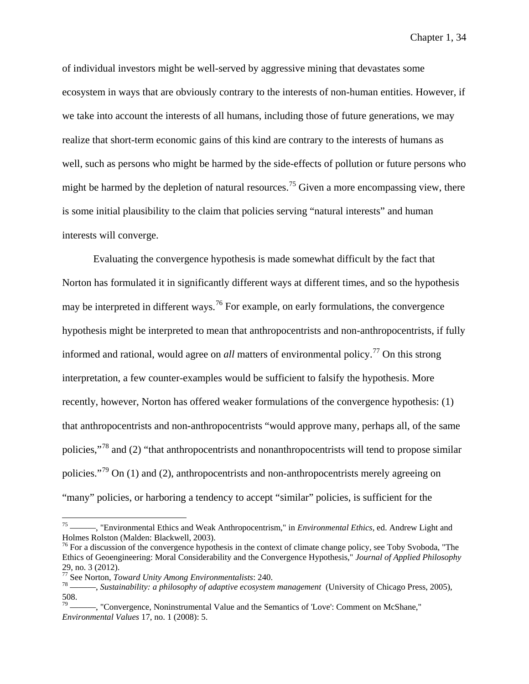of individual investors might be well-served by aggressive mining that devastates some ecosystem in ways that are obviously contrary to the interests of non-human entities. However, if we take into account the interests of all humans, including those of future generations, we may realize that short-term economic gains of this kind are contrary to the interests of humans as well, such as persons who might be harmed by the side-effects of pollution or future persons who might be harmed by the depletion of natural resources.<sup>[75](#page-46-0)</sup> Given a more encompassing view, there is some initial plausibility to the claim that policies serving "natural interests" and human interests will converge.

Evaluating the convergence hypothesis is made somewhat difficult by the fact that Norton has formulated it in significantly different ways at different times, and so the hypothesis may be interpreted in different ways.<sup>[76](#page-46-1)</sup> For example, on early formulations, the convergence hypothesis might be interpreted to mean that anthropocentrists and non-anthropocentrists, if fully informed and rational, would agree on *all* matters of environmental policy.<sup>[77](#page-46-2)</sup> On this strong interpretation, a few counter-examples would be sufficient to falsify the hypothesis. More recently, however, Norton has offered weaker formulations of the convergence hypothesis: (1) that anthropocentrists and non-anthropocentrists "would approve many, perhaps all, of the same policies,"[78](#page-46-3) and (2) "that anthropocentrists and nonanthropocentrists will tend to propose similar policies."<sup>[79](#page-46-4)</sup> On (1) and (2), anthropocentrists and non-anthropocentrists merely agreeing on "many" policies, or harboring a tendency to accept "similar" policies, is sufficient for the

<span id="page-46-0"></span><sup>-, &</sup>quot;Environmental Ethics and Weak Anthropocentrism," in *Environmental Ethics*, ed. Andrew Light and Holmes Rolston (Malden: Blackwell, 2003).

<span id="page-46-1"></span> $76$  For a discussion of the convergence hypothesis in the context of climate change policy, see Toby Svoboda, "The Ethics of Geoengineering: Moral Considerability and the Convergence Hypothesis," *Journal of Applied Philosophy* 29, no. 3 (2012).<br> $\frac{77}{1}$  See Norton, *Toward Unity Among Environmentalists*: 240.

<span id="page-46-2"></span>

<span id="page-46-3"></span><sup>&</sup>lt;sup>78</sup> See Norton, *Sustainability: a philosophy of adaptive ecosystem management* (University of Chicago Press, 2005), 508.

<span id="page-46-4"></span><sup>-, &</sup>quot;Convergence, Noninstrumental Value and the Semantics of 'Love': Comment on McShane," *Environmental Values* 17, no. 1 (2008): 5.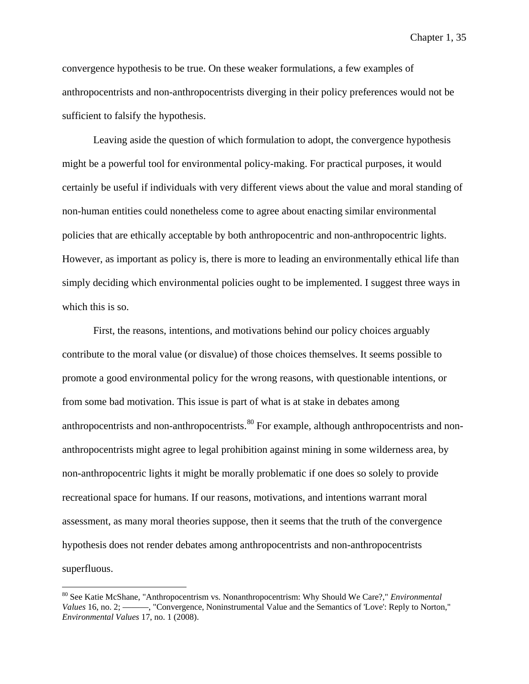convergence hypothesis to be true. On these weaker formulations, a few examples of anthropocentrists and non-anthropocentrists diverging in their policy preferences would not be sufficient to falsify the hypothesis.

Leaving aside the question of which formulation to adopt, the convergence hypothesis might be a powerful tool for environmental policy-making. For practical purposes, it would certainly be useful if individuals with very different views about the value and moral standing of non-human entities could nonetheless come to agree about enacting similar environmental policies that are ethically acceptable by both anthropocentric and non-anthropocentric lights. However, as important as policy is, there is more to leading an environmentally ethical life than simply deciding which environmental policies ought to be implemented. I suggest three ways in which this is so.

First, the reasons, intentions, and motivations behind our policy choices arguably contribute to the moral value (or disvalue) of those choices themselves. It seems possible to promote a good environmental policy for the wrong reasons, with questionable intentions, or from some bad motivation. This issue is part of what is at stake in debates among anthropocentrists and non-anthropocentrists.<sup>[80](#page-47-0)</sup> For example, although anthropocentrists and nonanthropocentrists might agree to legal prohibition against mining in some wilderness area, by non-anthropocentric lights it might be morally problematic if one does so solely to provide recreational space for humans. If our reasons, motivations, and intentions warrant moral assessment, as many moral theories suppose, then it seems that the truth of the convergence hypothesis does not render debates among anthropocentrists and non-anthropocentrists superfluous.

<span id="page-47-0"></span> <sup>80</sup> See Katie McShane, "Anthropocentrism vs. Nonanthropocentrism: Why Should We Care?," *Environmental Values* 16, no. 2; ———, "Convergence, Noninstrumental Value and the Semantics of 'Love': Reply to Norton," *Environmental Values* 17, no. 1 (2008).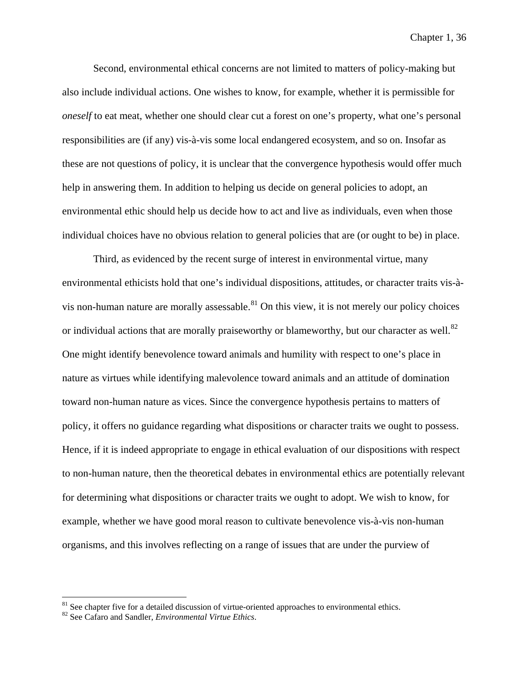Second, environmental ethical concerns are not limited to matters of policy-making but also include individual actions. One wishes to know, for example, whether it is permissible for *oneself* to eat meat, whether one should clear cut a forest on one's property, what one's personal responsibilities are (if any) vis-à-vis some local endangered ecosystem, and so on. Insofar as these are not questions of policy, it is unclear that the convergence hypothesis would offer much help in answering them. In addition to helping us decide on general policies to adopt, an environmental ethic should help us decide how to act and live as individuals, even when those individual choices have no obvious relation to general policies that are (or ought to be) in place.

Third, as evidenced by the recent surge of interest in environmental virtue, many environmental ethicists hold that one's individual dispositions, attitudes, or character traits vis-à-vis non-human nature are morally assessable.<sup>[81](#page-48-0)</sup> On this view, it is not merely our policy choices or individual actions that are morally praiseworthy or blameworthy, but our character as well.<sup>[82](#page-48-1)</sup> One might identify benevolence toward animals and humility with respect to one's place in nature as virtues while identifying malevolence toward animals and an attitude of domination toward non-human nature as vices. Since the convergence hypothesis pertains to matters of policy, it offers no guidance regarding what dispositions or character traits we ought to possess. Hence, if it is indeed appropriate to engage in ethical evaluation of our dispositions with respect to non-human nature, then the theoretical debates in environmental ethics are potentially relevant for determining what dispositions or character traits we ought to adopt. We wish to know, for example, whether we have good moral reason to cultivate benevolence vis-à-vis non-human organisms, and this involves reflecting on a range of issues that are under the purview of

<span id="page-48-1"></span><span id="page-48-0"></span><sup>&</sup>lt;sup>81</sup> See chapter five for a detailed discussion of virtue-oriented approaches to environmental ethics. <sup>82</sup> See Cafaro and Sandler, *Environmental Virtue Ethics*.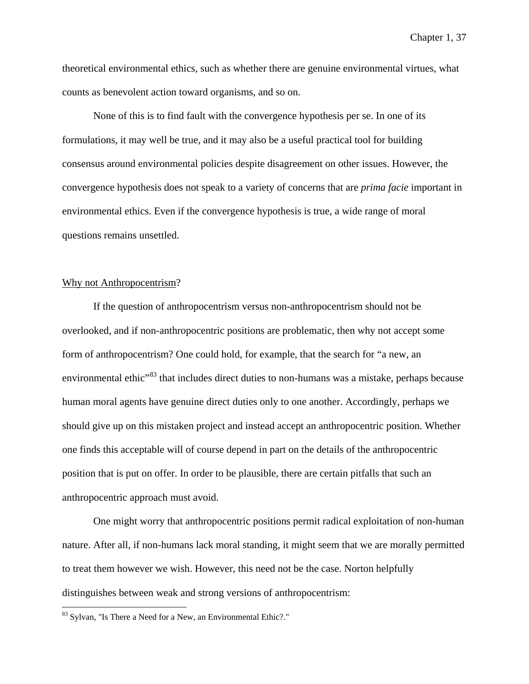theoretical environmental ethics, such as whether there are genuine environmental virtues, what counts as benevolent action toward organisms, and so on.

None of this is to find fault with the convergence hypothesis per se. In one of its formulations, it may well be true, and it may also be a useful practical tool for building consensus around environmental policies despite disagreement on other issues. However, the convergence hypothesis does not speak to a variety of concerns that are *prima facie* important in environmental ethics. Even if the convergence hypothesis is true, a wide range of moral questions remains unsettled.

# Why not Anthropocentrism?

If the question of anthropocentrism versus non-anthropocentrism should not be overlooked, and if non-anthropocentric positions are problematic, then why not accept some form of anthropocentrism? One could hold, for example, that the search for "a new, an environmental ethic<sup>33</sup> that includes direct duties to non-humans was a mistake, perhaps because human moral agents have genuine direct duties only to one another. Accordingly, perhaps we should give up on this mistaken project and instead accept an anthropocentric position. Whether one finds this acceptable will of course depend in part on the details of the anthropocentric position that is put on offer. In order to be plausible, there are certain pitfalls that such an anthropocentric approach must avoid.

One might worry that anthropocentric positions permit radical exploitation of non-human nature. After all, if non-humans lack moral standing, it might seem that we are morally permitted to treat them however we wish. However, this need not be the case. Norton helpfully distinguishes between weak and strong versions of anthropocentrism:

<span id="page-49-0"></span> <sup>83</sup> Sylvan, "Is There a Need for a New, an Environmental Ethic?."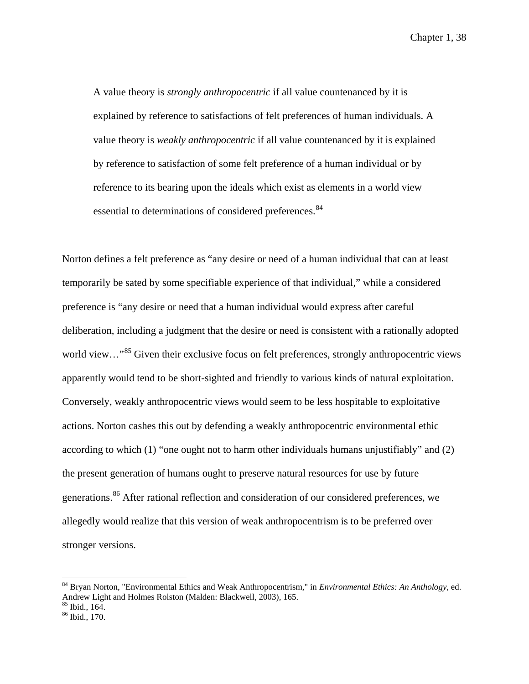A value theory is *strongly anthropocentric* if all value countenanced by it is explained by reference to satisfactions of felt preferences of human individuals. A value theory is *weakly anthropocentric* if all value countenanced by it is explained by reference to satisfaction of some felt preference of a human individual or by reference to its bearing upon the ideals which exist as elements in a world view essential to determinations of considered preferences.<sup>[84](#page-50-0)</sup>

Norton defines a felt preference as "any desire or need of a human individual that can at least temporarily be sated by some specifiable experience of that individual," while a considered preference is "any desire or need that a human individual would express after careful deliberation, including a judgment that the desire or need is consistent with a rationally adopted world view..."<sup>[85](#page-50-1)</sup> Given their exclusive focus on felt preferences, strongly anthropocentric views apparently would tend to be short-sighted and friendly to various kinds of natural exploitation. Conversely, weakly anthropocentric views would seem to be less hospitable to exploitative actions. Norton cashes this out by defending a weakly anthropocentric environmental ethic according to which (1) "one ought not to harm other individuals humans unjustifiably" and (2) the present generation of humans ought to preserve natural resources for use by future generations.<sup>[86](#page-50-2)</sup> After rational reflection and consideration of our considered preferences, we allegedly would realize that this version of weak anthropocentrism is to be preferred over stronger versions.

<span id="page-50-0"></span> <sup>84</sup> Bryan Norton, "Environmental Ethics and Weak Anthropocentrism," in *Environmental Ethics: An Anthology*, ed. Andrew Light and Holmes Rolston (Malden: Blackwell, 2003), 165.

<span id="page-50-2"></span><span id="page-50-1"></span> $\frac{85}{86}$  Ibid., 164.<br> $\frac{86}{86}$  Ibid., 170.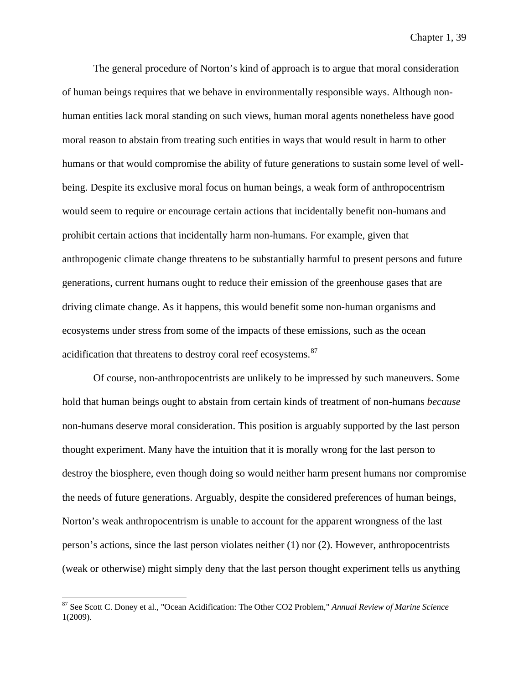The general procedure of Norton's kind of approach is to argue that moral consideration of human beings requires that we behave in environmentally responsible ways. Although nonhuman entities lack moral standing on such views, human moral agents nonetheless have good moral reason to abstain from treating such entities in ways that would result in harm to other humans or that would compromise the ability of future generations to sustain some level of wellbeing. Despite its exclusive moral focus on human beings, a weak form of anthropocentrism would seem to require or encourage certain actions that incidentally benefit non-humans and prohibit certain actions that incidentally harm non-humans. For example, given that anthropogenic climate change threatens to be substantially harmful to present persons and future generations, current humans ought to reduce their emission of the greenhouse gases that are driving climate change. As it happens, this would benefit some non-human organisms and ecosystems under stress from some of the impacts of these emissions, such as the ocean acidification that threatens to destroy coral reef ecosystems.<sup>[87](#page-51-0)</sup>

Of course, non-anthropocentrists are unlikely to be impressed by such maneuvers. Some hold that human beings ought to abstain from certain kinds of treatment of non-humans *because* non-humans deserve moral consideration. This position is arguably supported by the last person thought experiment. Many have the intuition that it is morally wrong for the last person to destroy the biosphere, even though doing so would neither harm present humans nor compromise the needs of future generations. Arguably, despite the considered preferences of human beings, Norton's weak anthropocentrism is unable to account for the apparent wrongness of the last person's actions, since the last person violates neither (1) nor (2). However, anthropocentrists (weak or otherwise) might simply deny that the last person thought experiment tells us anything

<span id="page-51-0"></span> <sup>87</sup> See Scott C. Doney et al., "Ocean Acidification: The Other CO2 Problem," *Annual Review of Marine Science* 1(2009).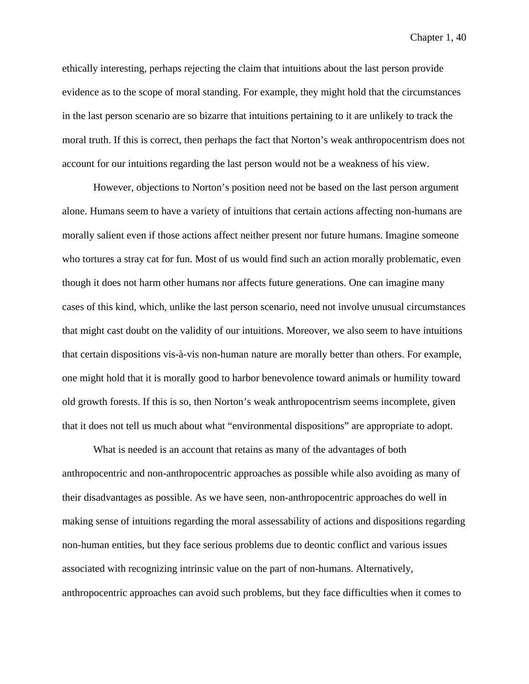ethically interesting, perhaps rejecting the claim that intuitions about the last person provide evidence as to the scope of moral standing. For example, they might hold that the circumstances in the last person scenario are so bizarre that intuitions pertaining to it are unlikely to track the moral truth. If this is correct, then perhaps the fact that Norton's weak anthropocentrism does not account for our intuitions regarding the last person would not be a weakness of his view.

However, objections to Norton's position need not be based on the last person argument alone. Humans seem to have a variety of intuitions that certain actions affecting non-humans are morally salient even if those actions affect neither present nor future humans. Imagine someone who tortures a stray cat for fun. Most of us would find such an action morally problematic, even though it does not harm other humans nor affects future generations. One can imagine many cases of this kind, which, unlike the last person scenario, need not involve unusual circumstances that might cast doubt on the validity of our intuitions. Moreover, we also seem to have intuitions that certain dispositions vis-à-vis non-human nature are morally better than others. For example, one might hold that it is morally good to harbor benevolence toward animals or humility toward old growth forests. If this is so, then Norton's weak anthropocentrism seems incomplete, given that it does not tell us much about what "environmental dispositions" are appropriate to adopt.

What is needed is an account that retains as many of the advantages of both anthropocentric and non-anthropocentric approaches as possible while also avoiding as many of their disadvantages as possible. As we have seen, non-anthropocentric approaches do well in making sense of intuitions regarding the moral assessability of actions and dispositions regarding non-human entities, but they face serious problems due to deontic conflict and various issues associated with recognizing intrinsic value on the part of non-humans. Alternatively, anthropocentric approaches can avoid such problems, but they face difficulties when it comes to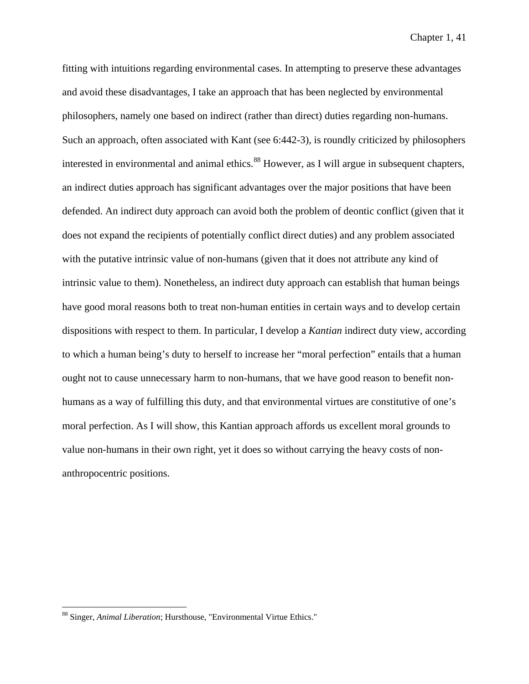fitting with intuitions regarding environmental cases. In attempting to preserve these advantages and avoid these disadvantages, I take an approach that has been neglected by environmental philosophers, namely one based on indirect (rather than direct) duties regarding non-humans. Such an approach, often associated with Kant (see 6:442-3), is roundly criticized by philosophers interested in environmental and animal ethics.<sup>[88](#page-53-0)</sup> However, as I will argue in subsequent chapters, an indirect duties approach has significant advantages over the major positions that have been defended. An indirect duty approach can avoid both the problem of deontic conflict (given that it does not expand the recipients of potentially conflict direct duties) and any problem associated with the putative intrinsic value of non-humans (given that it does not attribute any kind of intrinsic value to them). Nonetheless, an indirect duty approach can establish that human beings have good moral reasons both to treat non-human entities in certain ways and to develop certain dispositions with respect to them. In particular, I develop a *Kantian* indirect duty view, according to which a human being's duty to herself to increase her "moral perfection" entails that a human ought not to cause unnecessary harm to non-humans, that we have good reason to benefit nonhumans as a way of fulfilling this duty, and that environmental virtues are constitutive of one's moral perfection. As I will show, this Kantian approach affords us excellent moral grounds to value non-humans in their own right, yet it does so without carrying the heavy costs of nonanthropocentric positions.

<span id="page-53-0"></span> <sup>88</sup> Singer, *Animal Liberation*; Hursthouse, "Environmental Virtue Ethics."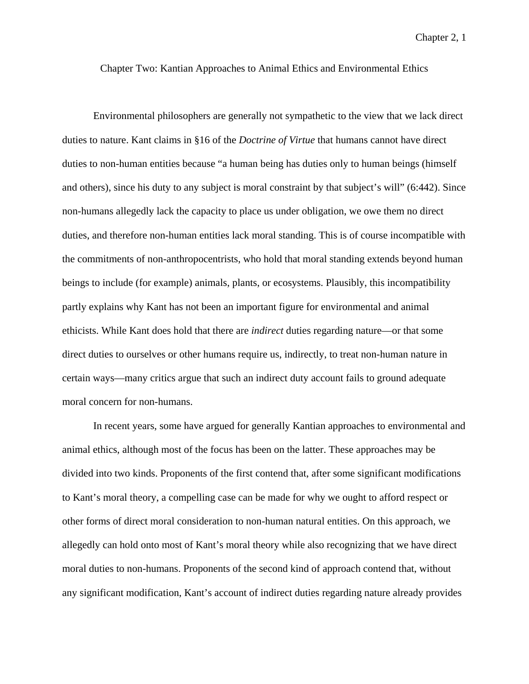Chapter Two: Kantian Approaches to Animal Ethics and Environmental Ethics

Environmental philosophers are generally not sympathetic to the view that we lack direct duties to nature. Kant claims in §16 of the *Doctrine of Virtue* that humans cannot have direct duties to non-human entities because "a human being has duties only to human beings (himself and others), since his duty to any subject is moral constraint by that subject's will" (6:442). Since non-humans allegedly lack the capacity to place us under obligation, we owe them no direct duties, and therefore non-human entities lack moral standing. This is of course incompatible with the commitments of non-anthropocentrists, who hold that moral standing extends beyond human beings to include (for example) animals, plants, or ecosystems. Plausibly, this incompatibility partly explains why Kant has not been an important figure for environmental and animal ethicists. While Kant does hold that there are *indirect* duties regarding nature—or that some direct duties to ourselves or other humans require us, indirectly, to treat non-human nature in certain ways—many critics argue that such an indirect duty account fails to ground adequate moral concern for non-humans.

In recent years, some have argued for generally Kantian approaches to environmental and animal ethics, although most of the focus has been on the latter. These approaches may be divided into two kinds. Proponents of the first contend that, after some significant modifications to Kant's moral theory, a compelling case can be made for why we ought to afford respect or other forms of direct moral consideration to non-human natural entities. On this approach, we allegedly can hold onto most of Kant's moral theory while also recognizing that we have direct moral duties to non-humans. Proponents of the second kind of approach contend that, without any significant modification, Kant's account of indirect duties regarding nature already provides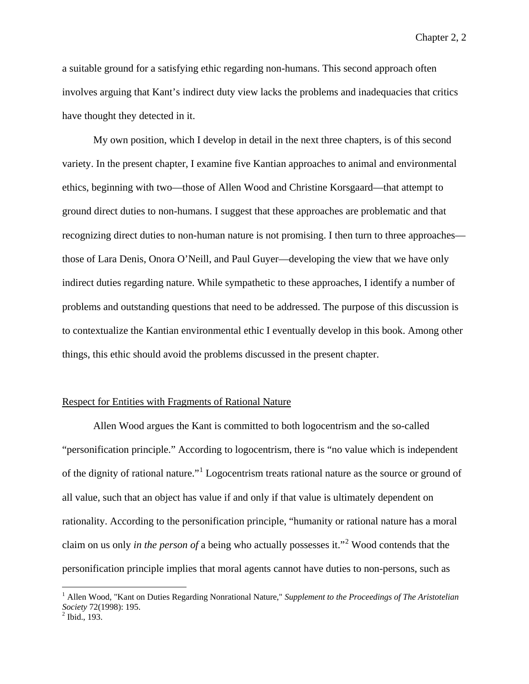a suitable ground for a satisfying ethic regarding non-humans. This second approach often involves arguing that Kant's indirect duty view lacks the problems and inadequacies that critics have thought they detected in it.

My own position, which I develop in detail in the next three chapters, is of this second variety. In the present chapter, I examine five Kantian approaches to animal and environmental ethics, beginning with two—those of Allen Wood and Christine Korsgaard—that attempt to ground direct duties to non-humans. I suggest that these approaches are problematic and that recognizing direct duties to non-human nature is not promising. I then turn to three approaches those of Lara Denis, Onora O'Neill, and Paul Guyer—developing the view that we have only indirect duties regarding nature. While sympathetic to these approaches, I identify a number of problems and outstanding questions that need to be addressed. The purpose of this discussion is to contextualize the Kantian environmental ethic I eventually develop in this book. Among other things, this ethic should avoid the problems discussed in the present chapter.

## Respect for Entities with Fragments of Rational Nature

Allen Wood argues the Kant is committed to both logocentrism and the so-called "personification principle." According to logocentrism, there is "no value which is independent of the dignity of rational nature."[1](#page-55-0) Logocentrism treats rational nature as the source or ground of all value, such that an object has value if and only if that value is ultimately dependent on rationality. According to the personification principle, "humanity or rational nature has a moral claim on us only *in the person of* a being who actually possesses it."[2](#page-55-1) Wood contends that the personification principle implies that moral agents cannot have duties to non-persons, such as

<span id="page-55-0"></span> <sup>1</sup> Allen Wood, "Kant on Duties Regarding Nonrational Nature," *Supplement to the Proceedings of The Aristotelian Society* 72(1998): 195.<br><sup>2</sup> Ibid., 193.

<span id="page-55-1"></span>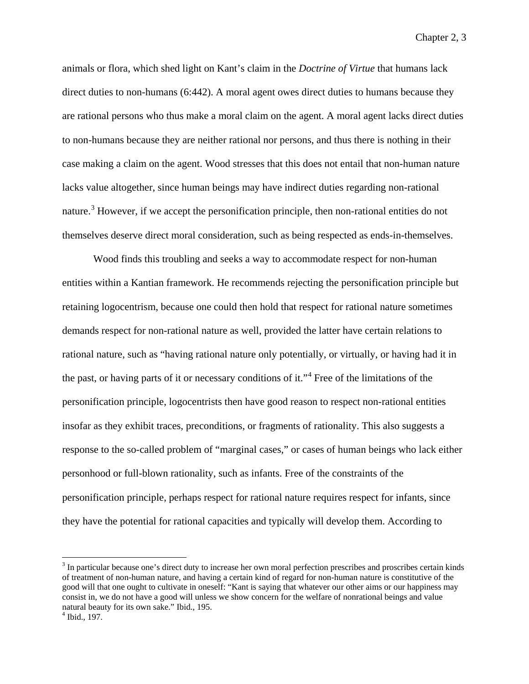animals or flora, which shed light on Kant's claim in the *Doctrine of Virtue* that humans lack direct duties to non-humans (6:442). A moral agent owes direct duties to humans because they are rational persons who thus make a moral claim on the agent. A moral agent lacks direct duties to non-humans because they are neither rational nor persons, and thus there is nothing in their case making a claim on the agent. Wood stresses that this does not entail that non-human nature lacks value altogether, since human beings may have indirect duties regarding non-rational nature.<sup>[3](#page-56-0)</sup> However, if we accept the personification principle, then non-rational entities do not themselves deserve direct moral consideration, such as being respected as ends-in-themselves.

Wood finds this troubling and seeks a way to accommodate respect for non-human entities within a Kantian framework. He recommends rejecting the personification principle but retaining logocentrism, because one could then hold that respect for rational nature sometimes demands respect for non-rational nature as well, provided the latter have certain relations to rational nature, such as "having rational nature only potentially, or virtually, or having had it in the past, or having parts of it or necessary conditions of it."[4](#page-56-1) Free of the limitations of the personification principle, logocentrists then have good reason to respect non-rational entities insofar as they exhibit traces, preconditions, or fragments of rationality. This also suggests a response to the so-called problem of "marginal cases," or cases of human beings who lack either personhood or full-blown rationality, such as infants. Free of the constraints of the personification principle, perhaps respect for rational nature requires respect for infants, since they have the potential for rational capacities and typically will develop them. According to

<span id="page-56-0"></span><sup>&</sup>lt;sup>3</sup> In particular because one's direct duty to increase her own moral perfection prescribes and proscribes certain kinds of treatment of non-human nature, and having a certain kind of regard for non-human nature is constitutive of the good will that one ought to cultivate in oneself: "Kant is saying that whatever our other aims or our happiness may consist in, we do not have a good will unless we show concern for the welfare of nonrational beings and value natural beauty for its own sake." Ibid., 195.<br><sup>4</sup> Ibid., 197.

<span id="page-56-1"></span>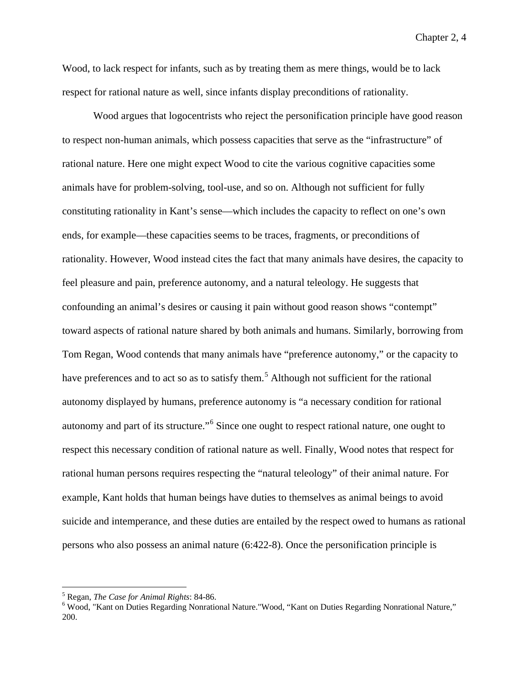Wood, to lack respect for infants, such as by treating them as mere things, would be to lack respect for rational nature as well, since infants display preconditions of rationality.

Wood argues that logocentrists who reject the personification principle have good reason to respect non-human animals, which possess capacities that serve as the "infrastructure" of rational nature. Here one might expect Wood to cite the various cognitive capacities some animals have for problem-solving, tool-use, and so on. Although not sufficient for fully constituting rationality in Kant's sense—which includes the capacity to reflect on one's own ends, for example—these capacities seems to be traces, fragments, or preconditions of rationality. However, Wood instead cites the fact that many animals have desires, the capacity to feel pleasure and pain, preference autonomy, and a natural teleology. He suggests that confounding an animal's desires or causing it pain without good reason shows "contempt" toward aspects of rational nature shared by both animals and humans. Similarly, borrowing from Tom Regan, Wood contends that many animals have "preference autonomy," or the capacity to have preferences and to act so as to satisfy them.<sup>[5](#page-57-0)</sup> Although not sufficient for the rational autonomy displayed by humans, preference autonomy is "a necessary condition for rational autonomy and part of its structure."[6](#page-57-1) Since one ought to respect rational nature, one ought to respect this necessary condition of rational nature as well. Finally, Wood notes that respect for rational human persons requires respecting the "natural teleology" of their animal nature. For example, Kant holds that human beings have duties to themselves as animal beings to avoid suicide and intemperance, and these duties are entailed by the respect owed to humans as rational persons who also possess an animal nature (6:422-8). Once the personification principle is

<span id="page-57-1"></span><span id="page-57-0"></span><sup>&</sup>lt;sup>5</sup> Regan, *The Case for Animal Rights*: 84-86.<br><sup>6</sup> Wood, "Kant on Duties Regarding Nonrational Nature."Wood, "Kant on Duties Regarding Nonrational Nature," 200.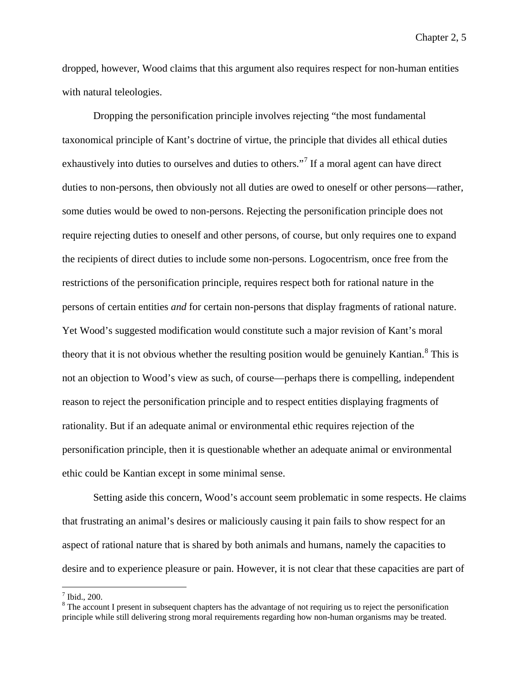dropped, however, Wood claims that this argument also requires respect for non-human entities with natural teleologies.

Dropping the personification principle involves rejecting "the most fundamental taxonomical principle of Kant's doctrine of virtue, the principle that divides all ethical duties exhaustively into duties to ourselves and duties to others."<sup>[7](#page-58-0)</sup> If a moral agent can have direct duties to non-persons, then obviously not all duties are owed to oneself or other persons—rather, some duties would be owed to non-persons. Rejecting the personification principle does not require rejecting duties to oneself and other persons, of course, but only requires one to expand the recipients of direct duties to include some non-persons. Logocentrism, once free from the restrictions of the personification principle, requires respect both for rational nature in the persons of certain entities *and* for certain non-persons that display fragments of rational nature. Yet Wood's suggested modification would constitute such a major revision of Kant's moral theory that it is not obvious whether the resulting position would be genuinely Kantian.<sup>[8](#page-58-1)</sup> This is not an objection to Wood's view as such, of course—perhaps there is compelling, independent reason to reject the personification principle and to respect entities displaying fragments of rationality. But if an adequate animal or environmental ethic requires rejection of the personification principle, then it is questionable whether an adequate animal or environmental ethic could be Kantian except in some minimal sense.

Setting aside this concern, Wood's account seem problematic in some respects. He claims that frustrating an animal's desires or maliciously causing it pain fails to show respect for an aspect of rational nature that is shared by both animals and humans, namely the capacities to desire and to experience pleasure or pain. However, it is not clear that these capacities are part of

<span id="page-58-0"></span> $^7$  Ibid., 200.

<span id="page-58-1"></span> $8$  The account I present in subsequent chapters has the advantage of not requiring us to reject the personification principle while still delivering strong moral requirements regarding how non-human organisms may be treated.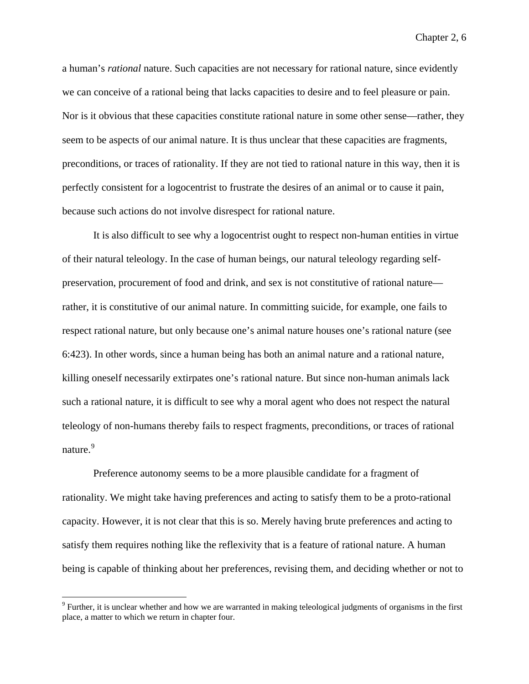a human's *rational* nature. Such capacities are not necessary for rational nature, since evidently we can conceive of a rational being that lacks capacities to desire and to feel pleasure or pain. Nor is it obvious that these capacities constitute rational nature in some other sense—rather, they seem to be aspects of our animal nature. It is thus unclear that these capacities are fragments, preconditions, or traces of rationality. If they are not tied to rational nature in this way, then it is perfectly consistent for a logocentrist to frustrate the desires of an animal or to cause it pain, because such actions do not involve disrespect for rational nature.

It is also difficult to see why a logocentrist ought to respect non-human entities in virtue of their natural teleology. In the case of human beings, our natural teleology regarding selfpreservation, procurement of food and drink, and sex is not constitutive of rational nature rather, it is constitutive of our animal nature. In committing suicide, for example, one fails to respect rational nature, but only because one's animal nature houses one's rational nature (see 6:423). In other words, since a human being has both an animal nature and a rational nature, killing oneself necessarily extirpates one's rational nature. But since non-human animals lack such a rational nature, it is difficult to see why a moral agent who does not respect the natural teleology of non-humans thereby fails to respect fragments, preconditions, or traces of rational nature.<sup>[9](#page-59-0)</sup>

Preference autonomy seems to be a more plausible candidate for a fragment of rationality. We might take having preferences and acting to satisfy them to be a proto-rational capacity. However, it is not clear that this is so. Merely having brute preferences and acting to satisfy them requires nothing like the reflexivity that is a feature of rational nature. A human being is capable of thinking about her preferences, revising them, and deciding whether or not to

<span id="page-59-0"></span><sup>&</sup>lt;sup>9</sup> Further, it is unclear whether and how we are warranted in making teleological judgments of organisms in the first place, a matter to which we return in chapter four.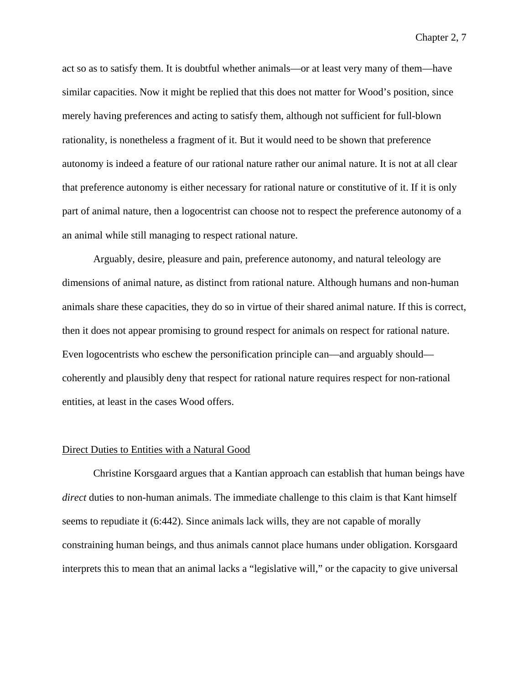act so as to satisfy them. It is doubtful whether animals—or at least very many of them—have similar capacities. Now it might be replied that this does not matter for Wood's position, since merely having preferences and acting to satisfy them, although not sufficient for full-blown rationality, is nonetheless a fragment of it. But it would need to be shown that preference autonomy is indeed a feature of our rational nature rather our animal nature. It is not at all clear that preference autonomy is either necessary for rational nature or constitutive of it. If it is only part of animal nature, then a logocentrist can choose not to respect the preference autonomy of a an animal while still managing to respect rational nature.

Arguably, desire, pleasure and pain, preference autonomy, and natural teleology are dimensions of animal nature, as distinct from rational nature. Although humans and non-human animals share these capacities, they do so in virtue of their shared animal nature. If this is correct, then it does not appear promising to ground respect for animals on respect for rational nature. Even logocentrists who eschew the personification principle can—and arguably should coherently and plausibly deny that respect for rational nature requires respect for non-rational entities, at least in the cases Wood offers.

#### Direct Duties to Entities with a Natural Good

Christine Korsgaard argues that a Kantian approach can establish that human beings have *direct* duties to non-human animals. The immediate challenge to this claim is that Kant himself seems to repudiate it (6:442). Since animals lack wills, they are not capable of morally constraining human beings, and thus animals cannot place humans under obligation. Korsgaard interprets this to mean that an animal lacks a "legislative will," or the capacity to give universal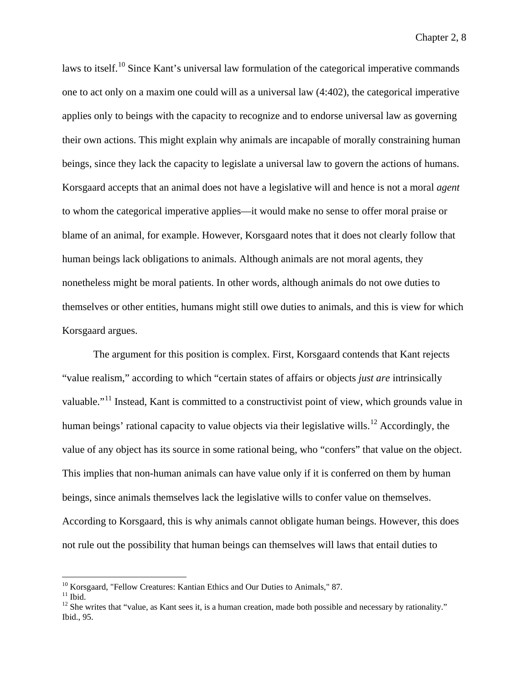laws to itself.<sup>[10](#page-61-0)</sup> Since Kant's universal law formulation of the categorical imperative commands one to act only on a maxim one could will as a universal law (4:402), the categorical imperative applies only to beings with the capacity to recognize and to endorse universal law as governing their own actions. This might explain why animals are incapable of morally constraining human beings, since they lack the capacity to legislate a universal law to govern the actions of humans. Korsgaard accepts that an animal does not have a legislative will and hence is not a moral *agent* to whom the categorical imperative applies—it would make no sense to offer moral praise or blame of an animal, for example. However, Korsgaard notes that it does not clearly follow that human beings lack obligations to animals. Although animals are not moral agents, they nonetheless might be moral patients. In other words, although animals do not owe duties to themselves or other entities, humans might still owe duties to animals, and this is view for which Korsgaard argues.

The argument for this position is complex. First, Korsgaard contends that Kant rejects "value realism," according to which "certain states of affairs or objects *just are* intrinsically valuable."<sup>[11](#page-61-1)</sup> Instead, Kant is committed to a constructivist point of view, which grounds value in human beings' rational capacity to value objects via their legislative wills.<sup>[12](#page-61-2)</sup> Accordingly, the value of any object has its source in some rational being, who "confers" that value on the object. This implies that non-human animals can have value only if it is conferred on them by human beings, since animals themselves lack the legislative wills to confer value on themselves. According to Korsgaard, this is why animals cannot obligate human beings. However, this does not rule out the possibility that human beings can themselves will laws that entail duties to

<span id="page-61-2"></span><span id="page-61-1"></span>

<span id="page-61-0"></span><sup>&</sup>lt;sup>10</sup> Korsgaard, "Fellow Creatures: Kantian Ethics and Our Duties to Animals," 87.<br><sup>11</sup> Ibid. <sup>12</sup> She writes that "value, as Kant sees it, is a human creation, made both possible and necessary by rationality." Ibid., 95.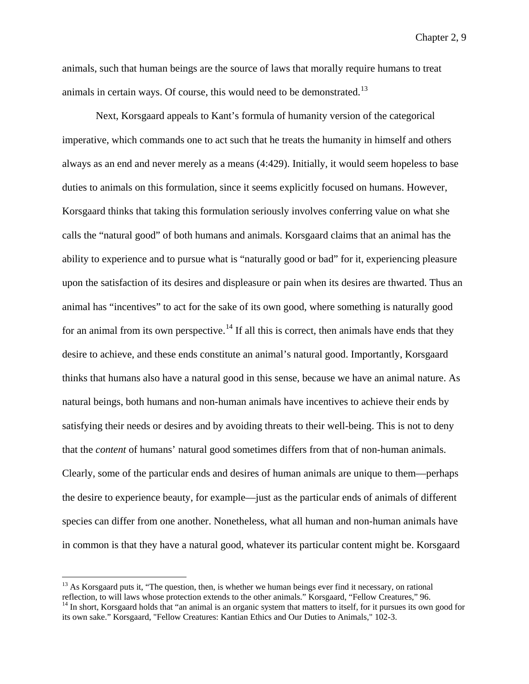animals, such that human beings are the source of laws that morally require humans to treat animals in certain ways. Of course, this would need to be demonstrated.<sup>[13](#page-62-0)</sup>

Next, Korsgaard appeals to Kant's formula of humanity version of the categorical imperative, which commands one to act such that he treats the humanity in himself and others always as an end and never merely as a means (4:429). Initially, it would seem hopeless to base duties to animals on this formulation, since it seems explicitly focused on humans. However, Korsgaard thinks that taking this formulation seriously involves conferring value on what she calls the "natural good" of both humans and animals. Korsgaard claims that an animal has the ability to experience and to pursue what is "naturally good or bad" for it, experiencing pleasure upon the satisfaction of its desires and displeasure or pain when its desires are thwarted. Thus an animal has "incentives" to act for the sake of its own good, where something is naturally good for an animal from its own perspective.<sup>[14](#page-62-1)</sup> If all this is correct, then animals have ends that they desire to achieve, and these ends constitute an animal's natural good. Importantly, Korsgaard thinks that humans also have a natural good in this sense, because we have an animal nature. As natural beings, both humans and non-human animals have incentives to achieve their ends by satisfying their needs or desires and by avoiding threats to their well-being. This is not to deny that the *content* of humans' natural good sometimes differs from that of non-human animals. Clearly, some of the particular ends and desires of human animals are unique to them—perhaps the desire to experience beauty, for example—just as the particular ends of animals of different species can differ from one another. Nonetheless, what all human and non-human animals have in common is that they have a natural good, whatever its particular content might be. Korsgaard

<span id="page-62-0"></span> $13$  As Korsgaard puts it, "The question, then, is whether we human beings ever find it necessary, on rational reflection, to will laws whose protection extends to the other animals." Korsgaard, "Fellow Creatures,"  $96$ .

<span id="page-62-1"></span><sup>&</sup>lt;sup>14</sup> In short, Korsgaard holds that "an animal is an organic system that matters to itself, for it pursues its own good for its own sake." Korsgaard, "Fellow Creatures: Kantian Ethics and Our Duties to Animals," 102-3.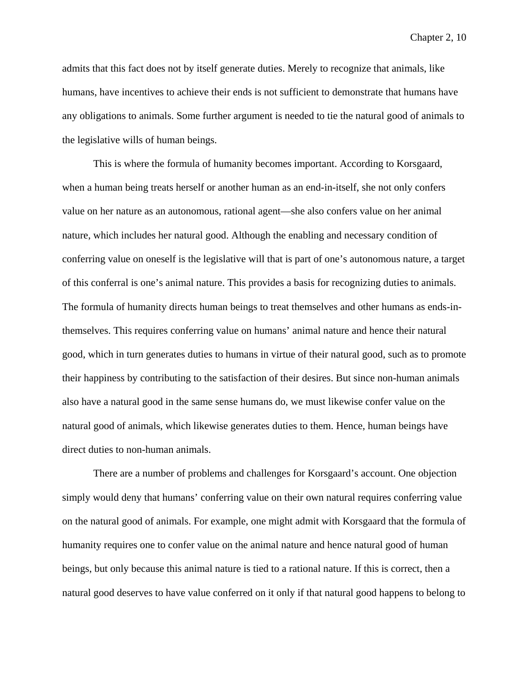admits that this fact does not by itself generate duties. Merely to recognize that animals, like humans, have incentives to achieve their ends is not sufficient to demonstrate that humans have any obligations to animals. Some further argument is needed to tie the natural good of animals to the legislative wills of human beings.

This is where the formula of humanity becomes important. According to Korsgaard, when a human being treats herself or another human as an end-in-itself, she not only confers value on her nature as an autonomous, rational agent—she also confers value on her animal nature, which includes her natural good. Although the enabling and necessary condition of conferring value on oneself is the legislative will that is part of one's autonomous nature, a target of this conferral is one's animal nature. This provides a basis for recognizing duties to animals. The formula of humanity directs human beings to treat themselves and other humans as ends-inthemselves. This requires conferring value on humans' animal nature and hence their natural good, which in turn generates duties to humans in virtue of their natural good, such as to promote their happiness by contributing to the satisfaction of their desires. But since non-human animals also have a natural good in the same sense humans do, we must likewise confer value on the natural good of animals, which likewise generates duties to them. Hence, human beings have direct duties to non-human animals.

There are a number of problems and challenges for Korsgaard's account. One objection simply would deny that humans' conferring value on their own natural requires conferring value on the natural good of animals. For example, one might admit with Korsgaard that the formula of humanity requires one to confer value on the animal nature and hence natural good of human beings, but only because this animal nature is tied to a rational nature. If this is correct, then a natural good deserves to have value conferred on it only if that natural good happens to belong to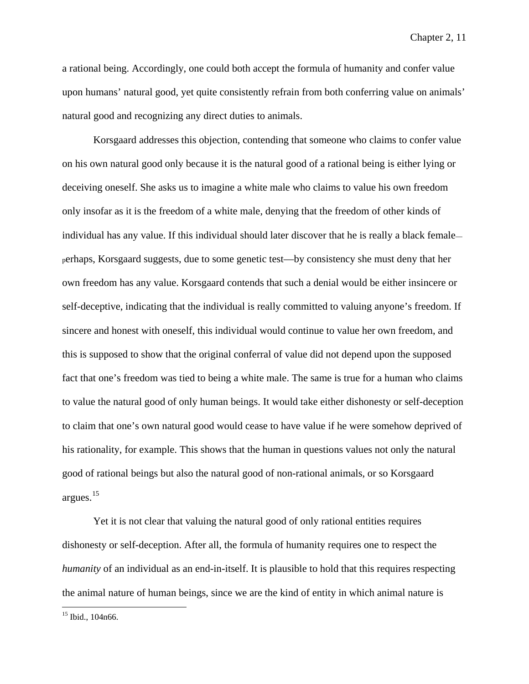a rational being. Accordingly, one could both accept the formula of humanity and confer value upon humans' natural good, yet quite consistently refrain from both conferring value on animals' natural good and recognizing any direct duties to animals.

Korsgaard addresses this objection, contending that someone who claims to confer value on his own natural good only because it is the natural good of a rational being is either lying or deceiving oneself. She asks us to imagine a white male who claims to value his own freedom only insofar as it is the freedom of a white male, denying that the freedom of other kinds of individual has any value. If this individual should later discover that he is really a black female perhaps, Korsgaard suggests, due to some genetic test—by consistency she must deny that her own freedom has any value. Korsgaard contends that such a denial would be either insincere or self-deceptive, indicating that the individual is really committed to valuing anyone's freedom. If sincere and honest with oneself, this individual would continue to value her own freedom, and this is supposed to show that the original conferral of value did not depend upon the supposed fact that one's freedom was tied to being a white male. The same is true for a human who claims to value the natural good of only human beings. It would take either dishonesty or self-deception to claim that one's own natural good would cease to have value if he were somehow deprived of his rationality, for example. This shows that the human in questions values not only the natural good of rational beings but also the natural good of non-rational animals, or so Korsgaard argues.[15](#page-64-0)

Yet it is not clear that valuing the natural good of only rational entities requires dishonesty or self-deception. After all, the formula of humanity requires one to respect the *humanity* of an individual as an end-in-itself. It is plausible to hold that this requires respecting the animal nature of human beings, since we are the kind of entity in which animal nature is

<span id="page-64-0"></span><sup>15</sup> Ibid., 104n66.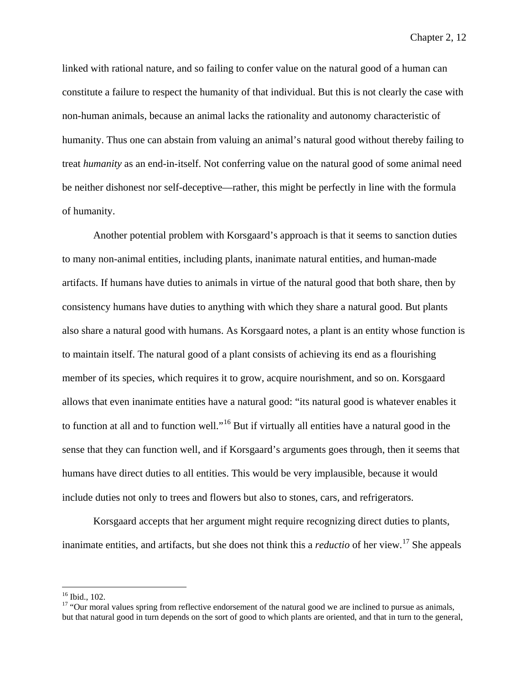linked with rational nature, and so failing to confer value on the natural good of a human can constitute a failure to respect the humanity of that individual. But this is not clearly the case with non-human animals, because an animal lacks the rationality and autonomy characteristic of humanity. Thus one can abstain from valuing an animal's natural good without thereby failing to treat *humanity* as an end-in-itself. Not conferring value on the natural good of some animal need be neither dishonest nor self-deceptive—rather, this might be perfectly in line with the formula of humanity.

Another potential problem with Korsgaard's approach is that it seems to sanction duties to many non-animal entities, including plants, inanimate natural entities, and human-made artifacts. If humans have duties to animals in virtue of the natural good that both share, then by consistency humans have duties to anything with which they share a natural good. But plants also share a natural good with humans. As Korsgaard notes, a plant is an entity whose function is to maintain itself. The natural good of a plant consists of achieving its end as a flourishing member of its species, which requires it to grow, acquire nourishment, and so on. Korsgaard allows that even inanimate entities have a natural good: "its natural good is whatever enables it to function at all and to function well."[16](#page-65-0) But if virtually all entities have a natural good in the sense that they can function well, and if Korsgaard's arguments goes through, then it seems that humans have direct duties to all entities. This would be very implausible, because it would include duties not only to trees and flowers but also to stones, cars, and refrigerators.

Korsgaard accepts that her argument might require recognizing direct duties to plants, inanimate entities, and artifacts, but she does not think this a *reductio* of her view.[17](#page-65-1) She appeals

<span id="page-65-1"></span><span id="page-65-0"></span><sup>&</sup>lt;sup>16</sup> Ibid., 102.<br><sup>17</sup> "Our moral values spring from reflective endorsement of the natural good we are inclined to pursue as animals, but that natural good in turn depends on the sort of good to which plants are oriented, and that in turn to the general,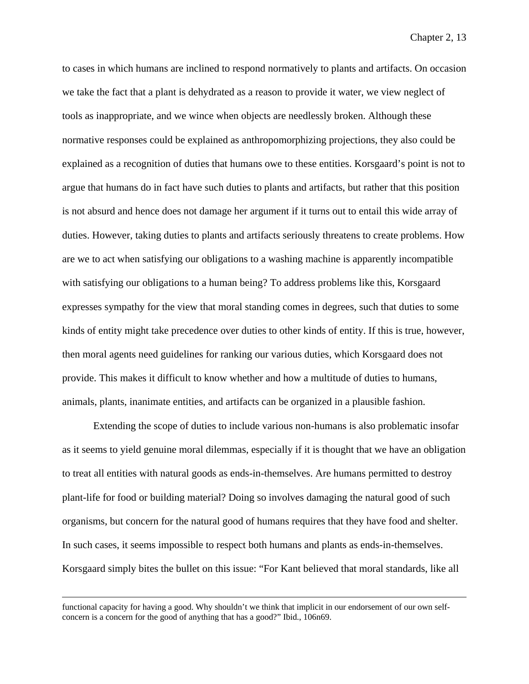to cases in which humans are inclined to respond normatively to plants and artifacts. On occasion we take the fact that a plant is dehydrated as a reason to provide it water, we view neglect of tools as inappropriate, and we wince when objects are needlessly broken. Although these normative responses could be explained as anthropomorphizing projections, they also could be explained as a recognition of duties that humans owe to these entities. Korsgaard's point is not to argue that humans do in fact have such duties to plants and artifacts, but rather that this position is not absurd and hence does not damage her argument if it turns out to entail this wide array of duties. However, taking duties to plants and artifacts seriously threatens to create problems. How are we to act when satisfying our obligations to a washing machine is apparently incompatible with satisfying our obligations to a human being? To address problems like this, Korsgaard expresses sympathy for the view that moral standing comes in degrees, such that duties to some kinds of entity might take precedence over duties to other kinds of entity. If this is true, however, then moral agents need guidelines for ranking our various duties, which Korsgaard does not provide. This makes it difficult to know whether and how a multitude of duties to humans, animals, plants, inanimate entities, and artifacts can be organized in a plausible fashion.

Extending the scope of duties to include various non-humans is also problematic insofar as it seems to yield genuine moral dilemmas, especially if it is thought that we have an obligation to treat all entities with natural goods as ends-in-themselves. Are humans permitted to destroy plant-life for food or building material? Doing so involves damaging the natural good of such organisms, but concern for the natural good of humans requires that they have food and shelter. In such cases, it seems impossible to respect both humans and plants as ends-in-themselves. Korsgaard simply bites the bullet on this issue: "For Kant believed that moral standards, like all

functional capacity for having a good. Why shouldn't we think that implicit in our endorsement of our own selfconcern is a concern for the good of anything that has a good?" Ibid., 106n69.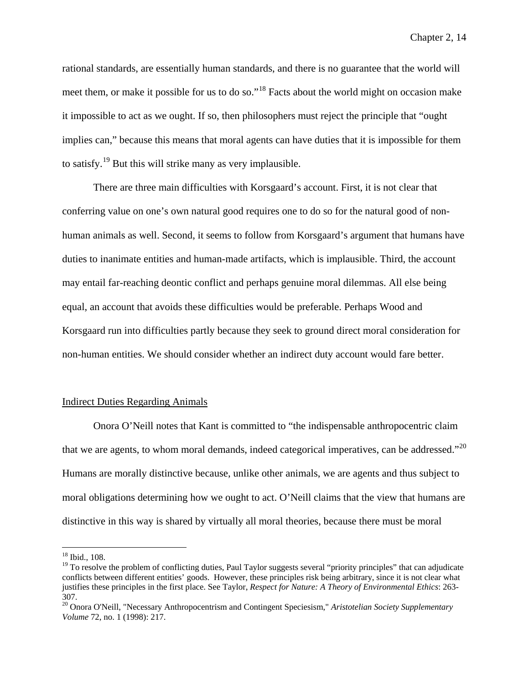rational standards, are essentially human standards, and there is no guarantee that the world will meet them, or make it possible for us to do so."<sup>[18](#page-67-0)</sup> Facts about the world might on occasion make it impossible to act as we ought. If so, then philosophers must reject the principle that "ought implies can," because this means that moral agents can have duties that it is impossible for them to satisfy.<sup>[19](#page-67-1)</sup> But this will strike many as very implausible.

There are three main difficulties with Korsgaard's account. First, it is not clear that conferring value on one's own natural good requires one to do so for the natural good of nonhuman animals as well. Second, it seems to follow from Korsgaard's argument that humans have duties to inanimate entities and human-made artifacts, which is implausible. Third, the account may entail far-reaching deontic conflict and perhaps genuine moral dilemmas. All else being equal, an account that avoids these difficulties would be preferable. Perhaps Wood and Korsgaard run into difficulties partly because they seek to ground direct moral consideration for non-human entities. We should consider whether an indirect duty account would fare better.

## Indirect Duties Regarding Animals

Onora O'Neill notes that Kant is committed to "the indispensable anthropocentric claim that we are agents, to whom moral demands, indeed categorical imperatives, can be addressed."<sup>[20](#page-67-2)</sup> Humans are morally distinctive because, unlike other animals, we are agents and thus subject to moral obligations determining how we ought to act. O'Neill claims that the view that humans are distinctive in this way is shared by virtually all moral theories, because there must be moral

<span id="page-67-0"></span> <sup>18</sup> Ibid., 108.

<span id="page-67-1"></span> $19$  To resolve the problem of conflicting duties, Paul Taylor suggests several "priority principles" that can adjudicate conflicts between different entities' goods. However, these principles risk being arbitrary, since it is not clear what justifies these principles in the first place. See Taylor, *Respect for Nature: A Theory of Environmental Ethics*: 263- 307.

<span id="page-67-2"></span><sup>20</sup> Onora O'Neill, "Necessary Anthropocentrism and Contingent Speciesism," *Aristotelian Society Supplementary Volume* 72, no. 1 (1998): 217.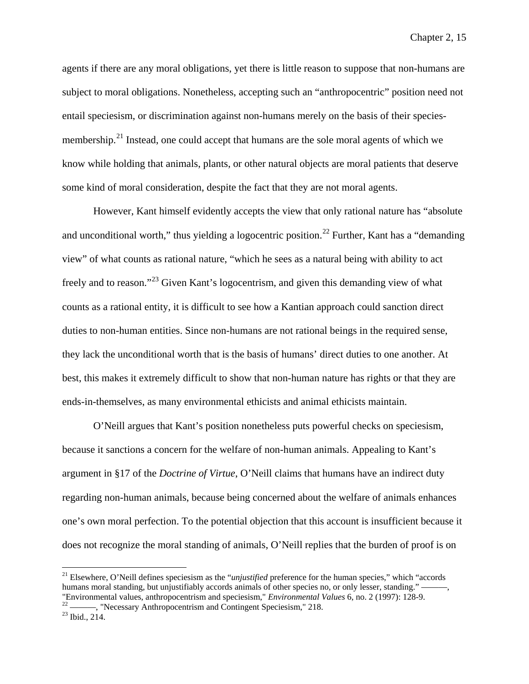agents if there are any moral obligations, yet there is little reason to suppose that non-humans are subject to moral obligations. Nonetheless, accepting such an "anthropocentric" position need not entail speciesism, or discrimination against non-humans merely on the basis of their species-membership.<sup>[21](#page-68-0)</sup> Instead, one could accept that humans are the sole moral agents of which we know while holding that animals, plants, or other natural objects are moral patients that deserve some kind of moral consideration, despite the fact that they are not moral agents.

However, Kant himself evidently accepts the view that only rational nature has "absolute and unconditional worth," thus yielding a logocentric position.<sup>[22](#page-68-1)</sup> Further, Kant has a "demanding view" of what counts as rational nature, "which he sees as a natural being with ability to act freely and to reason."[23](#page-68-2) Given Kant's logocentrism, and given this demanding view of what counts as a rational entity, it is difficult to see how a Kantian approach could sanction direct duties to non-human entities. Since non-humans are not rational beings in the required sense, they lack the unconditional worth that is the basis of humans' direct duties to one another. At best, this makes it extremely difficult to show that non-human nature has rights or that they are ends-in-themselves, as many environmental ethicists and animal ethicists maintain.

O'Neill argues that Kant's position nonetheless puts powerful checks on speciesism, because it sanctions a concern for the welfare of non-human animals. Appealing to Kant's argument in §17 of the *Doctrine of Virtue*, O'Neill claims that humans have an indirect duty regarding non-human animals, because being concerned about the welfare of animals enhances one's own moral perfection. To the potential objection that this account is insufficient because it does not recognize the moral standing of animals, O'Neill replies that the burden of proof is on

<span id="page-68-0"></span> <sup>21</sup> Elsewhere, O'Neill defines speciesism as the "*unjustified* preference for the human species," which "accords humans moral standing, but unjustifiably accords animals of other species no, or only lesser, standing." —<br>"Environmental values, anthropocentrism and speciesism," *Environmental Values* 6, no. 2 (1997): 128-9.

<span id="page-68-2"></span><span id="page-68-1"></span><sup>&</sup>lt;sup>22</sup> ——, "Necessary Anthropocentrism and Contingent Speciesism," 218.<br><sup>23</sup> Ibid., 214.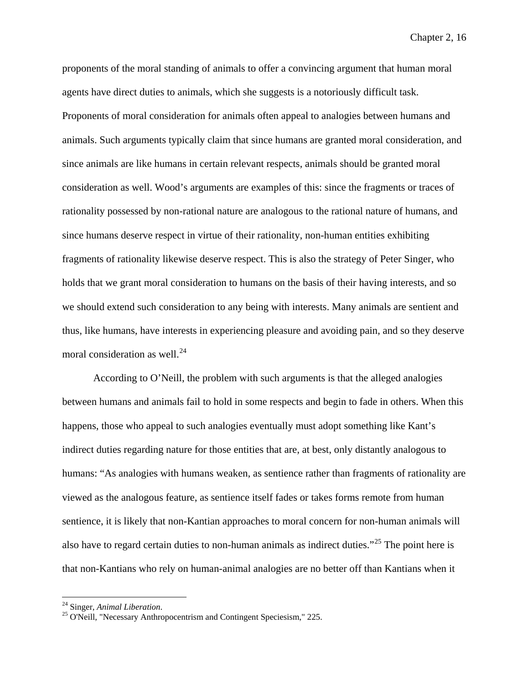proponents of the moral standing of animals to offer a convincing argument that human moral agents have direct duties to animals, which she suggests is a notoriously difficult task. Proponents of moral consideration for animals often appeal to analogies between humans and animals. Such arguments typically claim that since humans are granted moral consideration, and since animals are like humans in certain relevant respects, animals should be granted moral consideration as well. Wood's arguments are examples of this: since the fragments or traces of rationality possessed by non-rational nature are analogous to the rational nature of humans, and since humans deserve respect in virtue of their rationality, non-human entities exhibiting fragments of rationality likewise deserve respect. This is also the strategy of Peter Singer, who holds that we grant moral consideration to humans on the basis of their having interests, and so we should extend such consideration to any being with interests. Many animals are sentient and thus, like humans, have interests in experiencing pleasure and avoiding pain, and so they deserve moral consideration as well.<sup>[24](#page-69-0)</sup>

According to O'Neill, the problem with such arguments is that the alleged analogies between humans and animals fail to hold in some respects and begin to fade in others. When this happens, those who appeal to such analogies eventually must adopt something like Kant's indirect duties regarding nature for those entities that are, at best, only distantly analogous to humans: "As analogies with humans weaken, as sentience rather than fragments of rationality are viewed as the analogous feature, as sentience itself fades or takes forms remote from human sentience, it is likely that non-Kantian approaches to moral concern for non-human animals will also have to regard certain duties to non-human animals as indirect duties."[25](#page-69-1) The point here is that non-Kantians who rely on human-animal analogies are no better off than Kantians when it

<span id="page-69-1"></span><span id="page-69-0"></span><sup>&</sup>lt;sup>24</sup> Singer, *Animal Liberation*.<br><sup>25</sup> O'Neill, "Necessary Anthropocentrism and Contingent Speciesism," 225.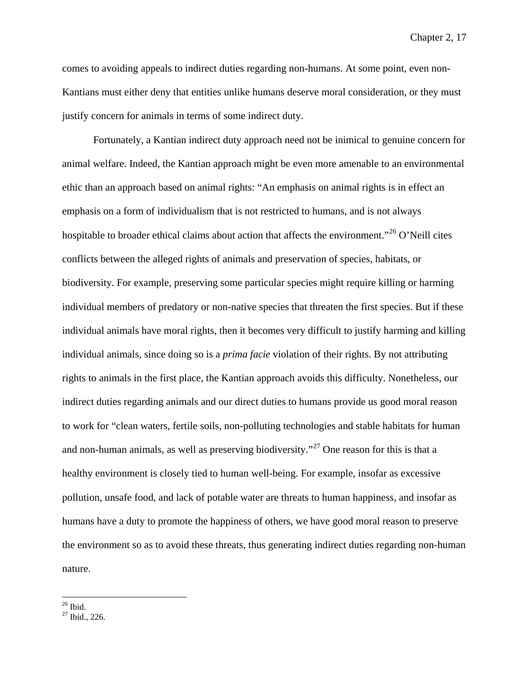comes to avoiding appeals to indirect duties regarding non-humans. At some point, even non-Kantians must either deny that entities unlike humans deserve moral consideration, or they must justify concern for animals in terms of some indirect duty.

Fortunately, a Kantian indirect duty approach need not be inimical to genuine concern for animal welfare. Indeed, the Kantian approach might be even more amenable to an environmental ethic than an approach based on animal rights: "An emphasis on animal rights is in effect an emphasis on a form of individualism that is not restricted to humans, and is not always hospitable to broader ethical claims about action that affects the environment."<sup>[26](#page-70-0)</sup> O'Neill cites conflicts between the alleged rights of animals and preservation of species, habitats, or biodiversity. For example, preserving some particular species might require killing or harming individual members of predatory or non-native species that threaten the first species. But if these individual animals have moral rights, then it becomes very difficult to justify harming and killing individual animals, since doing so is a *prima facie* violation of their rights. By not attributing rights to animals in the first place, the Kantian approach avoids this difficulty. Nonetheless, our indirect duties regarding animals and our direct duties to humans provide us good moral reason to work for "clean waters, fertile soils, non-polluting technologies and stable habitats for human and non-human animals, as well as preserving biodiversity."<sup>[27](#page-70-1)</sup> One reason for this is that a healthy environment is closely tied to human well-being. For example, insofar as excessive pollution, unsafe food, and lack of potable water are threats to human happiness, and insofar as humans have a duty to promote the happiness of others, we have good moral reason to preserve the environment so as to avoid these threats, thus generating indirect duties regarding non-human nature.

<span id="page-70-1"></span><span id="page-70-0"></span> $\frac{26}{27}$  Ibid., 226.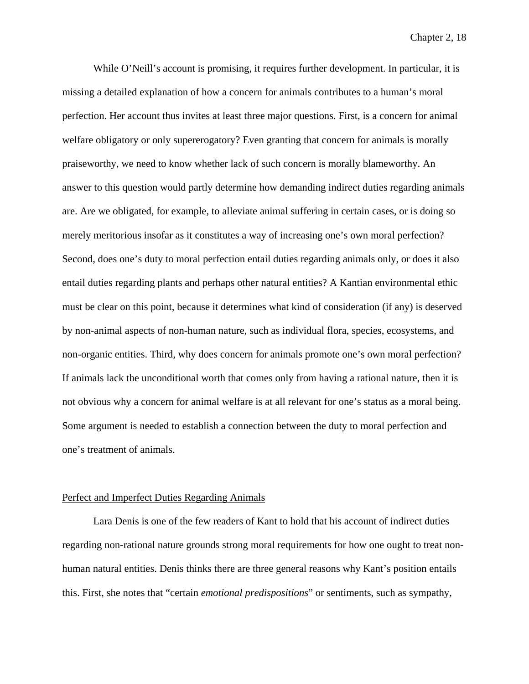While O'Neill's account is promising, it requires further development. In particular, it is missing a detailed explanation of how a concern for animals contributes to a human's moral perfection. Her account thus invites at least three major questions. First, is a concern for animal welfare obligatory or only supererogatory? Even granting that concern for animals is morally praiseworthy, we need to know whether lack of such concern is morally blameworthy. An answer to this question would partly determine how demanding indirect duties regarding animals are. Are we obligated, for example, to alleviate animal suffering in certain cases, or is doing so merely meritorious insofar as it constitutes a way of increasing one's own moral perfection? Second, does one's duty to moral perfection entail duties regarding animals only, or does it also entail duties regarding plants and perhaps other natural entities? A Kantian environmental ethic must be clear on this point, because it determines what kind of consideration (if any) is deserved by non-animal aspects of non-human nature, such as individual flora, species, ecosystems, and non-organic entities. Third, why does concern for animals promote one's own moral perfection? If animals lack the unconditional worth that comes only from having a rational nature, then it is not obvious why a concern for animal welfare is at all relevant for one's status as a moral being. Some argument is needed to establish a connection between the duty to moral perfection and one's treatment of animals.

#### Perfect and Imperfect Duties Regarding Animals

Lara Denis is one of the few readers of Kant to hold that his account of indirect duties regarding non-rational nature grounds strong moral requirements for how one ought to treat nonhuman natural entities. Denis thinks there are three general reasons why Kant's position entails this. First, she notes that "certain *emotional predispositions*" or sentiments, such as sympathy,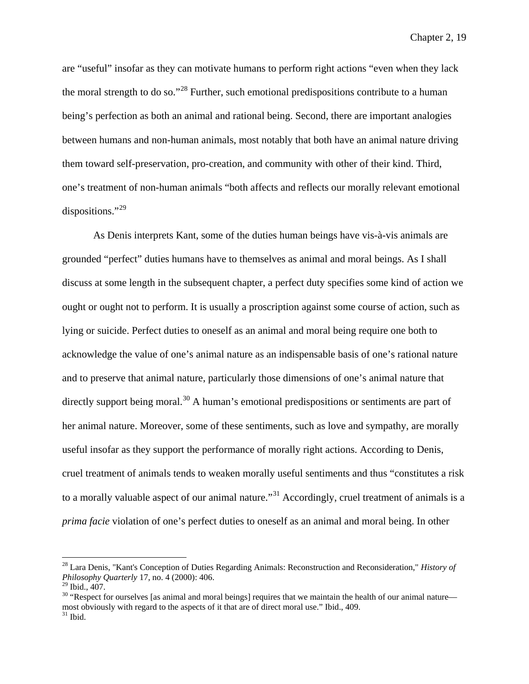are "useful" insofar as they can motivate humans to perform right actions "even when they lack the moral strength to do so."<sup>[28](#page-72-0)</sup> Further, such emotional predispositions contribute to a human being's perfection as both an animal and rational being. Second, there are important analogies between humans and non-human animals, most notably that both have an animal nature driving them toward self-preservation, pro-creation, and community with other of their kind. Third, one's treatment of non-human animals "both affects and reflects our morally relevant emotional dispositions."<sup>[29](#page-72-1)</sup>

As Denis interprets Kant, some of the duties human beings have vis-à-vis animals are grounded "perfect" duties humans have to themselves as animal and moral beings. As I shall discuss at some length in the subsequent chapter, a perfect duty specifies some kind of action we ought or ought not to perform. It is usually a proscription against some course of action, such as lying or suicide. Perfect duties to oneself as an animal and moral being require one both to acknowledge the value of one's animal nature as an indispensable basis of one's rational nature and to preserve that animal nature, particularly those dimensions of one's animal nature that directly support being moral.<sup>[30](#page-72-2)</sup> A human's emotional predispositions or sentiments are part of her animal nature. Moreover, some of these sentiments, such as love and sympathy, are morally useful insofar as they support the performance of morally right actions. According to Denis, cruel treatment of animals tends to weaken morally useful sentiments and thus "constitutes a risk to a morally valuable aspect of our animal nature."<sup>[31](#page-72-3)</sup> Accordingly, cruel treatment of animals is a *prima facie* violation of one's perfect duties to oneself as an animal and moral being. In other

<span id="page-72-0"></span> <sup>28</sup> Lara Denis, "Kant's Conception of Duties Regarding Animals: Reconstruction and Reconsideration," *History of Philosophy Quarterly* 17, no. 4 (2000): 406.<br><sup>29</sup> Ibid., 407.

<span id="page-72-3"></span><span id="page-72-2"></span><span id="page-72-1"></span> $30$  "Respect for ourselves [as animal and moral beings] requires that we maintain the health of our animal nature most obviously with regard to the aspects of it that are of direct moral use." Ibid., 409. <sup>31</sup> Ibid., 409.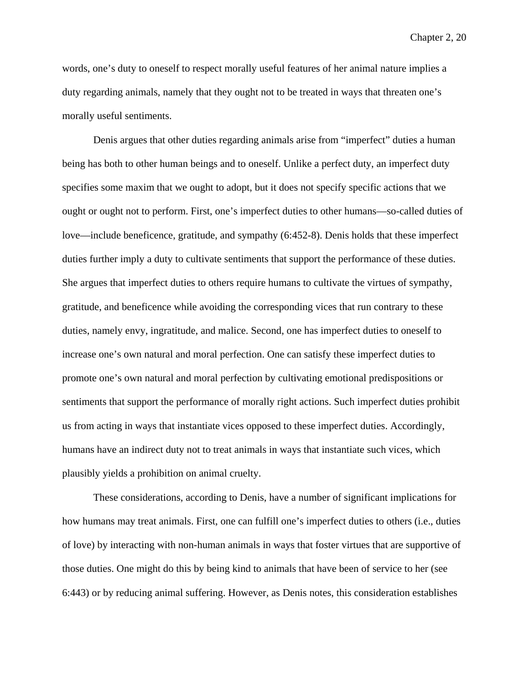words, one's duty to oneself to respect morally useful features of her animal nature implies a duty regarding animals, namely that they ought not to be treated in ways that threaten one's morally useful sentiments.

Denis argues that other duties regarding animals arise from "imperfect" duties a human being has both to other human beings and to oneself. Unlike a perfect duty, an imperfect duty specifies some maxim that we ought to adopt, but it does not specify specific actions that we ought or ought not to perform. First, one's imperfect duties to other humans—so-called duties of love—include beneficence, gratitude, and sympathy (6:452-8). Denis holds that these imperfect duties further imply a duty to cultivate sentiments that support the performance of these duties. She argues that imperfect duties to others require humans to cultivate the virtues of sympathy, gratitude, and beneficence while avoiding the corresponding vices that run contrary to these duties, namely envy, ingratitude, and malice. Second, one has imperfect duties to oneself to increase one's own natural and moral perfection. One can satisfy these imperfect duties to promote one's own natural and moral perfection by cultivating emotional predispositions or sentiments that support the performance of morally right actions. Such imperfect duties prohibit us from acting in ways that instantiate vices opposed to these imperfect duties. Accordingly, humans have an indirect duty not to treat animals in ways that instantiate such vices, which plausibly yields a prohibition on animal cruelty.

These considerations, according to Denis, have a number of significant implications for how humans may treat animals. First, one can fulfill one's imperfect duties to others (i.e., duties of love) by interacting with non-human animals in ways that foster virtues that are supportive of those duties. One might do this by being kind to animals that have been of service to her (see 6:443) or by reducing animal suffering. However, as Denis notes, this consideration establishes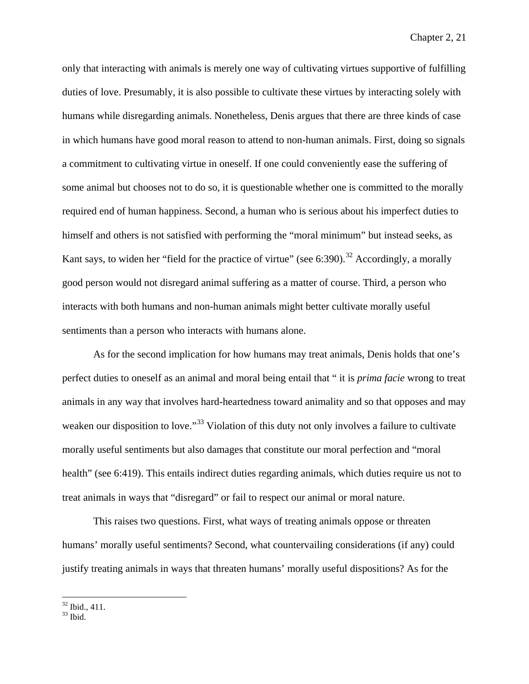only that interacting with animals is merely one way of cultivating virtues supportive of fulfilling duties of love. Presumably, it is also possible to cultivate these virtues by interacting solely with humans while disregarding animals. Nonetheless, Denis argues that there are three kinds of case in which humans have good moral reason to attend to non-human animals. First, doing so signals a commitment to cultivating virtue in oneself. If one could conveniently ease the suffering of some animal but chooses not to do so, it is questionable whether one is committed to the morally required end of human happiness. Second, a human who is serious about his imperfect duties to himself and others is not satisfied with performing the "moral minimum" but instead seeks, as Kant says, to widen her "field for the practice of virtue" (see 6:390).<sup>[32](#page-74-0)</sup> Accordingly, a morally good person would not disregard animal suffering as a matter of course. Third, a person who interacts with both humans and non-human animals might better cultivate morally useful sentiments than a person who interacts with humans alone.

As for the second implication for how humans may treat animals, Denis holds that one's perfect duties to oneself as an animal and moral being entail that " it is *prima facie* wrong to treat animals in any way that involves hard-heartedness toward animality and so that opposes and may weaken our disposition to love."<sup>[33](#page-74-1)</sup> Violation of this duty not only involves a failure to cultivate morally useful sentiments but also damages that constitute our moral perfection and "moral health" (see 6:419). This entails indirect duties regarding animals, which duties require us not to treat animals in ways that "disregard" or fail to respect our animal or moral nature.

This raises two questions. First, what ways of treating animals oppose or threaten humans' morally useful sentiments? Second, what countervailing considerations (if any) could justify treating animals in ways that threaten humans' morally useful dispositions? As for the

<span id="page-74-1"></span><span id="page-74-0"></span> $\frac{32}{33}$  Ibid., 411.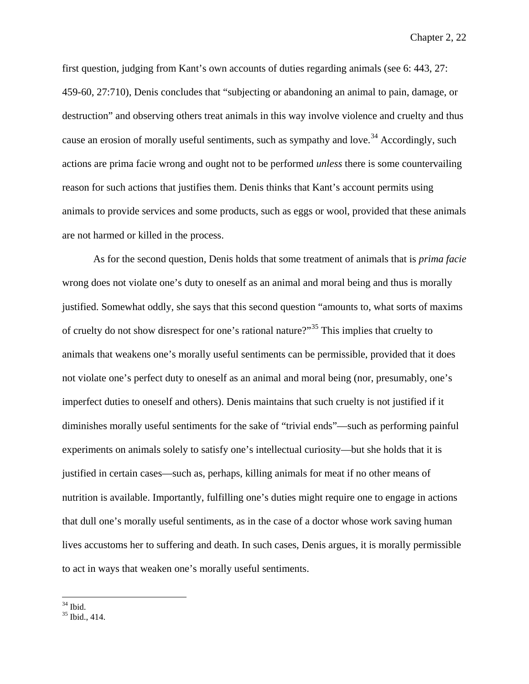first question, judging from Kant's own accounts of duties regarding animals (see 6: 443, 27: 459-60, 27:710), Denis concludes that "subjecting or abandoning an animal to pain, damage, or destruction" and observing others treat animals in this way involve violence and cruelty and thus cause an erosion of morally useful sentiments, such as sympathy and love.<sup>[34](#page-75-0)</sup> Accordingly, such actions are prima facie wrong and ought not to be performed *unless* there is some countervailing reason for such actions that justifies them. Denis thinks that Kant's account permits using animals to provide services and some products, such as eggs or wool, provided that these animals are not harmed or killed in the process.

As for the second question, Denis holds that some treatment of animals that is *prima facie* wrong does not violate one's duty to oneself as an animal and moral being and thus is morally justified. Somewhat oddly, she says that this second question "amounts to, what sorts of maxims of cruelty do not show disrespect for one's rational nature?"[35](#page-75-1) This implies that cruelty to animals that weakens one's morally useful sentiments can be permissible, provided that it does not violate one's perfect duty to oneself as an animal and moral being (nor, presumably, one's imperfect duties to oneself and others). Denis maintains that such cruelty is not justified if it diminishes morally useful sentiments for the sake of "trivial ends"—such as performing painful experiments on animals solely to satisfy one's intellectual curiosity—but she holds that it is justified in certain cases—such as, perhaps, killing animals for meat if no other means of nutrition is available. Importantly, fulfilling one's duties might require one to engage in actions that dull one's morally useful sentiments, as in the case of a doctor whose work saving human lives accustoms her to suffering and death. In such cases, Denis argues, it is morally permissible to act in ways that weaken one's morally useful sentiments.

<span id="page-75-1"></span><span id="page-75-0"></span> $35 \text{ Ibid.}$ <br> $35 \text{ Ibid.} 414.$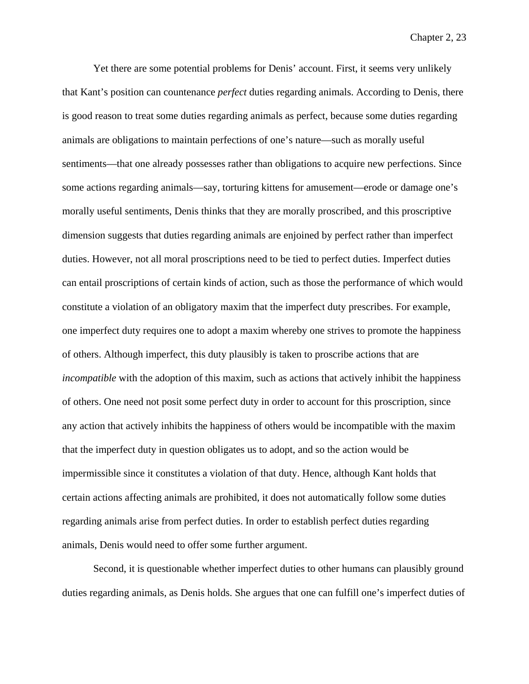Yet there are some potential problems for Denis' account. First, it seems very unlikely that Kant's position can countenance *perfect* duties regarding animals. According to Denis, there is good reason to treat some duties regarding animals as perfect, because some duties regarding animals are obligations to maintain perfections of one's nature—such as morally useful sentiments—that one already possesses rather than obligations to acquire new perfections. Since some actions regarding animals—say, torturing kittens for amusement—erode or damage one's morally useful sentiments, Denis thinks that they are morally proscribed, and this proscriptive dimension suggests that duties regarding animals are enjoined by perfect rather than imperfect duties. However, not all moral proscriptions need to be tied to perfect duties. Imperfect duties can entail proscriptions of certain kinds of action, such as those the performance of which would constitute a violation of an obligatory maxim that the imperfect duty prescribes. For example, one imperfect duty requires one to adopt a maxim whereby one strives to promote the happiness of others. Although imperfect, this duty plausibly is taken to proscribe actions that are *incompatible* with the adoption of this maxim, such as actions that actively inhibit the happiness of others. One need not posit some perfect duty in order to account for this proscription, since any action that actively inhibits the happiness of others would be incompatible with the maxim that the imperfect duty in question obligates us to adopt, and so the action would be impermissible since it constitutes a violation of that duty. Hence, although Kant holds that certain actions affecting animals are prohibited, it does not automatically follow some duties regarding animals arise from perfect duties. In order to establish perfect duties regarding animals, Denis would need to offer some further argument.

Second, it is questionable whether imperfect duties to other humans can plausibly ground duties regarding animals, as Denis holds. She argues that one can fulfill one's imperfect duties of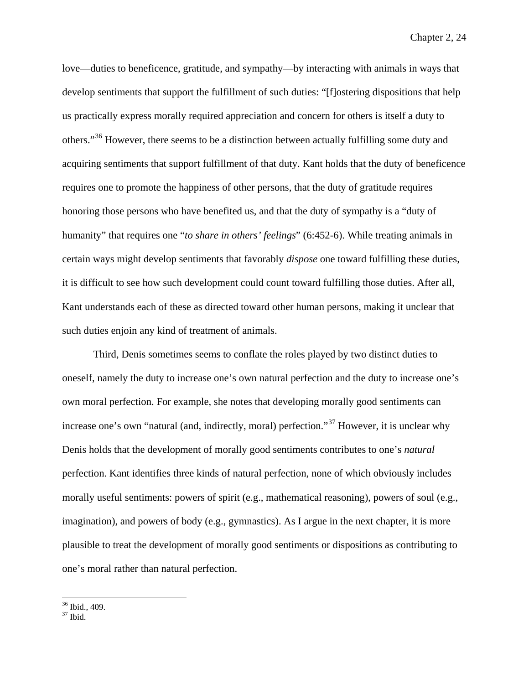love—duties to beneficence, gratitude, and sympathy—by interacting with animals in ways that develop sentiments that support the fulfillment of such duties: "[f]ostering dispositions that help us practically express morally required appreciation and concern for others is itself a duty to others."[36](#page-77-0) However, there seems to be a distinction between actually fulfilling some duty and acquiring sentiments that support fulfillment of that duty. Kant holds that the duty of beneficence requires one to promote the happiness of other persons, that the duty of gratitude requires honoring those persons who have benefited us, and that the duty of sympathy is a "duty of humanity" that requires one "*to share in others' feelings*" (6:452-6). While treating animals in certain ways might develop sentiments that favorably *dispose* one toward fulfilling these duties, it is difficult to see how such development could count toward fulfilling those duties. After all, Kant understands each of these as directed toward other human persons, making it unclear that such duties enjoin any kind of treatment of animals.

Third, Denis sometimes seems to conflate the roles played by two distinct duties to oneself, namely the duty to increase one's own natural perfection and the duty to increase one's own moral perfection. For example, she notes that developing morally good sentiments can increase one's own "natural (and, indirectly, moral) perfection."[37](#page-77-1) However, it is unclear why Denis holds that the development of morally good sentiments contributes to one's *natural*  perfection. Kant identifies three kinds of natural perfection, none of which obviously includes morally useful sentiments: powers of spirit (e.g., mathematical reasoning), powers of soul (e.g., imagination), and powers of body (e.g., gymnastics). As I argue in the next chapter, it is more plausible to treat the development of morally good sentiments or dispositions as contributing to one's moral rather than natural perfection.

<span id="page-77-0"></span> $\frac{36}{37}$  Ibid., 409.<br> $\frac{37}{37}$  Ibid.

<span id="page-77-1"></span>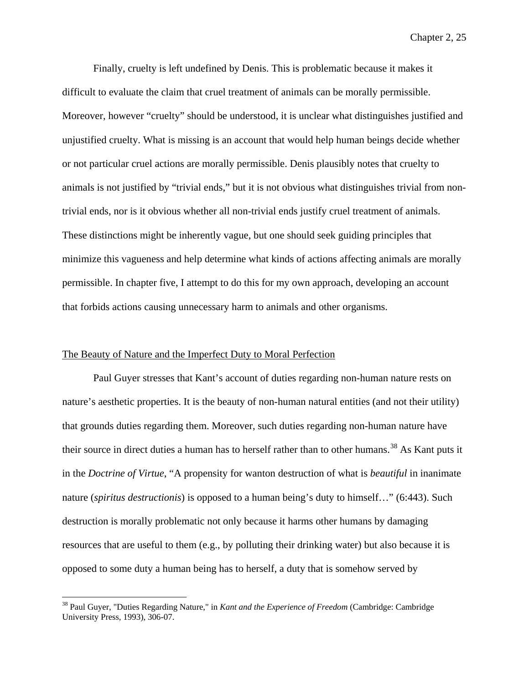Finally, cruelty is left undefined by Denis. This is problematic because it makes it difficult to evaluate the claim that cruel treatment of animals can be morally permissible. Moreover, however "cruelty" should be understood, it is unclear what distinguishes justified and unjustified cruelty. What is missing is an account that would help human beings decide whether or not particular cruel actions are morally permissible. Denis plausibly notes that cruelty to animals is not justified by "trivial ends," but it is not obvious what distinguishes trivial from nontrivial ends, nor is it obvious whether all non-trivial ends justify cruel treatment of animals. These distinctions might be inherently vague, but one should seek guiding principles that minimize this vagueness and help determine what kinds of actions affecting animals are morally permissible. In chapter five, I attempt to do this for my own approach, developing an account that forbids actions causing unnecessary harm to animals and other organisms.

## The Beauty of Nature and the Imperfect Duty to Moral Perfection

Paul Guyer stresses that Kant's account of duties regarding non-human nature rests on nature's aesthetic properties. It is the beauty of non-human natural entities (and not their utility) that grounds duties regarding them. Moreover, such duties regarding non-human nature have their source in direct duties a human has to herself rather than to other humans.<sup>[38](#page-78-0)</sup> As Kant puts it in the *Doctrine of Virtue*, "A propensity for wanton destruction of what is *beautiful* in inanimate nature (*spiritus destructionis*) is opposed to a human being's duty to himself…" (6:443). Such destruction is morally problematic not only because it harms other humans by damaging resources that are useful to them (e.g., by polluting their drinking water) but also because it is opposed to some duty a human being has to herself, a duty that is somehow served by

<span id="page-78-0"></span> <sup>38</sup> Paul Guyer, "Duties Regarding Nature," in *Kant and the Experience of Freedom* (Cambridge: Cambridge University Press, 1993), 306-07.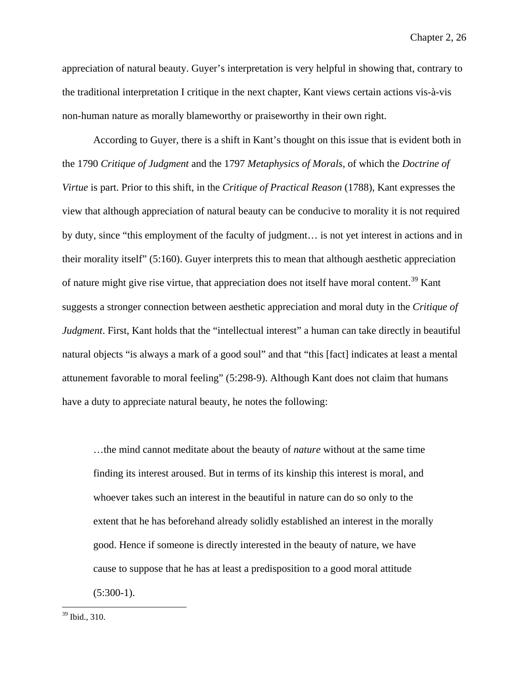appreciation of natural beauty. Guyer's interpretation is very helpful in showing that, contrary to the traditional interpretation I critique in the next chapter, Kant views certain actions vis-à-vis non-human nature as morally blameworthy or praiseworthy in their own right.

According to Guyer, there is a shift in Kant's thought on this issue that is evident both in the 1790 *Critique of Judgment* and the 1797 *Metaphysics of Morals*, of which the *Doctrine of Virtue* is part. Prior to this shift, in the *Critique of Practical Reason* (1788), Kant expresses the view that although appreciation of natural beauty can be conducive to morality it is not required by duty, since "this employment of the faculty of judgment… is not yet interest in actions and in their morality itself" (5:160). Guyer interprets this to mean that although aesthetic appreciation of nature might give rise virtue, that appreciation does not itself have moral content.<sup>[39](#page-79-0)</sup> Kant suggests a stronger connection between aesthetic appreciation and moral duty in the *Critique of Judgment*. First, Kant holds that the "intellectual interest" a human can take directly in beautiful natural objects "is always a mark of a good soul" and that "this [fact] indicates at least a mental attunement favorable to moral feeling" (5:298-9). Although Kant does not claim that humans have a duty to appreciate natural beauty, he notes the following:

…the mind cannot meditate about the beauty of *nature* without at the same time finding its interest aroused. But in terms of its kinship this interest is moral, and whoever takes such an interest in the beautiful in nature can do so only to the extent that he has beforehand already solidly established an interest in the morally good. Hence if someone is directly interested in the beauty of nature, we have cause to suppose that he has at least a predisposition to a good moral attitude  $(5:300-1)$ .

<span id="page-79-0"></span> <sup>39</sup> Ibid., 310.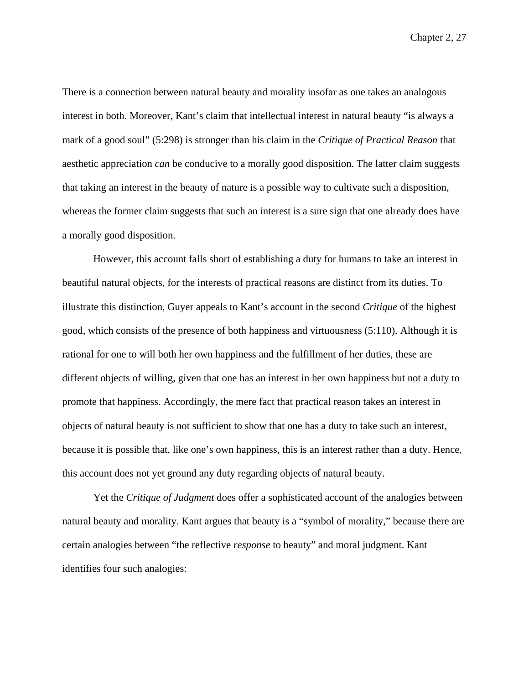There is a connection between natural beauty and morality insofar as one takes an analogous interest in both. Moreover, Kant's claim that intellectual interest in natural beauty "is always a mark of a good soul" (5:298) is stronger than his claim in the *Critique of Practical Reason* that aesthetic appreciation *can* be conducive to a morally good disposition. The latter claim suggests that taking an interest in the beauty of nature is a possible way to cultivate such a disposition, whereas the former claim suggests that such an interest is a sure sign that one already does have a morally good disposition.

However, this account falls short of establishing a duty for humans to take an interest in beautiful natural objects, for the interests of practical reasons are distinct from its duties. To illustrate this distinction, Guyer appeals to Kant's account in the second *Critique* of the highest good, which consists of the presence of both happiness and virtuousness (5:110). Although it is rational for one to will both her own happiness and the fulfillment of her duties, these are different objects of willing, given that one has an interest in her own happiness but not a duty to promote that happiness. Accordingly, the mere fact that practical reason takes an interest in objects of natural beauty is not sufficient to show that one has a duty to take such an interest, because it is possible that, like one's own happiness, this is an interest rather than a duty. Hence, this account does not yet ground any duty regarding objects of natural beauty.

Yet the *Critique of Judgment* does offer a sophisticated account of the analogies between natural beauty and morality. Kant argues that beauty is a "symbol of morality," because there are certain analogies between "the reflective *response* to beauty" and moral judgment. Kant identifies four such analogies: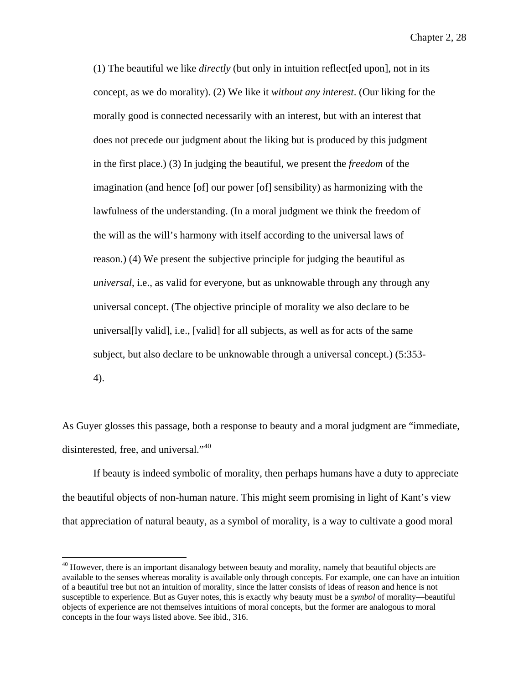(1) The beautiful we like *directly* (but only in intuition reflect[ed upon], not in its concept, as we do morality). (2) We like it *without any interest*. (Our liking for the morally good is connected necessarily with an interest, but with an interest that does not precede our judgment about the liking but is produced by this judgment in the first place.) (3) In judging the beautiful, we present the *freedom* of the imagination (and hence [of] our power [of] sensibility) as harmonizing with the lawfulness of the understanding. (In a moral judgment we think the freedom of the will as the will's harmony with itself according to the universal laws of reason.) (4) We present the subjective principle for judging the beautiful as *universal*, i.e., as valid for everyone, but as unknowable through any through any universal concept. (The objective principle of morality we also declare to be universal[ly valid], i.e., [valid] for all subjects, as well as for acts of the same subject, but also declare to be unknowable through a universal concept.) (5:353- 4).

As Guyer glosses this passage, both a response to beauty and a moral judgment are "immediate, disinterested, free, and universal."<sup>[40](#page-81-0)</sup>

If beauty is indeed symbolic of morality, then perhaps humans have a duty to appreciate the beautiful objects of non-human nature. This might seem promising in light of Kant's view that appreciation of natural beauty, as a symbol of morality, is a way to cultivate a good moral

<span id="page-81-0"></span><sup>&</sup>lt;sup>40</sup> However, there is an important disanalogy between beauty and morality, namely that beautiful objects are available to the senses whereas morality is available only through concepts. For example, one can have an intuition of a beautiful tree but not an intuition of morality, since the latter consists of ideas of reason and hence is not susceptible to experience. But as Guyer notes, this is exactly why beauty must be a *symbol* of morality—beautiful objects of experience are not themselves intuitions of moral concepts, but the former are analogous to moral concepts in the four ways listed above. See ibid., 316.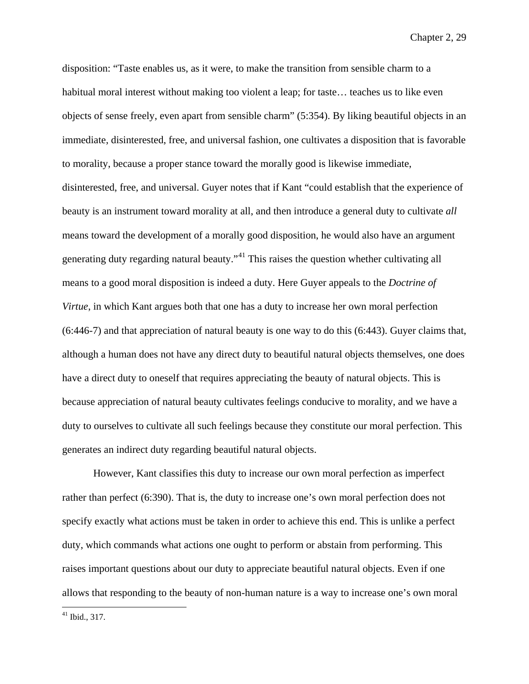disposition: "Taste enables us, as it were, to make the transition from sensible charm to a habitual moral interest without making too violent a leap; for taste... teaches us to like even objects of sense freely, even apart from sensible charm" (5:354). By liking beautiful objects in an immediate, disinterested, free, and universal fashion, one cultivates a disposition that is favorable to morality, because a proper stance toward the morally good is likewise immediate, disinterested, free, and universal. Guyer notes that if Kant "could establish that the experience of beauty is an instrument toward morality at all, and then introduce a general duty to cultivate *all* means toward the development of a morally good disposition, he would also have an argument generating duty regarding natural beauty."<sup>[41](#page-82-0)</sup> This raises the question whether cultivating all means to a good moral disposition is indeed a duty. Here Guyer appeals to the *Doctrine of Virtue*, in which Kant argues both that one has a duty to increase her own moral perfection (6:446-7) and that appreciation of natural beauty is one way to do this (6:443). Guyer claims that, although a human does not have any direct duty to beautiful natural objects themselves, one does have a direct duty to oneself that requires appreciating the beauty of natural objects. This is because appreciation of natural beauty cultivates feelings conducive to morality, and we have a duty to ourselves to cultivate all such feelings because they constitute our moral perfection. This generates an indirect duty regarding beautiful natural objects.

However, Kant classifies this duty to increase our own moral perfection as imperfect rather than perfect (6:390). That is, the duty to increase one's own moral perfection does not specify exactly what actions must be taken in order to achieve this end. This is unlike a perfect duty, which commands what actions one ought to perform or abstain from performing. This raises important questions about our duty to appreciate beautiful natural objects. Even if one allows that responding to the beauty of non-human nature is a way to increase one's own moral

<span id="page-82-0"></span> $41$  Ibid., 317.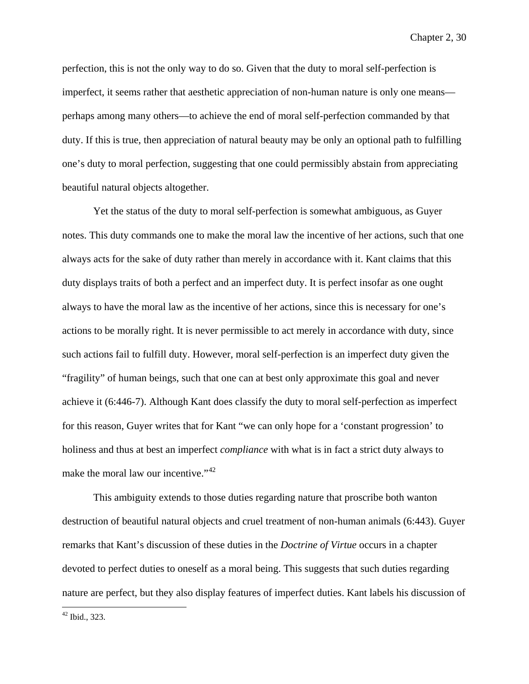perfection, this is not the only way to do so. Given that the duty to moral self-perfection is imperfect, it seems rather that aesthetic appreciation of non-human nature is only one means perhaps among many others—to achieve the end of moral self-perfection commanded by that duty. If this is true, then appreciation of natural beauty may be only an optional path to fulfilling one's duty to moral perfection, suggesting that one could permissibly abstain from appreciating beautiful natural objects altogether.

Yet the status of the duty to moral self-perfection is somewhat ambiguous, as Guyer notes. This duty commands one to make the moral law the incentive of her actions, such that one always acts for the sake of duty rather than merely in accordance with it. Kant claims that this duty displays traits of both a perfect and an imperfect duty. It is perfect insofar as one ought always to have the moral law as the incentive of her actions, since this is necessary for one's actions to be morally right. It is never permissible to act merely in accordance with duty, since such actions fail to fulfill duty. However, moral self-perfection is an imperfect duty given the "fragility" of human beings, such that one can at best only approximate this goal and never achieve it (6:446-7). Although Kant does classify the duty to moral self-perfection as imperfect for this reason, Guyer writes that for Kant "we can only hope for a 'constant progression' to holiness and thus at best an imperfect *compliance* with what is in fact a strict duty always to make the moral law our incentive."<sup>[42](#page-83-0)</sup>

This ambiguity extends to those duties regarding nature that proscribe both wanton destruction of beautiful natural objects and cruel treatment of non-human animals (6:443). Guyer remarks that Kant's discussion of these duties in the *Doctrine of Virtue* occurs in a chapter devoted to perfect duties to oneself as a moral being. This suggests that such duties regarding nature are perfect, but they also display features of imperfect duties. Kant labels his discussion of

<span id="page-83-0"></span> $42$  Ibid., 323.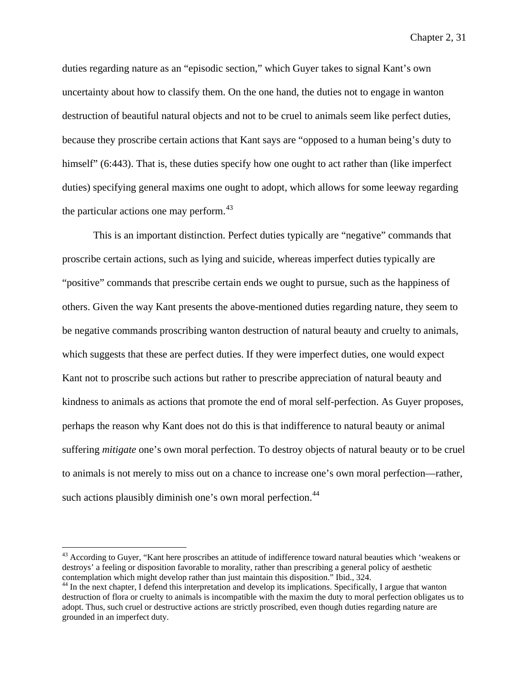duties regarding nature as an "episodic section," which Guyer takes to signal Kant's own uncertainty about how to classify them. On the one hand, the duties not to engage in wanton destruction of beautiful natural objects and not to be cruel to animals seem like perfect duties, because they proscribe certain actions that Kant says are "opposed to a human being's duty to himself" (6:443). That is, these duties specify how one ought to act rather than (like imperfect duties) specifying general maxims one ought to adopt, which allows for some leeway regarding the particular actions one may perform. $43$ 

This is an important distinction. Perfect duties typically are "negative" commands that proscribe certain actions, such as lying and suicide, whereas imperfect duties typically are "positive" commands that prescribe certain ends we ought to pursue, such as the happiness of others. Given the way Kant presents the above-mentioned duties regarding nature, they seem to be negative commands proscribing wanton destruction of natural beauty and cruelty to animals, which suggests that these are perfect duties. If they were imperfect duties, one would expect Kant not to proscribe such actions but rather to prescribe appreciation of natural beauty and kindness to animals as actions that promote the end of moral self-perfection. As Guyer proposes, perhaps the reason why Kant does not do this is that indifference to natural beauty or animal suffering *mitigate* one's own moral perfection. To destroy objects of natural beauty or to be cruel to animals is not merely to miss out on a chance to increase one's own moral perfection—rather, such actions plausibly diminish one's own moral perfection.<sup>[44](#page-84-1)</sup>

<span id="page-84-0"></span><sup>&</sup>lt;sup>43</sup> According to Guyer, "Kant here proscribes an attitude of indifference toward natural beauties which 'weakens or destroys' a feeling or disposition favorable to morality, rather than prescribing a general policy of aesthetic<br>contemplation which might develop rather than just maintain this disposition." Ibid., 324.

<span id="page-84-1"></span> $44$  In the next chapter, I defend this interpretation and develop its implications. Specifically, I argue that wanton destruction of flora or cruelty to animals is incompatible with the maxim the duty to moral perfection obligates us to adopt. Thus, such cruel or destructive actions are strictly proscribed, even though duties regarding nature are grounded in an imperfect duty.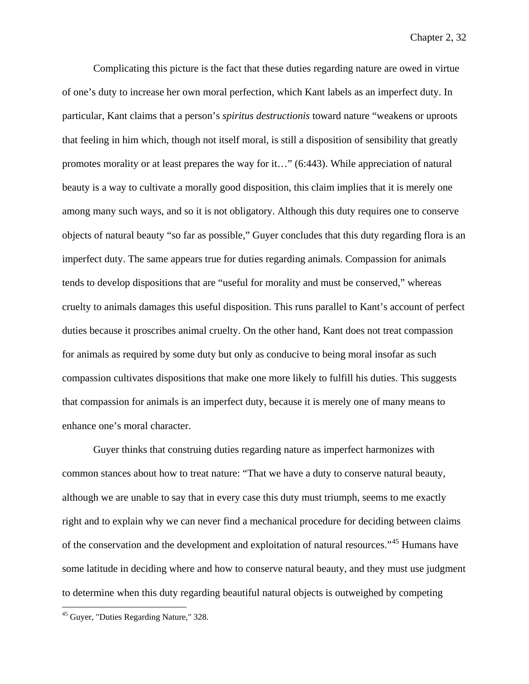Complicating this picture is the fact that these duties regarding nature are owed in virtue of one's duty to increase her own moral perfection, which Kant labels as an imperfect duty. In particular, Kant claims that a person's *spiritus destructionis* toward nature "weakens or uproots that feeling in him which, though not itself moral, is still a disposition of sensibility that greatly promotes morality or at least prepares the way for it…" (6:443). While appreciation of natural beauty is a way to cultivate a morally good disposition, this claim implies that it is merely one among many such ways, and so it is not obligatory. Although this duty requires one to conserve objects of natural beauty "so far as possible," Guyer concludes that this duty regarding flora is an imperfect duty. The same appears true for duties regarding animals. Compassion for animals tends to develop dispositions that are "useful for morality and must be conserved," whereas cruelty to animals damages this useful disposition. This runs parallel to Kant's account of perfect duties because it proscribes animal cruelty. On the other hand, Kant does not treat compassion for animals as required by some duty but only as conducive to being moral insofar as such compassion cultivates dispositions that make one more likely to fulfill his duties. This suggests that compassion for animals is an imperfect duty, because it is merely one of many means to enhance one's moral character.

Guyer thinks that construing duties regarding nature as imperfect harmonizes with common stances about how to treat nature: "That we have a duty to conserve natural beauty, although we are unable to say that in every case this duty must triumph, seems to me exactly right and to explain why we can never find a mechanical procedure for deciding between claims of the conservation and the development and exploitation of natural resources."[45](#page-85-0) Humans have some latitude in deciding where and how to conserve natural beauty, and they must use judgment to determine when this duty regarding beautiful natural objects is outweighed by competing

<span id="page-85-0"></span> <sup>45</sup> Guyer, "Duties Regarding Nature," 328.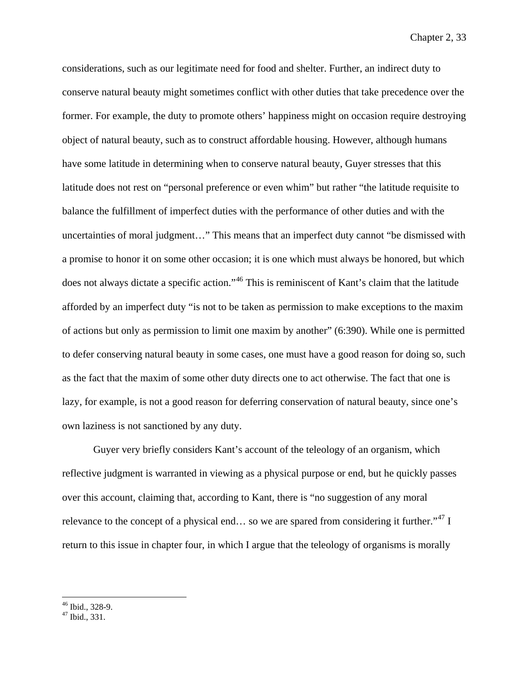considerations, such as our legitimate need for food and shelter. Further, an indirect duty to conserve natural beauty might sometimes conflict with other duties that take precedence over the former. For example, the duty to promote others' happiness might on occasion require destroying object of natural beauty, such as to construct affordable housing. However, although humans have some latitude in determining when to conserve natural beauty, Guyer stresses that this latitude does not rest on "personal preference or even whim" but rather "the latitude requisite to balance the fulfillment of imperfect duties with the performance of other duties and with the uncertainties of moral judgment…" This means that an imperfect duty cannot "be dismissed with a promise to honor it on some other occasion; it is one which must always be honored, but which does not always dictate a specific action."<sup>[46](#page-86-0)</sup> This is reminiscent of Kant's claim that the latitude afforded by an imperfect duty "is not to be taken as permission to make exceptions to the maxim of actions but only as permission to limit one maxim by another" (6:390). While one is permitted to defer conserving natural beauty in some cases, one must have a good reason for doing so, such as the fact that the maxim of some other duty directs one to act otherwise. The fact that one is lazy, for example, is not a good reason for deferring conservation of natural beauty, since one's own laziness is not sanctioned by any duty.

Guyer very briefly considers Kant's account of the teleology of an organism, which reflective judgment is warranted in viewing as a physical purpose or end, but he quickly passes over this account, claiming that, according to Kant, there is "no suggestion of any moral relevance to the concept of a physical end... so we are spared from considering it further."<sup>[47](#page-86-1)</sup> I return to this issue in chapter four, in which I argue that the teleology of organisms is morally

<span id="page-86-1"></span><span id="page-86-0"></span> $^{46}$  Ibid., 328-9.<br> $^{47}$  Ibid., 331.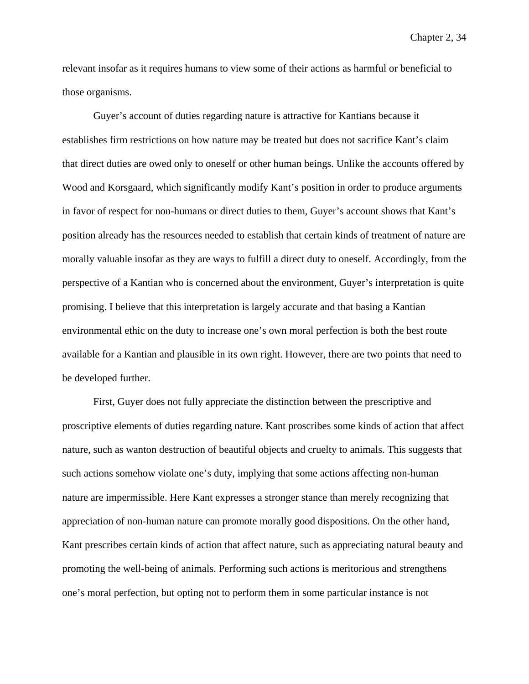relevant insofar as it requires humans to view some of their actions as harmful or beneficial to those organisms.

Guyer's account of duties regarding nature is attractive for Kantians because it establishes firm restrictions on how nature may be treated but does not sacrifice Kant's claim that direct duties are owed only to oneself or other human beings. Unlike the accounts offered by Wood and Korsgaard, which significantly modify Kant's position in order to produce arguments in favor of respect for non-humans or direct duties to them, Guyer's account shows that Kant's position already has the resources needed to establish that certain kinds of treatment of nature are morally valuable insofar as they are ways to fulfill a direct duty to oneself. Accordingly, from the perspective of a Kantian who is concerned about the environment, Guyer's interpretation is quite promising. I believe that this interpretation is largely accurate and that basing a Kantian environmental ethic on the duty to increase one's own moral perfection is both the best route available for a Kantian and plausible in its own right. However, there are two points that need to be developed further.

First, Guyer does not fully appreciate the distinction between the prescriptive and proscriptive elements of duties regarding nature. Kant proscribes some kinds of action that affect nature, such as wanton destruction of beautiful objects and cruelty to animals. This suggests that such actions somehow violate one's duty, implying that some actions affecting non-human nature are impermissible. Here Kant expresses a stronger stance than merely recognizing that appreciation of non-human nature can promote morally good dispositions. On the other hand, Kant prescribes certain kinds of action that affect nature, such as appreciating natural beauty and promoting the well-being of animals. Performing such actions is meritorious and strengthens one's moral perfection, but opting not to perform them in some particular instance is not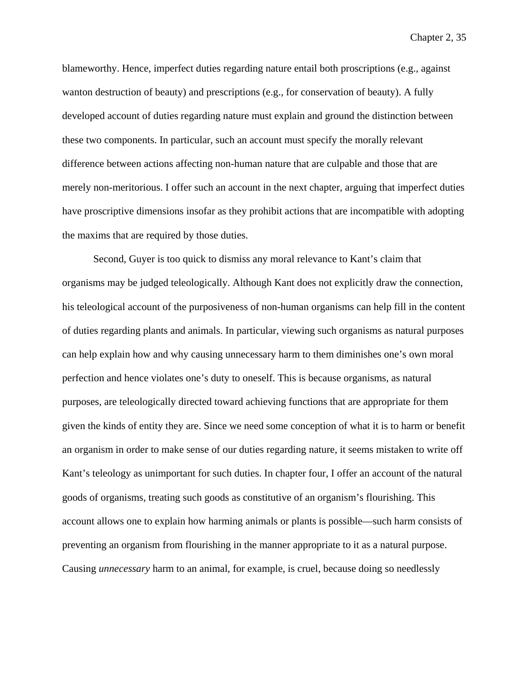blameworthy. Hence, imperfect duties regarding nature entail both proscriptions (e.g., against wanton destruction of beauty) and prescriptions (e.g., for conservation of beauty). A fully developed account of duties regarding nature must explain and ground the distinction between these two components. In particular, such an account must specify the morally relevant difference between actions affecting non-human nature that are culpable and those that are merely non-meritorious. I offer such an account in the next chapter, arguing that imperfect duties have proscriptive dimensions insofar as they prohibit actions that are incompatible with adopting the maxims that are required by those duties.

Second, Guyer is too quick to dismiss any moral relevance to Kant's claim that organisms may be judged teleologically. Although Kant does not explicitly draw the connection, his teleological account of the purposiveness of non-human organisms can help fill in the content of duties regarding plants and animals. In particular, viewing such organisms as natural purposes can help explain how and why causing unnecessary harm to them diminishes one's own moral perfection and hence violates one's duty to oneself. This is because organisms, as natural purposes, are teleologically directed toward achieving functions that are appropriate for them given the kinds of entity they are. Since we need some conception of what it is to harm or benefit an organism in order to make sense of our duties regarding nature, it seems mistaken to write off Kant's teleology as unimportant for such duties. In chapter four, I offer an account of the natural goods of organisms, treating such goods as constitutive of an organism's flourishing. This account allows one to explain how harming animals or plants is possible—such harm consists of preventing an organism from flourishing in the manner appropriate to it as a natural purpose. Causing *unnecessary* harm to an animal, for example, is cruel, because doing so needlessly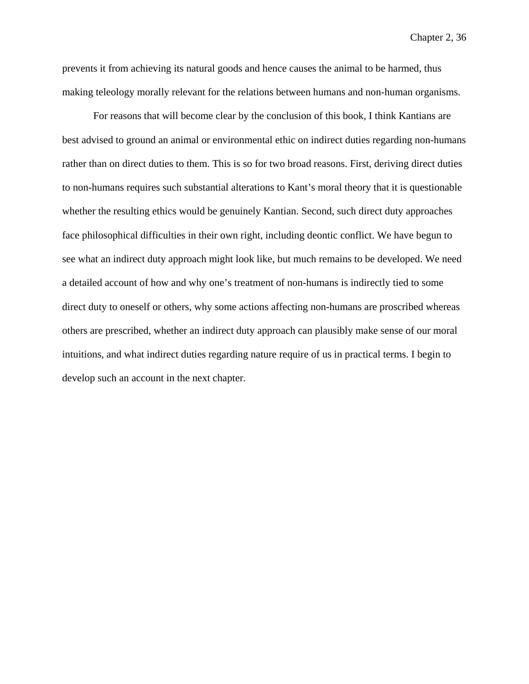prevents it from achieving its natural goods and hence causes the animal to be harmed, thus making teleology morally relevant for the relations between humans and non-human organisms.

For reasons that will become clear by the conclusion of this book, I think Kantians are best advised to ground an animal or environmental ethic on indirect duties regarding non-humans rather than on direct duties to them. This is so for two broad reasons. First, deriving direct duties to non-humans requires such substantial alterations to Kant's moral theory that it is questionable whether the resulting ethics would be genuinely Kantian. Second, such direct duty approaches face philosophical difficulties in their own right, including deontic conflict. We have begun to see what an indirect duty approach might look like, but much remains to be developed. We need a detailed account of how and why one's treatment of non-humans is indirectly tied to some direct duty to oneself or others, why some actions affecting non-humans are proscribed whereas others are prescribed, whether an indirect duty approach can plausibly make sense of our moral intuitions, and what indirect duties regarding nature require of us in practical terms. I begin to develop such an account in the next chapter.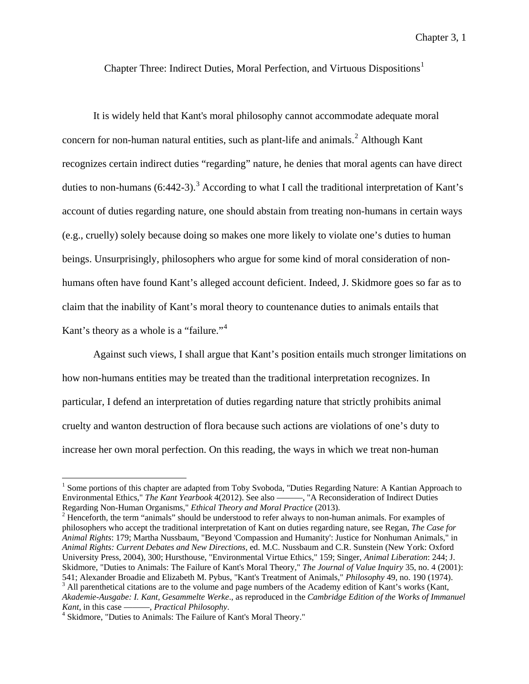Chapter Three: Indirect Duties, Moral Perfection, and Virtuous Dispositions<sup>[1](#page-90-0)</sup>

It is widely held that Kant's moral philosophy cannot accommodate adequate moral concern for non-human natural entities, such as plant-life and animals.<sup>[2](#page-90-1)</sup> Although Kant recognizes certain indirect duties "regarding" nature, he denies that moral agents can have direct duties to non-humans  $(6:442-3)$  $(6:442-3)$  $(6:442-3)$ .<sup>3</sup> According to what I call the traditional interpretation of Kant's account of duties regarding nature, one should abstain from treating non-humans in certain ways (e.g., cruelly) solely because doing so makes one more likely to violate one's duties to human beings. Unsurprisingly, philosophers who argue for some kind of moral consideration of nonhumans often have found Kant's alleged account deficient. Indeed, J. Skidmore goes so far as to claim that the inability of Kant's moral theory to countenance duties to animals entails that Kant's theory as a whole is a "failure."<sup>[4](#page-90-3)</sup>

Against such views, I shall argue that Kant's position entails much stronger limitations on how non-humans entities may be treated than the traditional interpretation recognizes. In particular, I defend an interpretation of duties regarding nature that strictly prohibits animal cruelty and wanton destruction of flora because such actions are violations of one's duty to increase her own moral perfection. On this reading, the ways in which we treat non-human

<span id="page-90-0"></span><sup>&</sup>lt;sup>1</sup> Some portions of this chapter are adapted from Toby Svoboda, "Duties Regarding Nature: A Kantian Approach to Environmental Ethics," *The Kant Yearbook* 4(2012). See also ———, "A Reconsideration of Indirect Duties Regarding Non-Human Organisms," *Ethical Theory and Moral Practice* (2013).

<span id="page-90-1"></span><sup>&</sup>lt;sup>2</sup> Henceforth, the term "animals" should be understood to refer always to non-human animals. For examples of philosophers who accept the traditional interpretation of Kant on duties regarding nature, see Regan, *The Case for Animal Rights*: 179; Martha Nussbaum, "Beyond 'Compassion and Humanity': Justice for Nonhuman Animals," in *Animal Rights: Current Debates and New Directions*, ed. M.C. Nussbaum and C.R. Sunstein (New York: Oxford University Press, 2004), 300; Hursthouse, "Environmental Virtue Ethics," 159; Singer, *Animal Liberation*: 244; J. Skidmore, "Duties to Animals: The Failure of Kant's Moral Theory," *The Journal of Value Inquiry* 35, no. 4 (2001): 541; Alexander Broadie and Elizabeth M. Pybus, "Kant's Treatment of Animals," *Philosophy* 49, no. 190 (1974).<br><sup>3</sup> All parenthetical citations are to the volume and page numbers of the Academy edition of Kant's works (Kant *Akademie-Ausgabe: I. Kant, Gesammelte Werke*., as reproduced in the *Cambridge Edition of the Works of Immanuel*

<span id="page-90-3"></span><span id="page-90-2"></span>*Kant*, in this case ———, *Practical Philosophy*.<br><sup>4</sup> Skidmore, "Duties to Animals: The Failure of Kant's Moral Theory."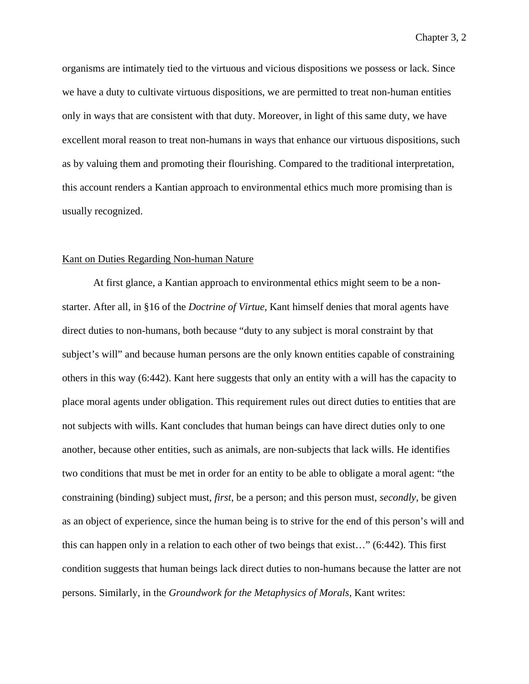organisms are intimately tied to the virtuous and vicious dispositions we possess or lack. Since we have a duty to cultivate virtuous dispositions, we are permitted to treat non-human entities only in ways that are consistent with that duty. Moreover, in light of this same duty, we have excellent moral reason to treat non-humans in ways that enhance our virtuous dispositions, such as by valuing them and promoting their flourishing. Compared to the traditional interpretation, this account renders a Kantian approach to environmental ethics much more promising than is usually recognized.

## Kant on Duties Regarding Non-human Nature

At first glance, a Kantian approach to environmental ethics might seem to be a nonstarter. After all, in §16 of the *Doctrine of Virtue*, Kant himself denies that moral agents have direct duties to non-humans, both because "duty to any subject is moral constraint by that subject's will" and because human persons are the only known entities capable of constraining others in this way (6:442). Kant here suggests that only an entity with a will has the capacity to place moral agents under obligation. This requirement rules out direct duties to entities that are not subjects with wills. Kant concludes that human beings can have direct duties only to one another, because other entities, such as animals, are non-subjects that lack wills. He identifies two conditions that must be met in order for an entity to be able to obligate a moral agent: "the constraining (binding) subject must, *first*, be a person; and this person must, *secondly*, be given as an object of experience, since the human being is to strive for the end of this person's will and this can happen only in a relation to each other of two beings that exist…" (6:442). This first condition suggests that human beings lack direct duties to non-humans because the latter are not persons. Similarly, in the *Groundwork for the Metaphysics of Morals*, Kant writes: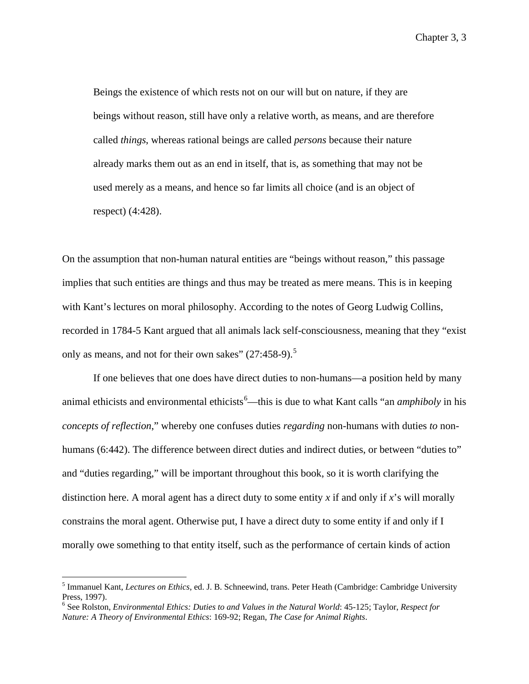Beings the existence of which rests not on our will but on nature, if they are beings without reason, still have only a relative worth, as means, and are therefore called *things*, whereas rational beings are called *persons* because their nature already marks them out as an end in itself, that is, as something that may not be used merely as a means, and hence so far limits all choice (and is an object of respect) (4:428).

On the assumption that non-human natural entities are "beings without reason," this passage implies that such entities are things and thus may be treated as mere means. This is in keeping with Kant's lectures on moral philosophy. According to the notes of Georg Ludwig Collins, recorded in 1784-5 Kant argued that all animals lack self-consciousness, meaning that they "exist only as means, and not for their own sakes"  $(27:458-9)$  $(27:458-9)$  $(27:458-9)$ .<sup>5</sup>

If one believes that one does have direct duties to non-humans—a position held by many animal ethicists and environmental ethicists<sup>[6](#page-92-1)</sup>—this is due to what Kant calls "an *amphiboly* in his *concepts of reflection*," whereby one confuses duties *regarding* non-humans with duties *to* nonhumans (6:442). The difference between direct duties and indirect duties, or between "duties to" and "duties regarding," will be important throughout this book, so it is worth clarifying the distinction here. A moral agent has a direct duty to some entity *x* if and only if *x*'s will morally constrains the moral agent. Otherwise put, I have a direct duty to some entity if and only if I morally owe something to that entity itself, such as the performance of certain kinds of action

<span id="page-92-0"></span> <sup>5</sup> Immanuel Kant, *Lectures on Ethics*, ed. J. B. Schneewind, trans. Peter Heath (Cambridge: Cambridge University Press, 1997).

<span id="page-92-1"></span><sup>6</sup> See Rolston, *Environmental Ethics: Duties to and Values in the Natural World*: 45-125; Taylor, *Respect for Nature: A Theory of Environmental Ethics*: 169-92; Regan, *The Case for Animal Rights*.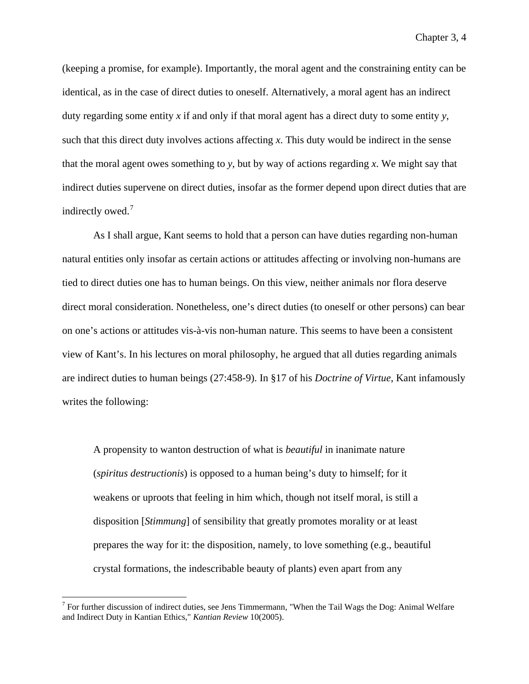(keeping a promise, for example). Importantly, the moral agent and the constraining entity can be identical, as in the case of direct duties to oneself. Alternatively, a moral agent has an indirect duty regarding some entity *x* if and only if that moral agent has a direct duty to some entity *y*, such that this direct duty involves actions affecting *x*. This duty would be indirect in the sense that the moral agent owes something to *y*, but by way of actions regarding *x*. We might say that indirect duties supervene on direct duties, insofar as the former depend upon direct duties that are indirectly owed.<sup>[7](#page-93-0)</sup>

As I shall argue, Kant seems to hold that a person can have duties regarding non-human natural entities only insofar as certain actions or attitudes affecting or involving non-humans are tied to direct duties one has to human beings. On this view, neither animals nor flora deserve direct moral consideration. Nonetheless, one's direct duties (to oneself or other persons) can bear on one's actions or attitudes vis-à-vis non-human nature. This seems to have been a consistent view of Kant's. In his lectures on moral philosophy, he argued that all duties regarding animals are indirect duties to human beings (27:458-9). In §17 of his *Doctrine of Virtue*, Kant infamously writes the following:

A propensity to wanton destruction of what is *beautiful* in inanimate nature (*spiritus destructionis*) is opposed to a human being's duty to himself; for it weakens or uproots that feeling in him which, though not itself moral, is still a disposition [*Stimmung*] of sensibility that greatly promotes morality or at least prepares the way for it: the disposition, namely, to love something (e.g., beautiful crystal formations, the indescribable beauty of plants) even apart from any

<span id="page-93-0"></span> <sup>7</sup> For further discussion of indirect duties, see Jens Timmermann, "When the Tail Wags the Dog: Animal Welfare and Indirect Duty in Kantian Ethics," *Kantian Review* 10(2005).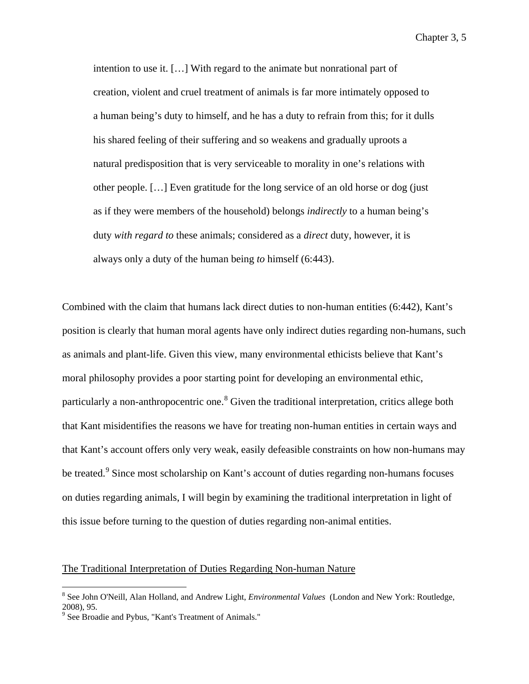intention to use it. […] With regard to the animate but nonrational part of creation, violent and cruel treatment of animals is far more intimately opposed to a human being's duty to himself, and he has a duty to refrain from this; for it dulls his shared feeling of their suffering and so weakens and gradually uproots a natural predisposition that is very serviceable to morality in one's relations with other people. […] Even gratitude for the long service of an old horse or dog (just as if they were members of the household) belongs *indirectly* to a human being's duty *with regard to* these animals; considered as a *direct* duty, however, it is always only a duty of the human being *to* himself (6:443).

Combined with the claim that humans lack direct duties to non-human entities (6:442), Kant's position is clearly that human moral agents have only indirect duties regarding non-humans, such as animals and plant-life. Given this view, many environmental ethicists believe that Kant's moral philosophy provides a poor starting point for developing an environmental ethic, particularly a non-anthropocentric one.<sup>[8](#page-94-0)</sup> Given the traditional interpretation, critics allege both that Kant misidentifies the reasons we have for treating non-human entities in certain ways and that Kant's account offers only very weak, easily defeasible constraints on how non-humans may be treated.<sup>[9](#page-94-1)</sup> Since most scholarship on Kant's account of duties regarding non-humans focuses on duties regarding animals, I will begin by examining the traditional interpretation in light of this issue before turning to the question of duties regarding non-animal entities.

# The Traditional Interpretation of Duties Regarding Non-human Nature

<span id="page-94-0"></span> <sup>8</sup> See John O'Neill, Alan Holland, and Andrew Light, *Environmental Values* (London and New York: Routledge, 2008), 95.

<span id="page-94-1"></span><sup>&</sup>lt;sup>9</sup> See Broadie and Pybus, "Kant's Treatment of Animals."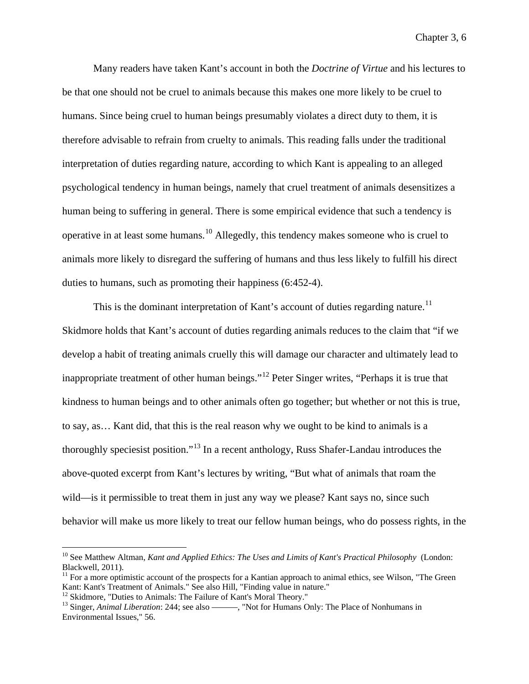Many readers have taken Kant's account in both the *Doctrine of Virtue* and his lectures to be that one should not be cruel to animals because this makes one more likely to be cruel to humans. Since being cruel to human beings presumably violates a direct duty to them, it is therefore advisable to refrain from cruelty to animals. This reading falls under the traditional interpretation of duties regarding nature, according to which Kant is appealing to an alleged psychological tendency in human beings, namely that cruel treatment of animals desensitizes a human being to suffering in general. There is some empirical evidence that such a tendency is operative in at least some humans.[10](#page-95-0) Allegedly, this tendency makes someone who is cruel to animals more likely to disregard the suffering of humans and thus less likely to fulfill his direct duties to humans, such as promoting their happiness (6:452-4).

This is the dominant interpretation of Kant's account of duties regarding nature.<sup>[11](#page-95-1)</sup> Skidmore holds that Kant's account of duties regarding animals reduces to the claim that "if we develop a habit of treating animals cruelly this will damage our character and ultimately lead to inappropriate treatment of other human beings."<sup>[12](#page-95-2)</sup> Peter Singer writes, "Perhaps it is true that kindness to human beings and to other animals often go together; but whether or not this is true, to say, as… Kant did, that this is the real reason why we ought to be kind to animals is a thoroughly speciesist position."[13](#page-95-3) In a recent anthology, Russ Shafer-Landau introduces the above-quoted excerpt from Kant's lectures by writing, "But what of animals that roam the wild—is it permissible to treat them in just any way we please? Kant says no, since such behavior will make us more likely to treat our fellow human beings, who do possess rights, in the

<span id="page-95-0"></span> <sup>10</sup> See Matthew Altman, *Kant and Applied Ethics: The Uses and Limits of Kant's Practical Philosophy* (London: Blackwell, 2011).

<span id="page-95-1"></span><sup>&</sup>lt;sup>11</sup> For a more optimistic account of the prospects for a Kantian approach to animal ethics, see Wilson, "The Green Kant: Kant's Treatment of Animals." See also Hill, "Finding value in nature."

<span id="page-95-3"></span><span id="page-95-2"></span><sup>&</sup>lt;sup>12</sup> Skidmore, "Duties to Animals: The Failure of Kant's Moral Theory."<br><sup>13</sup> Singer, *Animal Liberation*: 244; see also ————, "Not for Humans Only: The Place of Nonhumans in Environmental Issues," 56.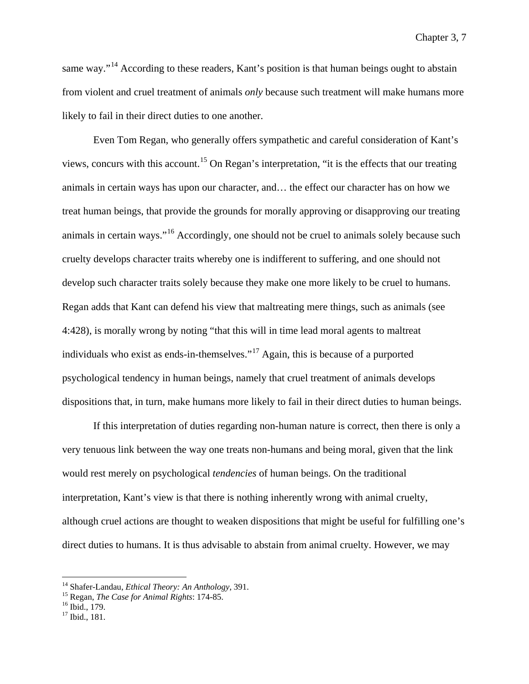same way."<sup>[14](#page-96-0)</sup> According to these readers, Kant's position is that human beings ought to abstain from violent and cruel treatment of animals *only* because such treatment will make humans more likely to fail in their direct duties to one another.

Even Tom Regan, who generally offers sympathetic and careful consideration of Kant's views, concurs with this account.[15](#page-96-1) On Regan's interpretation, "it is the effects that our treating animals in certain ways has upon our character, and… the effect our character has on how we treat human beings, that provide the grounds for morally approving or disapproving our treating animals in certain ways."[16](#page-96-2) Accordingly, one should not be cruel to animals solely because such cruelty develops character traits whereby one is indifferent to suffering, and one should not develop such character traits solely because they make one more likely to be cruel to humans. Regan adds that Kant can defend his view that maltreating mere things, such as animals (see 4:428), is morally wrong by noting "that this will in time lead moral agents to maltreat individuals who exist as ends-in-themselves."[17](#page-96-3) Again, this is because of a purported psychological tendency in human beings, namely that cruel treatment of animals develops dispositions that, in turn, make humans more likely to fail in their direct duties to human beings.

If this interpretation of duties regarding non-human nature is correct, then there is only a very tenuous link between the way one treats non-humans and being moral, given that the link would rest merely on psychological *tendencies* of human beings. On the traditional interpretation, Kant's view is that there is nothing inherently wrong with animal cruelty, although cruel actions are thought to weaken dispositions that might be useful for fulfilling one's direct duties to humans. It is thus advisable to abstain from animal cruelty. However, we may

<span id="page-96-1"></span><span id="page-96-0"></span><sup>&</sup>lt;sup>14</sup> Shafer-Landau, *Ethical Theory: An Anthology*, 391.<br><sup>15</sup> Regan, *The Case for Animal Rights*: 174-85.<br><sup>16</sup> Ibid., 179.<br><sup>17</sup> Ibid., 181.

<span id="page-96-2"></span>

<span id="page-96-3"></span>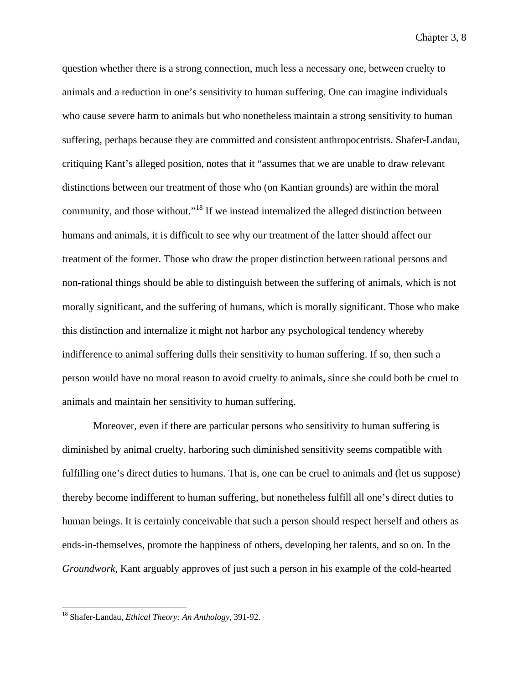question whether there is a strong connection, much less a necessary one, between cruelty to animals and a reduction in one's sensitivity to human suffering. One can imagine individuals who cause severe harm to animals but who nonetheless maintain a strong sensitivity to human suffering, perhaps because they are committed and consistent anthropocentrists. Shafer-Landau, critiquing Kant's alleged position, notes that it "assumes that we are unable to draw relevant distinctions between our treatment of those who (on Kantian grounds) are within the moral community, and those without."[18](#page-97-0) If we instead internalized the alleged distinction between humans and animals, it is difficult to see why our treatment of the latter should affect our treatment of the former. Those who draw the proper distinction between rational persons and non-rational things should be able to distinguish between the suffering of animals, which is not morally significant, and the suffering of humans, which is morally significant. Those who make this distinction and internalize it might not harbor any psychological tendency whereby indifference to animal suffering dulls their sensitivity to human suffering. If so, then such a person would have no moral reason to avoid cruelty to animals, since she could both be cruel to animals and maintain her sensitivity to human suffering.

Moreover, even if there are particular persons who sensitivity to human suffering is diminished by animal cruelty, harboring such diminished sensitivity seems compatible with fulfilling one's direct duties to humans. That is, one can be cruel to animals and (let us suppose) thereby become indifferent to human suffering, but nonetheless fulfill all one's direct duties to human beings. It is certainly conceivable that such a person should respect herself and others as ends-in-themselves, promote the happiness of others, developing her talents, and so on. In the *Groundwork*, Kant arguably approves of just such a person in his example of the cold-hearted

<span id="page-97-0"></span> <sup>18</sup> Shafer-Landau, *Ethical Theory: An Anthology*, 391-92.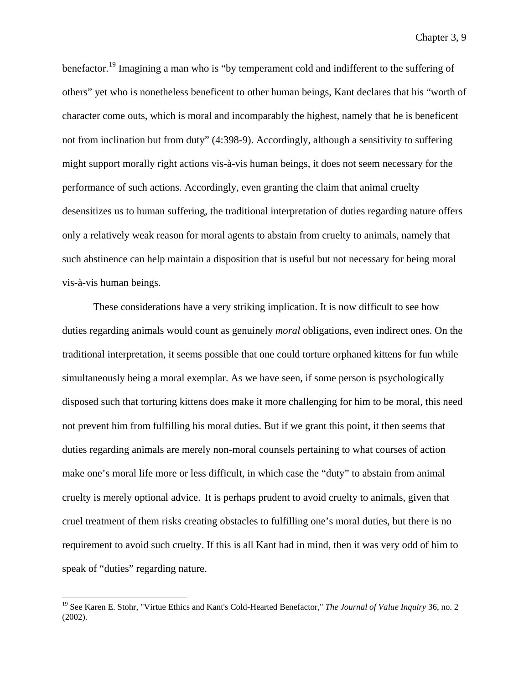benefactor.<sup>[19](#page-98-0)</sup> Imagining a man who is "by temperament cold and indifferent to the suffering of others" yet who is nonetheless beneficent to other human beings, Kant declares that his "worth of character come outs, which is moral and incomparably the highest, namely that he is beneficent not from inclination but from duty" (4:398-9). Accordingly, although a sensitivity to suffering might support morally right actions vis-à-vis human beings, it does not seem necessary for the performance of such actions. Accordingly, even granting the claim that animal cruelty desensitizes us to human suffering, the traditional interpretation of duties regarding nature offers only a relatively weak reason for moral agents to abstain from cruelty to animals, namely that such abstinence can help maintain a disposition that is useful but not necessary for being moral vis-à-vis human beings.

These considerations have a very striking implication. It is now difficult to see how duties regarding animals would count as genuinely *moral* obligations, even indirect ones. On the traditional interpretation, it seems possible that one could torture orphaned kittens for fun while simultaneously being a moral exemplar. As we have seen, if some person is psychologically disposed such that torturing kittens does make it more challenging for him to be moral, this need not prevent him from fulfilling his moral duties. But if we grant this point, it then seems that duties regarding animals are merely non-moral counsels pertaining to what courses of action make one's moral life more or less difficult, in which case the "duty" to abstain from animal cruelty is merely optional advice. It is perhaps prudent to avoid cruelty to animals, given that cruel treatment of them risks creating obstacles to fulfilling one's moral duties, but there is no requirement to avoid such cruelty. If this is all Kant had in mind, then it was very odd of him to speak of "duties" regarding nature.

<span id="page-98-0"></span> <sup>19</sup> See Karen E. Stohr, "Virtue Ethics and Kant's Cold-Hearted Benefactor," *The Journal of Value Inquiry* 36, no. 2 (2002).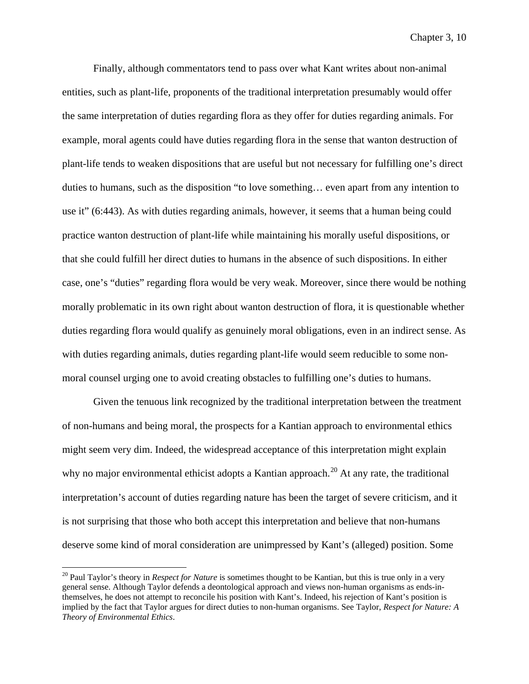Finally, although commentators tend to pass over what Kant writes about non-animal entities, such as plant-life, proponents of the traditional interpretation presumably would offer the same interpretation of duties regarding flora as they offer for duties regarding animals. For example, moral agents could have duties regarding flora in the sense that wanton destruction of plant-life tends to weaken dispositions that are useful but not necessary for fulfilling one's direct duties to humans, such as the disposition "to love something… even apart from any intention to use it" (6:443). As with duties regarding animals, however, it seems that a human being could practice wanton destruction of plant-life while maintaining his morally useful dispositions, or that she could fulfill her direct duties to humans in the absence of such dispositions. In either case, one's "duties" regarding flora would be very weak. Moreover, since there would be nothing morally problematic in its own right about wanton destruction of flora, it is questionable whether duties regarding flora would qualify as genuinely moral obligations, even in an indirect sense. As with duties regarding animals, duties regarding plant-life would seem reducible to some nonmoral counsel urging one to avoid creating obstacles to fulfilling one's duties to humans.

Given the tenuous link recognized by the traditional interpretation between the treatment of non-humans and being moral, the prospects for a Kantian approach to environmental ethics might seem very dim. Indeed, the widespread acceptance of this interpretation might explain why no major environmental ethicist adopts a Kantian approach.<sup>[20](#page-99-0)</sup> At any rate, the traditional interpretation's account of duties regarding nature has been the target of severe criticism, and it is not surprising that those who both accept this interpretation and believe that non-humans deserve some kind of moral consideration are unimpressed by Kant's (alleged) position. Some

<span id="page-99-0"></span><sup>&</sup>lt;sup>20</sup> Paul Taylor's theory in *Respect for Nature* is sometimes thought to be Kantian, but this is true only in a very general sense. Although Taylor defends a deontological approach and views non-human organisms as ends-inthemselves, he does not attempt to reconcile his position with Kant's. Indeed, his rejection of Kant's position is implied by the fact that Taylor argues for direct duties to non-human organisms. See Taylor, *Respect for Nature: A Theory of Environmental Ethics*.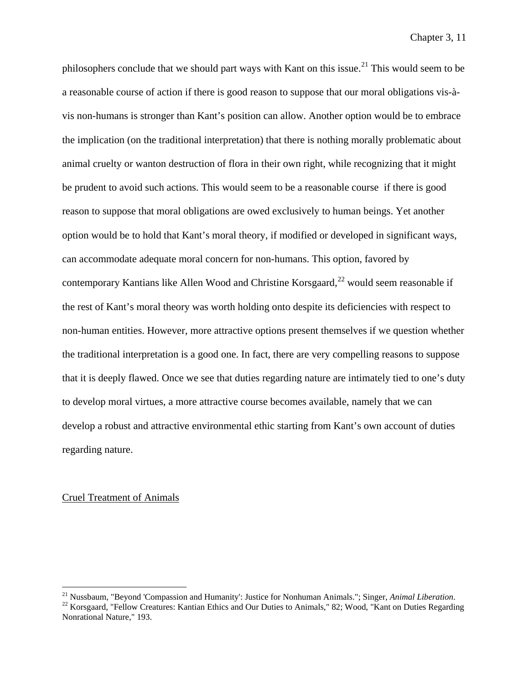philosophers conclude that we should part ways with Kant on this issue.<sup>[21](#page-100-0)</sup> This would seem to be a reasonable course of action if there is good reason to suppose that our moral obligations vis-àvis non-humans is stronger than Kant's position can allow. Another option would be to embrace the implication (on the traditional interpretation) that there is nothing morally problematic about animal cruelty or wanton destruction of flora in their own right, while recognizing that it might be prudent to avoid such actions. This would seem to be a reasonable course if there is good reason to suppose that moral obligations are owed exclusively to human beings. Yet another option would be to hold that Kant's moral theory, if modified or developed in significant ways, can accommodate adequate moral concern for non-humans. This option, favored by contemporary Kantians like Allen Wood and Christine Korsgaard, $^{22}$  $^{22}$  $^{22}$  would seem reasonable if the rest of Kant's moral theory was worth holding onto despite its deficiencies with respect to non-human entities. However, more attractive options present themselves if we question whether the traditional interpretation is a good one. In fact, there are very compelling reasons to suppose that it is deeply flawed. Once we see that duties regarding nature are intimately tied to one's duty to develop moral virtues, a more attractive course becomes available, namely that we can develop a robust and attractive environmental ethic starting from Kant's own account of duties regarding nature.

#### Cruel Treatment of Animals

<span id="page-100-1"></span><span id="page-100-0"></span><sup>&</sup>lt;sup>21</sup> Nussbaum, "Beyond 'Compassion and Humanity': Justice for Nonhuman Animals."; Singer, *Animal Liberation*.<br><sup>22</sup> Korsgaard, "Fellow Creatures: Kantian Ethics and Our Duties to Animals," 82; Wood, "Kant on Duties Regard Nonrational Nature," 193.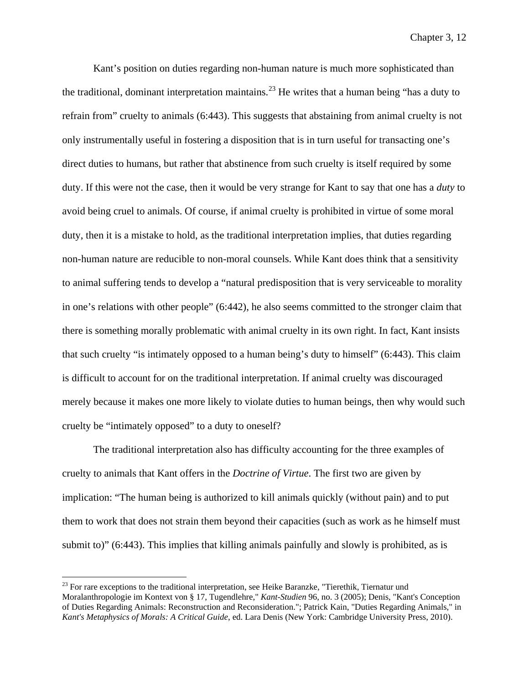Kant's position on duties regarding non-human nature is much more sophisticated than the traditional, dominant interpretation maintains.<sup>[23](#page-101-0)</sup> He writes that a human being "has a duty to refrain from" cruelty to animals (6:443). This suggests that abstaining from animal cruelty is not only instrumentally useful in fostering a disposition that is in turn useful for transacting one's direct duties to humans, but rather that abstinence from such cruelty is itself required by some duty. If this were not the case, then it would be very strange for Kant to say that one has a *duty* to avoid being cruel to animals. Of course, if animal cruelty is prohibited in virtue of some moral duty, then it is a mistake to hold, as the traditional interpretation implies, that duties regarding non-human nature are reducible to non-moral counsels. While Kant does think that a sensitivity to animal suffering tends to develop a "natural predisposition that is very serviceable to morality in one's relations with other people" (6:442), he also seems committed to the stronger claim that there is something morally problematic with animal cruelty in its own right. In fact, Kant insists that such cruelty "is intimately opposed to a human being's duty to himself" (6:443). This claim is difficult to account for on the traditional interpretation. If animal cruelty was discouraged merely because it makes one more likely to violate duties to human beings, then why would such cruelty be "intimately opposed" to a duty to oneself?

The traditional interpretation also has difficulty accounting for the three examples of cruelty to animals that Kant offers in the *Doctrine of Virtue*. The first two are given by implication: "The human being is authorized to kill animals quickly (without pain) and to put them to work that does not strain them beyond their capacities (such as work as he himself must submit to)" (6:443). This implies that killing animals painfully and slowly is prohibited, as is

<span id="page-101-0"></span> $23$  For rare exceptions to the traditional interpretation, see Heike Baranzke, "Tierethik, Tiernatur und Moralanthropologie im Kontext von § 17, Tugendlehre," *Kant-Studien* 96, no. 3 (2005); Denis, "Kant's Conception of Duties Regarding Animals: Reconstruction and Reconsideration."; Patrick Kain, "Duties Regarding Animals," in *Kant's Metaphysics of Morals: A Critical Guide*, ed. Lara Denis (New York: Cambridge University Press, 2010).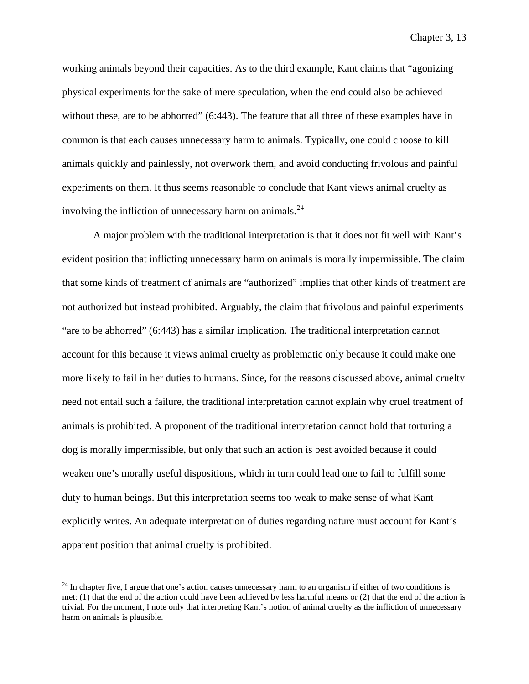working animals beyond their capacities. As to the third example, Kant claims that "agonizing physical experiments for the sake of mere speculation, when the end could also be achieved without these, are to be abhorred" (6:443). The feature that all three of these examples have in common is that each causes unnecessary harm to animals. Typically, one could choose to kill animals quickly and painlessly, not overwork them, and avoid conducting frivolous and painful experiments on them. It thus seems reasonable to conclude that Kant views animal cruelty as involving the infliction of unnecessary harm on animals.<sup>[24](#page-102-0)</sup>

A major problem with the traditional interpretation is that it does not fit well with Kant's evident position that inflicting unnecessary harm on animals is morally impermissible. The claim that some kinds of treatment of animals are "authorized" implies that other kinds of treatment are not authorized but instead prohibited. Arguably, the claim that frivolous and painful experiments "are to be abhorred" (6:443) has a similar implication. The traditional interpretation cannot account for this because it views animal cruelty as problematic only because it could make one more likely to fail in her duties to humans. Since, for the reasons discussed above, animal cruelty need not entail such a failure, the traditional interpretation cannot explain why cruel treatment of animals is prohibited. A proponent of the traditional interpretation cannot hold that torturing a dog is morally impermissible, but only that such an action is best avoided because it could weaken one's morally useful dispositions, which in turn could lead one to fail to fulfill some duty to human beings. But this interpretation seems too weak to make sense of what Kant explicitly writes. An adequate interpretation of duties regarding nature must account for Kant's apparent position that animal cruelty is prohibited.

<span id="page-102-0"></span> $^{24}$  In chapter five, I argue that one's action causes unnecessary harm to an organism if either of two conditions is met: (1) that the end of the action could have been achieved by less harmful means or (2) that the end of the action is trivial. For the moment, I note only that interpreting Kant's notion of animal cruelty as the infliction of unnecessary harm on animals is plausible.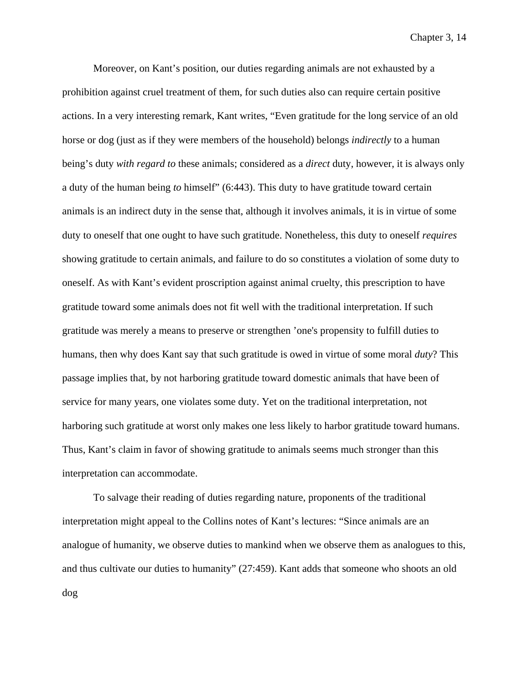Moreover, on Kant's position, our duties regarding animals are not exhausted by a prohibition against cruel treatment of them, for such duties also can require certain positive actions. In a very interesting remark, Kant writes, "Even gratitude for the long service of an old horse or dog (just as if they were members of the household) belongs *indirectly* to a human being's duty *with regard to* these animals; considered as a *direct* duty, however, it is always only a duty of the human being *to* himself" (6:443). This duty to have gratitude toward certain animals is an indirect duty in the sense that, although it involves animals, it is in virtue of some duty to oneself that one ought to have such gratitude. Nonetheless, this duty to oneself *requires* showing gratitude to certain animals, and failure to do so constitutes a violation of some duty to oneself. As with Kant's evident proscription against animal cruelty, this prescription to have gratitude toward some animals does not fit well with the traditional interpretation. If such gratitude was merely a means to preserve or strengthen 'one's propensity to fulfill duties to humans, then why does Kant say that such gratitude is owed in virtue of some moral *duty*? This passage implies that, by not harboring gratitude toward domestic animals that have been of service for many years, one violates some duty. Yet on the traditional interpretation, not harboring such gratitude at worst only makes one less likely to harbor gratitude toward humans. Thus, Kant's claim in favor of showing gratitude to animals seems much stronger than this interpretation can accommodate.

To salvage their reading of duties regarding nature, proponents of the traditional interpretation might appeal to the Collins notes of Kant's lectures: "Since animals are an analogue of humanity, we observe duties to mankind when we observe them as analogues to this, and thus cultivate our duties to humanity" (27:459). Kant adds that someone who shoots an old dog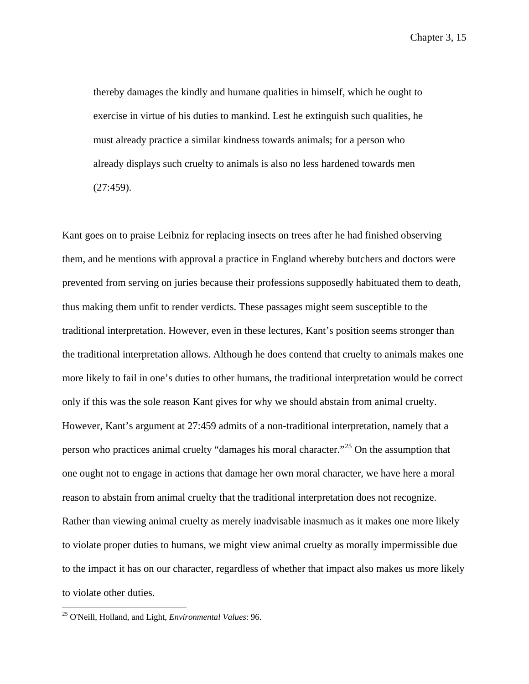thereby damages the kindly and humane qualities in himself, which he ought to exercise in virtue of his duties to mankind. Lest he extinguish such qualities, he must already practice a similar kindness towards animals; for a person who already displays such cruelty to animals is also no less hardened towards men (27:459).

Kant goes on to praise Leibniz for replacing insects on trees after he had finished observing them, and he mentions with approval a practice in England whereby butchers and doctors were prevented from serving on juries because their professions supposedly habituated them to death, thus making them unfit to render verdicts. These passages might seem susceptible to the traditional interpretation. However, even in these lectures, Kant's position seems stronger than the traditional interpretation allows. Although he does contend that cruelty to animals makes one more likely to fail in one's duties to other humans, the traditional interpretation would be correct only if this was the sole reason Kant gives for why we should abstain from animal cruelty. However, Kant's argument at 27:459 admits of a non-traditional interpretation, namely that a person who practices animal cruelty "damages his moral character."[25](#page-104-0) On the assumption that one ought not to engage in actions that damage her own moral character, we have here a moral reason to abstain from animal cruelty that the traditional interpretation does not recognize. Rather than viewing animal cruelty as merely inadvisable inasmuch as it makes one more likely to violate proper duties to humans, we might view animal cruelty as morally impermissible due to the impact it has on our character, regardless of whether that impact also makes us more likely to violate other duties.

<span id="page-104-0"></span> <sup>25</sup> O'Neill, Holland, and Light, *Environmental Values*: 96.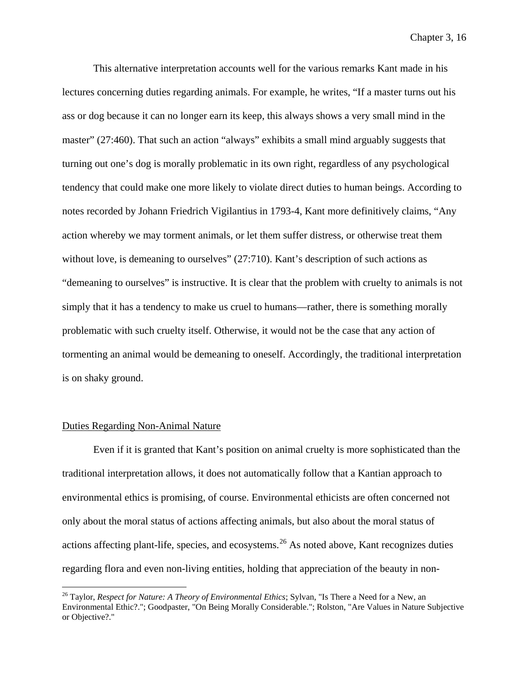This alternative interpretation accounts well for the various remarks Kant made in his lectures concerning duties regarding animals. For example, he writes, "If a master turns out his ass or dog because it can no longer earn its keep, this always shows a very small mind in the master" (27:460). That such an action "always" exhibits a small mind arguably suggests that turning out one's dog is morally problematic in its own right, regardless of any psychological tendency that could make one more likely to violate direct duties to human beings. According to notes recorded by Johann Friedrich Vigilantius in 1793-4, Kant more definitively claims, "Any action whereby we may torment animals, or let them suffer distress, or otherwise treat them without love, is demeaning to ourselves" (27:710). Kant's description of such actions as "demeaning to ourselves" is instructive. It is clear that the problem with cruelty to animals is not simply that it has a tendency to make us cruel to humans—rather, there is something morally problematic with such cruelty itself. Otherwise, it would not be the case that any action of tormenting an animal would be demeaning to oneself. Accordingly, the traditional interpretation is on shaky ground.

## Duties Regarding Non-Animal Nature

Even if it is granted that Kant's position on animal cruelty is more sophisticated than the traditional interpretation allows, it does not automatically follow that a Kantian approach to environmental ethics is promising, of course. Environmental ethicists are often concerned not only about the moral status of actions affecting animals, but also about the moral status of actions affecting plant-life, species, and ecosystems.<sup>[26](#page-105-0)</sup> As noted above, Kant recognizes duties regarding flora and even non-living entities, holding that appreciation of the beauty in non-

<span id="page-105-0"></span> <sup>26</sup> Taylor, *Respect for Nature: A Theory of Environmental Ethics*; Sylvan, "Is There a Need for a New, an Environmental Ethic?."; Goodpaster, "On Being Morally Considerable."; Rolston, "Are Values in Nature Subjective or Objective?."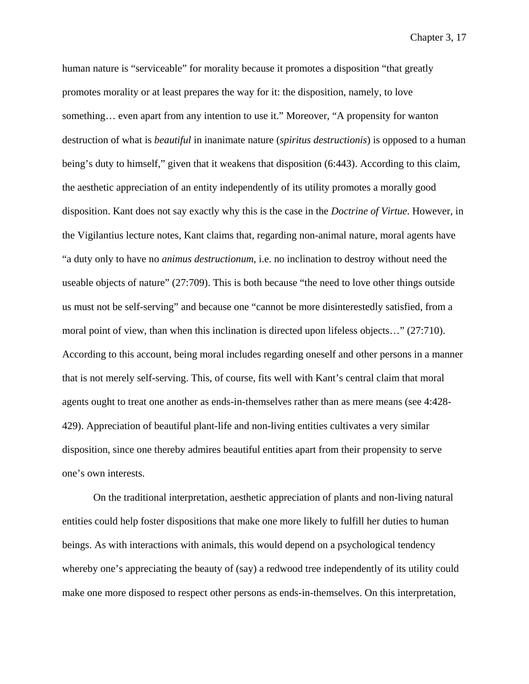human nature is "serviceable" for morality because it promotes a disposition "that greatly promotes morality or at least prepares the way for it: the disposition, namely, to love something… even apart from any intention to use it." Moreover, "A propensity for wanton destruction of what is *beautiful* in inanimate nature (*spiritus destructionis*) is opposed to a human being's duty to himself," given that it weakens that disposition (6:443). According to this claim, the aesthetic appreciation of an entity independently of its utility promotes a morally good disposition. Kant does not say exactly why this is the case in the *Doctrine of Virtue*. However, in the Vigilantius lecture notes, Kant claims that, regarding non-animal nature, moral agents have "a duty only to have no *animus destructionum*, i.e. no inclination to destroy without need the useable objects of nature" (27:709). This is both because "the need to love other things outside us must not be self-serving" and because one "cannot be more disinterestedly satisfied, from a moral point of view, than when this inclination is directed upon lifeless objects…" (27:710). According to this account, being moral includes regarding oneself and other persons in a manner that is not merely self-serving. This, of course, fits well with Kant's central claim that moral agents ought to treat one another as ends-in-themselves rather than as mere means (see 4:428- 429). Appreciation of beautiful plant-life and non-living entities cultivates a very similar disposition, since one thereby admires beautiful entities apart from their propensity to serve one's own interests.

On the traditional interpretation, aesthetic appreciation of plants and non-living natural entities could help foster dispositions that make one more likely to fulfill her duties to human beings. As with interactions with animals, this would depend on a psychological tendency whereby one's appreciating the beauty of (say) a redwood tree independently of its utility could make one more disposed to respect other persons as ends-in-themselves. On this interpretation,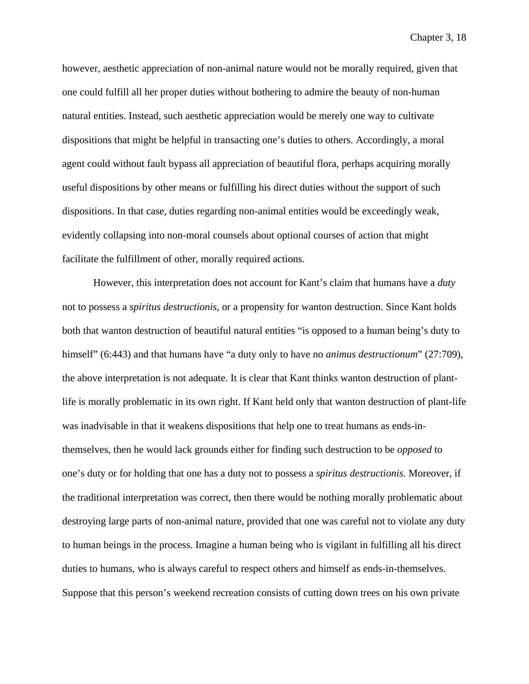however, aesthetic appreciation of non-animal nature would not be morally required, given that one could fulfill all her proper duties without bothering to admire the beauty of non-human natural entities. Instead, such aesthetic appreciation would be merely one way to cultivate dispositions that might be helpful in transacting one's duties to others. Accordingly, a moral agent could without fault bypass all appreciation of beautiful flora, perhaps acquiring morally useful dispositions by other means or fulfilling his direct duties without the support of such dispositions. In that case, duties regarding non-animal entities would be exceedingly weak, evidently collapsing into non-moral counsels about optional courses of action that might facilitate the fulfillment of other, morally required actions.

However, this interpretation does not account for Kant's claim that humans have a *duty* not to possess a *spiritus destructionis*, or a propensity for wanton destruction. Since Kant holds both that wanton destruction of beautiful natural entities "is opposed to a human being's duty to himself" (6:443) and that humans have "a duty only to have no *animus destructionum*" (27:709), the above interpretation is not adequate. It is clear that Kant thinks wanton destruction of plantlife is morally problematic in its own right. If Kant held only that wanton destruction of plant-life was inadvisable in that it weakens dispositions that help one to treat humans as ends-inthemselves, then he would lack grounds either for finding such destruction to be *opposed* to one's duty or for holding that one has a duty not to possess a *spiritus destructionis*. Moreover, if the traditional interpretation was correct, then there would be nothing morally problematic about destroying large parts of non-animal nature, provided that one was careful not to violate any duty to human beings in the process. Imagine a human being who is vigilant in fulfilling all his direct duties to humans, who is always careful to respect others and himself as ends-in-themselves. Suppose that this person's weekend recreation consists of cutting down trees on his own private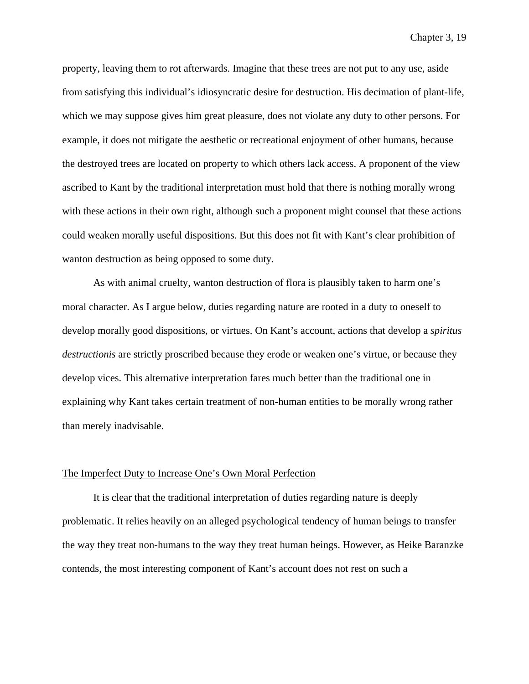property, leaving them to rot afterwards. Imagine that these trees are not put to any use, aside from satisfying this individual's idiosyncratic desire for destruction. His decimation of plant-life, which we may suppose gives him great pleasure, does not violate any duty to other persons. For example, it does not mitigate the aesthetic or recreational enjoyment of other humans, because the destroyed trees are located on property to which others lack access. A proponent of the view ascribed to Kant by the traditional interpretation must hold that there is nothing morally wrong with these actions in their own right, although such a proponent might counsel that these actions could weaken morally useful dispositions. But this does not fit with Kant's clear prohibition of wanton destruction as being opposed to some duty.

As with animal cruelty, wanton destruction of flora is plausibly taken to harm one's moral character. As I argue below, duties regarding nature are rooted in a duty to oneself to develop morally good dispositions, or virtues. On Kant's account, actions that develop a *spiritus destructionis* are strictly proscribed because they erode or weaken one's virtue, or because they develop vices. This alternative interpretation fares much better than the traditional one in explaining why Kant takes certain treatment of non-human entities to be morally wrong rather than merely inadvisable.

## The Imperfect Duty to Increase One's Own Moral Perfection

It is clear that the traditional interpretation of duties regarding nature is deeply problematic. It relies heavily on an alleged psychological tendency of human beings to transfer the way they treat non-humans to the way they treat human beings. However, as Heike Baranzke contends, the most interesting component of Kant's account does not rest on such a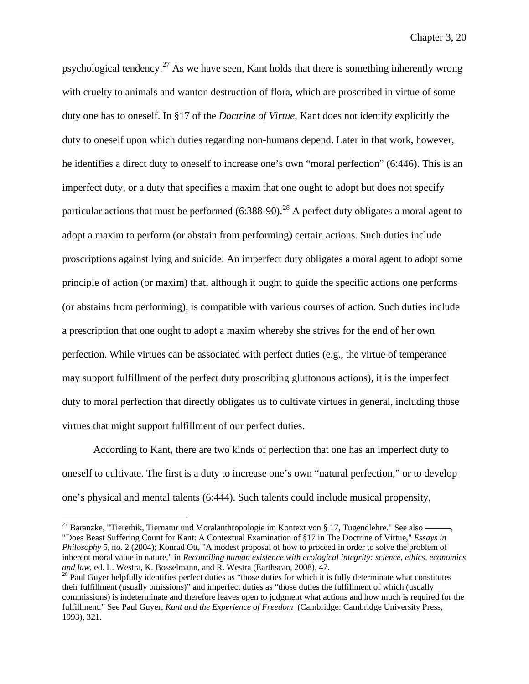psychological tendency.<sup>[27](#page-109-0)</sup> As we have seen, Kant holds that there is something inherently wrong with cruelty to animals and wanton destruction of flora, which are proscribed in virtue of some duty one has to oneself. In §17 of the *Doctrine of Virtue*, Kant does not identify explicitly the duty to oneself upon which duties regarding non-humans depend. Later in that work, however, he identifies a direct duty to oneself to increase one's own "moral perfection" (6:446). This is an imperfect duty, or a duty that specifies a maxim that one ought to adopt but does not specify particular actions that must be performed  $(6:388-90)$ <sup>[28](#page-109-1)</sup> A perfect duty obligates a moral agent to adopt a maxim to perform (or abstain from performing) certain actions. Such duties include proscriptions against lying and suicide. An imperfect duty obligates a moral agent to adopt some principle of action (or maxim) that, although it ought to guide the specific actions one performs (or abstains from performing), is compatible with various courses of action. Such duties include a prescription that one ought to adopt a maxim whereby she strives for the end of her own perfection. While virtues can be associated with perfect duties (e.g., the virtue of temperance may support fulfillment of the perfect duty proscribing gluttonous actions), it is the imperfect duty to moral perfection that directly obligates us to cultivate virtues in general, including those virtues that might support fulfillment of our perfect duties.

According to Kant, there are two kinds of perfection that one has an imperfect duty to oneself to cultivate. The first is a duty to increase one's own "natural perfection," or to develop one's physical and mental talents (6:444). Such talents could include musical propensity,

<span id="page-109-0"></span> $27$  Baranzke, "Tierethik, Tiernatur und Moralanthropologie im Kontext von § 17, Tugendlehre." See also -"Does Beast Suffering Count for Kant: A Contextual Examination of §17 in The Doctrine of Virtue," *Essays in Philosophy* 5, no. 2 (2004); Konrad Ott, "A modest proposal of how to proceed in order to solve the problem of inherent moral value in nature," in *Reconciling human existence with ecological integrity: science, ethics, economics and law, ed. L. Westra, K. Bosselmann, and R. Westra (Earthscan, 2008), 47.* 

<span id="page-109-1"></span><sup>&</sup>lt;sup>28</sup> Paul Guyer helpfully identifies perfect duties as "those duties for which it is fully determinate what constitutes their fulfillment (usually omissions)" and imperfect duties as "those duties the fulfillment of which (usually commissions) is indeterminate and therefore leaves open to judgment what actions and how much is required for the fulfillment." See Paul Guyer, *Kant and the Experience of Freedom* (Cambridge: Cambridge University Press, 1993), 321.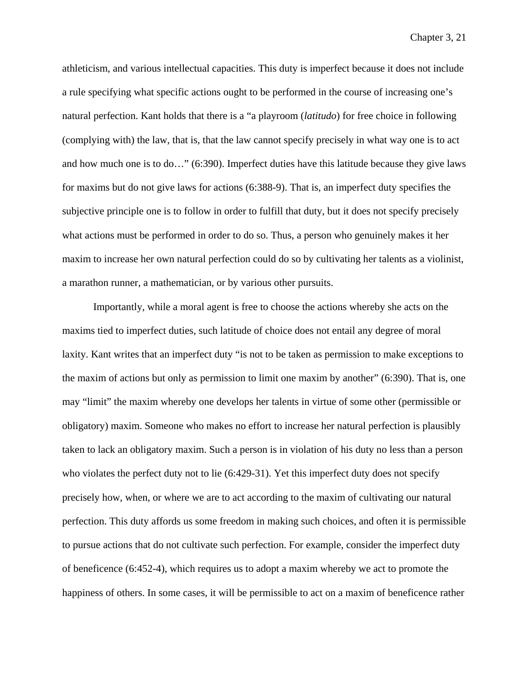athleticism, and various intellectual capacities. This duty is imperfect because it does not include a rule specifying what specific actions ought to be performed in the course of increasing one's natural perfection. Kant holds that there is a "a playroom (*latitudo*) for free choice in following (complying with) the law, that is, that the law cannot specify precisely in what way one is to act and how much one is to do…" (6:390). Imperfect duties have this latitude because they give laws for maxims but do not give laws for actions (6:388-9). That is, an imperfect duty specifies the subjective principle one is to follow in order to fulfill that duty, but it does not specify precisely what actions must be performed in order to do so. Thus, a person who genuinely makes it her maxim to increase her own natural perfection could do so by cultivating her talents as a violinist, a marathon runner, a mathematician, or by various other pursuits.

Importantly, while a moral agent is free to choose the actions whereby she acts on the maxims tied to imperfect duties, such latitude of choice does not entail any degree of moral laxity. Kant writes that an imperfect duty "is not to be taken as permission to make exceptions to the maxim of actions but only as permission to limit one maxim by another" (6:390). That is, one may "limit" the maxim whereby one develops her talents in virtue of some other (permissible or obligatory) maxim. Someone who makes no effort to increase her natural perfection is plausibly taken to lack an obligatory maxim. Such a person is in violation of his duty no less than a person who violates the perfect duty not to lie (6:429-31). Yet this imperfect duty does not specify precisely how, when, or where we are to act according to the maxim of cultivating our natural perfection. This duty affords us some freedom in making such choices, and often it is permissible to pursue actions that do not cultivate such perfection. For example, consider the imperfect duty of beneficence (6:452-4), which requires us to adopt a maxim whereby we act to promote the happiness of others. In some cases, it will be permissible to act on a maxim of beneficence rather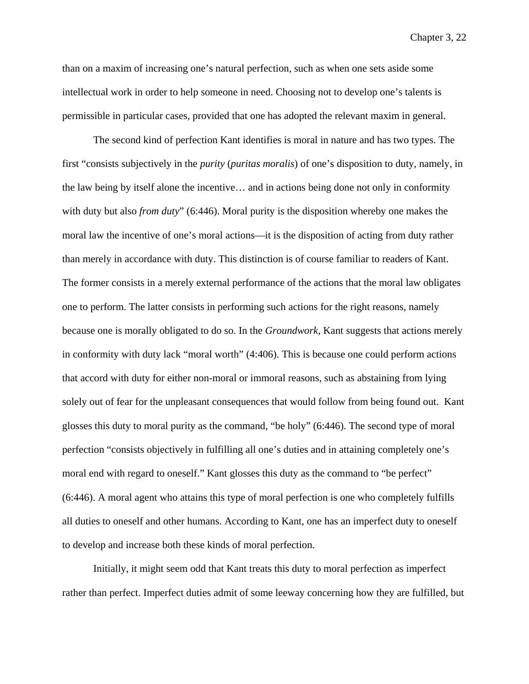than on a maxim of increasing one's natural perfection, such as when one sets aside some intellectual work in order to help someone in need. Choosing not to develop one's talents is permissible in particular cases, provided that one has adopted the relevant maxim in general.

The second kind of perfection Kant identifies is moral in nature and has two types. The first "consists subjectively in the *purity* (*puritas moralis*) of one's disposition to duty, namely, in the law being by itself alone the incentive… and in actions being done not only in conformity with duty but also *from duty*" (6:446). Moral purity is the disposition whereby one makes the moral law the incentive of one's moral actions—it is the disposition of acting from duty rather than merely in accordance with duty. This distinction is of course familiar to readers of Kant. The former consists in a merely external performance of the actions that the moral law obligates one to perform. The latter consists in performing such actions for the right reasons, namely because one is morally obligated to do so. In the *Groundwork*, Kant suggests that actions merely in conformity with duty lack "moral worth" (4:406). This is because one could perform actions that accord with duty for either non-moral or immoral reasons, such as abstaining from lying solely out of fear for the unpleasant consequences that would follow from being found out. Kant glosses this duty to moral purity as the command, "be holy" (6:446). The second type of moral perfection "consists objectively in fulfilling all one's duties and in attaining completely one's moral end with regard to oneself." Kant glosses this duty as the command to "be perfect" (6:446). A moral agent who attains this type of moral perfection is one who completely fulfills all duties to oneself and other humans. According to Kant, one has an imperfect duty to oneself to develop and increase both these kinds of moral perfection.

Initially, it might seem odd that Kant treats this duty to moral perfection as imperfect rather than perfect. Imperfect duties admit of some leeway concerning how they are fulfilled, but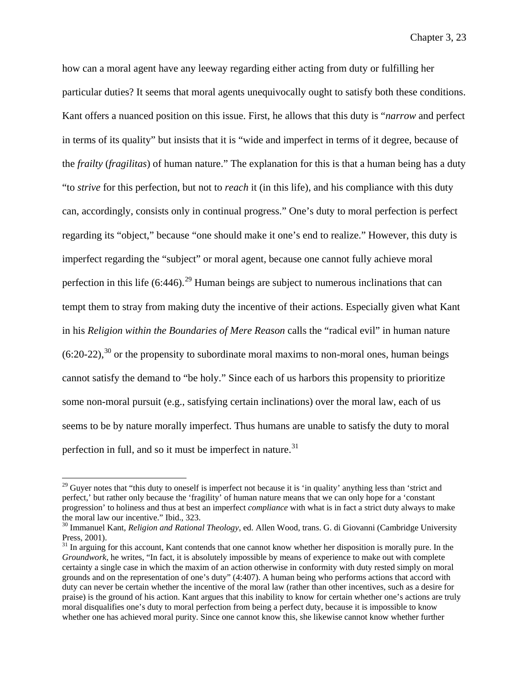how can a moral agent have any leeway regarding either acting from duty or fulfilling her particular duties? It seems that moral agents unequivocally ought to satisfy both these conditions. Kant offers a nuanced position on this issue. First, he allows that this duty is "*narrow* and perfect in terms of its quality" but insists that it is "wide and imperfect in terms of it degree, because of the *frailty* (*fragilitas*) of human nature." The explanation for this is that a human being has a duty "to *strive* for this perfection, but not to *reach* it (in this life), and his compliance with this duty can, accordingly, consists only in continual progress." One's duty to moral perfection is perfect regarding its "object," because "one should make it one's end to realize." However, this duty is imperfect regarding the "subject" or moral agent, because one cannot fully achieve moral perfection in this life  $(6:446)$ <sup>[29](#page-112-0)</sup> Human beings are subject to numerous inclinations that can tempt them to stray from making duty the incentive of their actions. Especially given what Kant in his *Religion within the Boundaries of Mere Reason* calls the "radical evil" in human nature  $(6:20-22)$ ,<sup>[30](#page-112-1)</sup> or the propensity to subordinate moral maxims to non-moral ones, human beings cannot satisfy the demand to "be holy." Since each of us harbors this propensity to prioritize some non-moral pursuit (e.g., satisfying certain inclinations) over the moral law, each of us seems to be by nature morally imperfect. Thus humans are unable to satisfy the duty to moral perfection in full, and so it must be imperfect in nature. $31$ 

<span id="page-112-0"></span><sup>&</sup>lt;sup>29</sup> Guyer notes that "this duty to oneself is imperfect not because it is 'in quality' anything less than 'strict and perfect,' but rather only because the 'fragility' of human nature means that we can only hope for a 'constant progression' to holiness and thus at best an imperfect *compliance* with what is in fact a strict duty always to make the moral law our incentive." Ibid., 323.<br><sup>30</sup> Immanuel Kant, *Religion and Rational Theology*, ed. Allen Wood, trans. G. di Giovanni (Cambridge University

<span id="page-112-1"></span>Press, 2001).

<span id="page-112-2"></span> $31$  In arguing for this account, Kant contends that one cannot know whether her disposition is morally pure. In the *Groundwork*, he writes, "In fact, it is absolutely impossible by means of experience to make out with complete certainty a single case in which the maxim of an action otherwise in conformity with duty rested simply on moral grounds and on the representation of one's duty" (4:407). A human being who performs actions that accord with duty can never be certain whether the incentive of the moral law (rather than other incentives, such as a desire for praise) is the ground of his action. Kant argues that this inability to know for certain whether one's actions are truly moral disqualifies one's duty to moral perfection from being a perfect duty, because it is impossible to know whether one has achieved moral purity. Since one cannot know this, she likewise cannot know whether further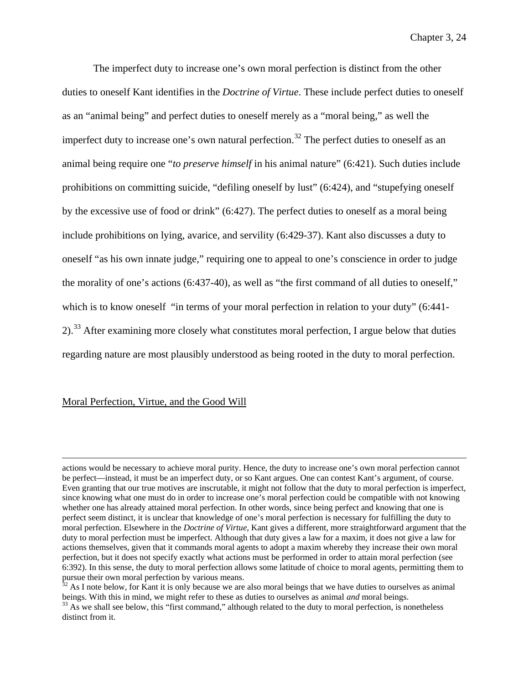The imperfect duty to increase one's own moral perfection is distinct from the other duties to oneself Kant identifies in the *Doctrine of Virtue*. These include perfect duties to oneself as an "animal being" and perfect duties to oneself merely as a "moral being," as well the imperfect duty to increase one's own natural perfection.<sup>[32](#page-113-0)</sup> The perfect duties to oneself as an animal being require one "*to preserve himself* in his animal nature" (6:421). Such duties include prohibitions on committing suicide, "defiling oneself by lust" (6:424), and "stupefying oneself by the excessive use of food or drink" (6:427). The perfect duties to oneself as a moral being include prohibitions on lying, avarice, and servility (6:429-37). Kant also discusses a duty to oneself "as his own innate judge," requiring one to appeal to one's conscience in order to judge the morality of one's actions (6:437-40), as well as "the first command of all duties to oneself," which is to know oneself "in terms of your moral perfection in relation to your duty" (6:441-  $2$ ).<sup>[33](#page-113-1)</sup> After examining more closely what constitutes moral perfection, I argue below that duties regarding nature are most plausibly understood as being rooted in the duty to moral perfection.

### Moral Perfection, Virtue, and the Good Will

actions would be necessary to achieve moral purity. Hence, the duty to increase one's own moral perfection cannot be perfect—instead, it must be an imperfect duty, or so Kant argues. One can contest Kant's argument, of course. Even granting that our true motives are inscrutable, it might not follow that the duty to moral perfection is imperfect, since knowing what one must do in order to increase one's moral perfection could be compatible with not knowing whether one has already attained moral perfection. In other words, since being perfect and knowing that one is perfect seem distinct, it is unclear that knowledge of one's moral perfection is necessary for fulfilling the duty to moral perfection. Elsewhere in the *Doctrine of Virtue*, Kant gives a different, more straightforward argument that the duty to moral perfection must be imperfect. Although that duty gives a law for a maxim, it does not give a law for actions themselves, given that it commands moral agents to adopt a maxim whereby they increase their own moral perfection, but it does not specify exactly what actions must be performed in order to attain moral perfection (see 6:392). In this sense, the duty to moral perfection allows some latitude of choice to moral agents, permitting them to pursue their own moral perfection by various means.

<span id="page-113-0"></span> $32$  As I note below, for Kant it is only because we are also moral beings that we have duties to ourselves as animal beings. With this in mind, we might refer to these as duties to ourselves as animal *and* moral beings.<br><sup>33</sup> As we shall see below, this "first command," although related to the duty to moral perfection, is nonetheless

<span id="page-113-1"></span>distinct from it.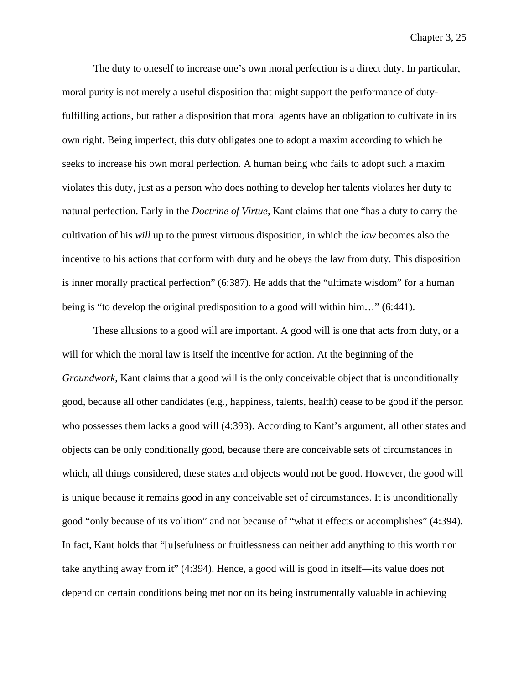The duty to oneself to increase one's own moral perfection is a direct duty. In particular, moral purity is not merely a useful disposition that might support the performance of dutyfulfilling actions, but rather a disposition that moral agents have an obligation to cultivate in its own right. Being imperfect, this duty obligates one to adopt a maxim according to which he seeks to increase his own moral perfection. A human being who fails to adopt such a maxim violates this duty, just as a person who does nothing to develop her talents violates her duty to natural perfection. Early in the *Doctrine of Virtue*, Kant claims that one "has a duty to carry the cultivation of his *will* up to the purest virtuous disposition, in which the *law* becomes also the incentive to his actions that conform with duty and he obeys the law from duty. This disposition is inner morally practical perfection" (6:387). He adds that the "ultimate wisdom" for a human being is "to develop the original predisposition to a good will within him…" (6:441).

These allusions to a good will are important. A good will is one that acts from duty, or a will for which the moral law is itself the incentive for action. At the beginning of the *Groundwork*, Kant claims that a good will is the only conceivable object that is unconditionally good, because all other candidates (e.g., happiness, talents, health) cease to be good if the person who possesses them lacks a good will (4:393). According to Kant's argument, all other states and objects can be only conditionally good, because there are conceivable sets of circumstances in which, all things considered, these states and objects would not be good. However, the good will is unique because it remains good in any conceivable set of circumstances. It is unconditionally good "only because of its volition" and not because of "what it effects or accomplishes" (4:394). In fact, Kant holds that "[u]sefulness or fruitlessness can neither add anything to this worth nor take anything away from it" (4:394). Hence, a good will is good in itself—its value does not depend on certain conditions being met nor on its being instrumentally valuable in achieving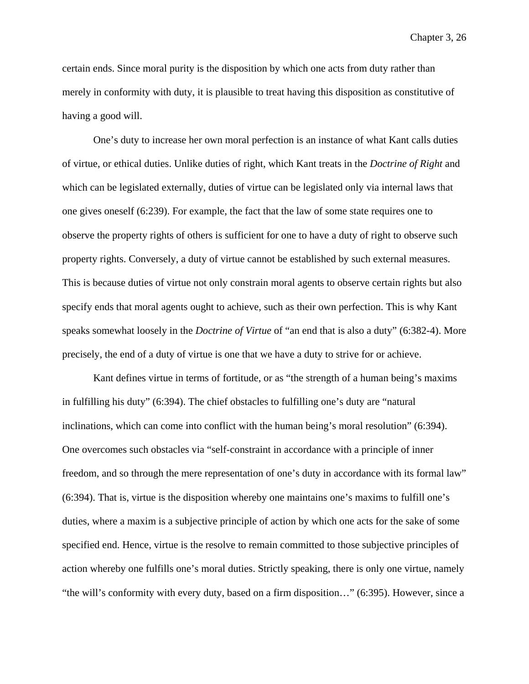certain ends. Since moral purity is the disposition by which one acts from duty rather than merely in conformity with duty, it is plausible to treat having this disposition as constitutive of having a good will.

One's duty to increase her own moral perfection is an instance of what Kant calls duties of virtue, or ethical duties. Unlike duties of right, which Kant treats in the *Doctrine of Right* and which can be legislated externally, duties of virtue can be legislated only via internal laws that one gives oneself (6:239). For example, the fact that the law of some state requires one to observe the property rights of others is sufficient for one to have a duty of right to observe such property rights. Conversely, a duty of virtue cannot be established by such external measures. This is because duties of virtue not only constrain moral agents to observe certain rights but also specify ends that moral agents ought to achieve, such as their own perfection. This is why Kant speaks somewhat loosely in the *Doctrine of Virtue* of "an end that is also a duty" (6:382-4). More precisely, the end of a duty of virtue is one that we have a duty to strive for or achieve.

Kant defines virtue in terms of fortitude, or as "the strength of a human being's maxims in fulfilling his duty" (6:394). The chief obstacles to fulfilling one's duty are "natural inclinations, which can come into conflict with the human being's moral resolution" (6:394). One overcomes such obstacles via "self-constraint in accordance with a principle of inner freedom, and so through the mere representation of one's duty in accordance with its formal law" (6:394). That is, virtue is the disposition whereby one maintains one's maxims to fulfill one's duties, where a maxim is a subjective principle of action by which one acts for the sake of some specified end. Hence, virtue is the resolve to remain committed to those subjective principles of action whereby one fulfills one's moral duties. Strictly speaking, there is only one virtue, namely "the will's conformity with every duty, based on a firm disposition…" (6:395). However, since a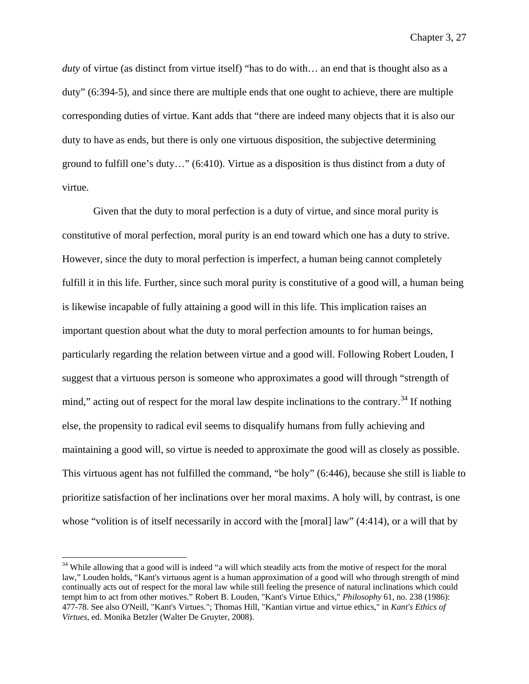*duty* of virtue (as distinct from virtue itself) "has to do with… an end that is thought also as a duty" (6:394-5), and since there are multiple ends that one ought to achieve, there are multiple corresponding duties of virtue. Kant adds that "there are indeed many objects that it is also our duty to have as ends, but there is only one virtuous disposition, the subjective determining ground to fulfill one's duty…" (6:410). Virtue as a disposition is thus distinct from a duty of virtue.

Given that the duty to moral perfection is a duty of virtue, and since moral purity is constitutive of moral perfection, moral purity is an end toward which one has a duty to strive. However, since the duty to moral perfection is imperfect, a human being cannot completely fulfill it in this life. Further, since such moral purity is constitutive of a good will, a human being is likewise incapable of fully attaining a good will in this life. This implication raises an important question about what the duty to moral perfection amounts to for human beings, particularly regarding the relation between virtue and a good will. Following Robert Louden, I suggest that a virtuous person is someone who approximates a good will through "strength of mind," acting out of respect for the moral law despite inclinations to the contrary.<sup>[34](#page-116-0)</sup> If nothing else, the propensity to radical evil seems to disqualify humans from fully achieving and maintaining a good will, so virtue is needed to approximate the good will as closely as possible. This virtuous agent has not fulfilled the command, "be holy" (6:446), because she still is liable to prioritize satisfaction of her inclinations over her moral maxims. A holy will, by contrast, is one whose "volition is of itself necessarily in accord with the [moral] law" (4:414), or a will that by

<span id="page-116-0"></span><sup>&</sup>lt;sup>34</sup> While allowing that a good will is indeed "a will which steadily acts from the motive of respect for the moral law," Louden holds, "Kant's virtuous agent is a human approximation of a good will who through strength of mind continually acts out of respect for the moral law while still feeling the presence of natural inclinations which could tempt him to act from other motives." Robert B. Louden, "Kant's Virtue Ethics," *Philosophy* 61, no. 238 (1986): 477-78. See also O'Neill, "Kant's Virtues."; Thomas Hill, "Kantian virtue and virtue ethics," in *Kant's Ethics of Virtues*, ed. Monika Betzler (Walter De Gruyter, 2008).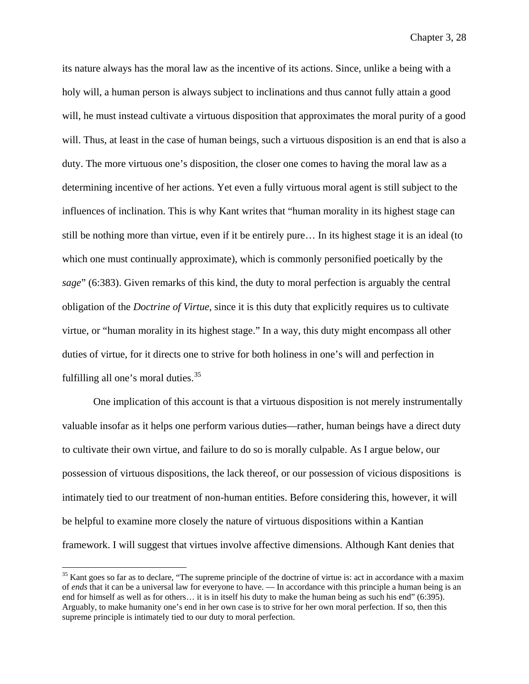its nature always has the moral law as the incentive of its actions. Since, unlike a being with a holy will, a human person is always subject to inclinations and thus cannot fully attain a good will, he must instead cultivate a virtuous disposition that approximates the moral purity of a good will. Thus, at least in the case of human beings, such a virtuous disposition is an end that is also a duty. The more virtuous one's disposition, the closer one comes to having the moral law as a determining incentive of her actions. Yet even a fully virtuous moral agent is still subject to the influences of inclination. This is why Kant writes that "human morality in its highest stage can still be nothing more than virtue, even if it be entirely pure… In its highest stage it is an ideal (to which one must continually approximate), which is commonly personified poetically by the *sage*" (6:383). Given remarks of this kind, the duty to moral perfection is arguably the central obligation of the *Doctrine of Virtue*, since it is this duty that explicitly requires us to cultivate virtue, or "human morality in its highest stage." In a way, this duty might encompass all other duties of virtue, for it directs one to strive for both holiness in one's will and perfection in fulfilling all one's moral duties. $35$ 

One implication of this account is that a virtuous disposition is not merely instrumentally valuable insofar as it helps one perform various duties—rather, human beings have a direct duty to cultivate their own virtue, and failure to do so is morally culpable. As I argue below, our possession of virtuous dispositions, the lack thereof, or our possession of vicious dispositions is intimately tied to our treatment of non-human entities. Before considering this, however, it will be helpful to examine more closely the nature of virtuous dispositions within a Kantian framework. I will suggest that virtues involve affective dimensions. Although Kant denies that

<span id="page-117-0"></span><sup>&</sup>lt;sup>35</sup> Kant goes so far as to declare, "The supreme principle of the doctrine of virtue is: act in accordance with a maxim of *ends* that it can be a universal law for everyone to have. — In accordance with this principle a human being is an end for himself as well as for others… it is in itself his duty to make the human being as such his end" (6:395). Arguably, to make humanity one's end in her own case is to strive for her own moral perfection. If so, then this supreme principle is intimately tied to our duty to moral perfection.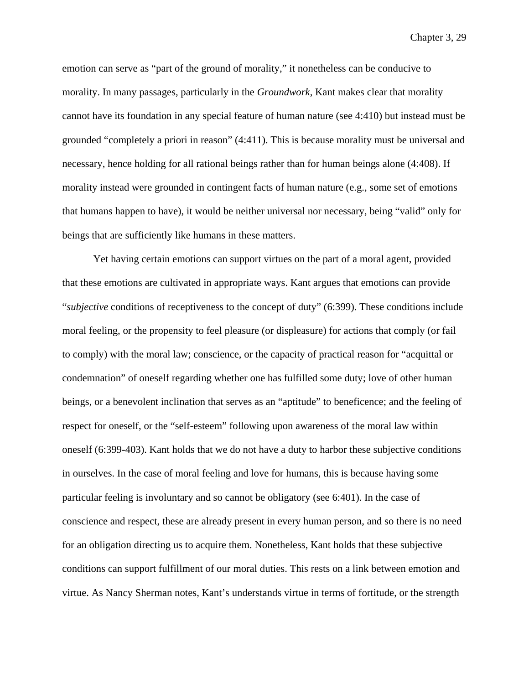emotion can serve as "part of the ground of morality," it nonetheless can be conducive to morality. In many passages, particularly in the *Groundwork*, Kant makes clear that morality cannot have its foundation in any special feature of human nature (see 4:410) but instead must be grounded "completely a priori in reason" (4:411). This is because morality must be universal and necessary, hence holding for all rational beings rather than for human beings alone (4:408). If morality instead were grounded in contingent facts of human nature (e.g., some set of emotions that humans happen to have), it would be neither universal nor necessary, being "valid" only for beings that are sufficiently like humans in these matters.

Yet having certain emotions can support virtues on the part of a moral agent, provided that these emotions are cultivated in appropriate ways. Kant argues that emotions can provide "*subjective* conditions of receptiveness to the concept of duty" (6:399). These conditions include moral feeling, or the propensity to feel pleasure (or displeasure) for actions that comply (or fail to comply) with the moral law; conscience, or the capacity of practical reason for "acquittal or condemnation" of oneself regarding whether one has fulfilled some duty; love of other human beings, or a benevolent inclination that serves as an "aptitude" to beneficence; and the feeling of respect for oneself, or the "self-esteem" following upon awareness of the moral law within oneself (6:399-403). Kant holds that we do not have a duty to harbor these subjective conditions in ourselves. In the case of moral feeling and love for humans, this is because having some particular feeling is involuntary and so cannot be obligatory (see 6:401). In the case of conscience and respect, these are already present in every human person, and so there is no need for an obligation directing us to acquire them. Nonetheless, Kant holds that these subjective conditions can support fulfillment of our moral duties. This rests on a link between emotion and virtue. As Nancy Sherman notes, Kant's understands virtue in terms of fortitude, or the strength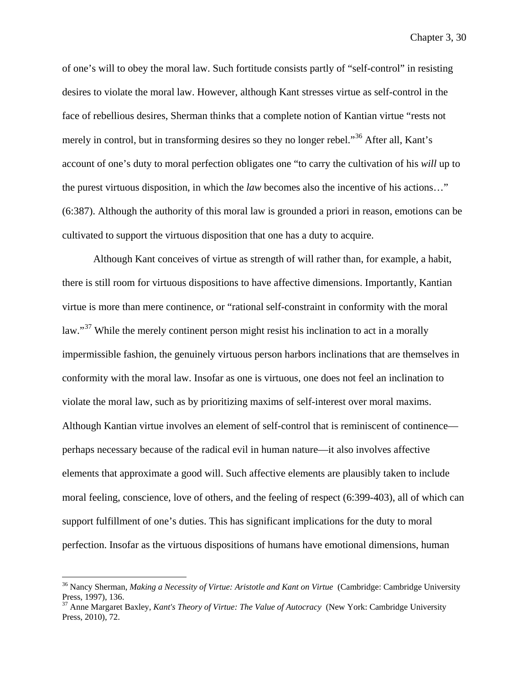of one's will to obey the moral law. Such fortitude consists partly of "self-control" in resisting desires to violate the moral law. However, although Kant stresses virtue as self-control in the face of rebellious desires, Sherman thinks that a complete notion of Kantian virtue "rests not merely in control, but in transforming desires so they no longer rebel."[36](#page-119-0) After all, Kant's account of one's duty to moral perfection obligates one "to carry the cultivation of his *will* up to the purest virtuous disposition, in which the *law* becomes also the incentive of his actions…" (6:387). Although the authority of this moral law is grounded a priori in reason, emotions can be cultivated to support the virtuous disposition that one has a duty to acquire.

Although Kant conceives of virtue as strength of will rather than, for example, a habit, there is still room for virtuous dispositions to have affective dimensions. Importantly, Kantian virtue is more than mere continence, or "rational self-constraint in conformity with the moral law."<sup>[37](#page-119-1)</sup> While the merely continent person might resist his inclination to act in a morally impermissible fashion, the genuinely virtuous person harbors inclinations that are themselves in conformity with the moral law. Insofar as one is virtuous, one does not feel an inclination to violate the moral law, such as by prioritizing maxims of self-interest over moral maxims. Although Kantian virtue involves an element of self-control that is reminiscent of continence perhaps necessary because of the radical evil in human nature—it also involves affective elements that approximate a good will. Such affective elements are plausibly taken to include moral feeling, conscience, love of others, and the feeling of respect (6:399-403), all of which can support fulfillment of one's duties. This has significant implications for the duty to moral perfection. Insofar as the virtuous dispositions of humans have emotional dimensions, human

<span id="page-119-0"></span><sup>&</sup>lt;sup>36</sup> Nancy Sherman, *Making a Necessity of Virtue: Aristotle and Kant on Virtue* (Cambridge: Cambridge University Press, 1997), 136.

<span id="page-119-1"></span><sup>37</sup> Anne Margaret Baxley, *Kant's Theory of Virtue: The Value of Autocracy* (New York: Cambridge University Press, 2010), 72.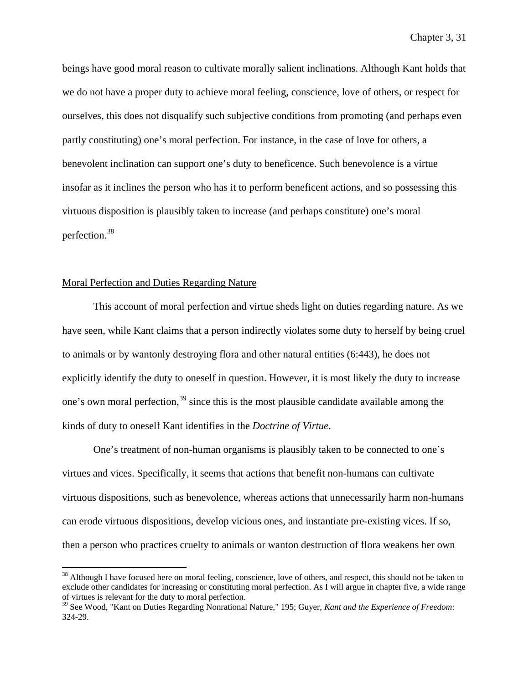beings have good moral reason to cultivate morally salient inclinations. Although Kant holds that we do not have a proper duty to achieve moral feeling, conscience, love of others, or respect for ourselves, this does not disqualify such subjective conditions from promoting (and perhaps even partly constituting) one's moral perfection. For instance, in the case of love for others, a benevolent inclination can support one's duty to beneficence. Such benevolence is a virtue insofar as it inclines the person who has it to perform beneficent actions, and so possessing this virtuous disposition is plausibly taken to increase (and perhaps constitute) one's moral perfection.[38](#page-120-0)

# Moral Perfection and Duties Regarding Nature

This account of moral perfection and virtue sheds light on duties regarding nature. As we have seen, while Kant claims that a person indirectly violates some duty to herself by being cruel to animals or by wantonly destroying flora and other natural entities (6:443), he does not explicitly identify the duty to oneself in question. However, it is most likely the duty to increase one's own moral perfection,<sup>[39](#page-120-1)</sup> since this is the most plausible candidate available among the kinds of duty to oneself Kant identifies in the *Doctrine of Virtue*.

One's treatment of non-human organisms is plausibly taken to be connected to one's virtues and vices. Specifically, it seems that actions that benefit non-humans can cultivate virtuous dispositions, such as benevolence, whereas actions that unnecessarily harm non-humans can erode virtuous dispositions, develop vicious ones, and instantiate pre-existing vices. If so, then a person who practices cruelty to animals or wanton destruction of flora weakens her own

<span id="page-120-0"></span><sup>&</sup>lt;sup>38</sup> Although I have focused here on moral feeling, conscience, love of others, and respect, this should not be taken to exclude other candidates for increasing or constituting moral perfection. As I will argue in chapter five, a wide range of virtues is relevant for the duty to moral perfection.

<span id="page-120-1"></span><sup>39</sup> See Wood, "Kant on Duties Regarding Nonrational Nature," 195; Guyer, *Kant and the Experience of Freedom*: 324-29.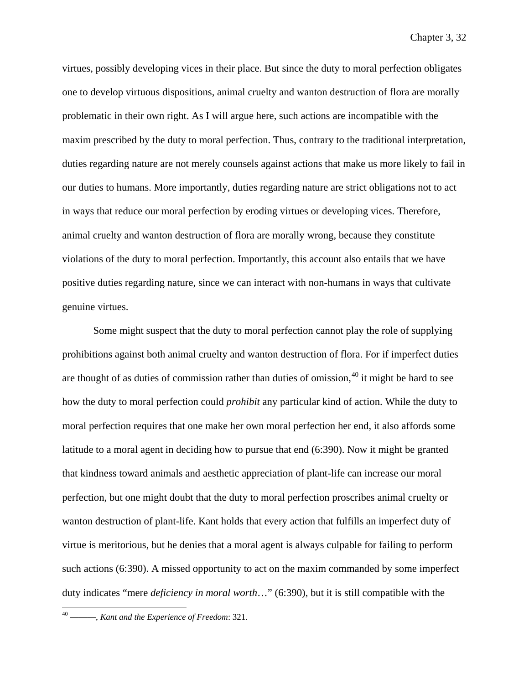virtues, possibly developing vices in their place. But since the duty to moral perfection obligates one to develop virtuous dispositions, animal cruelty and wanton destruction of flora are morally problematic in their own right. As I will argue here, such actions are incompatible with the maxim prescribed by the duty to moral perfection. Thus, contrary to the traditional interpretation, duties regarding nature are not merely counsels against actions that make us more likely to fail in our duties to humans. More importantly, duties regarding nature are strict obligations not to act in ways that reduce our moral perfection by eroding virtues or developing vices. Therefore, animal cruelty and wanton destruction of flora are morally wrong, because they constitute violations of the duty to moral perfection. Importantly, this account also entails that we have positive duties regarding nature, since we can interact with non-humans in ways that cultivate genuine virtues.

Some might suspect that the duty to moral perfection cannot play the role of supplying prohibitions against both animal cruelty and wanton destruction of flora. For if imperfect duties are thought of as duties of commission rather than duties of omission,  $40$  it might be hard to see how the duty to moral perfection could *prohibit* any particular kind of action. While the duty to moral perfection requires that one make her own moral perfection her end, it also affords some latitude to a moral agent in deciding how to pursue that end (6:390). Now it might be granted that kindness toward animals and aesthetic appreciation of plant-life can increase our moral perfection, but one might doubt that the duty to moral perfection proscribes animal cruelty or wanton destruction of plant-life. Kant holds that every action that fulfills an imperfect duty of virtue is meritorious, but he denies that a moral agent is always culpable for failing to perform such actions (6:390). A missed opportunity to act on the maxim commanded by some imperfect duty indicates "mere *deficiency in moral worth*…" (6:390), but it is still compatible with the

<span id="page-121-0"></span> <sup>40</sup> ———, *Kant and the Experience of Freedom*: 321.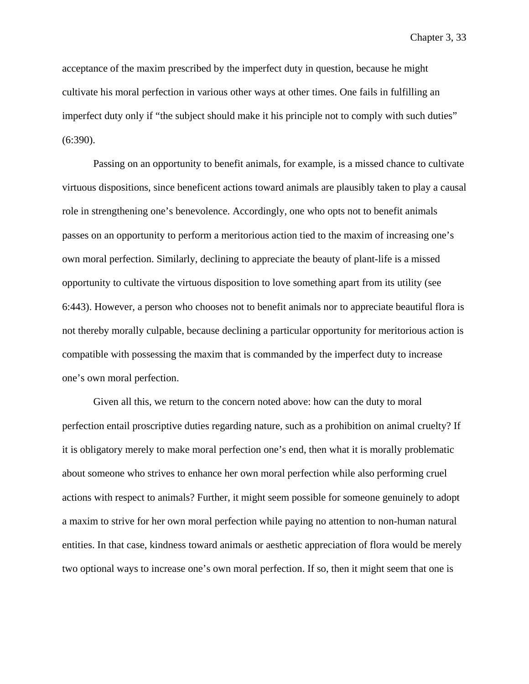acceptance of the maxim prescribed by the imperfect duty in question, because he might cultivate his moral perfection in various other ways at other times. One fails in fulfilling an imperfect duty only if "the subject should make it his principle not to comply with such duties" (6:390).

Passing on an opportunity to benefit animals, for example, is a missed chance to cultivate virtuous dispositions, since beneficent actions toward animals are plausibly taken to play a causal role in strengthening one's benevolence. Accordingly, one who opts not to benefit animals passes on an opportunity to perform a meritorious action tied to the maxim of increasing one's own moral perfection. Similarly, declining to appreciate the beauty of plant-life is a missed opportunity to cultivate the virtuous disposition to love something apart from its utility (see 6:443). However, a person who chooses not to benefit animals nor to appreciate beautiful flora is not thereby morally culpable, because declining a particular opportunity for meritorious action is compatible with possessing the maxim that is commanded by the imperfect duty to increase one's own moral perfection.

Given all this, we return to the concern noted above: how can the duty to moral perfection entail proscriptive duties regarding nature, such as a prohibition on animal cruelty? If it is obligatory merely to make moral perfection one's end, then what it is morally problematic about someone who strives to enhance her own moral perfection while also performing cruel actions with respect to animals? Further, it might seem possible for someone genuinely to adopt a maxim to strive for her own moral perfection while paying no attention to non-human natural entities. In that case, kindness toward animals or aesthetic appreciation of flora would be merely two optional ways to increase one's own moral perfection. If so, then it might seem that one is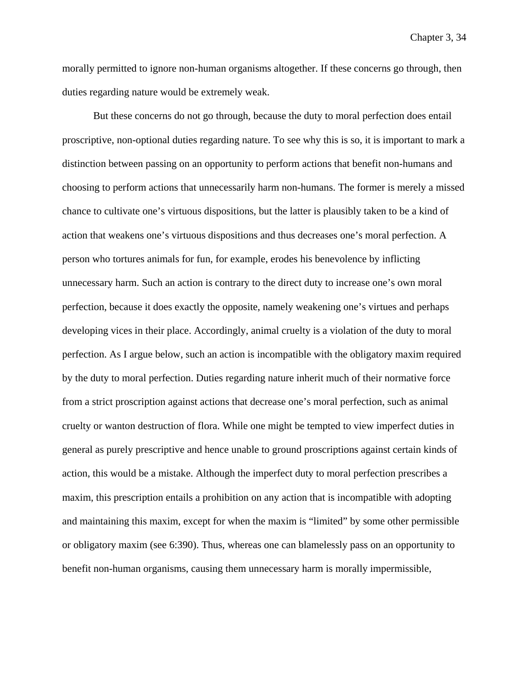morally permitted to ignore non-human organisms altogether. If these concerns go through, then duties regarding nature would be extremely weak.

But these concerns do not go through, because the duty to moral perfection does entail proscriptive, non-optional duties regarding nature. To see why this is so, it is important to mark a distinction between passing on an opportunity to perform actions that benefit non-humans and choosing to perform actions that unnecessarily harm non-humans. The former is merely a missed chance to cultivate one's virtuous dispositions, but the latter is plausibly taken to be a kind of action that weakens one's virtuous dispositions and thus decreases one's moral perfection. A person who tortures animals for fun, for example, erodes his benevolence by inflicting unnecessary harm. Such an action is contrary to the direct duty to increase one's own moral perfection, because it does exactly the opposite, namely weakening one's virtues and perhaps developing vices in their place. Accordingly, animal cruelty is a violation of the duty to moral perfection. As I argue below, such an action is incompatible with the obligatory maxim required by the duty to moral perfection. Duties regarding nature inherit much of their normative force from a strict proscription against actions that decrease one's moral perfection, such as animal cruelty or wanton destruction of flora. While one might be tempted to view imperfect duties in general as purely prescriptive and hence unable to ground proscriptions against certain kinds of action, this would be a mistake. Although the imperfect duty to moral perfection prescribes a maxim, this prescription entails a prohibition on any action that is incompatible with adopting and maintaining this maxim, except for when the maxim is "limited" by some other permissible or obligatory maxim (see 6:390). Thus, whereas one can blamelessly pass on an opportunity to benefit non-human organisms, causing them unnecessary harm is morally impermissible,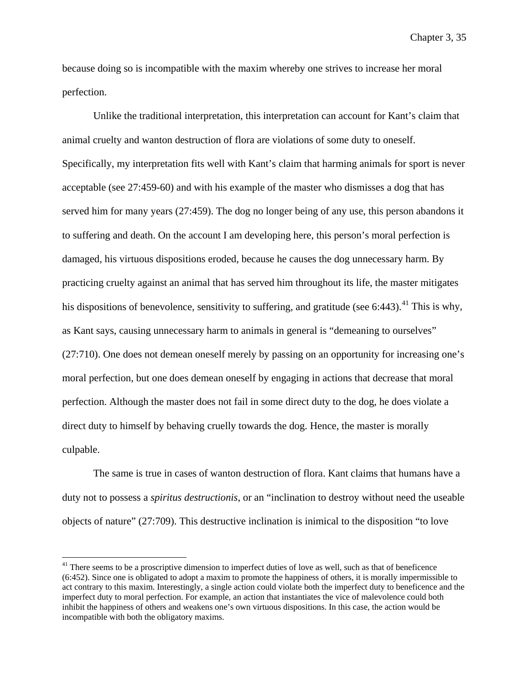because doing so is incompatible with the maxim whereby one strives to increase her moral perfection.

Unlike the traditional interpretation, this interpretation can account for Kant's claim that animal cruelty and wanton destruction of flora are violations of some duty to oneself. Specifically, my interpretation fits well with Kant's claim that harming animals for sport is never acceptable (see 27:459-60) and with his example of the master who dismisses a dog that has served him for many years (27:459). The dog no longer being of any use, this person abandons it to suffering and death. On the account I am developing here, this person's moral perfection is damaged, his virtuous dispositions eroded, because he causes the dog unnecessary harm. By practicing cruelty against an animal that has served him throughout its life, the master mitigates his dispositions of benevolence, sensitivity to suffering, and gratitude (see 6:443).<sup>[41](#page-124-0)</sup> This is why, as Kant says, causing unnecessary harm to animals in general is "demeaning to ourselves" (27:710). One does not demean oneself merely by passing on an opportunity for increasing one's moral perfection, but one does demean oneself by engaging in actions that decrease that moral perfection. Although the master does not fail in some direct duty to the dog, he does violate a direct duty to himself by behaving cruelly towards the dog. Hence, the master is morally culpable.

The same is true in cases of wanton destruction of flora. Kant claims that humans have a duty not to possess a *spiritus destructionis*, or an "inclination to destroy without need the useable objects of nature" (27:709). This destructive inclination is inimical to the disposition "to love

<span id="page-124-0"></span><sup>&</sup>lt;sup>41</sup> There seems to be a proscriptive dimension to imperfect duties of love as well, such as that of beneficence (6:452). Since one is obligated to adopt a maxim to promote the happiness of others, it is morally impermissible to act contrary to this maxim. Interestingly, a single action could violate both the imperfect duty to beneficence and the imperfect duty to moral perfection. For example, an action that instantiates the vice of malevolence could both inhibit the happiness of others and weakens one's own virtuous dispositions. In this case, the action would be incompatible with both the obligatory maxims.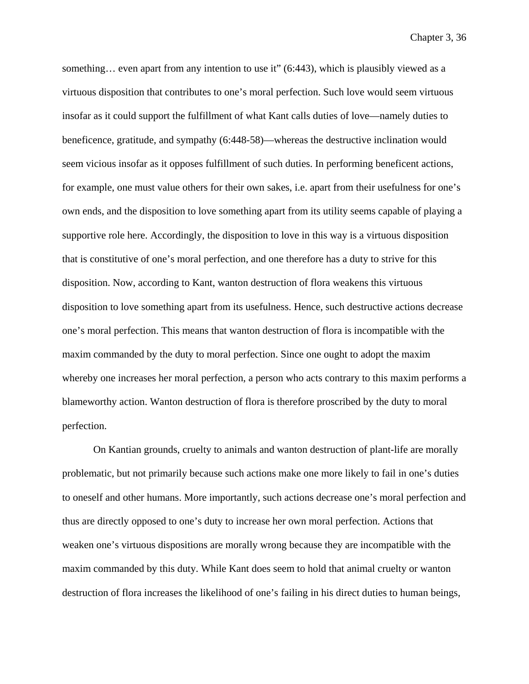something... even apart from any intention to use it" (6:443), which is plausibly viewed as a virtuous disposition that contributes to one's moral perfection. Such love would seem virtuous insofar as it could support the fulfillment of what Kant calls duties of love—namely duties to beneficence, gratitude, and sympathy (6:448-58)—whereas the destructive inclination would seem vicious insofar as it opposes fulfillment of such duties. In performing beneficent actions, for example, one must value others for their own sakes, i.e. apart from their usefulness for one's own ends, and the disposition to love something apart from its utility seems capable of playing a supportive role here. Accordingly, the disposition to love in this way is a virtuous disposition that is constitutive of one's moral perfection, and one therefore has a duty to strive for this disposition. Now, according to Kant, wanton destruction of flora weakens this virtuous disposition to love something apart from its usefulness. Hence, such destructive actions decrease one's moral perfection. This means that wanton destruction of flora is incompatible with the maxim commanded by the duty to moral perfection. Since one ought to adopt the maxim whereby one increases her moral perfection, a person who acts contrary to this maxim performs a blameworthy action. Wanton destruction of flora is therefore proscribed by the duty to moral perfection.

On Kantian grounds, cruelty to animals and wanton destruction of plant-life are morally problematic, but not primarily because such actions make one more likely to fail in one's duties to oneself and other humans. More importantly, such actions decrease one's moral perfection and thus are directly opposed to one's duty to increase her own moral perfection. Actions that weaken one's virtuous dispositions are morally wrong because they are incompatible with the maxim commanded by this duty. While Kant does seem to hold that animal cruelty or wanton destruction of flora increases the likelihood of one's failing in his direct duties to human beings,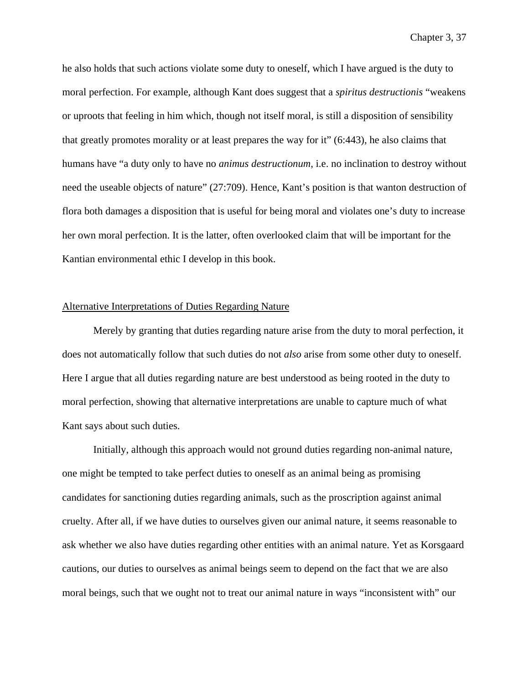he also holds that such actions violate some duty to oneself, which I have argued is the duty to moral perfection. For example, although Kant does suggest that a *spiritus destructionis* "weakens or uproots that feeling in him which, though not itself moral, is still a disposition of sensibility that greatly promotes morality or at least prepares the way for it" (6:443), he also claims that humans have "a duty only to have no *animus destructionum*, i.e. no inclination to destroy without need the useable objects of nature" (27:709). Hence, Kant's position is that wanton destruction of flora both damages a disposition that is useful for being moral and violates one's duty to increase her own moral perfection. It is the latter, often overlooked claim that will be important for the Kantian environmental ethic I develop in this book.

### Alternative Interpretations of Duties Regarding Nature

Merely by granting that duties regarding nature arise from the duty to moral perfection, it does not automatically follow that such duties do not *also* arise from some other duty to oneself. Here I argue that all duties regarding nature are best understood as being rooted in the duty to moral perfection, showing that alternative interpretations are unable to capture much of what Kant says about such duties.

Initially, although this approach would not ground duties regarding non-animal nature, one might be tempted to take perfect duties to oneself as an animal being as promising candidates for sanctioning duties regarding animals, such as the proscription against animal cruelty. After all, if we have duties to ourselves given our animal nature, it seems reasonable to ask whether we also have duties regarding other entities with an animal nature. Yet as Korsgaard cautions, our duties to ourselves as animal beings seem to depend on the fact that we are also moral beings, such that we ought not to treat our animal nature in ways "inconsistent with" our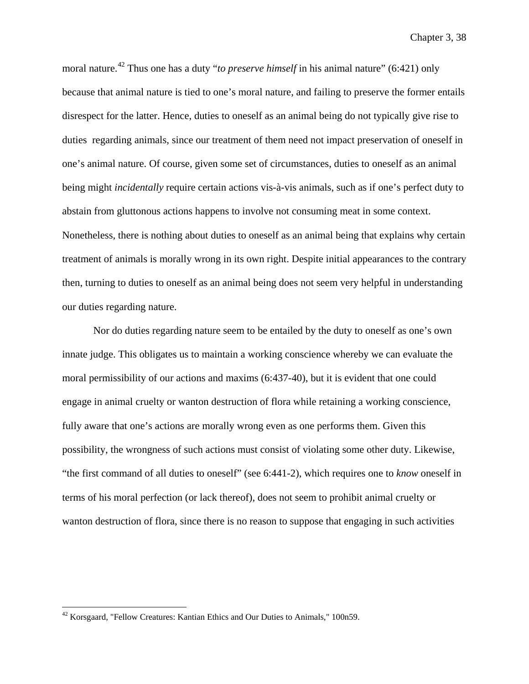moral nature.<sup>[42](#page-127-0)</sup> Thus one has a duty "*to preserve himself* in his animal nature" (6:421) only because that animal nature is tied to one's moral nature, and failing to preserve the former entails disrespect for the latter. Hence, duties to oneself as an animal being do not typically give rise to duties regarding animals, since our treatment of them need not impact preservation of oneself in one's animal nature. Of course, given some set of circumstances, duties to oneself as an animal being might *incidentally* require certain actions vis-à-vis animals, such as if one's perfect duty to abstain from gluttonous actions happens to involve not consuming meat in some context. Nonetheless, there is nothing about duties to oneself as an animal being that explains why certain treatment of animals is morally wrong in its own right. Despite initial appearances to the contrary then, turning to duties to oneself as an animal being does not seem very helpful in understanding our duties regarding nature.

Nor do duties regarding nature seem to be entailed by the duty to oneself as one's own innate judge. This obligates us to maintain a working conscience whereby we can evaluate the moral permissibility of our actions and maxims (6:437-40), but it is evident that one could engage in animal cruelty or wanton destruction of flora while retaining a working conscience, fully aware that one's actions are morally wrong even as one performs them. Given this possibility, the wrongness of such actions must consist of violating some other duty. Likewise, "the first command of all duties to oneself" (see 6:441-2), which requires one to *know* oneself in terms of his moral perfection (or lack thereof), does not seem to prohibit animal cruelty or wanton destruction of flora, since there is no reason to suppose that engaging in such activities

<span id="page-127-0"></span> <sup>42</sup> Korsgaard, "Fellow Creatures: Kantian Ethics and Our Duties to Animals," 100n59.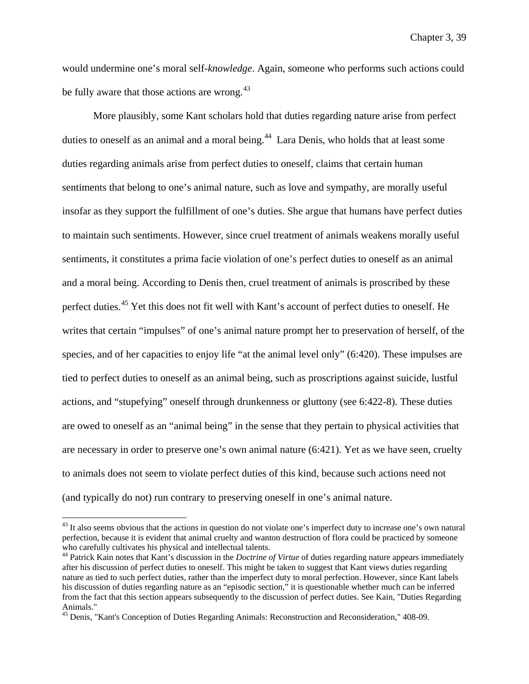would undermine one's moral self-*knowledge*. Again, someone who performs such actions could be fully aware that those actions are wrong.<sup>[43](#page-128-0)</sup>

More plausibly, some Kant scholars hold that duties regarding nature arise from perfect duties to oneself as an animal and a moral being.<sup>[44](#page-128-1)</sup> Lara Denis, who holds that at least some duties regarding animals arise from perfect duties to oneself, claims that certain human sentiments that belong to one's animal nature, such as love and sympathy, are morally useful insofar as they support the fulfillment of one's duties. She argue that humans have perfect duties to maintain such sentiments. However, since cruel treatment of animals weakens morally useful sentiments, it constitutes a prima facie violation of one's perfect duties to oneself as an animal and a moral being. According to Denis then, cruel treatment of animals is proscribed by these perfect duties.[45](#page-128-2) Yet this does not fit well with Kant's account of perfect duties to oneself. He writes that certain "impulses" of one's animal nature prompt her to preservation of herself, of the species, and of her capacities to enjoy life "at the animal level only" (6:420). These impulses are tied to perfect duties to oneself as an animal being, such as proscriptions against suicide, lustful actions, and "stupefying" oneself through drunkenness or gluttony (see 6:422-8). These duties are owed to oneself as an "animal being" in the sense that they pertain to physical activities that are necessary in order to preserve one's own animal nature (6:421). Yet as we have seen, cruelty to animals does not seem to violate perfect duties of this kind, because such actions need not (and typically do not) run contrary to preserving oneself in one's animal nature.

<span id="page-128-0"></span><sup>&</sup>lt;sup>43</sup> It also seems obvious that the actions in question do not violate one's imperfect duty to increase one's own natural perfection, because it is evident that animal cruelty and wanton destruction of flora could be practiced by someone

<span id="page-128-1"></span><sup>&</sup>lt;sup>44</sup> Patrick Kain notes that Kant's discussion in the *Doctrine of Virtue* of duties regarding nature appears immediately after his discussion of perfect duties to oneself. This might be taken to suggest that Kant views duties regarding nature as tied to such perfect duties, rather than the imperfect duty to moral perfection. However, since Kant labels his discussion of duties regarding nature as an "episodic section," it is questionable whether much can be inferred from the fact that this section appears subsequently to the discussion of perfect duties. See Kain, "Duties Regarding Animals."

<span id="page-128-2"></span><sup>&</sup>lt;sup>45</sup> Denis, "Kant's Conception of Duties Regarding Animals: Reconstruction and Reconsideration," 408-09.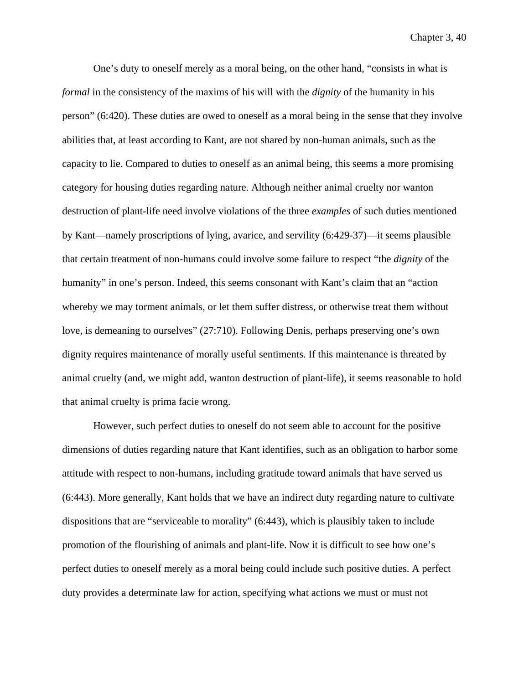One's duty to oneself merely as a moral being, on the other hand, "consists in what is *formal* in the consistency of the maxims of his will with the *dignity* of the humanity in his person" (6:420). These duties are owed to oneself as a moral being in the sense that they involve abilities that, at least according to Kant, are not shared by non-human animals, such as the capacity to lie. Compared to duties to oneself as an animal being, this seems a more promising category for housing duties regarding nature. Although neither animal cruelty nor wanton destruction of plant-life need involve violations of the three *examples* of such duties mentioned by Kant—namely proscriptions of lying, avarice, and servility (6:429-37)—it seems plausible that certain treatment of non-humans could involve some failure to respect "the *dignity* of the humanity" in one's person. Indeed, this seems consonant with Kant's claim that an "action whereby we may torment animals, or let them suffer distress, or otherwise treat them without love, is demeaning to ourselves" (27:710). Following Denis, perhaps preserving one's own dignity requires maintenance of morally useful sentiments. If this maintenance is threated by animal cruelty (and, we might add, wanton destruction of plant-life), it seems reasonable to hold that animal cruelty is prima facie wrong.

However, such perfect duties to oneself do not seem able to account for the positive dimensions of duties regarding nature that Kant identifies, such as an obligation to harbor some attitude with respect to non-humans, including gratitude toward animals that have served us (6:443). More generally, Kant holds that we have an indirect duty regarding nature to cultivate dispositions that are "serviceable to morality" (6:443), which is plausibly taken to include promotion of the flourishing of animals and plant-life. Now it is difficult to see how one's perfect duties to oneself merely as a moral being could include such positive duties. A perfect duty provides a determinate law for action, specifying what actions we must or must not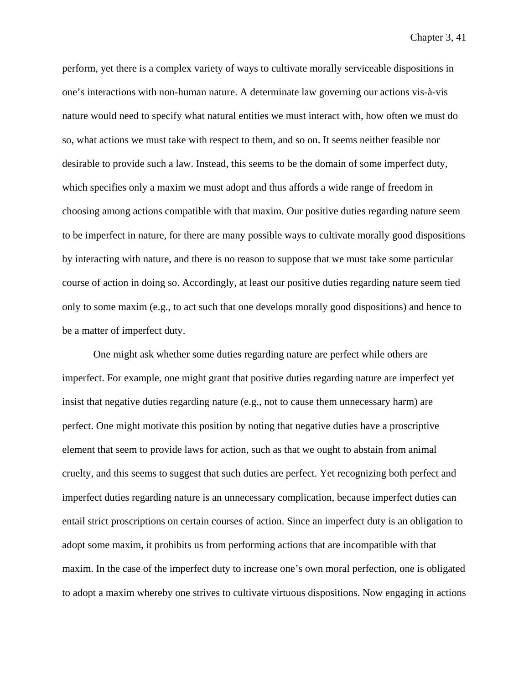perform, yet there is a complex variety of ways to cultivate morally serviceable dispositions in one's interactions with non-human nature. A determinate law governing our actions vis-à-vis nature would need to specify what natural entities we must interact with, how often we must do so, what actions we must take with respect to them, and so on. It seems neither feasible nor desirable to provide such a law. Instead, this seems to be the domain of some imperfect duty, which specifies only a maxim we must adopt and thus affords a wide range of freedom in choosing among actions compatible with that maxim. Our positive duties regarding nature seem to be imperfect in nature, for there are many possible ways to cultivate morally good dispositions by interacting with nature, and there is no reason to suppose that we must take some particular course of action in doing so. Accordingly, at least our positive duties regarding nature seem tied only to some maxim (e.g., to act such that one develops morally good dispositions) and hence to be a matter of imperfect duty.

One might ask whether some duties regarding nature are perfect while others are imperfect. For example, one might grant that positive duties regarding nature are imperfect yet insist that negative duties regarding nature (e.g., not to cause them unnecessary harm) are perfect. One might motivate this position by noting that negative duties have a proscriptive element that seem to provide laws for action, such as that we ought to abstain from animal cruelty, and this seems to suggest that such duties are perfect. Yet recognizing both perfect and imperfect duties regarding nature is an unnecessary complication, because imperfect duties can entail strict proscriptions on certain courses of action. Since an imperfect duty is an obligation to adopt some maxim, it prohibits us from performing actions that are incompatible with that maxim. In the case of the imperfect duty to increase one's own moral perfection, one is obligated to adopt a maxim whereby one strives to cultivate virtuous dispositions. Now engaging in actions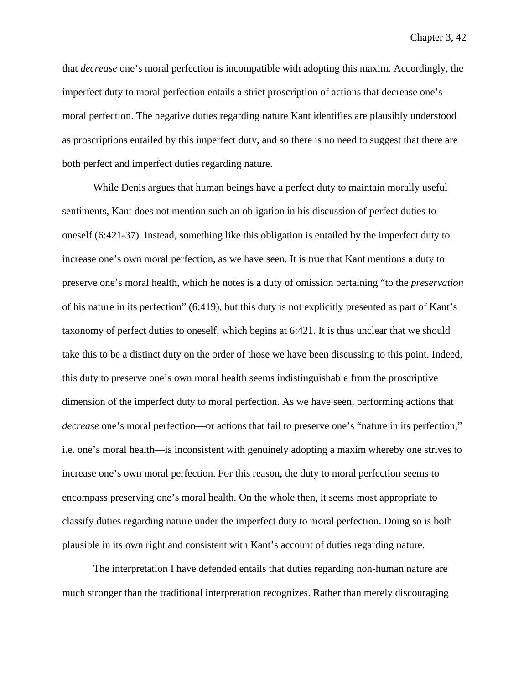that *decrease* one's moral perfection is incompatible with adopting this maxim. Accordingly, the imperfect duty to moral perfection entails a strict proscription of actions that decrease one's moral perfection. The negative duties regarding nature Kant identifies are plausibly understood as proscriptions entailed by this imperfect duty, and so there is no need to suggest that there are both perfect and imperfect duties regarding nature.

While Denis argues that human beings have a perfect duty to maintain morally useful sentiments, Kant does not mention such an obligation in his discussion of perfect duties to oneself (6:421-37). Instead, something like this obligation is entailed by the imperfect duty to increase one's own moral perfection, as we have seen. It is true that Kant mentions a duty to preserve one's moral health, which he notes is a duty of omission pertaining "to the *preservation*  of his nature in its perfection" (6:419), but this duty is not explicitly presented as part of Kant's taxonomy of perfect duties to oneself, which begins at 6:421. It is thus unclear that we should take this to be a distinct duty on the order of those we have been discussing to this point. Indeed, this duty to preserve one's own moral health seems indistinguishable from the proscriptive dimension of the imperfect duty to moral perfection. As we have seen, performing actions that *decrease* one's moral perfection—or actions that fail to preserve one's "nature in its perfection," i.e. one's moral health—is inconsistent with genuinely adopting a maxim whereby one strives to increase one's own moral perfection. For this reason, the duty to moral perfection seems to encompass preserving one's moral health. On the whole then, it seems most appropriate to classify duties regarding nature under the imperfect duty to moral perfection. Doing so is both plausible in its own right and consistent with Kant's account of duties regarding nature.

The interpretation I have defended entails that duties regarding non-human nature are much stronger than the traditional interpretation recognizes. Rather than merely discouraging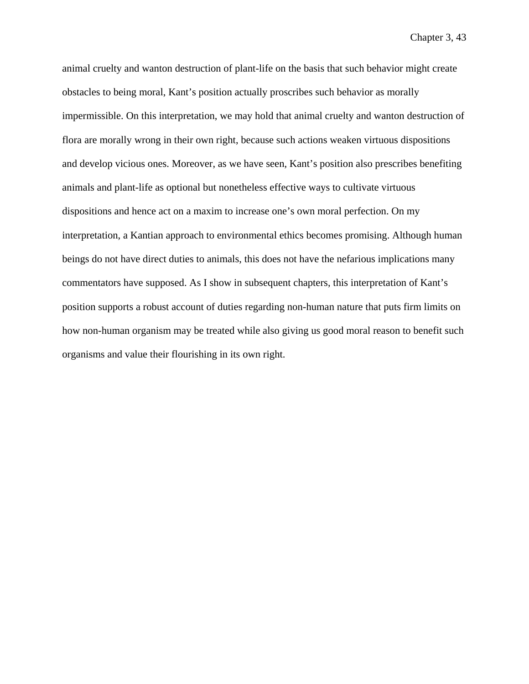animal cruelty and wanton destruction of plant-life on the basis that such behavior might create obstacles to being moral, Kant's position actually proscribes such behavior as morally impermissible. On this interpretation, we may hold that animal cruelty and wanton destruction of flora are morally wrong in their own right, because such actions weaken virtuous dispositions and develop vicious ones. Moreover, as we have seen, Kant's position also prescribes benefiting animals and plant-life as optional but nonetheless effective ways to cultivate virtuous dispositions and hence act on a maxim to increase one's own moral perfection. On my interpretation, a Kantian approach to environmental ethics becomes promising. Although human beings do not have direct duties to animals, this does not have the nefarious implications many commentators have supposed. As I show in subsequent chapters, this interpretation of Kant's position supports a robust account of duties regarding non-human nature that puts firm limits on how non-human organism may be treated while also giving us good moral reason to benefit such organisms and value their flourishing in its own right.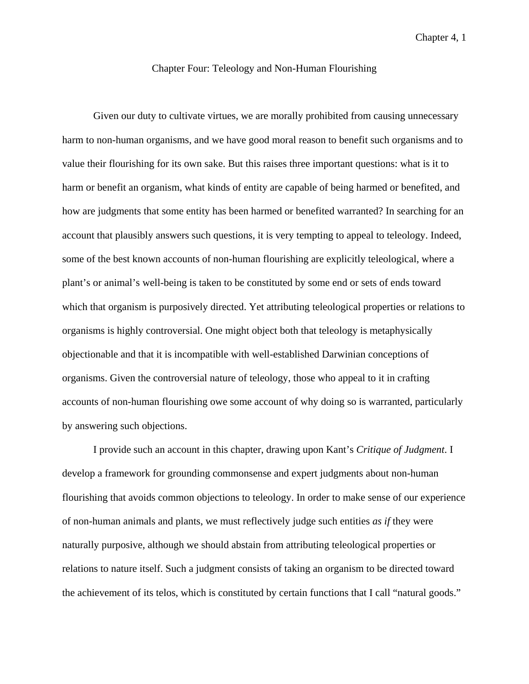## Chapter Four: Teleology and Non-Human Flourishing

Given our duty to cultivate virtues, we are morally prohibited from causing unnecessary harm to non-human organisms, and we have good moral reason to benefit such organisms and to value their flourishing for its own sake. But this raises three important questions: what is it to harm or benefit an organism, what kinds of entity are capable of being harmed or benefited, and how are judgments that some entity has been harmed or benefited warranted? In searching for an account that plausibly answers such questions, it is very tempting to appeal to teleology. Indeed, some of the best known accounts of non-human flourishing are explicitly teleological, where a plant's or animal's well-being is taken to be constituted by some end or sets of ends toward which that organism is purposively directed. Yet attributing teleological properties or relations to organisms is highly controversial. One might object both that teleology is metaphysically objectionable and that it is incompatible with well-established Darwinian conceptions of organisms. Given the controversial nature of teleology, those who appeal to it in crafting accounts of non-human flourishing owe some account of why doing so is warranted, particularly by answering such objections.

I provide such an account in this chapter, drawing upon Kant's *Critique of Judgment*. I develop a framework for grounding commonsense and expert judgments about non-human flourishing that avoids common objections to teleology. In order to make sense of our experience of non-human animals and plants, we must reflectively judge such entities *as if* they were naturally purposive, although we should abstain from attributing teleological properties or relations to nature itself. Such a judgment consists of taking an organism to be directed toward the achievement of its telos, which is constituted by certain functions that I call "natural goods."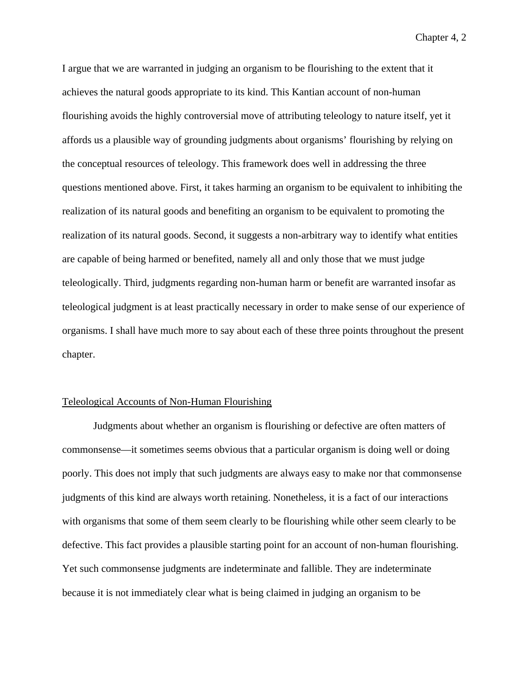I argue that we are warranted in judging an organism to be flourishing to the extent that it achieves the natural goods appropriate to its kind. This Kantian account of non-human flourishing avoids the highly controversial move of attributing teleology to nature itself, yet it affords us a plausible way of grounding judgments about organisms' flourishing by relying on the conceptual resources of teleology. This framework does well in addressing the three questions mentioned above. First, it takes harming an organism to be equivalent to inhibiting the realization of its natural goods and benefiting an organism to be equivalent to promoting the realization of its natural goods. Second, it suggests a non-arbitrary way to identify what entities are capable of being harmed or benefited, namely all and only those that we must judge teleologically. Third, judgments regarding non-human harm or benefit are warranted insofar as teleological judgment is at least practically necessary in order to make sense of our experience of organisms. I shall have much more to say about each of these three points throughout the present chapter.

### Teleological Accounts of Non-Human Flourishing

Judgments about whether an organism is flourishing or defective are often matters of commonsense—it sometimes seems obvious that a particular organism is doing well or doing poorly. This does not imply that such judgments are always easy to make nor that commonsense judgments of this kind are always worth retaining. Nonetheless, it is a fact of our interactions with organisms that some of them seem clearly to be flourishing while other seem clearly to be defective. This fact provides a plausible starting point for an account of non-human flourishing. Yet such commonsense judgments are indeterminate and fallible. They are indeterminate because it is not immediately clear what is being claimed in judging an organism to be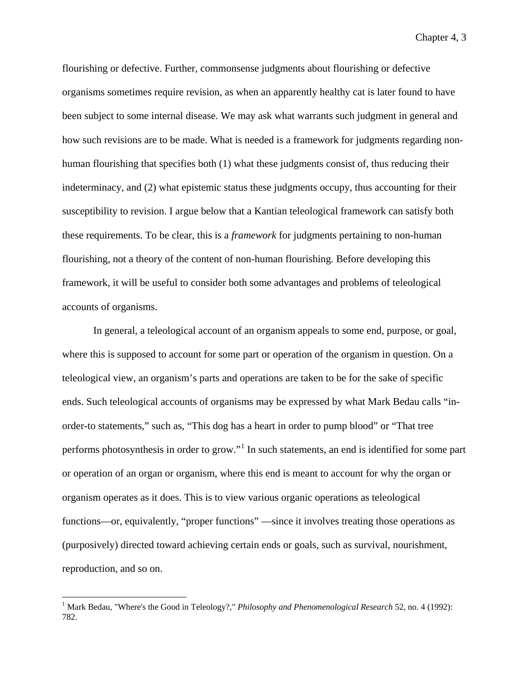flourishing or defective. Further, commonsense judgments about flourishing or defective organisms sometimes require revision, as when an apparently healthy cat is later found to have been subject to some internal disease. We may ask what warrants such judgment in general and how such revisions are to be made. What is needed is a framework for judgments regarding nonhuman flourishing that specifies both (1) what these judgments consist of, thus reducing their indeterminacy, and (2) what epistemic status these judgments occupy, thus accounting for their susceptibility to revision. I argue below that a Kantian teleological framework can satisfy both these requirements. To be clear, this is a *framework* for judgments pertaining to non-human flourishing, not a theory of the content of non-human flourishing. Before developing this framework, it will be useful to consider both some advantages and problems of teleological accounts of organisms.

In general, a teleological account of an organism appeals to some end, purpose, or goal, where this is supposed to account for some part or operation of the organism in question. On a teleological view, an organism's parts and operations are taken to be for the sake of specific ends. Such teleological accounts of organisms may be expressed by what Mark Bedau calls "inorder-to statements," such as, "This dog has a heart in order to pump blood" or "That tree performs photosynthesis in order to grow."<sup>[1](#page-135-0)</sup> In such statements, an end is identified for some part or operation of an organ or organism, where this end is meant to account for why the organ or organism operates as it does. This is to view various organic operations as teleological functions—or, equivalently, "proper functions" —since it involves treating those operations as (purposively) directed toward achieving certain ends or goals, such as survival, nourishment, reproduction, and so on.

<span id="page-135-0"></span><sup>&</sup>lt;sup>1</sup> Mark Bedau, "Where's the Good in Teleology?," *Philosophy and Phenomenological Research* 52, no. 4 (1992): 782.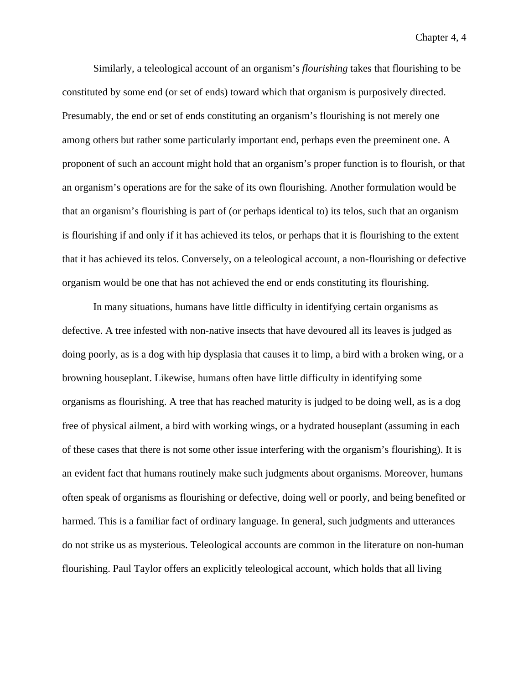Similarly, a teleological account of an organism's *flourishing* takes that flourishing to be constituted by some end (or set of ends) toward which that organism is purposively directed. Presumably, the end or set of ends constituting an organism's flourishing is not merely one among others but rather some particularly important end, perhaps even the preeminent one. A proponent of such an account might hold that an organism's proper function is to flourish, or that an organism's operations are for the sake of its own flourishing. Another formulation would be that an organism's flourishing is part of (or perhaps identical to) its telos, such that an organism is flourishing if and only if it has achieved its telos, or perhaps that it is flourishing to the extent that it has achieved its telos. Conversely, on a teleological account, a non-flourishing or defective organism would be one that has not achieved the end or ends constituting its flourishing.

In many situations, humans have little difficulty in identifying certain organisms as defective. A tree infested with non-native insects that have devoured all its leaves is judged as doing poorly, as is a dog with hip dysplasia that causes it to limp, a bird with a broken wing, or a browning houseplant. Likewise, humans often have little difficulty in identifying some organisms as flourishing. A tree that has reached maturity is judged to be doing well, as is a dog free of physical ailment, a bird with working wings, or a hydrated houseplant (assuming in each of these cases that there is not some other issue interfering with the organism's flourishing). It is an evident fact that humans routinely make such judgments about organisms. Moreover, humans often speak of organisms as flourishing or defective, doing well or poorly, and being benefited or harmed. This is a familiar fact of ordinary language. In general, such judgments and utterances do not strike us as mysterious. Teleological accounts are common in the literature on non-human flourishing. Paul Taylor offers an explicitly teleological account, which holds that all living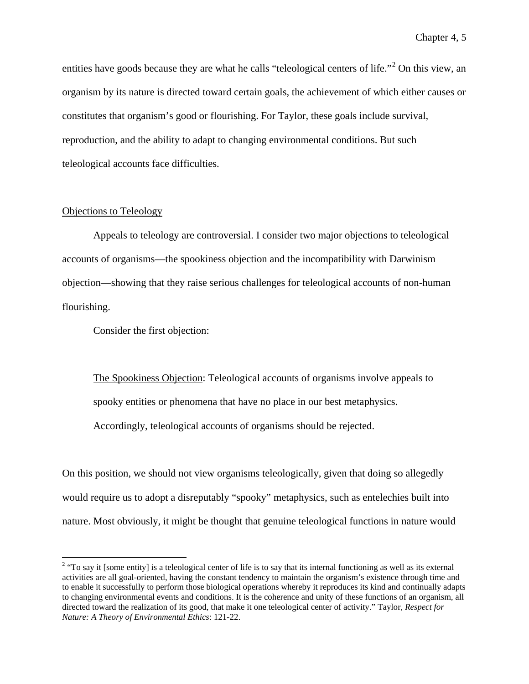entities have goods because they are what he calls "teleological centers of life."<sup>[2](#page-137-0)</sup> On this view, an organism by its nature is directed toward certain goals, the achievement of which either causes or constitutes that organism's good or flourishing. For Taylor, these goals include survival, reproduction, and the ability to adapt to changing environmental conditions. But such teleological accounts face difficulties.

### Objections to Teleology

Appeals to teleology are controversial. I consider two major objections to teleological accounts of organisms—the spookiness objection and the incompatibility with Darwinism objection—showing that they raise serious challenges for teleological accounts of non-human flourishing.

Consider the first objection:

The Spookiness Objection: Teleological accounts of organisms involve appeals to spooky entities or phenomena that have no place in our best metaphysics. Accordingly, teleological accounts of organisms should be rejected.

On this position, we should not view organisms teleologically, given that doing so allegedly would require us to adopt a disreputably "spooky" metaphysics, such as entelechies built into nature. Most obviously, it might be thought that genuine teleological functions in nature would

<span id="page-137-0"></span> $2$  "To say it [some entity] is a teleological center of life is to say that its internal functioning as well as its external activities are all goal-oriented, having the constant tendency to maintain the organism's existence through time and to enable it successfully to perform those biological operations whereby it reproduces its kind and continually adapts to changing environmental events and conditions. It is the coherence and unity of these functions of an organism, all directed toward the realization of its good, that make it one teleological center of activity." Taylor, *Respect for Nature: A Theory of Environmental Ethics*: 121-22.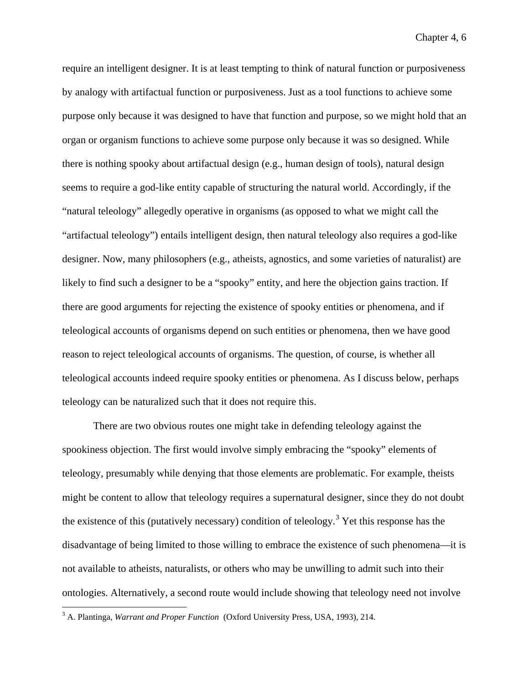require an intelligent designer. It is at least tempting to think of natural function or purposiveness by analogy with artifactual function or purposiveness. Just as a tool functions to achieve some purpose only because it was designed to have that function and purpose, so we might hold that an organ or organism functions to achieve some purpose only because it was so designed. While there is nothing spooky about artifactual design (e.g., human design of tools), natural design seems to require a god-like entity capable of structuring the natural world. Accordingly, if the "natural teleology" allegedly operative in organisms (as opposed to what we might call the "artifactual teleology") entails intelligent design, then natural teleology also requires a god-like designer. Now, many philosophers (e.g., atheists, agnostics, and some varieties of naturalist) are likely to find such a designer to be a "spooky" entity, and here the objection gains traction. If there are good arguments for rejecting the existence of spooky entities or phenomena, and if teleological accounts of organisms depend on such entities or phenomena, then we have good reason to reject teleological accounts of organisms. The question, of course, is whether all teleological accounts indeed require spooky entities or phenomena. As I discuss below, perhaps teleology can be naturalized such that it does not require this.

There are two obvious routes one might take in defending teleology against the spookiness objection. The first would involve simply embracing the "spooky" elements of teleology, presumably while denying that those elements are problematic. For example, theists might be content to allow that teleology requires a supernatural designer, since they do not doubt the existence of this (putatively necessary) condition of teleology.<sup>[3](#page-138-0)</sup> Yet this response has the disadvantage of being limited to those willing to embrace the existence of such phenomena—it is not available to atheists, naturalists, or others who may be unwilling to admit such into their ontologies. Alternatively, a second route would include showing that teleology need not involve

<span id="page-138-0"></span> <sup>3</sup> A. Plantinga, *Warrant and Proper Function* (Oxford University Press, USA, 1993), 214.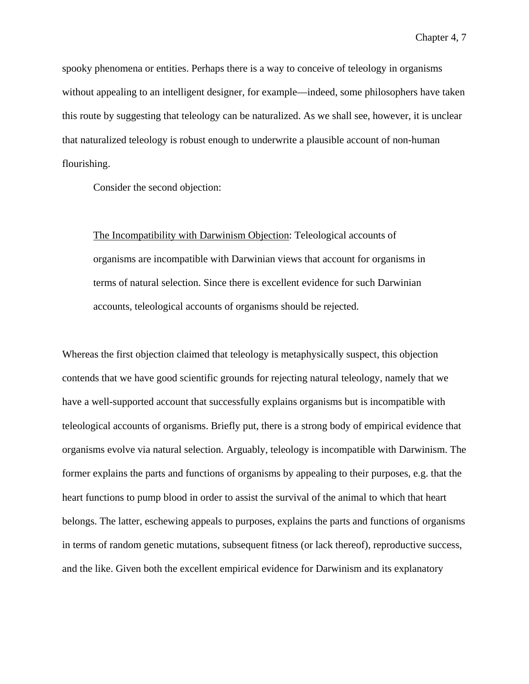spooky phenomena or entities. Perhaps there is a way to conceive of teleology in organisms without appealing to an intelligent designer, for example—indeed, some philosophers have taken this route by suggesting that teleology can be naturalized. As we shall see, however, it is unclear that naturalized teleology is robust enough to underwrite a plausible account of non-human flourishing.

Consider the second objection:

The Incompatibility with Darwinism Objection: Teleological accounts of organisms are incompatible with Darwinian views that account for organisms in terms of natural selection. Since there is excellent evidence for such Darwinian accounts, teleological accounts of organisms should be rejected.

Whereas the first objection claimed that teleology is metaphysically suspect, this objection contends that we have good scientific grounds for rejecting natural teleology, namely that we have a well-supported account that successfully explains organisms but is incompatible with teleological accounts of organisms. Briefly put, there is a strong body of empirical evidence that organisms evolve via natural selection. Arguably, teleology is incompatible with Darwinism. The former explains the parts and functions of organisms by appealing to their purposes, e.g. that the heart functions to pump blood in order to assist the survival of the animal to which that heart belongs. The latter, eschewing appeals to purposes, explains the parts and functions of organisms in terms of random genetic mutations, subsequent fitness (or lack thereof), reproductive success, and the like. Given both the excellent empirical evidence for Darwinism and its explanatory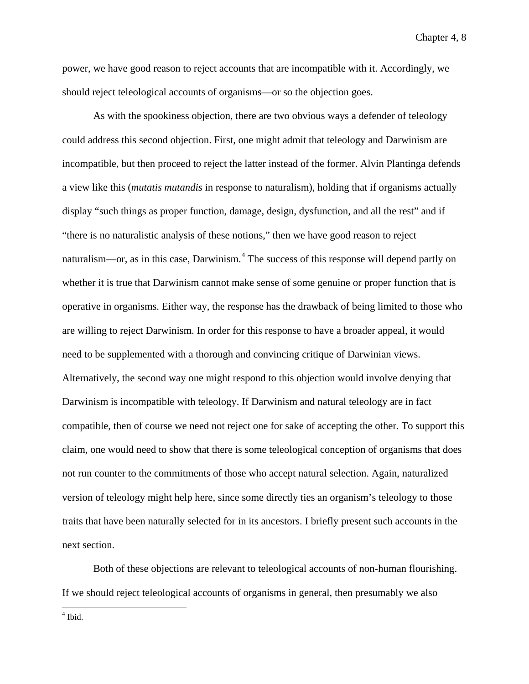power, we have good reason to reject accounts that are incompatible with it. Accordingly, we should reject teleological accounts of organisms—or so the objection goes.

As with the spookiness objection, there are two obvious ways a defender of teleology could address this second objection. First, one might admit that teleology and Darwinism are incompatible, but then proceed to reject the latter instead of the former. Alvin Plantinga defends a view like this (*mutatis mutandis* in response to naturalism), holding that if organisms actually display "such things as proper function, damage, design, dysfunction, and all the rest" and if "there is no naturalistic analysis of these notions," then we have good reason to reject naturalism—or, as in this case, Darwinism.<sup>[4](#page-140-0)</sup> The success of this response will depend partly on whether it is true that Darwinism cannot make sense of some genuine or proper function that is operative in organisms. Either way, the response has the drawback of being limited to those who are willing to reject Darwinism. In order for this response to have a broader appeal, it would need to be supplemented with a thorough and convincing critique of Darwinian views. Alternatively, the second way one might respond to this objection would involve denying that Darwinism is incompatible with teleology. If Darwinism and natural teleology are in fact compatible, then of course we need not reject one for sake of accepting the other. To support this claim, one would need to show that there is some teleological conception of organisms that does not run counter to the commitments of those who accept natural selection. Again, naturalized version of teleology might help here, since some directly ties an organism's teleology to those traits that have been naturally selected for in its ancestors. I briefly present such accounts in the next section.

Both of these objections are relevant to teleological accounts of non-human flourishing. If we should reject teleological accounts of organisms in general, then presumably we also

<span id="page-140-0"></span> $<sup>4</sup>$  Ibid.</sup>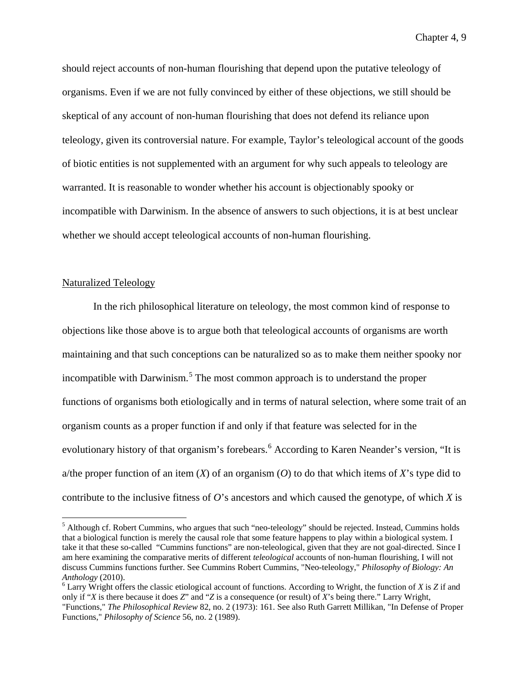should reject accounts of non-human flourishing that depend upon the putative teleology of organisms. Even if we are not fully convinced by either of these objections, we still should be skeptical of any account of non-human flourishing that does not defend its reliance upon teleology, given its controversial nature. For example, Taylor's teleological account of the goods of biotic entities is not supplemented with an argument for why such appeals to teleology are warranted. It is reasonable to wonder whether his account is objectionably spooky or incompatible with Darwinism. In the absence of answers to such objections, it is at best unclear whether we should accept teleological accounts of non-human flourishing.

# Naturalized Teleology

In the rich philosophical literature on teleology, the most common kind of response to objections like those above is to argue both that teleological accounts of organisms are worth maintaining and that such conceptions can be naturalized so as to make them neither spooky nor incompatible with Darwinism.<sup>[5](#page-141-0)</sup> The most common approach is to understand the proper functions of organisms both etiologically and in terms of natural selection, where some trait of an organism counts as a proper function if and only if that feature was selected for in the evolutionary history of that organism's forebears.<sup>[6](#page-141-1)</sup> According to Karen Neander's version, "It is a/the proper function of an item  $(X)$  of an organism  $(O)$  to do that which items of  $X$ 's type did to contribute to the inclusive fitness of *O*'s ancestors and which caused the genotype, of which *X* is

<span id="page-141-0"></span><sup>&</sup>lt;sup>5</sup> Although cf. Robert Cummins, who argues that such "neo-teleology" should be rejected. Instead, Cummins holds that a biological function is merely the causal role that some feature happens to play within a biological system. I take it that these so-called "Cummins functions" are non-teleological, given that they are not goal-directed. Since I am here examining the comparative merits of different *teleological* accounts of non-human flourishing, I will not discuss Cummins functions further. See Cummins Robert Cummins, "Neo-teleology," *Philosophy of Biology: An Anthology* (2010).<br><sup>6</sup> Larry Wright offers the classic etiological account of functions. According to Wright, the function of *X* is *Z* if and

<span id="page-141-1"></span>only if "*X* is there because it does *Z*" and "*Z* is a consequence (or result) of *X*'s being there." Larry Wright, "Functions," *The Philosophical Review* 82, no. 2 (1973): 161. See also Ruth Garrett Millikan, "In Defense of Proper Functions," *Philosophy of Science* 56, no. 2 (1989).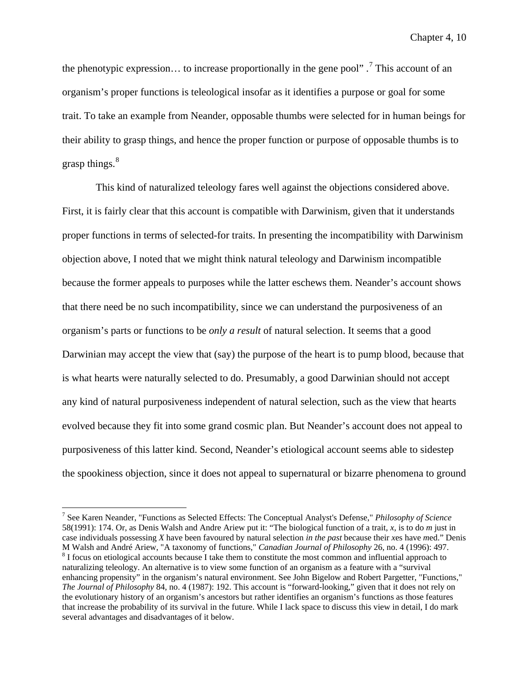the phenotypic expression... to increase proportionally in the gene pool".<sup>[7](#page-142-0)</sup> This account of an organism's proper functions is teleological insofar as it identifies a purpose or goal for some trait. To take an example from Neander, opposable thumbs were selected for in human beings for their ability to grasp things, and hence the proper function or purpose of opposable thumbs is to grasp things.<sup>[8](#page-142-1)</sup>

This kind of naturalized teleology fares well against the objections considered above. First, it is fairly clear that this account is compatible with Darwinism, given that it understands proper functions in terms of selected-for traits. In presenting the incompatibility with Darwinism objection above, I noted that we might think natural teleology and Darwinism incompatible because the former appeals to purposes while the latter eschews them. Neander's account shows that there need be no such incompatibility, since we can understand the purposiveness of an organism's parts or functions to be *only a result* of natural selection. It seems that a good Darwinian may accept the view that (say) the purpose of the heart is to pump blood, because that is what hearts were naturally selected to do. Presumably, a good Darwinian should not accept any kind of natural purposiveness independent of natural selection, such as the view that hearts evolved because they fit into some grand cosmic plan. But Neander's account does not appeal to purposiveness of this latter kind. Second, Neander's etiological account seems able to sidestep the spookiness objection, since it does not appeal to supernatural or bizarre phenomena to ground

<span id="page-142-0"></span> <sup>7</sup> See Karen Neander, "Functions as Selected Effects: The Conceptual Analyst's Defense," *Philosophy of Science* 58(1991): 174. Or, as Denis Walsh and Andre Ariew put it: "The biological function of a trait, *x*, is to do *m* just in case individuals possessing *X* have been favoured by natural selection *in the past* because their *x*es have *m*ed." Denis M Walsh and André Ariew, "A taxonomy of functions," *Canadian Journal of Philosophy* 26, no. 4 (1996): 497. <sup>8</sup> I focus on etiological accounts because I take them to constitute the most common and influential approach to

<span id="page-142-1"></span>naturalizing teleology. An alternative is to view some function of an organism as a feature with a "survival enhancing propensity" in the organism's natural environment. See John Bigelow and Robert Pargetter, "Functions," *The Journal of Philosophy* 84, no. 4 (1987): 192. This account is "forward-looking," given that it does not rely on the evolutionary history of an organism's ancestors but rather identifies an organism's functions as those features that increase the probability of its survival in the future. While I lack space to discuss this view in detail, I do mark several advantages and disadvantages of it below.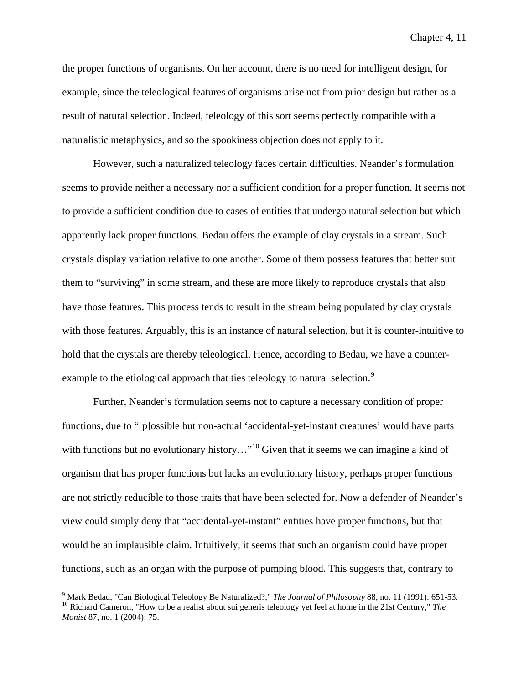the proper functions of organisms. On her account, there is no need for intelligent design, for example, since the teleological features of organisms arise not from prior design but rather as a result of natural selection. Indeed, teleology of this sort seems perfectly compatible with a naturalistic metaphysics, and so the spookiness objection does not apply to it.

However, such a naturalized teleology faces certain difficulties. Neander's formulation seems to provide neither a necessary nor a sufficient condition for a proper function. It seems not to provide a sufficient condition due to cases of entities that undergo natural selection but which apparently lack proper functions. Bedau offers the example of clay crystals in a stream. Such crystals display variation relative to one another. Some of them possess features that better suit them to "surviving" in some stream, and these are more likely to reproduce crystals that also have those features. This process tends to result in the stream being populated by clay crystals with those features. Arguably, this is an instance of natural selection, but it is counter-intuitive to hold that the crystals are thereby teleological. Hence, according to Bedau, we have a counter-example to the etiological approach that ties teleology to natural selection.<sup>[9](#page-143-0)</sup>

Further, Neander's formulation seems not to capture a necessary condition of proper functions, due to "[p]ossible but non-actual 'accidental-yet-instant creatures' would have parts with functions but no evolutionary history..."<sup>[10](#page-143-1)</sup> Given that it seems we can imagine a kind of organism that has proper functions but lacks an evolutionary history, perhaps proper functions are not strictly reducible to those traits that have been selected for. Now a defender of Neander's view could simply deny that "accidental-yet-instant" entities have proper functions, but that would be an implausible claim. Intuitively, it seems that such an organism could have proper functions, such as an organ with the purpose of pumping blood. This suggests that, contrary to

<span id="page-143-0"></span><sup>&</sup>lt;sup>9</sup> Mark Bedau, "Can Biological Teleology Be Naturalized?," *The Journal of Philosophy* 88, no. 11 (1991): 651-53.<br><sup>10</sup> Richard Cameron, "How to be a realist about sui generis teleology yet feel at home in the 21st Centur

<span id="page-143-1"></span>*Monist* 87, no. 1 (2004): 75.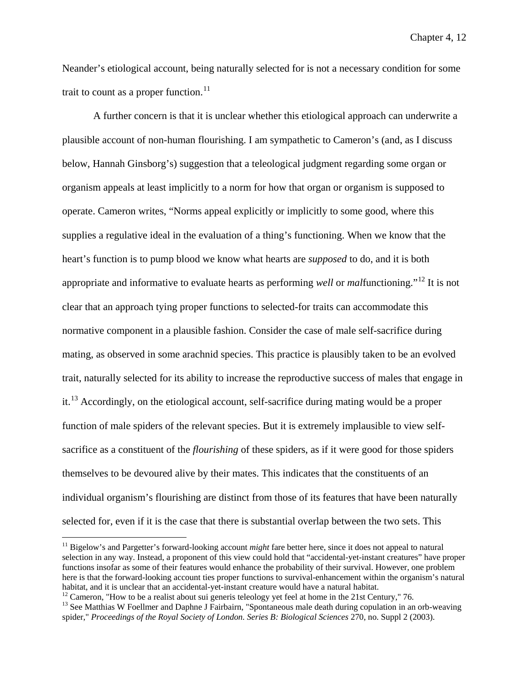Neander's etiological account, being naturally selected for is not a necessary condition for some trait to count as a proper function.<sup>[11](#page-144-0)</sup>

A further concern is that it is unclear whether this etiological approach can underwrite a plausible account of non-human flourishing. I am sympathetic to Cameron's (and, as I discuss below, Hannah Ginsborg's) suggestion that a teleological judgment regarding some organ or organism appeals at least implicitly to a norm for how that organ or organism is supposed to operate. Cameron writes, "Norms appeal explicitly or implicitly to some good, where this supplies a regulative ideal in the evaluation of a thing's functioning. When we know that the heart's function is to pump blood we know what hearts are *supposed* to do, and it is both appropriate and informative to evaluate hearts as performing *well* or *mal*functioning."[12](#page-144-1) It is not clear that an approach tying proper functions to selected-for traits can accommodate this normative component in a plausible fashion. Consider the case of male self-sacrifice during mating, as observed in some arachnid species. This practice is plausibly taken to be an evolved trait, naturally selected for its ability to increase the reproductive success of males that engage in it.<sup>[13](#page-144-2)</sup> Accordingly, on the etiological account, self-sacrifice during mating would be a proper function of male spiders of the relevant species. But it is extremely implausible to view selfsacrifice as a constituent of the *flourishing* of these spiders, as if it were good for those spiders themselves to be devoured alive by their mates. This indicates that the constituents of an individual organism's flourishing are distinct from those of its features that have been naturally selected for, even if it is the case that there is substantial overlap between the two sets. This

<span id="page-144-0"></span><sup>&</sup>lt;sup>11</sup> Bigelow's and Pargetter's forward-looking account *might* fare better here, since it does not appeal to natural selection in any way. Instead, a proponent of this view could hold that "accidental-yet-instant creatures" have proper functions insofar as some of their features would enhance the probability of their survival. However, one problem here is that the forward-looking account ties proper functions to survival-enhancement within the organism's natural habitat, and it is unclear that an accidental-yet-instant creature would have a natural habitat.<br><sup>12</sup> Cameron, "How to be a realist about sui generis teleology yet feel at home in the 21st Century," 76.<br><sup>13</sup> See Matthias W

<span id="page-144-2"></span><span id="page-144-1"></span>spider," *Proceedings of the Royal Society of London. Series B: Biological Sciences* 270, no. Suppl 2 (2003).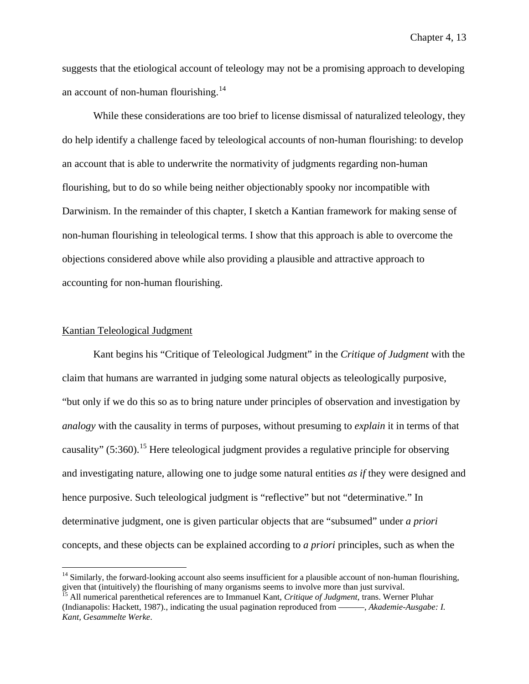suggests that the etiological account of teleology may not be a promising approach to developing an account of non-human flourishing.<sup>[14](#page-145-0)</sup>

While these considerations are too brief to license dismissal of naturalized teleology, they do help identify a challenge faced by teleological accounts of non-human flourishing: to develop an account that is able to underwrite the normativity of judgments regarding non-human flourishing, but to do so while being neither objectionably spooky nor incompatible with Darwinism. In the remainder of this chapter, I sketch a Kantian framework for making sense of non-human flourishing in teleological terms. I show that this approach is able to overcome the objections considered above while also providing a plausible and attractive approach to accounting for non-human flourishing.

## Kantian Teleological Judgment

Kant begins his "Critique of Teleological Judgment" in the *Critique of Judgment* with the claim that humans are warranted in judging some natural objects as teleologically purposive, "but only if we do this so as to bring nature under principles of observation and investigation by *analogy* with the causality in terms of purposes, without presuming to *explain* it in terms of that causality"  $(5:360)$ .<sup>[15](#page-145-1)</sup> Here teleological judgment provides a regulative principle for observing and investigating nature, allowing one to judge some natural entities *as if* they were designed and hence purposive. Such teleological judgment is "reflective" but not "determinative." In determinative judgment, one is given particular objects that are "subsumed" under *a priori* concepts, and these objects can be explained according to *a priori* principles, such as when the

<span id="page-145-0"></span> $14$  Similarly, the forward-looking account also seems insufficient for a plausible account of non-human flourishing, given that (intuitively) the flourishing of many organisms seems to involve more than just survival.

<span id="page-145-1"></span><sup>15</sup> All numerical parenthetical references are to Immanuel Kant, *Critique of Judgment*, trans. Werner Pluhar (Indianapolis: Hackett, 1987)., indicating the usual pagination reproduced from ———, *Akademie-Ausgabe: I. Kant, Gesammelte Werke*.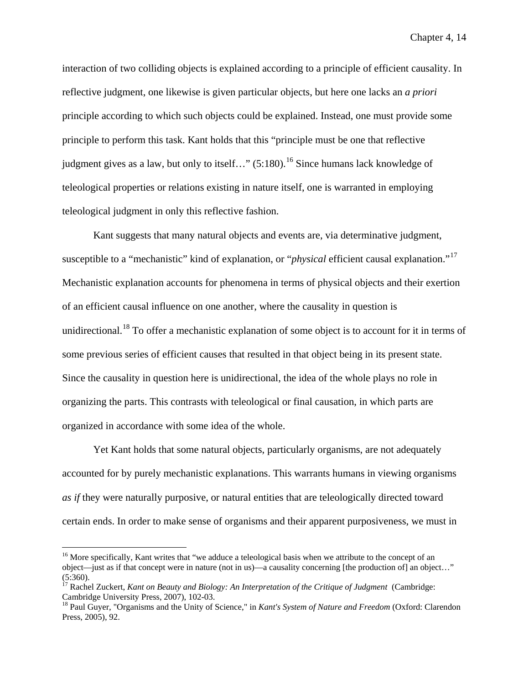interaction of two colliding objects is explained according to a principle of efficient causality. In reflective judgment, one likewise is given particular objects, but here one lacks an *a priori* principle according to which such objects could be explained. Instead, one must provide some principle to perform this task. Kant holds that this "principle must be one that reflective judgment gives as a law, but only to itself..."  $(5:180)$ .<sup>[16](#page-146-0)</sup> Since humans lack knowledge of teleological properties or relations existing in nature itself, one is warranted in employing teleological judgment in only this reflective fashion.

Kant suggests that many natural objects and events are, via determinative judgment, susceptible to a "mechanistic" kind of explanation, or "*physical* efficient causal explanation."<sup>[17](#page-146-1)</sup> Mechanistic explanation accounts for phenomena in terms of physical objects and their exertion of an efficient causal influence on one another, where the causality in question is unidirectional.<sup>[18](#page-146-2)</sup> To offer a mechanistic explanation of some object is to account for it in terms of some previous series of efficient causes that resulted in that object being in its present state. Since the causality in question here is unidirectional, the idea of the whole plays no role in organizing the parts. This contrasts with teleological or final causation, in which parts are organized in accordance with some idea of the whole.

Yet Kant holds that some natural objects, particularly organisms, are not adequately accounted for by purely mechanistic explanations. This warrants humans in viewing organisms *as if* they were naturally purposive, or natural entities that are teleologically directed toward certain ends. In order to make sense of organisms and their apparent purposiveness, we must in

<span id="page-146-0"></span><sup>&</sup>lt;sup>16</sup> More specifically, Kant writes that "we adduce a teleological basis when we attribute to the concept of an object—just as if that concept were in nature (not in us)—a causality concerning [the production of] an object…" (5:360).

<span id="page-146-1"></span><sup>&</sup>lt;sup>17</sup> Rachel Zuckert, *Kant on Beauty and Biology: An Interpretation of the Critique of Judgment* (Cambridge: Cambridge: *Cambridge University Press, 2007*), 102-03.

<span id="page-146-2"></span><sup>&</sup>lt;sup>18</sup> Paul Guyer, "Organisms and the Unity of Science," in *Kant's System of Nature and Freedom* (Oxford: Clarendon Press, 2005), 92.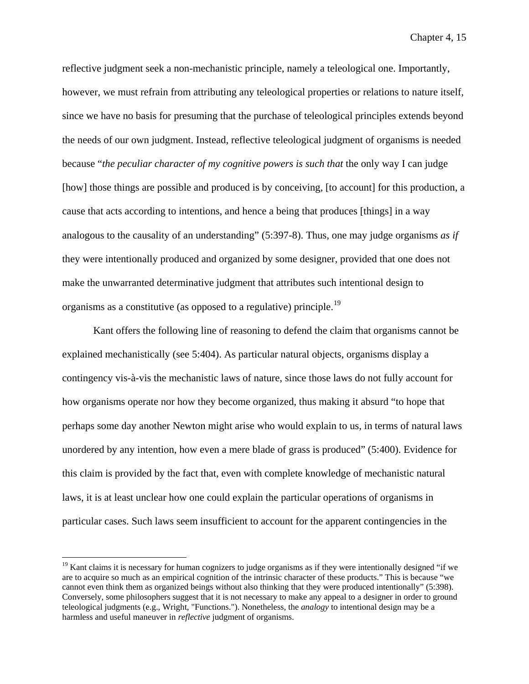reflective judgment seek a non-mechanistic principle, namely a teleological one. Importantly, however, we must refrain from attributing any teleological properties or relations to nature itself, since we have no basis for presuming that the purchase of teleological principles extends beyond the needs of our own judgment. Instead, reflective teleological judgment of organisms is needed because "*the peculiar character of my cognitive powers is such that* the only way I can judge [how] those things are possible and produced is by conceiving, [to account] for this production, a cause that acts according to intentions, and hence a being that produces [things] in a way analogous to the causality of an understanding" (5:397-8). Thus, one may judge organisms *as if* they were intentionally produced and organized by some designer, provided that one does not make the unwarranted determinative judgment that attributes such intentional design to organisms as a constitutive (as opposed to a regulative) principle.[19](#page-147-0)

Kant offers the following line of reasoning to defend the claim that organisms cannot be explained mechanistically (see 5:404). As particular natural objects, organisms display a contingency vis-à-vis the mechanistic laws of nature, since those laws do not fully account for how organisms operate nor how they become organized, thus making it absurd "to hope that perhaps some day another Newton might arise who would explain to us, in terms of natural laws unordered by any intention, how even a mere blade of grass is produced" (5:400). Evidence for this claim is provided by the fact that, even with complete knowledge of mechanistic natural laws, it is at least unclear how one could explain the particular operations of organisms in particular cases. Such laws seem insufficient to account for the apparent contingencies in the

<span id="page-147-0"></span> $19$  Kant claims it is necessary for human cognizers to judge organisms as if they were intentionally designed "if we are to acquire so much as an empirical cognition of the intrinsic character of these products." This is because "we cannot even think them as organized beings without also thinking that they were produced intentionally" (5:398). Conversely, some philosophers suggest that it is not necessary to make any appeal to a designer in order to ground teleological judgments (e.g., Wright, "Functions."). Nonetheless, the *analogy* to intentional design may be a harmless and useful maneuver in *reflective* judgment of organisms.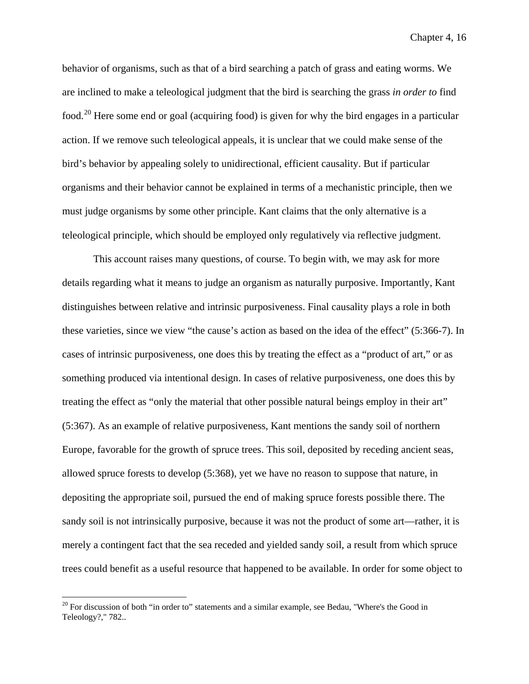behavior of organisms, such as that of a bird searching a patch of grass and eating worms. We are inclined to make a teleological judgment that the bird is searching the grass *in order to* find food.<sup>[20](#page-148-0)</sup> Here some end or goal (acquiring food) is given for why the bird engages in a particular action. If we remove such teleological appeals, it is unclear that we could make sense of the bird's behavior by appealing solely to unidirectional, efficient causality. But if particular organisms and their behavior cannot be explained in terms of a mechanistic principle, then we must judge organisms by some other principle. Kant claims that the only alternative is a teleological principle, which should be employed only regulatively via reflective judgment.

This account raises many questions, of course. To begin with, we may ask for more details regarding what it means to judge an organism as naturally purposive. Importantly, Kant distinguishes between relative and intrinsic purposiveness. Final causality plays a role in both these varieties, since we view "the cause's action as based on the idea of the effect" (5:366-7). In cases of intrinsic purposiveness, one does this by treating the effect as a "product of art," or as something produced via intentional design. In cases of relative purposiveness, one does this by treating the effect as "only the material that other possible natural beings employ in their art" (5:367). As an example of relative purposiveness, Kant mentions the sandy soil of northern Europe, favorable for the growth of spruce trees. This soil, deposited by receding ancient seas, allowed spruce forests to develop (5:368), yet we have no reason to suppose that nature, in depositing the appropriate soil, pursued the end of making spruce forests possible there. The sandy soil is not intrinsically purposive, because it was not the product of some art—rather, it is merely a contingent fact that the sea receded and yielded sandy soil, a result from which spruce trees could benefit as a useful resource that happened to be available. In order for some object to

<span id="page-148-0"></span><sup>&</sup>lt;sup>20</sup> For discussion of both "in order to" statements and a similar example, see Bedau, "Where's the Good in Teleology?," 782..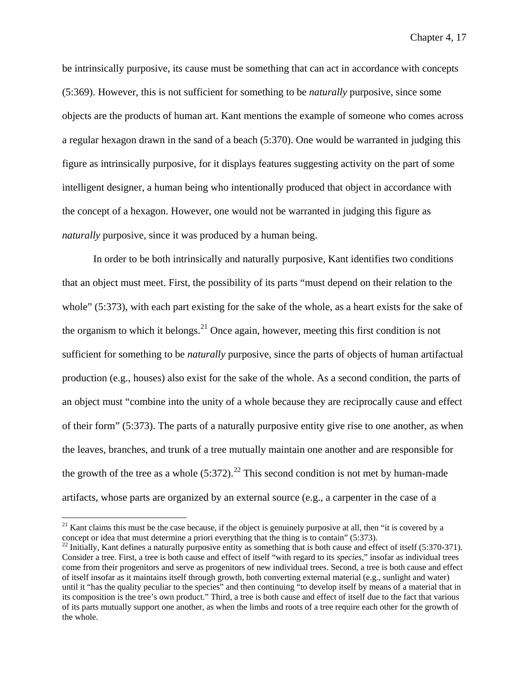be intrinsically purposive, its cause must be something that can act in accordance with concepts (5:369). However, this is not sufficient for something to be *naturally* purposive, since some objects are the products of human art. Kant mentions the example of someone who comes across a regular hexagon drawn in the sand of a beach (5:370). One would be warranted in judging this figure as intrinsically purposive, for it displays features suggesting activity on the part of some intelligent designer, a human being who intentionally produced that object in accordance with the concept of a hexagon. However, one would not be warranted in judging this figure as *naturally* purposive, since it was produced by a human being.

In order to be both intrinsically and naturally purposive, Kant identifies two conditions that an object must meet. First, the possibility of its parts "must depend on their relation to the whole" (5:373), with each part existing for the sake of the whole, as a heart exists for the sake of the organism to which it belongs. $^{21}$  $^{21}$  $^{21}$  Once again, however, meeting this first condition is not sufficient for something to be *naturally* purposive, since the parts of objects of human artifactual production (e.g., houses) also exist for the sake of the whole. As a second condition, the parts of an object must "combine into the unity of a whole because they are reciprocally cause and effect of their form" (5:373). The parts of a naturally purposive entity give rise to one another, as when the leaves, branches, and trunk of a tree mutually maintain one another and are responsible for the growth of the tree as a whole  $(5:372)$ .<sup>[22](#page-149-1)</sup> This second condition is not met by human-made artifacts, whose parts are organized by an external source (e.g., a carpenter in the case of a

<span id="page-149-0"></span> $21$  Kant claims this must be the case because, if the object is genuinely purposive at all, then "it is covered by a concept or idea that must determine a priori everything that the thing is to contain" (5:373).

<span id="page-149-1"></span> $^{22}$  Initially, Kant defines a naturally purposive entity as something that is both cause and effect of itself (5:370-371). Consider a tree. First, a tree is both cause and effect of itself "with regard to its *species*," insofar as individual trees come from their progenitors and serve as progenitors of new individual trees. Second, a tree is both cause and effect of itself insofar as it maintains itself through growth, both converting external material (e.g., sunlight and water) until it "has the quality peculiar to the species" and then continuing "to develop itself by means of a material that in its composition is the tree's own product." Third, a tree is both cause and effect of itself due to the fact that various of its parts mutually support one another, as when the limbs and roots of a tree require each other for the growth of the whole.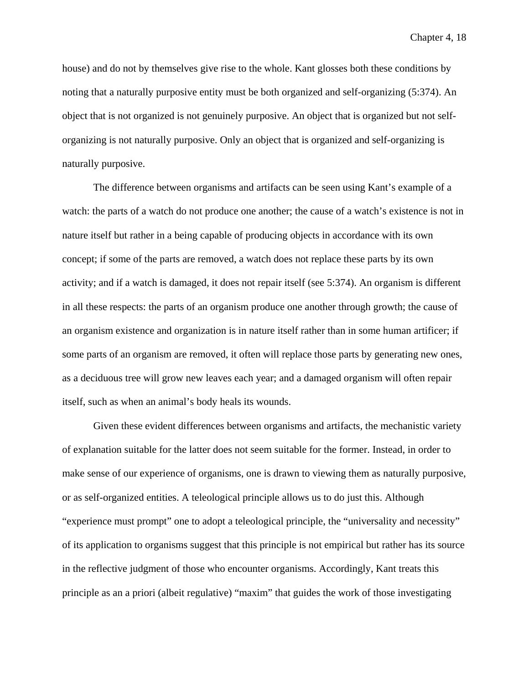house) and do not by themselves give rise to the whole. Kant glosses both these conditions by noting that a naturally purposive entity must be both organized and self-organizing (5:374). An object that is not organized is not genuinely purposive. An object that is organized but not selforganizing is not naturally purposive. Only an object that is organized and self-organizing is naturally purposive.

The difference between organisms and artifacts can be seen using Kant's example of a watch: the parts of a watch do not produce one another; the cause of a watch's existence is not in nature itself but rather in a being capable of producing objects in accordance with its own concept; if some of the parts are removed, a watch does not replace these parts by its own activity; and if a watch is damaged, it does not repair itself (see 5:374). An organism is different in all these respects: the parts of an organism produce one another through growth; the cause of an organism existence and organization is in nature itself rather than in some human artificer; if some parts of an organism are removed, it often will replace those parts by generating new ones, as a deciduous tree will grow new leaves each year; and a damaged organism will often repair itself, such as when an animal's body heals its wounds.

Given these evident differences between organisms and artifacts, the mechanistic variety of explanation suitable for the latter does not seem suitable for the former. Instead, in order to make sense of our experience of organisms, one is drawn to viewing them as naturally purposive, or as self-organized entities. A teleological principle allows us to do just this. Although "experience must prompt" one to adopt a teleological principle, the "universality and necessity" of its application to organisms suggest that this principle is not empirical but rather has its source in the reflective judgment of those who encounter organisms. Accordingly, Kant treats this principle as an a priori (albeit regulative) "maxim" that guides the work of those investigating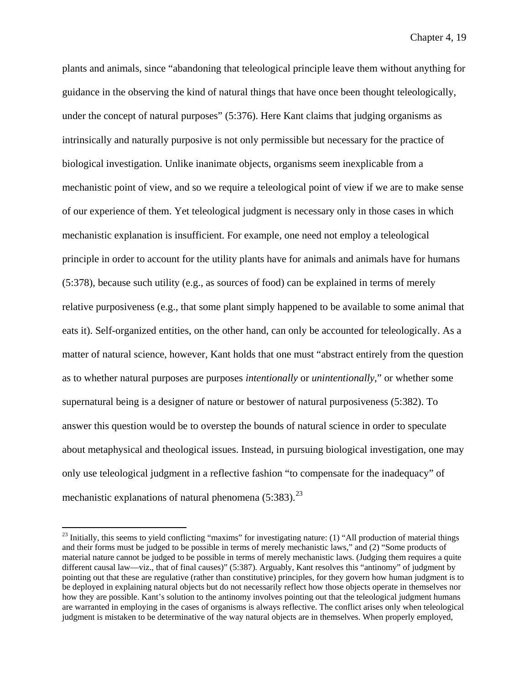plants and animals, since "abandoning that teleological principle leave them without anything for guidance in the observing the kind of natural things that have once been thought teleologically, under the concept of natural purposes" (5:376). Here Kant claims that judging organisms as intrinsically and naturally purposive is not only permissible but necessary for the practice of biological investigation. Unlike inanimate objects, organisms seem inexplicable from a mechanistic point of view, and so we require a teleological point of view if we are to make sense of our experience of them. Yet teleological judgment is necessary only in those cases in which mechanistic explanation is insufficient. For example, one need not employ a teleological principle in order to account for the utility plants have for animals and animals have for humans (5:378), because such utility (e.g., as sources of food) can be explained in terms of merely relative purposiveness (e.g., that some plant simply happened to be available to some animal that eats it). Self-organized entities, on the other hand, can only be accounted for teleologically. As a matter of natural science, however, Kant holds that one must "abstract entirely from the question as to whether natural purposes are purposes *intentionally* or *unintentionally*," or whether some supernatural being is a designer of nature or bestower of natural purposiveness (5:382). To answer this question would be to overstep the bounds of natural science in order to speculate about metaphysical and theological issues. Instead, in pursuing biological investigation, one may only use teleological judgment in a reflective fashion "to compensate for the inadequacy" of mechanistic explanations of natural phenomena (5:383).<sup>[23](#page-151-0)</sup>

<span id="page-151-0"></span> $^{23}$  Initially, this seems to yield conflicting "maxims" for investigating nature: (1) "All production of material things and their forms must be judged to be possible in terms of merely mechanistic laws," and (2) "Some products of material nature cannot be judged to be possible in terms of merely mechanistic laws. (Judging them requires a quite different causal law—viz., that of final causes)" (5:387). Arguably, Kant resolves this "antinomy" of judgment by pointing out that these are regulative (rather than constitutive) principles, for they govern how human judgment is to be deployed in explaining natural objects but do not necessarily reflect how those objects operate in themselves nor how they are possible. Kant's solution to the antinomy involves pointing out that the teleological judgment humans are warranted in employing in the cases of organisms is always reflective. The conflict arises only when teleological judgment is mistaken to be determinative of the way natural objects are in themselves. When properly employed,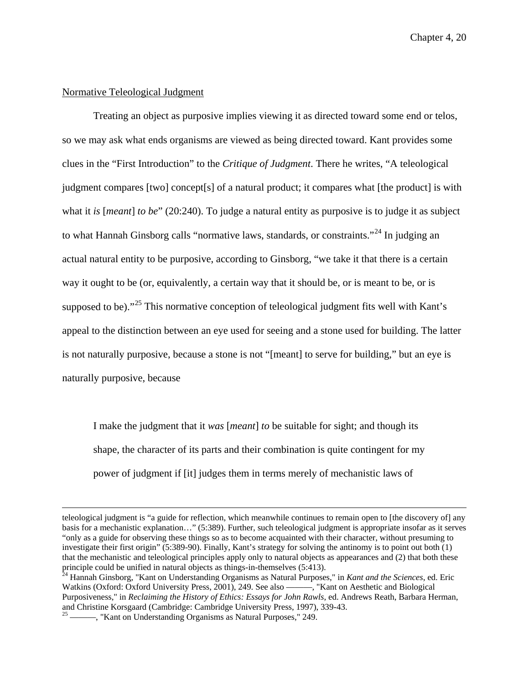# Normative Teleological Judgment

Treating an object as purposive implies viewing it as directed toward some end or telos, so we may ask what ends organisms are viewed as being directed toward. Kant provides some clues in the "First Introduction" to the *Critique of Judgment*. There he writes, "A teleological judgment compares [two] concept[s] of a natural product; it compares what [the product] is with what it *is* [*meant*] *to be*" (20:240). To judge a natural entity as purposive is to judge it as subject to what Hannah Ginsborg calls "normative laws, standards, or constraints."<sup>[24](#page-152-0)</sup> In judging an actual natural entity to be purposive, according to Ginsborg, "we take it that there is a certain way it ought to be (or, equivalently, a certain way that it should be, or is meant to be, or is supposed to be)."<sup>[25](#page-152-1)</sup> This normative conception of teleological judgment fits well with Kant's appeal to the distinction between an eye used for seeing and a stone used for building. The latter is not naturally purposive, because a stone is not "[meant] to serve for building," but an eye is naturally purposive, because

I make the judgment that it *was* [*meant*] *to* be suitable for sight; and though its shape, the character of its parts and their combination is quite contingent for my power of judgment if [it] judges them in terms merely of mechanistic laws of

teleological judgment is "a guide for reflection, which meanwhile continues to remain open to [the discovery of] any basis for a mechanistic explanation…" (5:389). Further, such teleological judgment is appropriate insofar as it serves "only as a guide for observing these things so as to become acquainted with their character, without presuming to investigate their first origin" (5:389-90). Finally, Kant's strategy for solving the antinomy is to point out both (1) that the mechanistic and teleological principles apply only to natural objects as appearances and (2) that both these principle could be unified in natural objects as things-in-themselves (5:413). <sup>24</sup> Hannah Ginsborg, "Kant on Understanding Organisms as Natural Purposes," in *Kant and the Sciences*, ed. Eric

<span id="page-152-0"></span>Watkins (Oxford: Oxford University Press, 2001), 249. See also ———, "Kant on Aesthetic and Biological Purposiveness," in *Reclaiming the History of Ethics: Essays for John Rawls*, ed. Andrews Reath, Barbara Herman,

<span id="page-152-1"></span> $2<sup>25</sup>$  ———, "Kant on Understanding Organisms as Natural Purposes," 249.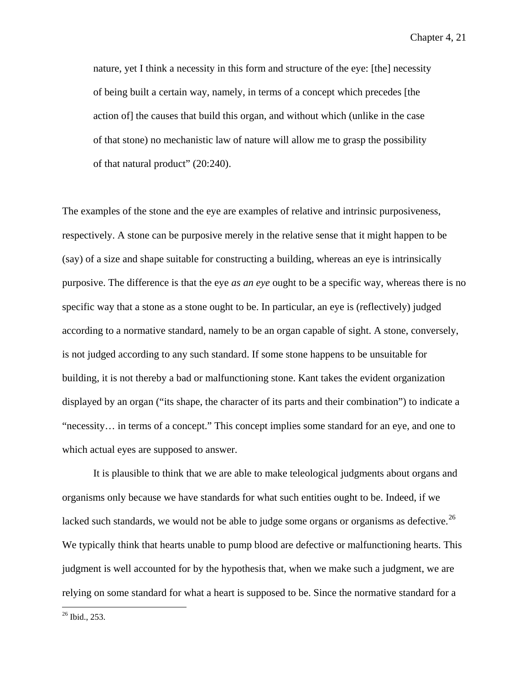nature, yet I think a necessity in this form and structure of the eye: [the] necessity of being built a certain way, namely, in terms of a concept which precedes [the action of] the causes that build this organ, and without which (unlike in the case of that stone) no mechanistic law of nature will allow me to grasp the possibility of that natural product" (20:240).

The examples of the stone and the eye are examples of relative and intrinsic purposiveness, respectively. A stone can be purposive merely in the relative sense that it might happen to be (say) of a size and shape suitable for constructing a building, whereas an eye is intrinsically purposive. The difference is that the eye *as an eye* ought to be a specific way, whereas there is no specific way that a stone as a stone ought to be. In particular, an eye is (reflectively) judged according to a normative standard, namely to be an organ capable of sight. A stone, conversely, is not judged according to any such standard. If some stone happens to be unsuitable for building, it is not thereby a bad or malfunctioning stone. Kant takes the evident organization displayed by an organ ("its shape, the character of its parts and their combination") to indicate a "necessity… in terms of a concept." This concept implies some standard for an eye, and one to which actual eyes are supposed to answer.

It is plausible to think that we are able to make teleological judgments about organs and organisms only because we have standards for what such entities ought to be. Indeed, if we lacked such standards, we would not be able to judge some organs or organisms as defective.<sup>[26](#page-153-0)</sup> We typically think that hearts unable to pump blood are defective or malfunctioning hearts. This judgment is well accounted for by the hypothesis that, when we make such a judgment, we are relying on some standard for what a heart is supposed to be. Since the normative standard for a

<span id="page-153-0"></span>26 Ibid., 253.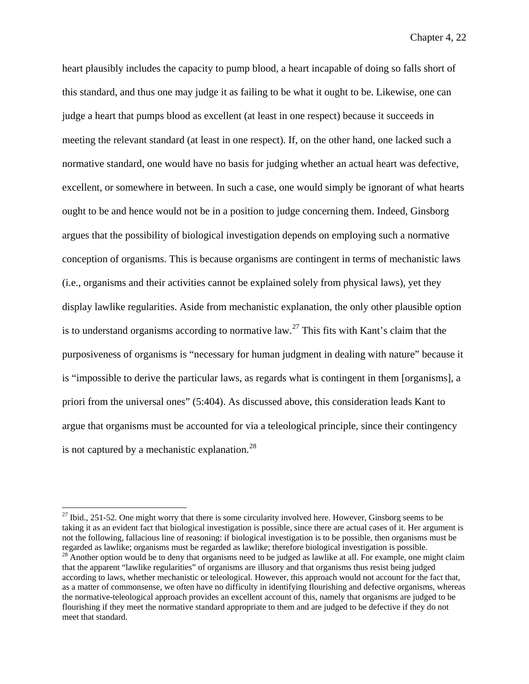heart plausibly includes the capacity to pump blood, a heart incapable of doing so falls short of this standard, and thus one may judge it as failing to be what it ought to be. Likewise, one can judge a heart that pumps blood as excellent (at least in one respect) because it succeeds in meeting the relevant standard (at least in one respect). If, on the other hand, one lacked such a normative standard, one would have no basis for judging whether an actual heart was defective, excellent, or somewhere in between. In such a case, one would simply be ignorant of what hearts ought to be and hence would not be in a position to judge concerning them. Indeed, Ginsborg argues that the possibility of biological investigation depends on employing such a normative conception of organisms. This is because organisms are contingent in terms of mechanistic laws (i.e., organisms and their activities cannot be explained solely from physical laws), yet they display lawlike regularities. Aside from mechanistic explanation, the only other plausible option is to understand organisms according to normative  $law<sup>27</sup>$  $law<sup>27</sup>$  $law<sup>27</sup>$ . This fits with Kant's claim that the purposiveness of organisms is "necessary for human judgment in dealing with nature" because it is "impossible to derive the particular laws, as regards what is contingent in them [organisms], a priori from the universal ones" (5:404). As discussed above, this consideration leads Kant to argue that organisms must be accounted for via a teleological principle, since their contingency is not captured by a mechanistic explanation.<sup>[28](#page-154-1)</sup>

<span id="page-154-0"></span> $27$  Ibid., 251-52. One might worry that there is some circularity involved here. However, Ginsborg seems to be taking it as an evident fact that biological investigation is possible, since there are actual cases of it. Her argument is not the following, fallacious line of reasoning: if biological investigation is to be possible, then organisms must be regarded as lawlike; organisms must be regarded as lawlike; therefore biological investigation is possible.

<span id="page-154-1"></span><sup>&</sup>lt;sup>28</sup> Another option would be to deny that organisms need to be judged as lawlike at all. For example, one might claim that the apparent "lawlike regularities" of organisms are illusory and that organisms thus resist being judged according to laws, whether mechanistic or teleological. However, this approach would not account for the fact that, as a matter of commonsense, we often have no difficulty in identifying flourishing and defective organisms, whereas the normative-teleological approach provides an excellent account of this, namely that organisms are judged to be flourishing if they meet the normative standard appropriate to them and are judged to be defective if they do not meet that standard.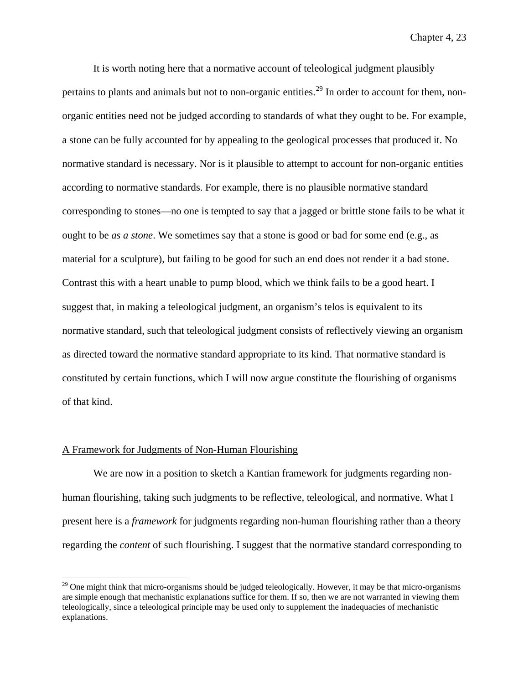It is worth noting here that a normative account of teleological judgment plausibly pertains to plants and animals but not to non-organic entities.<sup>[29](#page-155-0)</sup> In order to account for them, nonorganic entities need not be judged according to standards of what they ought to be. For example, a stone can be fully accounted for by appealing to the geological processes that produced it. No normative standard is necessary. Nor is it plausible to attempt to account for non-organic entities according to normative standards. For example, there is no plausible normative standard corresponding to stones—no one is tempted to say that a jagged or brittle stone fails to be what it ought to be *as a stone*. We sometimes say that a stone is good or bad for some end (e.g., as material for a sculpture), but failing to be good for such an end does not render it a bad stone. Contrast this with a heart unable to pump blood, which we think fails to be a good heart. I suggest that, in making a teleological judgment, an organism's telos is equivalent to its normative standard, such that teleological judgment consists of reflectively viewing an organism as directed toward the normative standard appropriate to its kind. That normative standard is constituted by certain functions, which I will now argue constitute the flourishing of organisms of that kind.

## A Framework for Judgments of Non-Human Flourishing

We are now in a position to sketch a Kantian framework for judgments regarding nonhuman flourishing, taking such judgments to be reflective, teleological, and normative. What I present here is a *framework* for judgments regarding non-human flourishing rather than a theory regarding the *content* of such flourishing. I suggest that the normative standard corresponding to

<span id="page-155-0"></span> $^{29}$  One might think that micro-organisms should be judged teleologically. However, it may be that micro-organisms are simple enough that mechanistic explanations suffice for them. If so, then we are not warranted in viewing them teleologically, since a teleological principle may be used only to supplement the inadequacies of mechanistic explanations.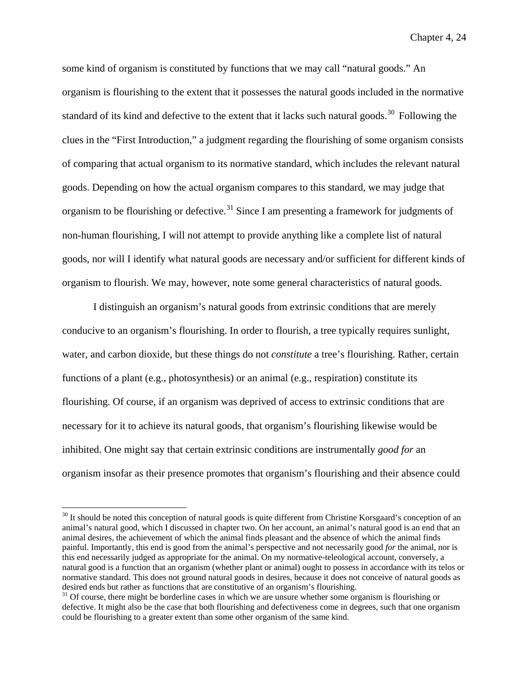some kind of organism is constituted by functions that we may call "natural goods." An organism is flourishing to the extent that it possesses the natural goods included in the normative standard of its kind and defective to the extent that it lacks such natural goods.<sup>[30](#page-156-0)</sup> Following the clues in the "First Introduction," a judgment regarding the flourishing of some organism consists of comparing that actual organism to its normative standard, which includes the relevant natural goods. Depending on how the actual organism compares to this standard, we may judge that organism to be flourishing or defective.<sup>[31](#page-156-1)</sup> Since I am presenting a framework for judgments of non-human flourishing, I will not attempt to provide anything like a complete list of natural goods, nor will I identify what natural goods are necessary and/or sufficient for different kinds of organism to flourish. We may, however, note some general characteristics of natural goods.

I distinguish an organism's natural goods from extrinsic conditions that are merely conducive to an organism's flourishing. In order to flourish, a tree typically requires sunlight, water, and carbon dioxide, but these things do not *constitute* a tree's flourishing. Rather, certain functions of a plant (e.g., photosynthesis) or an animal (e.g., respiration) constitute its flourishing. Of course, if an organism was deprived of access to extrinsic conditions that are necessary for it to achieve its natural goods, that organism's flourishing likewise would be inhibited. One might say that certain extrinsic conditions are instrumentally *good for* an organism insofar as their presence promotes that organism's flourishing and their absence could

<span id="page-156-0"></span> $30$  It should be noted this conception of natural goods is quite different from Christine Korsgaard's conception of an animal's natural good, which I discussed in chapter two. On her account, an animal's natural good is an end that an animal desires, the achievement of which the animal finds pleasant and the absence of which the animal finds painful. Importantly, this end is good from the animal's perspective and not necessarily good *for* the animal, nor is this end necessarily judged as appropriate for the animal. On my normative-teleological account, conversely, a natural good is a function that an organism (whether plant or animal) ought to possess in accordance with its telos or normative standard. This does not ground natural goods in desires, because it does not conceive of natural goods as desired ends but rather as functions that are constitutive of an organism's flourishing.

<span id="page-156-1"></span><sup>&</sup>lt;sup>31</sup> Of course, there might be borderline cases in which we are unsure whether some organism is flourishing or defective. It might also be the case that both flourishing and defectiveness come in degrees, such that one organism could be flourishing to a greater extent than some other organism of the same kind.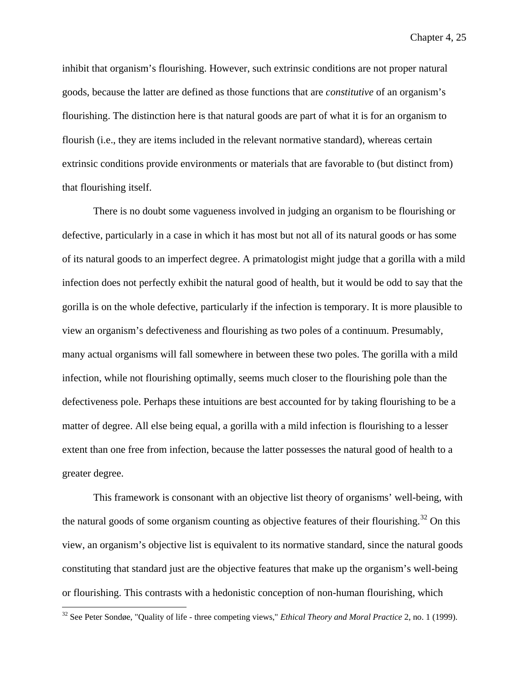inhibit that organism's flourishing. However, such extrinsic conditions are not proper natural goods, because the latter are defined as those functions that are *constitutive* of an organism's flourishing. The distinction here is that natural goods are part of what it is for an organism to flourish (i.e., they are items included in the relevant normative standard), whereas certain extrinsic conditions provide environments or materials that are favorable to (but distinct from) that flourishing itself.

There is no doubt some vagueness involved in judging an organism to be flourishing or defective, particularly in a case in which it has most but not all of its natural goods or has some of its natural goods to an imperfect degree. A primatologist might judge that a gorilla with a mild infection does not perfectly exhibit the natural good of health, but it would be odd to say that the gorilla is on the whole defective, particularly if the infection is temporary. It is more plausible to view an organism's defectiveness and flourishing as two poles of a continuum. Presumably, many actual organisms will fall somewhere in between these two poles. The gorilla with a mild infection, while not flourishing optimally, seems much closer to the flourishing pole than the defectiveness pole. Perhaps these intuitions are best accounted for by taking flourishing to be a matter of degree. All else being equal, a gorilla with a mild infection is flourishing to a lesser extent than one free from infection, because the latter possesses the natural good of health to a greater degree.

This framework is consonant with an objective list theory of organisms' well-being, with the natural goods of some organism counting as objective features of their flourishing.<sup>[32](#page-157-0)</sup> On this view, an organism's objective list is equivalent to its normative standard, since the natural goods constituting that standard just are the objective features that make up the organism's well-being or flourishing. This contrasts with a hedonistic conception of non-human flourishing, which

<span id="page-157-0"></span> <sup>32</sup> See Peter Sondøe, "Quality of life - three competing views," *Ethical Theory and Moral Practice* 2, no. 1 (1999).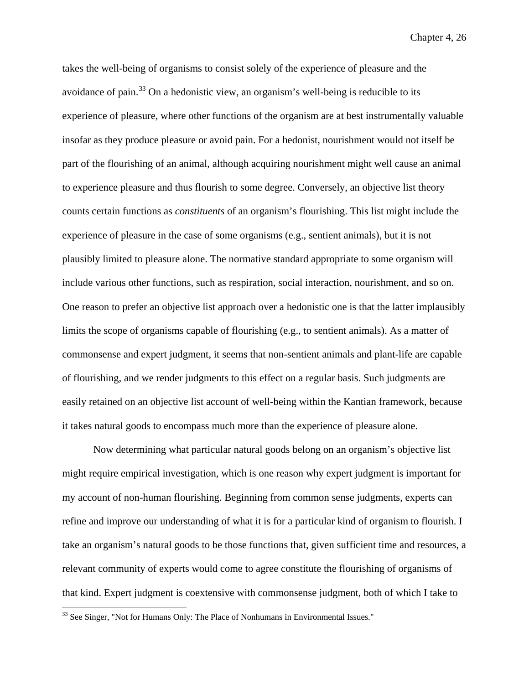takes the well-being of organisms to consist solely of the experience of pleasure and the avoidance of pain. $^{33}$  $^{33}$  $^{33}$  On a hedonistic view, an organism's well-being is reducible to its experience of pleasure, where other functions of the organism are at best instrumentally valuable insofar as they produce pleasure or avoid pain. For a hedonist, nourishment would not itself be part of the flourishing of an animal, although acquiring nourishment might well cause an animal to experience pleasure and thus flourish to some degree. Conversely, an objective list theory counts certain functions as *constituents* of an organism's flourishing. This list might include the experience of pleasure in the case of some organisms (e.g., sentient animals), but it is not plausibly limited to pleasure alone. The normative standard appropriate to some organism will include various other functions, such as respiration, social interaction, nourishment, and so on. One reason to prefer an objective list approach over a hedonistic one is that the latter implausibly limits the scope of organisms capable of flourishing (e.g., to sentient animals). As a matter of commonsense and expert judgment, it seems that non-sentient animals and plant-life are capable of flourishing, and we render judgments to this effect on a regular basis. Such judgments are easily retained on an objective list account of well-being within the Kantian framework, because it takes natural goods to encompass much more than the experience of pleasure alone.

Now determining what particular natural goods belong on an organism's objective list might require empirical investigation, which is one reason why expert judgment is important for my account of non-human flourishing. Beginning from common sense judgments, experts can refine and improve our understanding of what it is for a particular kind of organism to flourish. I take an organism's natural goods to be those functions that, given sufficient time and resources, a relevant community of experts would come to agree constitute the flourishing of organisms of that kind. Expert judgment is coextensive with commonsense judgment, both of which I take to

<span id="page-158-0"></span><sup>&</sup>lt;sup>33</sup> See Singer, "Not for Humans Only: The Place of Nonhumans in Environmental Issues."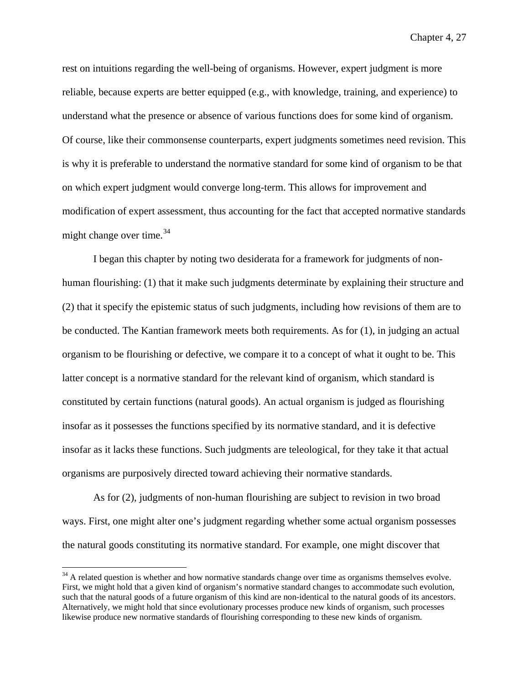rest on intuitions regarding the well-being of organisms. However, expert judgment is more reliable, because experts are better equipped (e.g., with knowledge, training, and experience) to understand what the presence or absence of various functions does for some kind of organism. Of course, like their commonsense counterparts, expert judgments sometimes need revision. This is why it is preferable to understand the normative standard for some kind of organism to be that on which expert judgment would converge long-term. This allows for improvement and modification of expert assessment, thus accounting for the fact that accepted normative standards might change over time. $34$ 

I began this chapter by noting two desiderata for a framework for judgments of nonhuman flourishing: (1) that it make such judgments determinate by explaining their structure and (2) that it specify the epistemic status of such judgments, including how revisions of them are to be conducted. The Kantian framework meets both requirements. As for (1), in judging an actual organism to be flourishing or defective, we compare it to a concept of what it ought to be. This latter concept is a normative standard for the relevant kind of organism, which standard is constituted by certain functions (natural goods). An actual organism is judged as flourishing insofar as it possesses the functions specified by its normative standard, and it is defective insofar as it lacks these functions. Such judgments are teleological, for they take it that actual organisms are purposively directed toward achieving their normative standards.

As for (2), judgments of non-human flourishing are subject to revision in two broad ways. First, one might alter one's judgment regarding whether some actual organism possesses the natural goods constituting its normative standard. For example, one might discover that

<span id="page-159-0"></span><sup>&</sup>lt;sup>34</sup> A related question is whether and how normative standards change over time as organisms themselves evolve. First, we might hold that a given kind of organism's normative standard changes to accommodate such evolution, such that the natural goods of a future organism of this kind are non-identical to the natural goods of its ancestors. Alternatively, we might hold that since evolutionary processes produce new kinds of organism, such processes likewise produce new normative standards of flourishing corresponding to these new kinds of organism.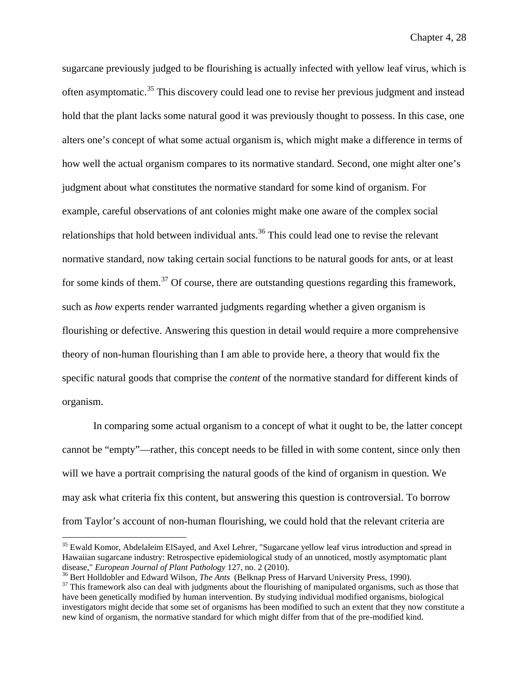sugarcane previously judged to be flourishing is actually infected with yellow leaf virus, which is often asymptomatic.[35](#page-160-0) This discovery could lead one to revise her previous judgment and instead hold that the plant lacks some natural good it was previously thought to possess. In this case, one alters one's concept of what some actual organism is, which might make a difference in terms of how well the actual organism compares to its normative standard. Second, one might alter one's judgment about what constitutes the normative standard for some kind of organism. For example, careful observations of ant colonies might make one aware of the complex social relationships that hold between individual ants.<sup>[36](#page-160-1)</sup> This could lead one to revise the relevant normative standard, now taking certain social functions to be natural goods for ants, or at least for some kinds of them.<sup>[37](#page-160-2)</sup> Of course, there are outstanding questions regarding this framework, such as *how* experts render warranted judgments regarding whether a given organism is flourishing or defective. Answering this question in detail would require a more comprehensive theory of non-human flourishing than I am able to provide here, a theory that would fix the specific natural goods that comprise the *content* of the normative standard for different kinds of organism.

In comparing some actual organism to a concept of what it ought to be, the latter concept cannot be "empty"—rather, this concept needs to be filled in with some content, since only then will we have a portrait comprising the natural goods of the kind of organism in question. We may ask what criteria fix this content, but answering this question is controversial. To borrow from Taylor's account of non-human flourishing, we could hold that the relevant criteria are

<span id="page-160-0"></span><sup>&</sup>lt;sup>35</sup> Ewald Komor, Abdelaleim ElSayed, and Axel Lehrer, "Sugarcane yellow leaf virus introduction and spread in Hawaiian sugarcane industry: Retrospective epidemiological study of an unnoticed, mostly asymptomatic plant disease," *European Journal of Plant Pathology* 127, no. 2 (2010).

<span id="page-160-1"></span> $36$  Bert Holldobler and Edward Wilson, *The Ants* (Belknap Press of Harvard University Press, 1990).<br><sup>37</sup> This framework also can deal with judgments about the flourishing of manipulated organisms, such as those that

<span id="page-160-2"></span>have been genetically modified by human intervention. By studying individual modified organisms, biological investigators might decide that some set of organisms has been modified to such an extent that they now constitute a new kind of organism, the normative standard for which might differ from that of the pre-modified kind.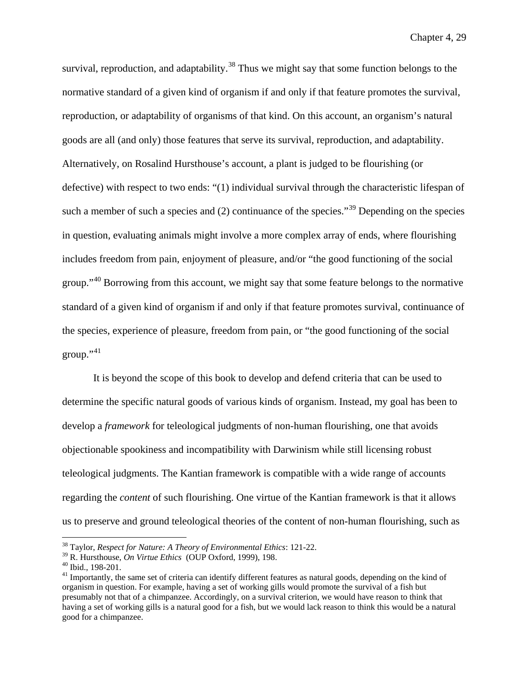survival, reproduction, and adaptability.<sup>[38](#page-161-0)</sup> Thus we might say that some function belongs to the normative standard of a given kind of organism if and only if that feature promotes the survival, reproduction, or adaptability of organisms of that kind. On this account, an organism's natural goods are all (and only) those features that serve its survival, reproduction, and adaptability. Alternatively, on Rosalind Hursthouse's account, a plant is judged to be flourishing (or defective) with respect to two ends: "(1) individual survival through the characteristic lifespan of such a member of such a species and  $(2)$  continuance of the species.<sup>[39](#page-161-1)</sup> Depending on the species in question, evaluating animals might involve a more complex array of ends, where flourishing includes freedom from pain, enjoyment of pleasure, and/or "the good functioning of the social group."<sup>[40](#page-161-2)</sup> Borrowing from this account, we might say that some feature belongs to the normative standard of a given kind of organism if and only if that feature promotes survival, continuance of the species, experience of pleasure, freedom from pain, or "the good functioning of the social group." $41$ 

It is beyond the scope of this book to develop and defend criteria that can be used to determine the specific natural goods of various kinds of organism. Instead, my goal has been to develop a *framework* for teleological judgments of non-human flourishing, one that avoids objectionable spookiness and incompatibility with Darwinism while still licensing robust teleological judgments. The Kantian framework is compatible with a wide range of accounts regarding the *content* of such flourishing. One virtue of the Kantian framework is that it allows us to preserve and ground teleological theories of the content of non-human flourishing, such as

<span id="page-161-0"></span><sup>&</sup>lt;sup>38</sup> Taylor, *Respect for Nature: A Theory of Environmental Ethics*: 121-22.<br><sup>39</sup> R. Hursthouse, *On Virtue Ethics* (OUP Oxford, 1999), 198.

<span id="page-161-1"></span>

<span id="page-161-3"></span><span id="page-161-2"></span><sup>&</sup>lt;sup>40</sup> Ibid., 198-201.<br><sup>41</sup> Importantly, the same set of criteria can identify different features as natural goods, depending on the kind of organism in question. For example, having a set of working gills would promote the survival of a fish but presumably not that of a chimpanzee. Accordingly, on a survival criterion, we would have reason to think that having a set of working gills is a natural good for a fish, but we would lack reason to think this would be a natural good for a chimpanzee.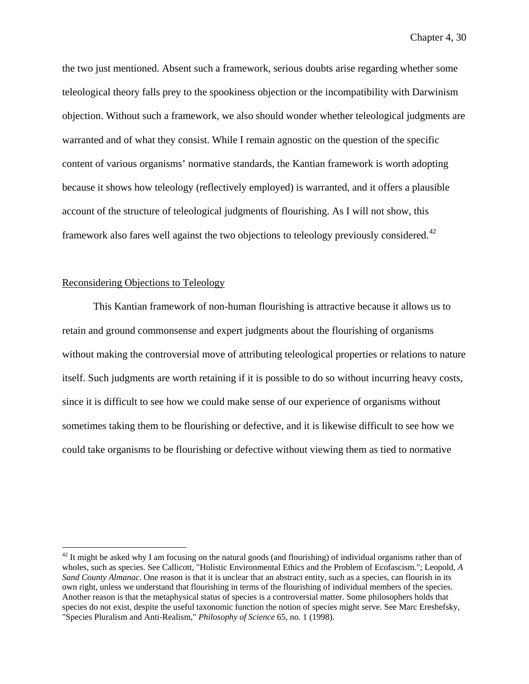the two just mentioned. Absent such a framework, serious doubts arise regarding whether some teleological theory falls prey to the spookiness objection or the incompatibility with Darwinism objection. Without such a framework, we also should wonder whether teleological judgments are warranted and of what they consist. While I remain agnostic on the question of the specific content of various organisms' normative standards, the Kantian framework is worth adopting because it shows how teleology (reflectively employed) is warranted, and it offers a plausible account of the structure of teleological judgments of flourishing. As I will not show, this framework also fares well against the two objections to teleology previously considered.<sup>[42](#page-162-0)</sup>

# Reconsidering Objections to Teleology

This Kantian framework of non-human flourishing is attractive because it allows us to retain and ground commonsense and expert judgments about the flourishing of organisms without making the controversial move of attributing teleological properties or relations to nature itself. Such judgments are worth retaining if it is possible to do so without incurring heavy costs, since it is difficult to see how we could make sense of our experience of organisms without sometimes taking them to be flourishing or defective, and it is likewise difficult to see how we could take organisms to be flourishing or defective without viewing them as tied to normative

<span id="page-162-0"></span> $42$  It might be asked why I am focusing on the natural goods (and flourishing) of individual organisms rather than of wholes, such as species. See Callicott, "Holistic Environmental Ethics and the Problem of Ecofascism."; Leopold, *A Sand County Almanac*. One reason is that it is unclear that an abstract entity, such as a species, can flourish in its own right, unless we understand that flourishing in terms of the flourishing of individual members of the species. Another reason is that the metaphysical status of species is a controversial matter. Some philosophers holds that species do not exist, despite the useful taxonomic function the notion of species might serve. See Marc Ereshefsky, "Species Pluralism and Anti-Realism," *Philosophy of Science* 65, no. 1 (1998).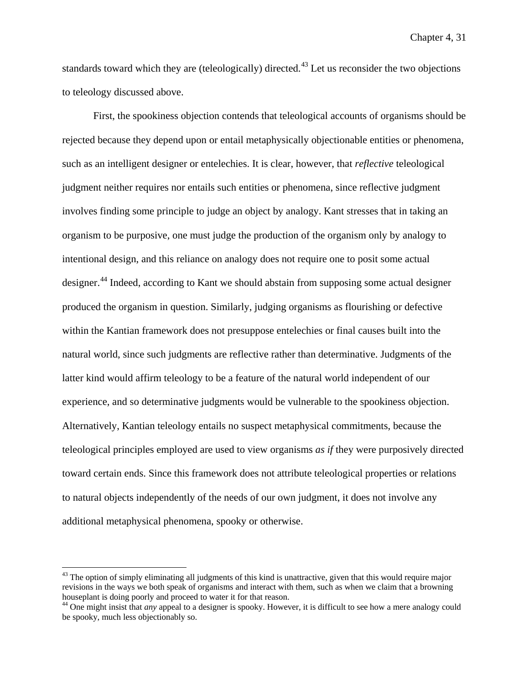standards toward which they are (teleologically) directed.<sup>[43](#page-163-0)</sup> Let us reconsider the two objections to teleology discussed above.

First, the spookiness objection contends that teleological accounts of organisms should be rejected because they depend upon or entail metaphysically objectionable entities or phenomena, such as an intelligent designer or entelechies. It is clear, however, that *reflective* teleological judgment neither requires nor entails such entities or phenomena, since reflective judgment involves finding some principle to judge an object by analogy. Kant stresses that in taking an organism to be purposive, one must judge the production of the organism only by analogy to intentional design, and this reliance on analogy does not require one to posit some actual designer.[44](#page-163-1) Indeed, according to Kant we should abstain from supposing some actual designer produced the organism in question. Similarly, judging organisms as flourishing or defective within the Kantian framework does not presuppose entelechies or final causes built into the natural world, since such judgments are reflective rather than determinative. Judgments of the latter kind would affirm teleology to be a feature of the natural world independent of our experience, and so determinative judgments would be vulnerable to the spookiness objection. Alternatively, Kantian teleology entails no suspect metaphysical commitments, because the teleological principles employed are used to view organisms *as if* they were purposively directed toward certain ends. Since this framework does not attribute teleological properties or relations to natural objects independently of the needs of our own judgment, it does not involve any additional metaphysical phenomena, spooky or otherwise.

<span id="page-163-0"></span><sup>&</sup>lt;sup>43</sup> The option of simply eliminating all judgments of this kind is unattractive, given that this would require major revisions in the ways we both speak of organisms and interact with them, such as when we claim that a browning houseplant is doing poorly and proceed to water it for that reason.

<span id="page-163-1"></span><sup>44</sup> One might insist that *any* appeal to a designer is spooky. However, it is difficult to see how a mere analogy could be spooky, much less objectionably so.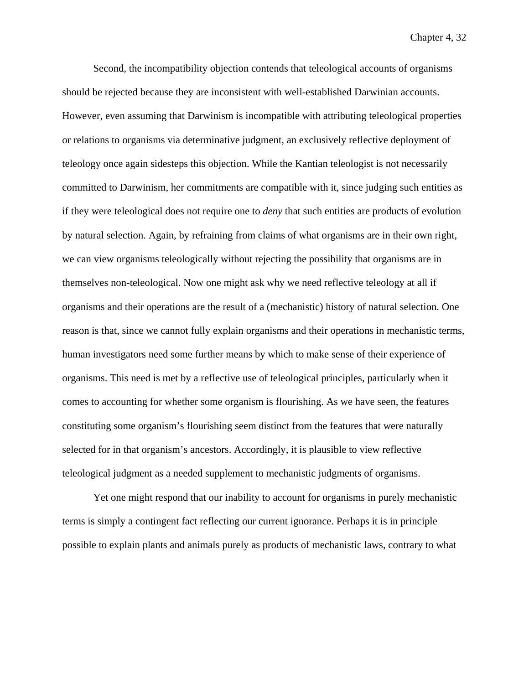Second, the incompatibility objection contends that teleological accounts of organisms should be rejected because they are inconsistent with well-established Darwinian accounts. However, even assuming that Darwinism is incompatible with attributing teleological properties or relations to organisms via determinative judgment, an exclusively reflective deployment of teleology once again sidesteps this objection. While the Kantian teleologist is not necessarily committed to Darwinism, her commitments are compatible with it, since judging such entities as if they were teleological does not require one to *deny* that such entities are products of evolution by natural selection. Again, by refraining from claims of what organisms are in their own right, we can view organisms teleologically without rejecting the possibility that organisms are in themselves non-teleological. Now one might ask why we need reflective teleology at all if organisms and their operations are the result of a (mechanistic) history of natural selection. One reason is that, since we cannot fully explain organisms and their operations in mechanistic terms, human investigators need some further means by which to make sense of their experience of organisms. This need is met by a reflective use of teleological principles, particularly when it comes to accounting for whether some organism is flourishing. As we have seen, the features constituting some organism's flourishing seem distinct from the features that were naturally selected for in that organism's ancestors. Accordingly, it is plausible to view reflective teleological judgment as a needed supplement to mechanistic judgments of organisms.

Yet one might respond that our inability to account for organisms in purely mechanistic terms is simply a contingent fact reflecting our current ignorance. Perhaps it is in principle possible to explain plants and animals purely as products of mechanistic laws, contrary to what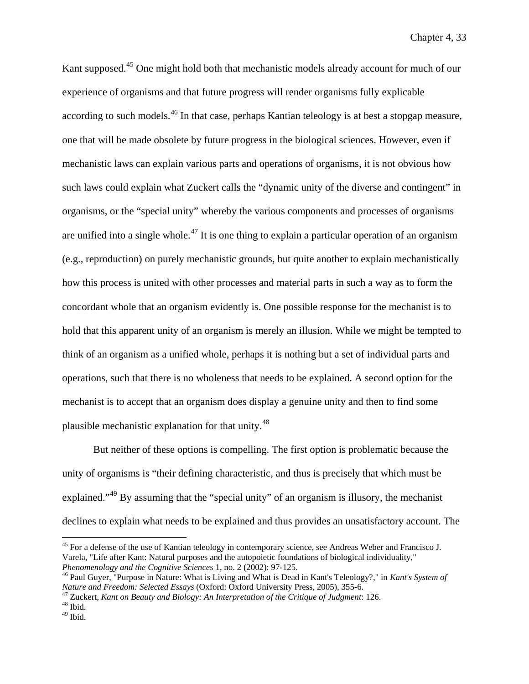Kant supposed.<sup>[45](#page-165-0)</sup> One might hold both that mechanistic models already account for much of our experience of organisms and that future progress will render organisms fully explicable according to such models.<sup>[46](#page-165-1)</sup> In that case, perhaps Kantian teleology is at best a stopgap measure, one that will be made obsolete by future progress in the biological sciences. However, even if mechanistic laws can explain various parts and operations of organisms, it is not obvious how such laws could explain what Zuckert calls the "dynamic unity of the diverse and contingent" in organisms, or the "special unity" whereby the various components and processes of organisms are unified into a single whole.<sup>[47](#page-165-2)</sup> It is one thing to explain a particular operation of an organism (e.g., reproduction) on purely mechanistic grounds, but quite another to explain mechanistically how this process is united with other processes and material parts in such a way as to form the concordant whole that an organism evidently is. One possible response for the mechanist is to hold that this apparent unity of an organism is merely an illusion. While we might be tempted to think of an organism as a unified whole, perhaps it is nothing but a set of individual parts and operations, such that there is no wholeness that needs to be explained. A second option for the mechanist is to accept that an organism does display a genuine unity and then to find some plausible mechanistic explanation for that unity.[48](#page-165-3)

But neither of these options is compelling. The first option is problematic because the unity of organisms is "their defining characteristic, and thus is precisely that which must be explained."[49](#page-165-4) By assuming that the "special unity" of an organism is illusory, the mechanist declines to explain what needs to be explained and thus provides an unsatisfactory account. The

<span id="page-165-0"></span><sup>&</sup>lt;sup>45</sup> For a defense of the use of Kantian teleology in contemporary science, see Andreas Weber and Francisco J. Varela, "Life after Kant: Natural purposes and the autopoietic foundations of biological individuality,"<br>*Phenomenology and the Cognitive Sciences* 1, no. 2 (2002): 97-125.

<span id="page-165-1"></span><sup>&</sup>lt;sup>46</sup> Paul Guyer, "Purpose in Nature: What is Living and What is Dead in Kant's Teleology?," in *Kant's System of Nature and Freedom: Selected Essays* (Oxford: Oxford University Press, 2005), 355-6.

<span id="page-165-2"></span><sup>&</sup>lt;sup>47</sup> Zuckert, *Kant on Beauty and Biology: An Interpretation of the Critique of Judgment: 126.* <sup>48</sup> Ibid.

<span id="page-165-4"></span><span id="page-165-3"></span> $49$  Ibid.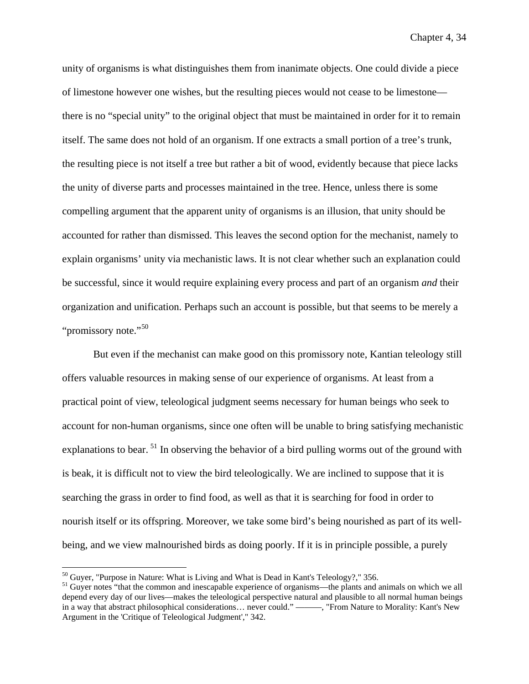unity of organisms is what distinguishes them from inanimate objects. One could divide a piece of limestone however one wishes, but the resulting pieces would not cease to be limestone there is no "special unity" to the original object that must be maintained in order for it to remain itself. The same does not hold of an organism. If one extracts a small portion of a tree's trunk, the resulting piece is not itself a tree but rather a bit of wood, evidently because that piece lacks the unity of diverse parts and processes maintained in the tree. Hence, unless there is some compelling argument that the apparent unity of organisms is an illusion, that unity should be accounted for rather than dismissed. This leaves the second option for the mechanist, namely to explain organisms' unity via mechanistic laws. It is not clear whether such an explanation could be successful, since it would require explaining every process and part of an organism *and* their organization and unification. Perhaps such an account is possible, but that seems to be merely a "promissory note."<sup>[50](#page-166-0)</sup>

But even if the mechanist can make good on this promissory note, Kantian teleology still offers valuable resources in making sense of our experience of organisms. At least from a practical point of view, teleological judgment seems necessary for human beings who seek to account for non-human organisms, since one often will be unable to bring satisfying mechanistic explanations to bear.  $51$  In observing the behavior of a bird pulling worms out of the ground with is beak, it is difficult not to view the bird teleologically. We are inclined to suppose that it is searching the grass in order to find food, as well as that it is searching for food in order to nourish itself or its offspring. Moreover, we take some bird's being nourished as part of its wellbeing, and we view malnourished birds as doing poorly. If it is in principle possible, a purely

<span id="page-166-1"></span><span id="page-166-0"></span> $50$  Guyer, "Purpose in Nature: What is Living and What is Dead in Kant's Teleology?," 356.<br><sup>51</sup> Guyer notes "that the common and inescapable experience of organisms—the plants and animals on which we all depend every day of our lives—makes the teleological perspective natural and plausible to all normal human beings in a way that abstract philosophical considerations… never could." ———, "From Nature to Morality: Kant's New Argument in the 'Critique of Teleological Judgment'," 342.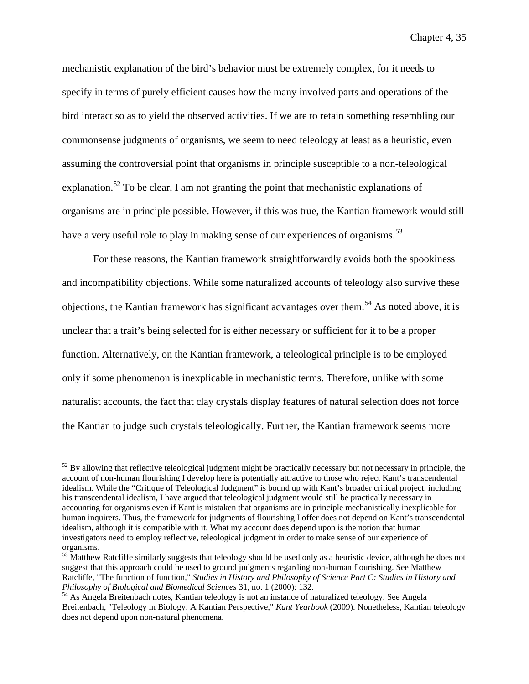mechanistic explanation of the bird's behavior must be extremely complex, for it needs to specify in terms of purely efficient causes how the many involved parts and operations of the bird interact so as to yield the observed activities. If we are to retain something resembling our commonsense judgments of organisms, we seem to need teleology at least as a heuristic, even assuming the controversial point that organisms in principle susceptible to a non-teleological explanation.<sup>[52](#page-167-0)</sup> To be clear, I am not granting the point that mechanistic explanations of organisms are in principle possible. However, if this was true, the Kantian framework would still have a very useful role to play in making sense of our experiences of organisms.<sup>[53](#page-167-1)</sup>

For these reasons, the Kantian framework straightforwardly avoids both the spookiness and incompatibility objections. While some naturalized accounts of teleology also survive these objections, the Kantian framework has significant advantages over them.<sup>[54](#page-167-2)</sup> As noted above, it is unclear that a trait's being selected for is either necessary or sufficient for it to be a proper function. Alternatively, on the Kantian framework, a teleological principle is to be employed only if some phenomenon is inexplicable in mechanistic terms. Therefore, unlike with some naturalist accounts, the fact that clay crystals display features of natural selection does not force the Kantian to judge such crystals teleologically. Further, the Kantian framework seems more

<span id="page-167-0"></span> $52$  By allowing that reflective teleological judgment might be practically necessary but not necessary in principle, the account of non-human flourishing I develop here is potentially attractive to those who reject Kant's transcendental idealism. While the "Critique of Teleological Judgment" is bound up with Kant's broader critical project, including his transcendental idealism, I have argued that teleological judgment would still be practically necessary in accounting for organisms even if Kant is mistaken that organisms are in principle mechanistically inexplicable for human inquirers. Thus, the framework for judgments of flourishing I offer does not depend on Kant's transcendental idealism, although it is compatible with it. What my account does depend upon is the notion that human investigators need to employ reflective, teleological judgment in order to make sense of our experience of organisms.

<span id="page-167-1"></span> $53$  Matthew Ratcliffe similarly suggests that teleology should be used only as a heuristic device, although he does not suggest that this approach could be used to ground judgments regarding non-human flourishing. See Matthew Ratcliffe, "The function of function," *Studies in History and Philosophy of Science Part C: Studies in History and Philosophy of Biological and Biomedical Sciences* 31, no. 1 (2000): 132. <sup>54</sup> As Angela Breitenbach notes, Kantian teleology is not an instance of naturalized teleology. See Angela

<span id="page-167-2"></span>Breitenbach, "Teleology in Biology: A Kantian Perspective," *Kant Yearbook* (2009). Nonetheless, Kantian teleology does not depend upon non-natural phenomena.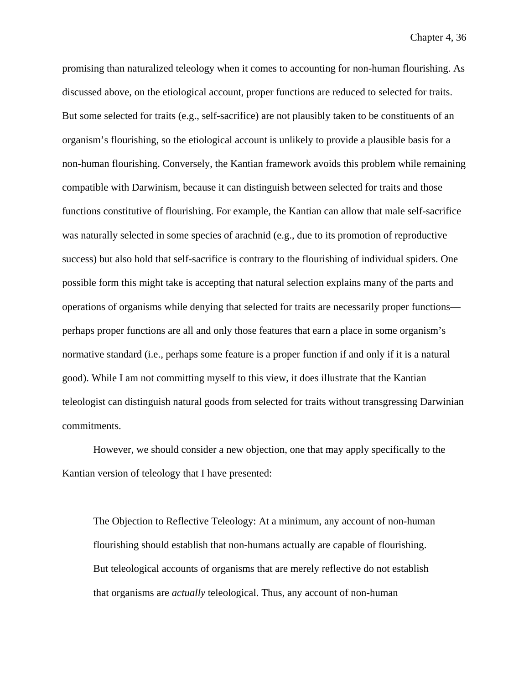promising than naturalized teleology when it comes to accounting for non-human flourishing. As discussed above, on the etiological account, proper functions are reduced to selected for traits. But some selected for traits (e.g., self-sacrifice) are not plausibly taken to be constituents of an organism's flourishing, so the etiological account is unlikely to provide a plausible basis for a non-human flourishing. Conversely, the Kantian framework avoids this problem while remaining compatible with Darwinism, because it can distinguish between selected for traits and those functions constitutive of flourishing. For example, the Kantian can allow that male self-sacrifice was naturally selected in some species of arachnid (e.g., due to its promotion of reproductive success) but also hold that self-sacrifice is contrary to the flourishing of individual spiders. One possible form this might take is accepting that natural selection explains many of the parts and operations of organisms while denying that selected for traits are necessarily proper functions perhaps proper functions are all and only those features that earn a place in some organism's normative standard (i.e., perhaps some feature is a proper function if and only if it is a natural good). While I am not committing myself to this view, it does illustrate that the Kantian teleologist can distinguish natural goods from selected for traits without transgressing Darwinian commitments.

However, we should consider a new objection, one that may apply specifically to the Kantian version of teleology that I have presented:

The Objection to Reflective Teleology: At a minimum, any account of non-human flourishing should establish that non-humans actually are capable of flourishing. But teleological accounts of organisms that are merely reflective do not establish that organisms are *actually* teleological. Thus, any account of non-human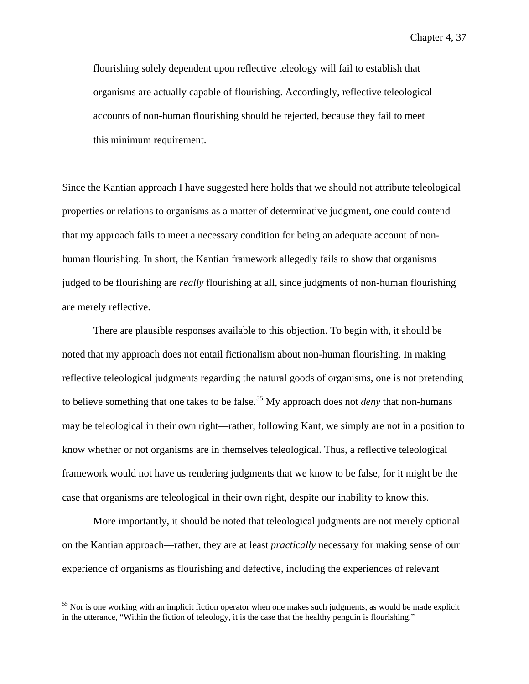flourishing solely dependent upon reflective teleology will fail to establish that organisms are actually capable of flourishing. Accordingly, reflective teleological accounts of non-human flourishing should be rejected, because they fail to meet this minimum requirement.

Since the Kantian approach I have suggested here holds that we should not attribute teleological properties or relations to organisms as a matter of determinative judgment, one could contend that my approach fails to meet a necessary condition for being an adequate account of nonhuman flourishing. In short, the Kantian framework allegedly fails to show that organisms judged to be flourishing are *really* flourishing at all, since judgments of non-human flourishing are merely reflective.

There are plausible responses available to this objection. To begin with, it should be noted that my approach does not entail fictionalism about non-human flourishing. In making reflective teleological judgments regarding the natural goods of organisms, one is not pretending to believe something that one takes to be false.<sup>[55](#page-169-0)</sup> My approach does not *deny* that non-humans may be teleological in their own right—rather, following Kant, we simply are not in a position to know whether or not organisms are in themselves teleological. Thus, a reflective teleological framework would not have us rendering judgments that we know to be false, for it might be the case that organisms are teleological in their own right, despite our inability to know this.

More importantly, it should be noted that teleological judgments are not merely optional on the Kantian approach—rather, they are at least *practically* necessary for making sense of our experience of organisms as flourishing and defective, including the experiences of relevant

<span id="page-169-0"></span><sup>&</sup>lt;sup>55</sup> Nor is one working with an implicit fiction operator when one makes such judgments, as would be made explicit in the utterance, "Within the fiction of teleology, it is the case that the healthy penguin is flourishing."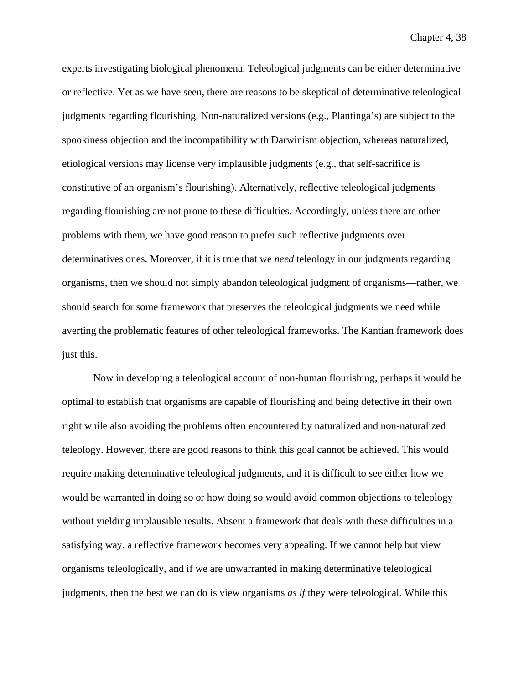experts investigating biological phenomena. Teleological judgments can be either determinative or reflective. Yet as we have seen, there are reasons to be skeptical of determinative teleological judgments regarding flourishing. Non-naturalized versions (e.g., Plantinga's) are subject to the spookiness objection and the incompatibility with Darwinism objection, whereas naturalized, etiological versions may license very implausible judgments (e.g., that self-sacrifice is constitutive of an organism's flourishing). Alternatively, reflective teleological judgments regarding flourishing are not prone to these difficulties. Accordingly, unless there are other problems with them, we have good reason to prefer such reflective judgments over determinatives ones. Moreover, if it is true that we *need* teleology in our judgments regarding organisms, then we should not simply abandon teleological judgment of organisms—rather, we should search for some framework that preserves the teleological judgments we need while averting the problematic features of other teleological frameworks. The Kantian framework does just this.

Now in developing a teleological account of non-human flourishing, perhaps it would be optimal to establish that organisms are capable of flourishing and being defective in their own right while also avoiding the problems often encountered by naturalized and non-naturalized teleology. However, there are good reasons to think this goal cannot be achieved. This would require making determinative teleological judgments, and it is difficult to see either how we would be warranted in doing so or how doing so would avoid common objections to teleology without yielding implausible results. Absent a framework that deals with these difficulties in a satisfying way, a reflective framework becomes very appealing. If we cannot help but view organisms teleologically, and if we are unwarranted in making determinative teleological judgments, then the best we can do is view organisms *as if* they were teleological. While this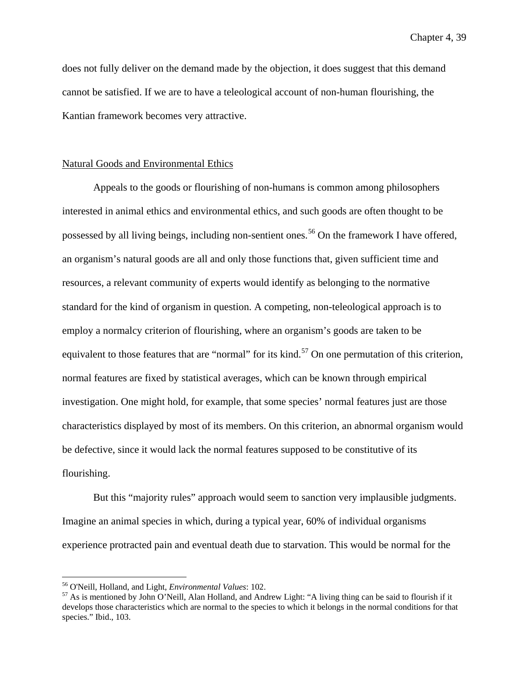does not fully deliver on the demand made by the objection, it does suggest that this demand cannot be satisfied. If we are to have a teleological account of non-human flourishing, the Kantian framework becomes very attractive.

## Natural Goods and Environmental Ethics

Appeals to the goods or flourishing of non-humans is common among philosophers interested in animal ethics and environmental ethics, and such goods are often thought to be possessed by all living beings, including non-sentient ones.<sup>[56](#page-171-0)</sup> On the framework I have offered, an organism's natural goods are all and only those functions that, given sufficient time and resources, a relevant community of experts would identify as belonging to the normative standard for the kind of organism in question. A competing, non-teleological approach is to employ a normalcy criterion of flourishing, where an organism's goods are taken to be equivalent to those features that are "normal" for its kind.<sup>[57](#page-171-1)</sup> On one permutation of this criterion, normal features are fixed by statistical averages, which can be known through empirical investigation. One might hold, for example, that some species' normal features just are those characteristics displayed by most of its members. On this criterion, an abnormal organism would be defective, since it would lack the normal features supposed to be constitutive of its flourishing.

But this "majority rules" approach would seem to sanction very implausible judgments. Imagine an animal species in which, during a typical year, 60% of individual organisms experience protracted pain and eventual death due to starvation. This would be normal for the

<span id="page-171-1"></span><span id="page-171-0"></span><sup>&</sup>lt;sup>56</sup> O'Neill, Holland, and Light, *Environmental Values*: 102.<br><sup>57</sup> As is mentioned by John O'Neill, Alan Holland, and Andrew Light: "A living thing can be said to flourish if it develops those characteristics which are normal to the species to which it belongs in the normal conditions for that species." Ibid., 103.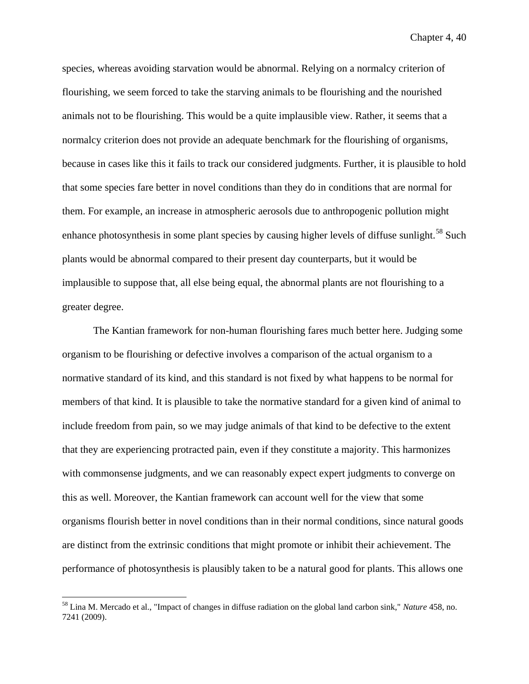species, whereas avoiding starvation would be abnormal. Relying on a normalcy criterion of flourishing, we seem forced to take the starving animals to be flourishing and the nourished animals not to be flourishing. This would be a quite implausible view. Rather, it seems that a normalcy criterion does not provide an adequate benchmark for the flourishing of organisms, because in cases like this it fails to track our considered judgments. Further, it is plausible to hold that some species fare better in novel conditions than they do in conditions that are normal for them. For example, an increase in atmospheric aerosols due to anthropogenic pollution might enhance photosynthesis in some plant species by causing higher levels of diffuse sunlight.<sup>[58](#page-172-0)</sup> Such plants would be abnormal compared to their present day counterparts, but it would be implausible to suppose that, all else being equal, the abnormal plants are not flourishing to a greater degree.

The Kantian framework for non-human flourishing fares much better here. Judging some organism to be flourishing or defective involves a comparison of the actual organism to a normative standard of its kind, and this standard is not fixed by what happens to be normal for members of that kind. It is plausible to take the normative standard for a given kind of animal to include freedom from pain, so we may judge animals of that kind to be defective to the extent that they are experiencing protracted pain, even if they constitute a majority. This harmonizes with commonsense judgments, and we can reasonably expect expert judgments to converge on this as well. Moreover, the Kantian framework can account well for the view that some organisms flourish better in novel conditions than in their normal conditions, since natural goods are distinct from the extrinsic conditions that might promote or inhibit their achievement. The performance of photosynthesis is plausibly taken to be a natural good for plants. This allows one

<span id="page-172-0"></span> <sup>58</sup> Lina M. Mercado et al., "Impact of changes in diffuse radiation on the global land carbon sink," *Nature* 458, no. 7241 (2009).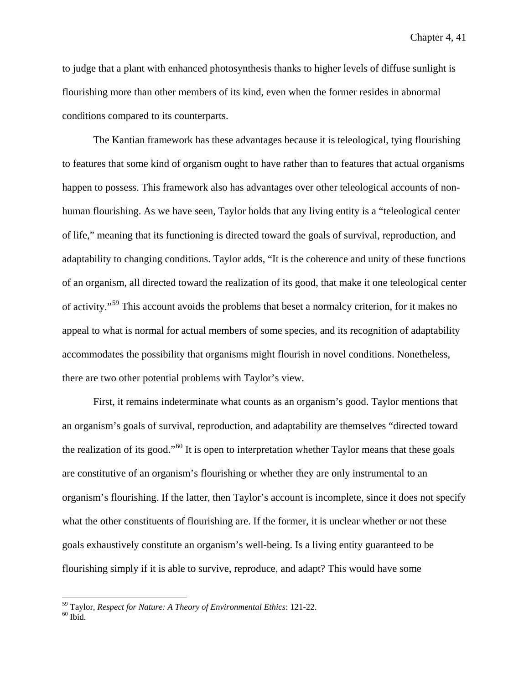to judge that a plant with enhanced photosynthesis thanks to higher levels of diffuse sunlight is flourishing more than other members of its kind, even when the former resides in abnormal conditions compared to its counterparts.

The Kantian framework has these advantages because it is teleological, tying flourishing to features that some kind of organism ought to have rather than to features that actual organisms happen to possess. This framework also has advantages over other teleological accounts of nonhuman flourishing. As we have seen, Taylor holds that any living entity is a "teleological center of life," meaning that its functioning is directed toward the goals of survival, reproduction, and adaptability to changing conditions. Taylor adds, "It is the coherence and unity of these functions of an organism, all directed toward the realization of its good, that make it one teleological center of activity."[59](#page-173-0) This account avoids the problems that beset a normalcy criterion, for it makes no appeal to what is normal for actual members of some species, and its recognition of adaptability accommodates the possibility that organisms might flourish in novel conditions. Nonetheless, there are two other potential problems with Taylor's view.

First, it remains indeterminate what counts as an organism's good. Taylor mentions that an organism's goals of survival, reproduction, and adaptability are themselves "directed toward the realization of its good."<sup>[60](#page-173-1)</sup> It is open to interpretation whether Taylor means that these goals are constitutive of an organism's flourishing or whether they are only instrumental to an organism's flourishing. If the latter, then Taylor's account is incomplete, since it does not specify what the other constituents of flourishing are. If the former, it is unclear whether or not these goals exhaustively constitute an organism's well-being. Is a living entity guaranteed to be flourishing simply if it is able to survive, reproduce, and adapt? This would have some

<span id="page-173-1"></span><span id="page-173-0"></span> $^{59}$  Taylor, *Respect for Nature: A Theory of Environmental Ethics*: 121-22.  $^{60}$  Ibid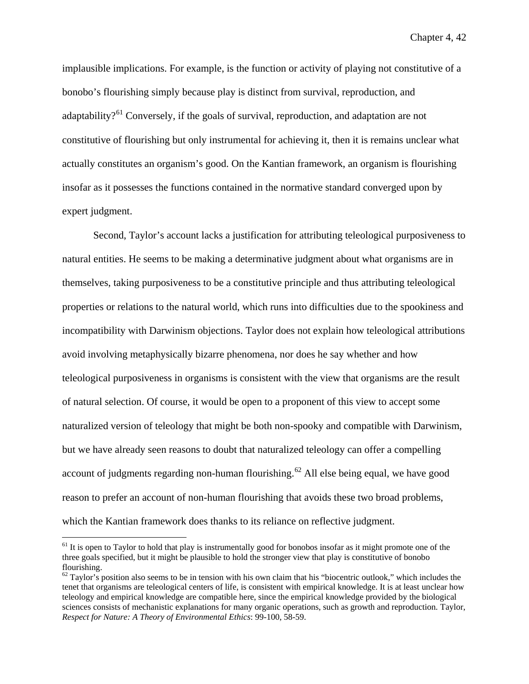implausible implications. For example, is the function or activity of playing not constitutive of a bonobo's flourishing simply because play is distinct from survival, reproduction, and adaptability?<sup>[61](#page-174-0)</sup> Conversely, if the goals of survival, reproduction, and adaptation are not constitutive of flourishing but only instrumental for achieving it, then it is remains unclear what actually constitutes an organism's good. On the Kantian framework, an organism is flourishing insofar as it possesses the functions contained in the normative standard converged upon by expert judgment.

Second, Taylor's account lacks a justification for attributing teleological purposiveness to natural entities. He seems to be making a determinative judgment about what organisms are in themselves, taking purposiveness to be a constitutive principle and thus attributing teleological properties or relations to the natural world, which runs into difficulties due to the spookiness and incompatibility with Darwinism objections. Taylor does not explain how teleological attributions avoid involving metaphysically bizarre phenomena, nor does he say whether and how teleological purposiveness in organisms is consistent with the view that organisms are the result of natural selection. Of course, it would be open to a proponent of this view to accept some naturalized version of teleology that might be both non-spooky and compatible with Darwinism, but we have already seen reasons to doubt that naturalized teleology can offer a compelling account of judgments regarding non-human flourishing.<sup>[62](#page-174-1)</sup> All else being equal, we have good reason to prefer an account of non-human flourishing that avoids these two broad problems, which the Kantian framework does thanks to its reliance on reflective judgment.

<span id="page-174-0"></span> $61$  It is open to Taylor to hold that play is instrumentally good for bonobos insofar as it might promote one of the three goals specified, but it might be plausible to hold the stronger view that play is constitutive of bonobo flourishing.

<span id="page-174-1"></span> $62$  Taylor's position also seems to be in tension with his own claim that his "biocentric outlook," which includes the tenet that organisms are teleological centers of life, is consistent with empirical knowledge. It is at least unclear how teleology and empirical knowledge are compatible here, since the empirical knowledge provided by the biological sciences consists of mechanistic explanations for many organic operations, such as growth and reproduction. Taylor, *Respect for Nature: A Theory of Environmental Ethics*: 99-100, 58-59.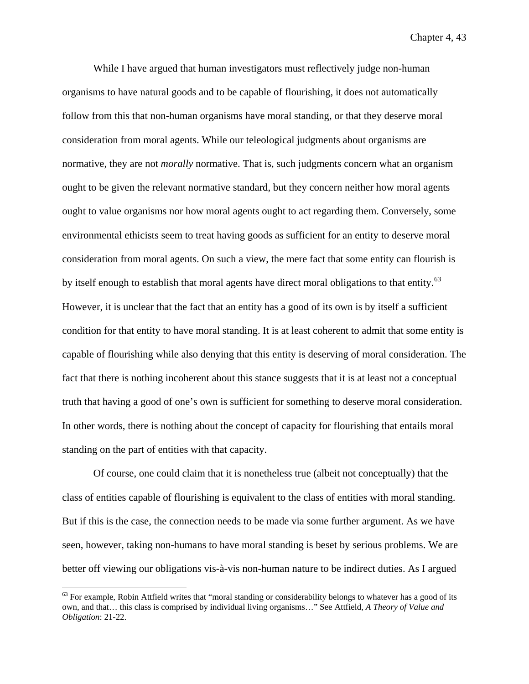While I have argued that human investigators must reflectively judge non-human organisms to have natural goods and to be capable of flourishing, it does not automatically follow from this that non-human organisms have moral standing, or that they deserve moral consideration from moral agents. While our teleological judgments about organisms are normative, they are not *morally* normative. That is, such judgments concern what an organism ought to be given the relevant normative standard, but they concern neither how moral agents ought to value organisms nor how moral agents ought to act regarding them. Conversely, some environmental ethicists seem to treat having goods as sufficient for an entity to deserve moral consideration from moral agents. On such a view, the mere fact that some entity can flourish is by itself enough to establish that moral agents have direct moral obligations to that entity.<sup>[63](#page-175-0)</sup> However, it is unclear that the fact that an entity has a good of its own is by itself a sufficient condition for that entity to have moral standing. It is at least coherent to admit that some entity is capable of flourishing while also denying that this entity is deserving of moral consideration. The fact that there is nothing incoherent about this stance suggests that it is at least not a conceptual truth that having a good of one's own is sufficient for something to deserve moral consideration. In other words, there is nothing about the concept of capacity for flourishing that entails moral standing on the part of entities with that capacity.

Of course, one could claim that it is nonetheless true (albeit not conceptually) that the class of entities capable of flourishing is equivalent to the class of entities with moral standing. But if this is the case, the connection needs to be made via some further argument. As we have seen, however, taking non-humans to have moral standing is beset by serious problems. We are better off viewing our obligations vis-à-vis non-human nature to be indirect duties. As I argued

<span id="page-175-0"></span> $63$  For example, Robin Attfield writes that "moral standing or considerability belongs to whatever has a good of its own, and that… this class is comprised by individual living organisms…" See Attfield, *A Theory of Value and Obligation*: 21-22.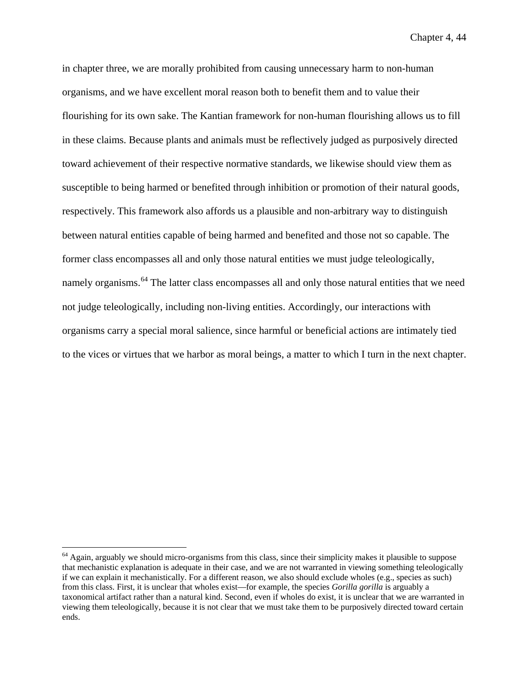in chapter three, we are morally prohibited from causing unnecessary harm to non-human organisms, and we have excellent moral reason both to benefit them and to value their flourishing for its own sake. The Kantian framework for non-human flourishing allows us to fill in these claims. Because plants and animals must be reflectively judged as purposively directed toward achievement of their respective normative standards, we likewise should view them as susceptible to being harmed or benefited through inhibition or promotion of their natural goods, respectively. This framework also affords us a plausible and non-arbitrary way to distinguish between natural entities capable of being harmed and benefited and those not so capable. The former class encompasses all and only those natural entities we must judge teleologically, namely organisms.<sup>[64](#page-176-0)</sup> The latter class encompasses all and only those natural entities that we need not judge teleologically, including non-living entities. Accordingly, our interactions with organisms carry a special moral salience, since harmful or beneficial actions are intimately tied to the vices or virtues that we harbor as moral beings, a matter to which I turn in the next chapter.

<span id="page-176-0"></span> $64$  Again, arguably we should micro-organisms from this class, since their simplicity makes it plausible to suppose that mechanistic explanation is adequate in their case, and we are not warranted in viewing something teleologically if we can explain it mechanistically. For a different reason, we also should exclude wholes (e.g., species as such) from this class. First, it is unclear that wholes exist—for example, the species *Gorilla gorilla* is arguably a taxonomical artifact rather than a natural kind. Second, even if wholes do exist, it is unclear that we are warranted in viewing them teleologically, because it is not clear that we must take them to be purposively directed toward certain ends.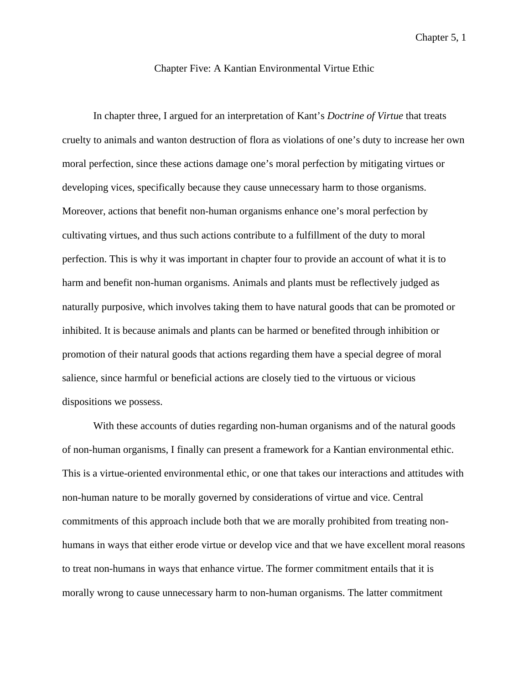Chapter 5, 1

# Chapter Five: A Kantian Environmental Virtue Ethic

In chapter three, I argued for an interpretation of Kant's *Doctrine of Virtue* that treats cruelty to animals and wanton destruction of flora as violations of one's duty to increase her own moral perfection, since these actions damage one's moral perfection by mitigating virtues or developing vices, specifically because they cause unnecessary harm to those organisms. Moreover, actions that benefit non-human organisms enhance one's moral perfection by cultivating virtues, and thus such actions contribute to a fulfillment of the duty to moral perfection. This is why it was important in chapter four to provide an account of what it is to harm and benefit non-human organisms. Animals and plants must be reflectively judged as naturally purposive, which involves taking them to have natural goods that can be promoted or inhibited. It is because animals and plants can be harmed or benefited through inhibition or promotion of their natural goods that actions regarding them have a special degree of moral salience, since harmful or beneficial actions are closely tied to the virtuous or vicious dispositions we possess.

With these accounts of duties regarding non-human organisms and of the natural goods of non-human organisms, I finally can present a framework for a Kantian environmental ethic. This is a virtue-oriented environmental ethic, or one that takes our interactions and attitudes with non-human nature to be morally governed by considerations of virtue and vice. Central commitments of this approach include both that we are morally prohibited from treating nonhumans in ways that either erode virtue or develop vice and that we have excellent moral reasons to treat non-humans in ways that enhance virtue. The former commitment entails that it is morally wrong to cause unnecessary harm to non-human organisms. The latter commitment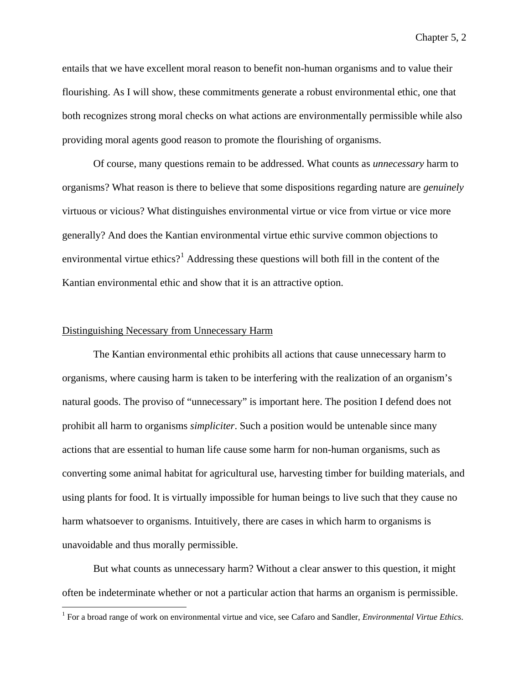Chapter 5, 2

entails that we have excellent moral reason to benefit non-human organisms and to value their flourishing. As I will show, these commitments generate a robust environmental ethic, one that both recognizes strong moral checks on what actions are environmentally permissible while also providing moral agents good reason to promote the flourishing of organisms.

Of course, many questions remain to be addressed. What counts as *unnecessary* harm to organisms? What reason is there to believe that some dispositions regarding nature are *genuinely* virtuous or vicious? What distinguishes environmental virtue or vice from virtue or vice more generally? And does the Kantian environmental virtue ethic survive common objections to environmental virtue ethics?<sup>[1](#page-178-0)</sup> Addressing these questions will both fill in the content of the Kantian environmental ethic and show that it is an attractive option.

## Distinguishing Necessary from Unnecessary Harm

The Kantian environmental ethic prohibits all actions that cause unnecessary harm to organisms, where causing harm is taken to be interfering with the realization of an organism's natural goods. The proviso of "unnecessary" is important here. The position I defend does not prohibit all harm to organisms *simpliciter*. Such a position would be untenable since many actions that are essential to human life cause some harm for non-human organisms, such as converting some animal habitat for agricultural use, harvesting timber for building materials, and using plants for food. It is virtually impossible for human beings to live such that they cause no harm whatsoever to organisms. Intuitively, there are cases in which harm to organisms is unavoidable and thus morally permissible.

But what counts as unnecessary harm? Without a clear answer to this question, it might often be indeterminate whether or not a particular action that harms an organism is permissible.

<span id="page-178-0"></span> <sup>1</sup> For a broad range of work on environmental virtue and vice, see Cafaro and Sandler, *Environmental Virtue Ethics*.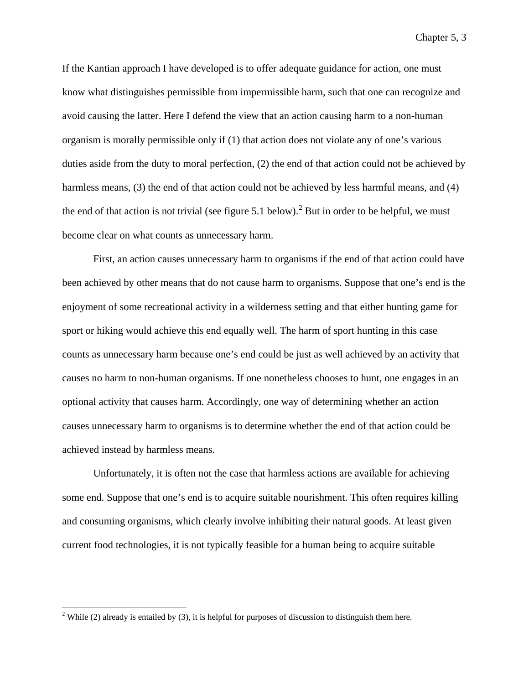Chapter 5, 3

If the Kantian approach I have developed is to offer adequate guidance for action, one must know what distinguishes permissible from impermissible harm, such that one can recognize and avoid causing the latter. Here I defend the view that an action causing harm to a non-human organism is morally permissible only if (1) that action does not violate any of one's various duties aside from the duty to moral perfection, (2) the end of that action could not be achieved by harmless means, (3) the end of that action could not be achieved by less harmful means, and (4) the end of that action is not trivial (see figure 5.1 below).<sup>[2](#page-179-0)</sup> But in order to be helpful, we must become clear on what counts as unnecessary harm.

First, an action causes unnecessary harm to organisms if the end of that action could have been achieved by other means that do not cause harm to organisms. Suppose that one's end is the enjoyment of some recreational activity in a wilderness setting and that either hunting game for sport or hiking would achieve this end equally well. The harm of sport hunting in this case counts as unnecessary harm because one's end could be just as well achieved by an activity that causes no harm to non-human organisms. If one nonetheless chooses to hunt, one engages in an optional activity that causes harm. Accordingly, one way of determining whether an action causes unnecessary harm to organisms is to determine whether the end of that action could be achieved instead by harmless means.

Unfortunately, it is often not the case that harmless actions are available for achieving some end. Suppose that one's end is to acquire suitable nourishment. This often requires killing and consuming organisms, which clearly involve inhibiting their natural goods. At least given current food technologies, it is not typically feasible for a human being to acquire suitable

<span id="page-179-0"></span><sup>&</sup>lt;sup>2</sup> While (2) already is entailed by (3), it is helpful for purposes of discussion to distinguish them here.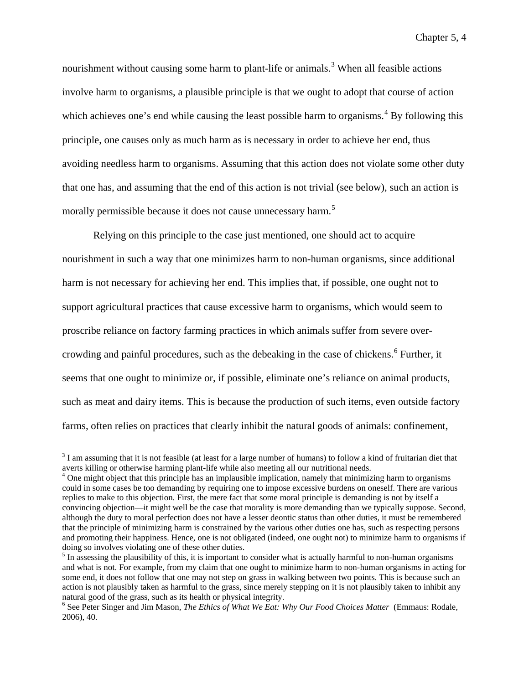nourishment without causing some harm to plant-life or animals.<sup>[3](#page-180-0)</sup> When all feasible actions involve harm to organisms, a plausible principle is that we ought to adopt that course of action which achieves one's end while causing the least possible harm to organisms.<sup>[4](#page-180-1)</sup> By following this principle, one causes only as much harm as is necessary in order to achieve her end, thus avoiding needless harm to organisms. Assuming that this action does not violate some other duty that one has, and assuming that the end of this action is not trivial (see below), such an action is morally permissible because it does not cause unnecessary harm.<sup>[5](#page-180-2)</sup>

Relying on this principle to the case just mentioned, one should act to acquire nourishment in such a way that one minimizes harm to non-human organisms, since additional harm is not necessary for achieving her end. This implies that, if possible, one ought not to support agricultural practices that cause excessive harm to organisms, which would seem to proscribe reliance on factory farming practices in which animals suffer from severe over-crowding and painful procedures, such as the debeaking in the case of chickens.<sup>[6](#page-180-3)</sup> Further, it seems that one ought to minimize or, if possible, eliminate one's reliance on animal products, such as meat and dairy items. This is because the production of such items, even outside factory farms, often relies on practices that clearly inhibit the natural goods of animals: confinement,

<span id="page-180-0"></span> $3$  I am assuming that it is not feasible (at least for a large number of humans) to follow a kind of fruitarian diet that averts killing or otherwise harming plant-life while also meeting all our nutritional needs.<br><sup>4</sup> One might object that this principle has an implausible implication, namely that minimizing harm to organisms

<span id="page-180-1"></span>could in some cases be too demanding by requiring one to impose excessive burdens on oneself. There are various replies to make to this objection. First, the mere fact that some moral principle is demanding is not by itself a convincing objection—it might well be the case that morality is more demanding than we typically suppose. Second, although the duty to moral perfection does not have a lesser deontic status than other duties, it must be remembered that the principle of minimizing harm is constrained by the various other duties one has, such as respecting persons and promoting their happiness. Hence, one is not obligated (indeed, one ought not) to minimize harm to organisms if doing so involves violating one of these other duties.<br><sup>5</sup> In assessing the plausibility of this, it is important to consider what is actually harmful to non-human organisms

<span id="page-180-2"></span>and what is not. For example, from my claim that one ought to minimize harm to non-human organisms in acting for some end, it does not follow that one may not step on grass in walking between two points. This is because such an action is not plausibly taken as harmful to the grass, since merely stepping on it is not plausibly taken to inhibit any natural good of the grass, such as its health or physical integrity.<br><sup>6</sup> See Peter Singer and Jim Mason, *The Ethics of What We Eat: Why Our Food Choices Matter* (Emmaus: Rodale,

<span id="page-180-3"></span><sup>2006), 40.</sup>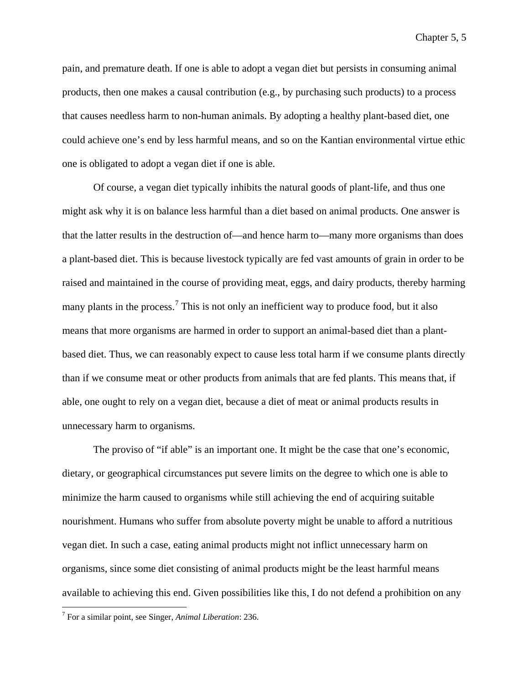pain, and premature death. If one is able to adopt a vegan diet but persists in consuming animal products, then one makes a causal contribution (e.g., by purchasing such products) to a process that causes needless harm to non-human animals. By adopting a healthy plant-based diet, one could achieve one's end by less harmful means, and so on the Kantian environmental virtue ethic one is obligated to adopt a vegan diet if one is able.

Of course, a vegan diet typically inhibits the natural goods of plant-life, and thus one might ask why it is on balance less harmful than a diet based on animal products. One answer is that the latter results in the destruction of—and hence harm to—many more organisms than does a plant-based diet. This is because livestock typically are fed vast amounts of grain in order to be raised and maintained in the course of providing meat, eggs, and dairy products, thereby harming many plants in the process.<sup>[7](#page-181-0)</sup> This is not only an inefficient way to produce food, but it also means that more organisms are harmed in order to support an animal-based diet than a plantbased diet. Thus, we can reasonably expect to cause less total harm if we consume plants directly than if we consume meat or other products from animals that are fed plants. This means that, if able, one ought to rely on a vegan diet, because a diet of meat or animal products results in unnecessary harm to organisms.

The proviso of "if able" is an important one. It might be the case that one's economic, dietary, or geographical circumstances put severe limits on the degree to which one is able to minimize the harm caused to organisms while still achieving the end of acquiring suitable nourishment. Humans who suffer from absolute poverty might be unable to afford a nutritious vegan diet. In such a case, eating animal products might not inflict unnecessary harm on organisms, since some diet consisting of animal products might be the least harmful means available to achieving this end. Given possibilities like this, I do not defend a prohibition on any

<span id="page-181-0"></span> <sup>7</sup> For a similar point, see Singer, *Animal Liberation*: 236.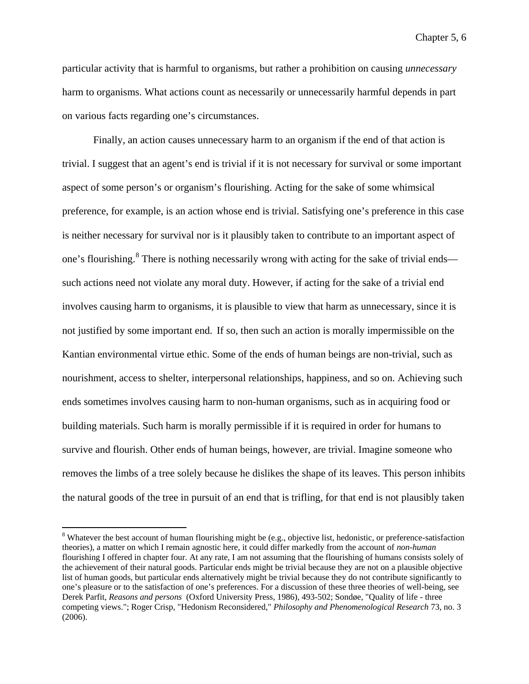particular activity that is harmful to organisms, but rather a prohibition on causing *unnecessary* harm to organisms. What actions count as necessarily or unnecessarily harmful depends in part on various facts regarding one's circumstances.

Finally, an action causes unnecessary harm to an organism if the end of that action is trivial. I suggest that an agent's end is trivial if it is not necessary for survival or some important aspect of some person's or organism's flourishing. Acting for the sake of some whimsical preference, for example, is an action whose end is trivial. Satisfying one's preference in this case is neither necessary for survival nor is it plausibly taken to contribute to an important aspect of one's flourishing.<sup>[8](#page-182-0)</sup> There is nothing necessarily wrong with acting for the sake of trivial ends such actions need not violate any moral duty. However, if acting for the sake of a trivial end involves causing harm to organisms, it is plausible to view that harm as unnecessary, since it is not justified by some important end. If so, then such an action is morally impermissible on the Kantian environmental virtue ethic. Some of the ends of human beings are non-trivial, such as nourishment, access to shelter, interpersonal relationships, happiness, and so on. Achieving such ends sometimes involves causing harm to non-human organisms, such as in acquiring food or building materials. Such harm is morally permissible if it is required in order for humans to survive and flourish. Other ends of human beings, however, are trivial. Imagine someone who removes the limbs of a tree solely because he dislikes the shape of its leaves. This person inhibits the natural goods of the tree in pursuit of an end that is trifling, for that end is not plausibly taken

<span id="page-182-0"></span><sup>&</sup>lt;sup>8</sup> Whatever the best account of human flourishing might be (e.g., objective list, hedonistic, or preference-satisfaction theories), a matter on which I remain agnostic here, it could differ markedly from the account of *non-human*  flourishing I offered in chapter four. At any rate, I am not assuming that the flourishing of humans consists solely of the achievement of their natural goods. Particular ends might be trivial because they are not on a plausible objective list of human goods, but particular ends alternatively might be trivial because they do not contribute significantly to one's pleasure or to the satisfaction of one's preferences. For a discussion of these three theories of well-being, see Derek Parfit, *Reasons and persons* (Oxford University Press, 1986), 493-502; Sondøe, "Quality of life - three competing views."; Roger Crisp, "Hedonism Reconsidered," *Philosophy and Phenomenological Research* 73, no. 3 (2006).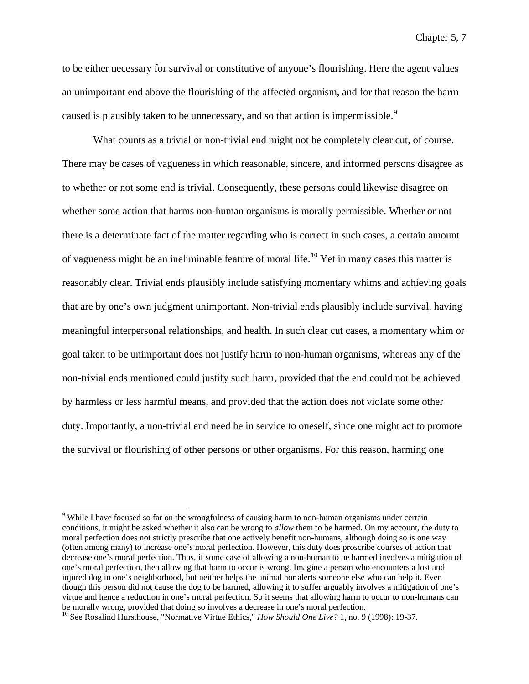to be either necessary for survival or constitutive of anyone's flourishing. Here the agent values an unimportant end above the flourishing of the affected organism, and for that reason the harm caused is plausibly taken to be unnecessary, and so that action is impermissible.<sup>[9](#page-183-0)</sup>

What counts as a trivial or non-trivial end might not be completely clear cut, of course. There may be cases of vagueness in which reasonable, sincere, and informed persons disagree as to whether or not some end is trivial. Consequently, these persons could likewise disagree on whether some action that harms non-human organisms is morally permissible. Whether or not there is a determinate fact of the matter regarding who is correct in such cases, a certain amount of vagueness might be an ineliminable feature of moral life.<sup>[10](#page-183-1)</sup> Yet in many cases this matter is reasonably clear. Trivial ends plausibly include satisfying momentary whims and achieving goals that are by one's own judgment unimportant. Non-trivial ends plausibly include survival, having meaningful interpersonal relationships, and health. In such clear cut cases, a momentary whim or goal taken to be unimportant does not justify harm to non-human organisms, whereas any of the non-trivial ends mentioned could justify such harm, provided that the end could not be achieved by harmless or less harmful means, and provided that the action does not violate some other duty. Importantly, a non-trivial end need be in service to oneself, since one might act to promote the survival or flourishing of other persons or other organisms. For this reason, harming one

<span id="page-183-0"></span><sup>&</sup>lt;sup>9</sup> While I have focused so far on the wrongfulness of causing harm to non-human organisms under certain conditions, it might be asked whether it also can be wrong to *allow* them to be harmed. On my account, the duty to moral perfection does not strictly prescribe that one actively benefit non-humans, although doing so is one way (often among many) to increase one's moral perfection. However, this duty does proscribe courses of action that decrease one's moral perfection. Thus, if some case of allowing a non-human to be harmed involves a mitigation of one's moral perfection, then allowing that harm to occur is wrong. Imagine a person who encounters a lost and injured dog in one's neighborhood, but neither helps the animal nor alerts someone else who can help it. Even though this person did not cause the dog to be harmed, allowing it to suffer arguably involves a mitigation of one's virtue and hence a reduction in one's moral perfection. So it seems that allowing harm to occur to non-humans can be morally wrong, provided that doing so involves a decrease in one's moral perfection.

<span id="page-183-1"></span><sup>&</sup>lt;sup>10</sup> See Rosalind Hursthouse, "Normative Virtue Ethics," *How Should One Live?* 1, no. 9 (1998): 19-37.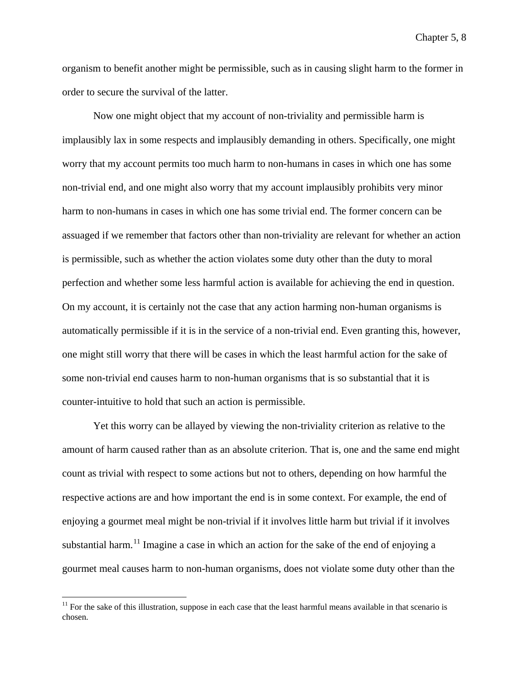organism to benefit another might be permissible, such as in causing slight harm to the former in order to secure the survival of the latter.

Now one might object that my account of non-triviality and permissible harm is implausibly lax in some respects and implausibly demanding in others. Specifically, one might worry that my account permits too much harm to non-humans in cases in which one has some non-trivial end, and one might also worry that my account implausibly prohibits very minor harm to non-humans in cases in which one has some trivial end. The former concern can be assuaged if we remember that factors other than non-triviality are relevant for whether an action is permissible, such as whether the action violates some duty other than the duty to moral perfection and whether some less harmful action is available for achieving the end in question. On my account, it is certainly not the case that any action harming non-human organisms is automatically permissible if it is in the service of a non-trivial end. Even granting this, however, one might still worry that there will be cases in which the least harmful action for the sake of some non-trivial end causes harm to non-human organisms that is so substantial that it is counter-intuitive to hold that such an action is permissible.

Yet this worry can be allayed by viewing the non-triviality criterion as relative to the amount of harm caused rather than as an absolute criterion. That is, one and the same end might count as trivial with respect to some actions but not to others, depending on how harmful the respective actions are and how important the end is in some context. For example, the end of enjoying a gourmet meal might be non-trivial if it involves little harm but trivial if it involves substantial harm.<sup>[11](#page-184-0)</sup> Imagine a case in which an action for the sake of the end of enjoying a gourmet meal causes harm to non-human organisms, does not violate some duty other than the

<span id="page-184-0"></span> $11$  For the sake of this illustration, suppose in each case that the least harmful means available in that scenario is chosen.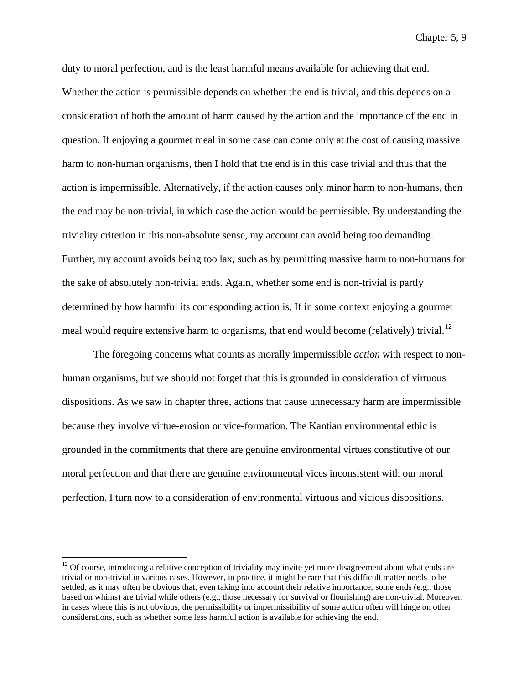duty to moral perfection, and is the least harmful means available for achieving that end. Whether the action is permissible depends on whether the end is trivial, and this depends on a consideration of both the amount of harm caused by the action and the importance of the end in question. If enjoying a gourmet meal in some case can come only at the cost of causing massive harm to non-human organisms, then I hold that the end is in this case trivial and thus that the action is impermissible. Alternatively, if the action causes only minor harm to non-humans, then the end may be non-trivial, in which case the action would be permissible. By understanding the triviality criterion in this non-absolute sense, my account can avoid being too demanding. Further, my account avoids being too lax, such as by permitting massive harm to non-humans for the sake of absolutely non-trivial ends. Again, whether some end is non-trivial is partly determined by how harmful its corresponding action is. If in some context enjoying a gourmet meal would require extensive harm to organisms, that end would become (relatively) trivial.<sup>[12](#page-185-0)</sup>

The foregoing concerns what counts as morally impermissible *action* with respect to nonhuman organisms, but we should not forget that this is grounded in consideration of virtuous dispositions. As we saw in chapter three, actions that cause unnecessary harm are impermissible because they involve virtue-erosion or vice-formation. The Kantian environmental ethic is grounded in the commitments that there are genuine environmental virtues constitutive of our moral perfection and that there are genuine environmental vices inconsistent with our moral perfection. I turn now to a consideration of environmental virtuous and vicious dispositions.

<span id="page-185-0"></span> $12$  Of course, introducing a relative conception of triviality may invite yet more disagreement about what ends are trivial or non-trivial in various cases. However, in practice, it might be rare that this difficult matter needs to be settled, as it may often be obvious that, even taking into account their relative importance, some ends (e.g., those based on whims) are trivial while others (e.g., those necessary for survival or flourishing) are non-trivial. Moreover, in cases where this is not obvious, the permissibility or impermissibility of some action often will hinge on other considerations, such as whether some less harmful action is available for achieving the end.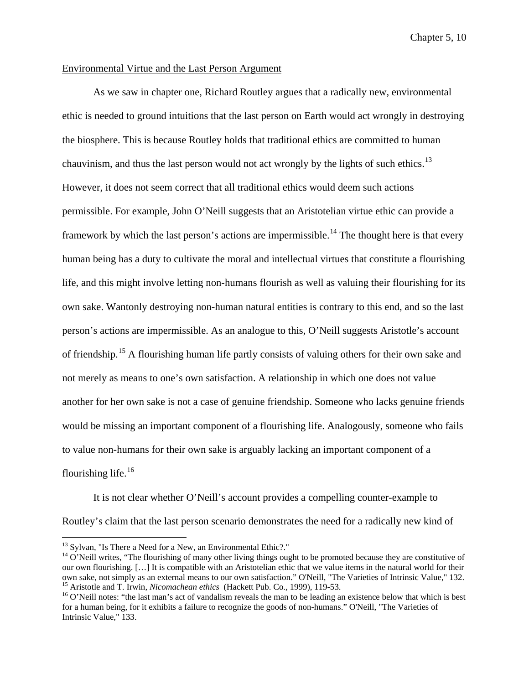# Environmental Virtue and the Last Person Argument

As we saw in chapter one, Richard Routley argues that a radically new, environmental ethic is needed to ground intuitions that the last person on Earth would act wrongly in destroying the biosphere. This is because Routley holds that traditional ethics are committed to human chauvinism, and thus the last person would not act wrongly by the lights of such ethics.<sup>[13](#page-186-0)</sup> However, it does not seem correct that all traditional ethics would deem such actions permissible. For example, John O'Neill suggests that an Aristotelian virtue ethic can provide a framework by which the last person's actions are impermissible.<sup>[14](#page-186-1)</sup> The thought here is that every human being has a duty to cultivate the moral and intellectual virtues that constitute a flourishing life, and this might involve letting non-humans flourish as well as valuing their flourishing for its own sake. Wantonly destroying non-human natural entities is contrary to this end, and so the last person's actions are impermissible. As an analogue to this, O'Neill suggests Aristotle's account of friendship.<sup>[15](#page-186-2)</sup> A flourishing human life partly consists of valuing others for their own sake and not merely as means to one's own satisfaction. A relationship in which one does not value another for her own sake is not a case of genuine friendship. Someone who lacks genuine friends would be missing an important component of a flourishing life. Analogously, someone who fails to value non-humans for their own sake is arguably lacking an important component of a flourishing life. $16$ 

It is not clear whether O'Neill's account provides a compelling counter-example to Routley's claim that the last person scenario demonstrates the need for a radically new kind of

<span id="page-186-1"></span><span id="page-186-0"></span><sup>&</sup>lt;sup>13</sup> Sylvan, "Is There a Need for a New, an Environmental Ethic?."<br><sup>14</sup> O'Neill writes, "The flourishing of many other living things ought to be promoted because they are constitutive of our own flourishing. [...] It is compatible with an Aristotelian ethic that we value items in the natural world for their<br>own sake, not simply as an external means to our own satisfaction." O'Neill, "The Varieties of Intri

<span id="page-186-3"></span><span id="page-186-2"></span><sup>&</sup>lt;sup>15</sup> Aristotle and T. Irwin, *Nicomachean ethics* (Hackett Pub. Co., 1999), 119-53.<br><sup>16</sup> O'Neill notes: "the last man's act of vandalism reveals the man to be leading an existence below that which is best for a human being, for it exhibits a failure to recognize the goods of non-humans." O'Neill, "The Varieties of Intrinsic Value," 133.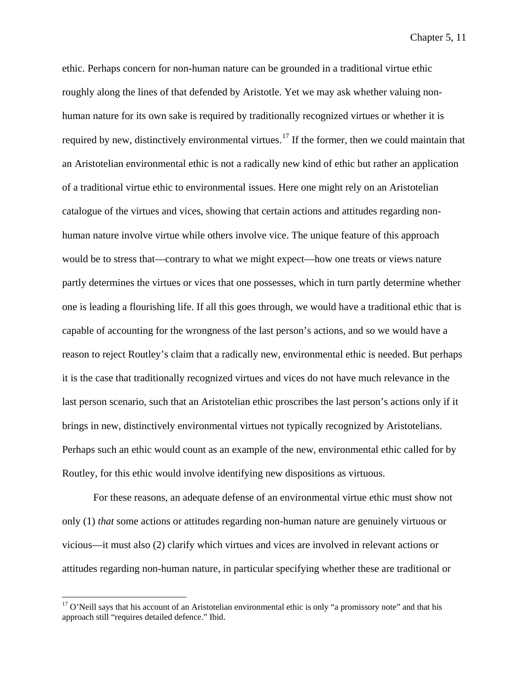ethic. Perhaps concern for non-human nature can be grounded in a traditional virtue ethic roughly along the lines of that defended by Aristotle. Yet we may ask whether valuing nonhuman nature for its own sake is required by traditionally recognized virtues or whether it is required by new, distinctively environmental virtues.<sup>[17](#page-187-0)</sup> If the former, then we could maintain that an Aristotelian environmental ethic is not a radically new kind of ethic but rather an application of a traditional virtue ethic to environmental issues. Here one might rely on an Aristotelian catalogue of the virtues and vices, showing that certain actions and attitudes regarding nonhuman nature involve virtue while others involve vice. The unique feature of this approach would be to stress that—contrary to what we might expect—how one treats or views nature partly determines the virtues or vices that one possesses, which in turn partly determine whether one is leading a flourishing life. If all this goes through, we would have a traditional ethic that is capable of accounting for the wrongness of the last person's actions, and so we would have a reason to reject Routley's claim that a radically new, environmental ethic is needed. But perhaps it is the case that traditionally recognized virtues and vices do not have much relevance in the last person scenario, such that an Aristotelian ethic proscribes the last person's actions only if it brings in new, distinctively environmental virtues not typically recognized by Aristotelians. Perhaps such an ethic would count as an example of the new, environmental ethic called for by Routley, for this ethic would involve identifying new dispositions as virtuous.

For these reasons, an adequate defense of an environmental virtue ethic must show not only (1) *that* some actions or attitudes regarding non-human nature are genuinely virtuous or vicious—it must also (2) clarify which virtues and vices are involved in relevant actions or attitudes regarding non-human nature, in particular specifying whether these are traditional or

<span id="page-187-0"></span><sup>&</sup>lt;sup>17</sup> O'Neill says that his account of an Aristotelian environmental ethic is only "a promissory note" and that his approach still "requires detailed defence." Ibid.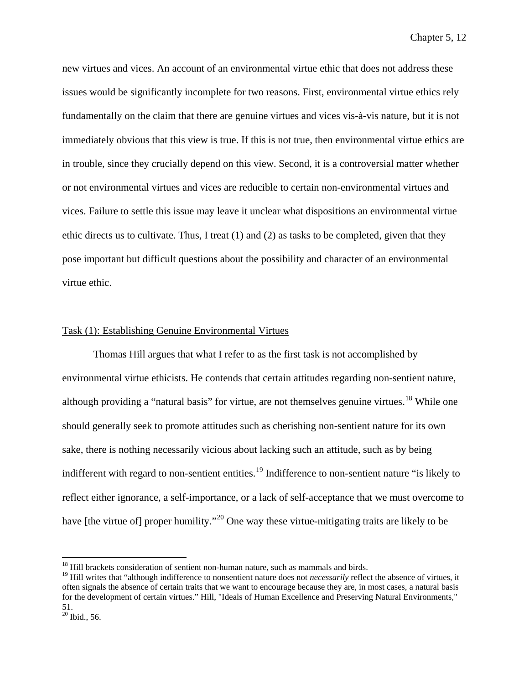new virtues and vices. An account of an environmental virtue ethic that does not address these issues would be significantly incomplete for two reasons. First, environmental virtue ethics rely fundamentally on the claim that there are genuine virtues and vices vis-à-vis nature, but it is not immediately obvious that this view is true. If this is not true, then environmental virtue ethics are in trouble, since they crucially depend on this view. Second, it is a controversial matter whether or not environmental virtues and vices are reducible to certain non-environmental virtues and vices. Failure to settle this issue may leave it unclear what dispositions an environmental virtue ethic directs us to cultivate. Thus, I treat (1) and (2) as tasks to be completed, given that they pose important but difficult questions about the possibility and character of an environmental virtue ethic.

## Task (1): Establishing Genuine Environmental Virtues

Thomas Hill argues that what I refer to as the first task is not accomplished by environmental virtue ethicists. He contends that certain attitudes regarding non-sentient nature, although providing a "natural basis" for virtue, are not themselves genuine virtues.<sup>[18](#page-188-0)</sup> While one should generally seek to promote attitudes such as cherishing non-sentient nature for its own sake, there is nothing necessarily vicious about lacking such an attitude, such as by being indifferent with regard to non-sentient entities.<sup>[19](#page-188-1)</sup> Indifference to non-sentient nature "is likely to reflect either ignorance, a self-importance, or a lack of self-acceptance that we must overcome to have [the virtue of] proper humility."<sup>[20](#page-188-2)</sup> One way these virtue-mitigating traits are likely to be

<span id="page-188-0"></span><sup>&</sup>lt;sup>18</sup> Hill brackets consideration of sentient non-human nature, such as mammals and birds.

<span id="page-188-1"></span><sup>&</sup>lt;sup>19</sup> Hill writes that "although indifference to nonsentient nature does not *necessarily* reflect the absence of virtues, it often signals the absence of certain traits that we want to encourage because they are, in most cases, a natural basis for the development of certain virtues." Hill, "Ideals of Human Excellence and Preserving Natural Environments," 51.

<span id="page-188-2"></span> $20$  Ibid., 56.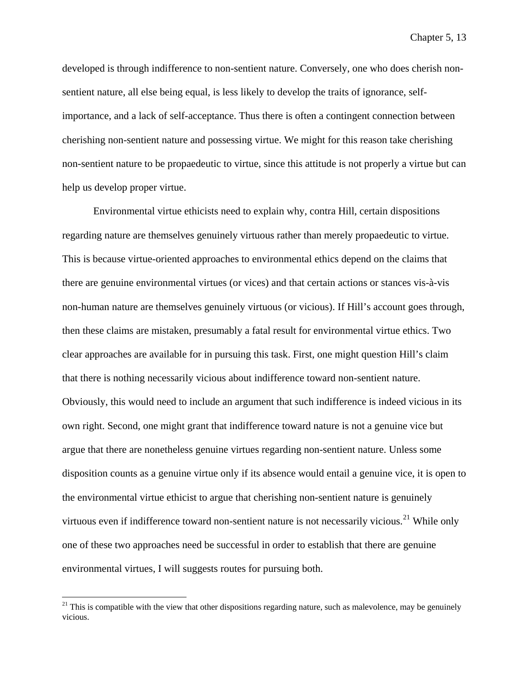developed is through indifference to non-sentient nature. Conversely, one who does cherish nonsentient nature, all else being equal, is less likely to develop the traits of ignorance, selfimportance, and a lack of self-acceptance. Thus there is often a contingent connection between cherishing non-sentient nature and possessing virtue. We might for this reason take cherishing non-sentient nature to be propaedeutic to virtue, since this attitude is not properly a virtue but can help us develop proper virtue.

Environmental virtue ethicists need to explain why, contra Hill, certain dispositions regarding nature are themselves genuinely virtuous rather than merely propaedeutic to virtue. This is because virtue-oriented approaches to environmental ethics depend on the claims that there are genuine environmental virtues (or vices) and that certain actions or stances vis-à-vis non-human nature are themselves genuinely virtuous (or vicious). If Hill's account goes through, then these claims are mistaken, presumably a fatal result for environmental virtue ethics. Two clear approaches are available for in pursuing this task. First, one might question Hill's claim that there is nothing necessarily vicious about indifference toward non-sentient nature. Obviously, this would need to include an argument that such indifference is indeed vicious in its own right. Second, one might grant that indifference toward nature is not a genuine vice but argue that there are nonetheless genuine virtues regarding non-sentient nature. Unless some disposition counts as a genuine virtue only if its absence would entail a genuine vice, it is open to the environmental virtue ethicist to argue that cherishing non-sentient nature is genuinely virtuous even if indifference toward non-sentient nature is not necessarily vicious.<sup>[21](#page-189-0)</sup> While only one of these two approaches need be successful in order to establish that there are genuine environmental virtues, I will suggests routes for pursuing both.

<span id="page-189-0"></span> $21$  This is compatible with the view that other dispositions regarding nature, such as malevolence, may be genuinely vicious.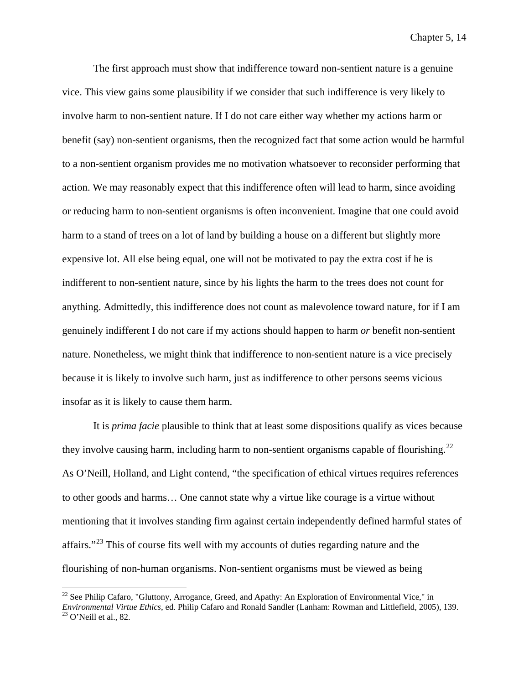The first approach must show that indifference toward non-sentient nature is a genuine vice. This view gains some plausibility if we consider that such indifference is very likely to involve harm to non-sentient nature. If I do not care either way whether my actions harm or benefit (say) non-sentient organisms, then the recognized fact that some action would be harmful to a non-sentient organism provides me no motivation whatsoever to reconsider performing that action. We may reasonably expect that this indifference often will lead to harm, since avoiding or reducing harm to non-sentient organisms is often inconvenient. Imagine that one could avoid harm to a stand of trees on a lot of land by building a house on a different but slightly more expensive lot. All else being equal, one will not be motivated to pay the extra cost if he is indifferent to non-sentient nature, since by his lights the harm to the trees does not count for anything. Admittedly, this indifference does not count as malevolence toward nature, for if I am genuinely indifferent I do not care if my actions should happen to harm *or* benefit non-sentient nature. Nonetheless, we might think that indifference to non-sentient nature is a vice precisely because it is likely to involve such harm, just as indifference to other persons seems vicious insofar as it is likely to cause them harm.

It is *prima facie* plausible to think that at least some dispositions qualify as vices because they involve causing harm, including harm to non-sentient organisms capable of flourishing.<sup>[22](#page-190-0)</sup> As O'Neill, Holland, and Light contend, "the specification of ethical virtues requires references to other goods and harms… One cannot state why a virtue like courage is a virtue without mentioning that it involves standing firm against certain independently defined harmful states of affairs."<sup>[23](#page-190-1)</sup> This of course fits well with my accounts of duties regarding nature and the flourishing of non-human organisms. Non-sentient organisms must be viewed as being

<span id="page-190-1"></span><span id="page-190-0"></span><sup>&</sup>lt;sup>22</sup> See Philip Cafaro, "Gluttony, Arrogance, Greed, and Apathy: An Exploration of Environmental Vice," in *Environmental Virtue Ethics*, ed. Philip Cafaro and Ronald Sandler (Lanham: Rowman and Littlefield, 2005), 139.<br><sup>23</sup> O'Neill et al., 82.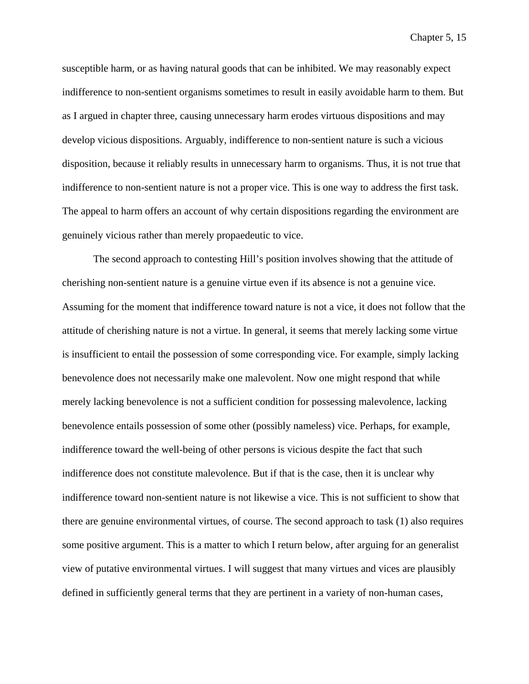susceptible harm, or as having natural goods that can be inhibited. We may reasonably expect indifference to non-sentient organisms sometimes to result in easily avoidable harm to them. But as I argued in chapter three, causing unnecessary harm erodes virtuous dispositions and may develop vicious dispositions. Arguably, indifference to non-sentient nature is such a vicious disposition, because it reliably results in unnecessary harm to organisms. Thus, it is not true that indifference to non-sentient nature is not a proper vice. This is one way to address the first task. The appeal to harm offers an account of why certain dispositions regarding the environment are genuinely vicious rather than merely propaedeutic to vice.

The second approach to contesting Hill's position involves showing that the attitude of cherishing non-sentient nature is a genuine virtue even if its absence is not a genuine vice. Assuming for the moment that indifference toward nature is not a vice, it does not follow that the attitude of cherishing nature is not a virtue. In general, it seems that merely lacking some virtue is insufficient to entail the possession of some corresponding vice. For example, simply lacking benevolence does not necessarily make one malevolent. Now one might respond that while merely lacking benevolence is not a sufficient condition for possessing malevolence, lacking benevolence entails possession of some other (possibly nameless) vice. Perhaps, for example, indifference toward the well-being of other persons is vicious despite the fact that such indifference does not constitute malevolence. But if that is the case, then it is unclear why indifference toward non-sentient nature is not likewise a vice. This is not sufficient to show that there are genuine environmental virtues, of course. The second approach to task (1) also requires some positive argument. This is a matter to which I return below, after arguing for an generalist view of putative environmental virtues. I will suggest that many virtues and vices are plausibly defined in sufficiently general terms that they are pertinent in a variety of non-human cases,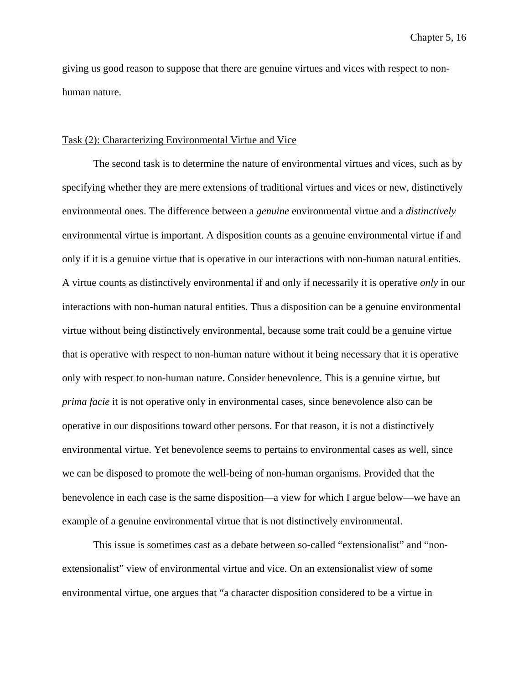giving us good reason to suppose that there are genuine virtues and vices with respect to nonhuman nature.

#### Task (2): Characterizing Environmental Virtue and Vice

The second task is to determine the nature of environmental virtues and vices, such as by specifying whether they are mere extensions of traditional virtues and vices or new, distinctively environmental ones. The difference between a *genuine* environmental virtue and a *distinctively* environmental virtue is important. A disposition counts as a genuine environmental virtue if and only if it is a genuine virtue that is operative in our interactions with non-human natural entities. A virtue counts as distinctively environmental if and only if necessarily it is operative *only* in our interactions with non-human natural entities. Thus a disposition can be a genuine environmental virtue without being distinctively environmental, because some trait could be a genuine virtue that is operative with respect to non-human nature without it being necessary that it is operative only with respect to non-human nature. Consider benevolence. This is a genuine virtue, but *prima facie* it is not operative only in environmental cases, since benevolence also can be operative in our dispositions toward other persons. For that reason, it is not a distinctively environmental virtue. Yet benevolence seems to pertains to environmental cases as well, since we can be disposed to promote the well-being of non-human organisms. Provided that the benevolence in each case is the same disposition—a view for which I argue below—we have an example of a genuine environmental virtue that is not distinctively environmental.

This issue is sometimes cast as a debate between so-called "extensionalist" and "nonextensionalist" view of environmental virtue and vice. On an extensionalist view of some environmental virtue, one argues that "a character disposition considered to be a virtue in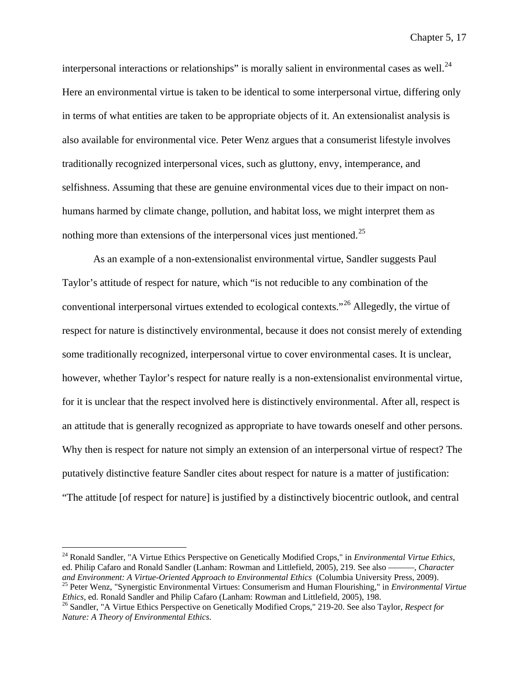interpersonal interactions or relationships" is morally salient in environmental cases as well. $^{24}$  $^{24}$  $^{24}$ Here an environmental virtue is taken to be identical to some interpersonal virtue, differing only in terms of what entities are taken to be appropriate objects of it. An extensionalist analysis is also available for environmental vice. Peter Wenz argues that a consumerist lifestyle involves traditionally recognized interpersonal vices, such as gluttony, envy, intemperance, and selfishness. Assuming that these are genuine environmental vices due to their impact on nonhumans harmed by climate change, pollution, and habitat loss, we might interpret them as nothing more than extensions of the interpersonal vices just mentioned.<sup>[25](#page-193-1)</sup>

As an example of a non-extensionalist environmental virtue, Sandler suggests Paul Taylor's attitude of respect for nature, which "is not reducible to any combination of the conventional interpersonal virtues extended to ecological contexts."[26](#page-193-2) Allegedly, the virtue of respect for nature is distinctively environmental, because it does not consist merely of extending some traditionally recognized, interpersonal virtue to cover environmental cases. It is unclear, however, whether Taylor's respect for nature really is a non-extensionalist environmental virtue, for it is unclear that the respect involved here is distinctively environmental. After all, respect is an attitude that is generally recognized as appropriate to have towards oneself and other persons. Why then is respect for nature not simply an extension of an interpersonal virtue of respect? The putatively distinctive feature Sandler cites about respect for nature is a matter of justification: "The attitude [of respect for nature] is justified by a distinctively biocentric outlook, and central

<span id="page-193-0"></span> <sup>24</sup> Ronald Sandler, "A Virtue Ethics Perspective on Genetically Modified Crops," in *Environmental Virtue Ethics*, ed. Philip Cafaro and Ronald Sandler (Lanham: Rowman and Littlefield, 2005), 219. See also ——, *Character and Environment: A Virtue-Oriented Approach to Environmental Ethics* (Columbia University Press, 2009).

<span id="page-193-1"></span><sup>&</sup>lt;sup>25</sup> Peter Wenz, "Synergistic Environmental Virtues: Consumerism and Human Flourishing," in *Environmental Virtue*<br>*Ethics*, ed. Ronald Sandler and Philip Cafaro (Lanham: Rowman and Littlefield, 2005), 198.

<span id="page-193-2"></span><sup>&</sup>lt;sup>26</sup> Sandler, "A Virtue Ethics Perspective on Genetically Modified Crops," 219-20. See also Taylor, *Respect for Nature: A Theory of Environmental Ethics*.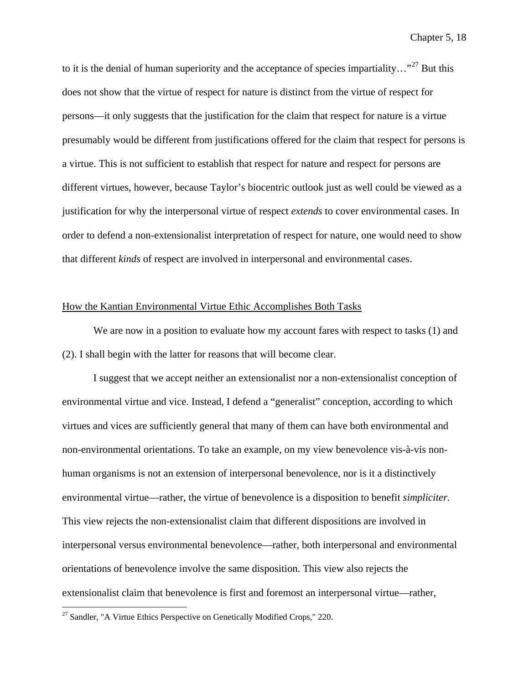to it is the denial of human superiority and the acceptance of species impartiality..."<sup>[27](#page-194-0)</sup> But this does not show that the virtue of respect for nature is distinct from the virtue of respect for persons—it only suggests that the justification for the claim that respect for nature is a virtue presumably would be different from justifications offered for the claim that respect for persons is a virtue. This is not sufficient to establish that respect for nature and respect for persons are different virtues, however, because Taylor's biocentric outlook just as well could be viewed as a justification for why the interpersonal virtue of respect *extends* to cover environmental cases. In order to defend a non-extensionalist interpretation of respect for nature, one would need to show that different *kinds* of respect are involved in interpersonal and environmental cases.

## How the Kantian Environmental Virtue Ethic Accomplishes Both Tasks

We are now in a position to evaluate how my account fares with respect to tasks (1) and (2). I shall begin with the latter for reasons that will become clear.

I suggest that we accept neither an extensionalist nor a non-extensionalist conception of environmental virtue and vice. Instead, I defend a "generalist" conception, according to which virtues and vices are sufficiently general that many of them can have both environmental and non-environmental orientations. To take an example, on my view benevolence vis-à-vis nonhuman organisms is not an extension of interpersonal benevolence, nor is it a distinctively environmental virtue—rather, the virtue of benevolence is a disposition to benefit *simpliciter*. This view rejects the non-extensionalist claim that different dispositions are involved in interpersonal versus environmental benevolence—rather, both interpersonal and environmental orientations of benevolence involve the same disposition. This view also rejects the extensionalist claim that benevolence is first and foremost an interpersonal virtue—rather,

<span id="page-194-0"></span> $27$  Sandler, "A Virtue Ethics Perspective on Genetically Modified Crops," 220.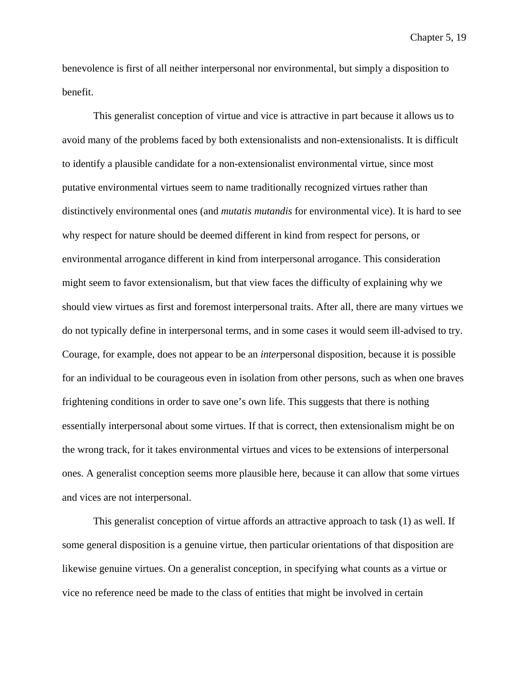benevolence is first of all neither interpersonal nor environmental, but simply a disposition to benefit.

This generalist conception of virtue and vice is attractive in part because it allows us to avoid many of the problems faced by both extensionalists and non-extensionalists. It is difficult to identify a plausible candidate for a non-extensionalist environmental virtue, since most putative environmental virtues seem to name traditionally recognized virtues rather than distinctively environmental ones (and *mutatis mutandis* for environmental vice). It is hard to see why respect for nature should be deemed different in kind from respect for persons, or environmental arrogance different in kind from interpersonal arrogance. This consideration might seem to favor extensionalism, but that view faces the difficulty of explaining why we should view virtues as first and foremost interpersonal traits. After all, there are many virtues we do not typically define in interpersonal terms, and in some cases it would seem ill-advised to try. Courage, for example, does not appear to be an *inter*personal disposition, because it is possible for an individual to be courageous even in isolation from other persons, such as when one braves frightening conditions in order to save one's own life. This suggests that there is nothing essentially interpersonal about some virtues. If that is correct, then extensionalism might be on the wrong track, for it takes environmental virtues and vices to be extensions of interpersonal ones. A generalist conception seems more plausible here, because it can allow that some virtues and vices are not interpersonal.

This generalist conception of virtue affords an attractive approach to task (1) as well. If some general disposition is a genuine virtue, then particular orientations of that disposition are likewise genuine virtues. On a generalist conception, in specifying what counts as a virtue or vice no reference need be made to the class of entities that might be involved in certain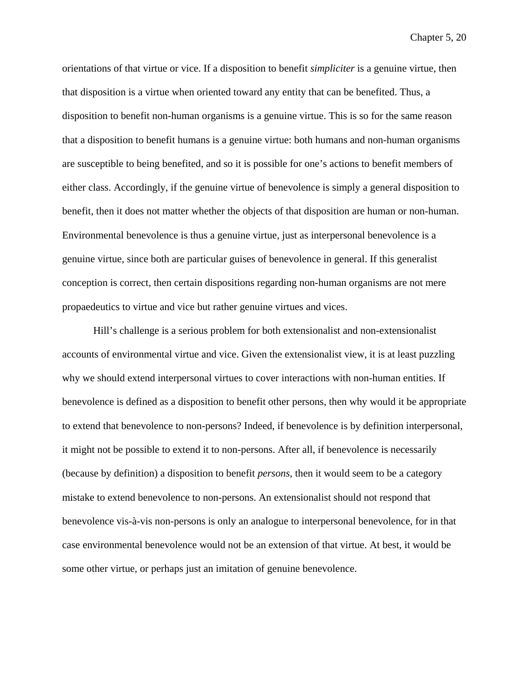orientations of that virtue or vice. If a disposition to benefit *simpliciter* is a genuine virtue, then that disposition is a virtue when oriented toward any entity that can be benefited. Thus, a disposition to benefit non-human organisms is a genuine virtue. This is so for the same reason that a disposition to benefit humans is a genuine virtue: both humans and non-human organisms are susceptible to being benefited, and so it is possible for one's actions to benefit members of either class. Accordingly, if the genuine virtue of benevolence is simply a general disposition to benefit, then it does not matter whether the objects of that disposition are human or non-human. Environmental benevolence is thus a genuine virtue, just as interpersonal benevolence is a genuine virtue, since both are particular guises of benevolence in general. If this generalist conception is correct, then certain dispositions regarding non-human organisms are not mere propaedeutics to virtue and vice but rather genuine virtues and vices.

Hill's challenge is a serious problem for both extensionalist and non-extensionalist accounts of environmental virtue and vice. Given the extensionalist view, it is at least puzzling why we should extend interpersonal virtues to cover interactions with non-human entities. If benevolence is defined as a disposition to benefit other persons, then why would it be appropriate to extend that benevolence to non-persons? Indeed, if benevolence is by definition interpersonal, it might not be possible to extend it to non-persons. After all, if benevolence is necessarily (because by definition) a disposition to benefit *persons*, then it would seem to be a category mistake to extend benevolence to non-persons. An extensionalist should not respond that benevolence vis-à-vis non-persons is only an analogue to interpersonal benevolence, for in that case environmental benevolence would not be an extension of that virtue. At best, it would be some other virtue, or perhaps just an imitation of genuine benevolence.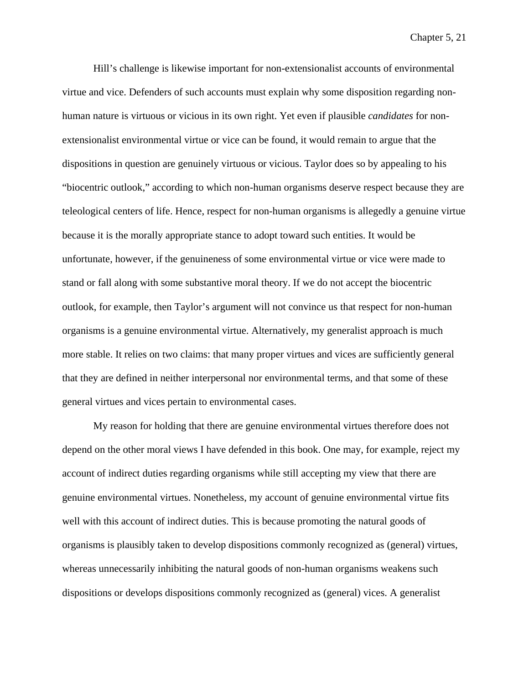Hill's challenge is likewise important for non-extensionalist accounts of environmental virtue and vice. Defenders of such accounts must explain why some disposition regarding nonhuman nature is virtuous or vicious in its own right. Yet even if plausible *candidates* for nonextensionalist environmental virtue or vice can be found, it would remain to argue that the dispositions in question are genuinely virtuous or vicious. Taylor does so by appealing to his "biocentric outlook," according to which non-human organisms deserve respect because they are teleological centers of life. Hence, respect for non-human organisms is allegedly a genuine virtue because it is the morally appropriate stance to adopt toward such entities. It would be unfortunate, however, if the genuineness of some environmental virtue or vice were made to stand or fall along with some substantive moral theory. If we do not accept the biocentric outlook, for example, then Taylor's argument will not convince us that respect for non-human organisms is a genuine environmental virtue. Alternatively, my generalist approach is much more stable. It relies on two claims: that many proper virtues and vices are sufficiently general that they are defined in neither interpersonal nor environmental terms, and that some of these general virtues and vices pertain to environmental cases.

My reason for holding that there are genuine environmental virtues therefore does not depend on the other moral views I have defended in this book. One may, for example, reject my account of indirect duties regarding organisms while still accepting my view that there are genuine environmental virtues. Nonetheless, my account of genuine environmental virtue fits well with this account of indirect duties. This is because promoting the natural goods of organisms is plausibly taken to develop dispositions commonly recognized as (general) virtues, whereas unnecessarily inhibiting the natural goods of non-human organisms weakens such dispositions or develops dispositions commonly recognized as (general) vices. A generalist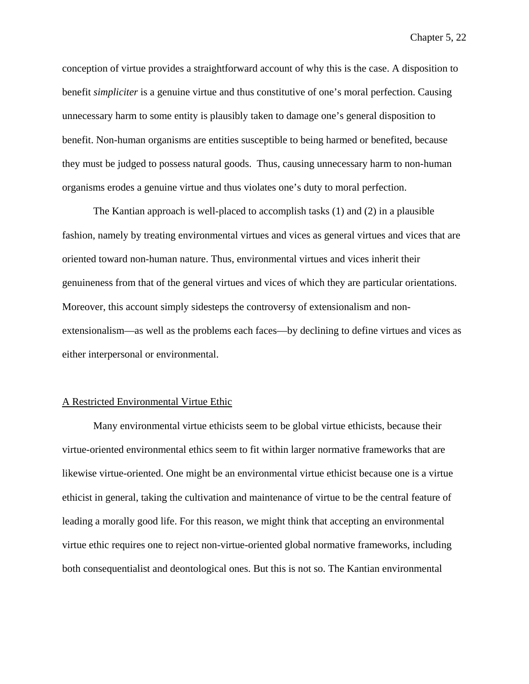conception of virtue provides a straightforward account of why this is the case. A disposition to benefit *simpliciter* is a genuine virtue and thus constitutive of one's moral perfection. Causing unnecessary harm to some entity is plausibly taken to damage one's general disposition to benefit. Non-human organisms are entities susceptible to being harmed or benefited, because they must be judged to possess natural goods. Thus, causing unnecessary harm to non-human organisms erodes a genuine virtue and thus violates one's duty to moral perfection.

The Kantian approach is well-placed to accomplish tasks (1) and (2) in a plausible fashion, namely by treating environmental virtues and vices as general virtues and vices that are oriented toward non-human nature. Thus, environmental virtues and vices inherit their genuineness from that of the general virtues and vices of which they are particular orientations. Moreover, this account simply sidesteps the controversy of extensionalism and nonextensionalism—as well as the problems each faces—by declining to define virtues and vices as either interpersonal or environmental.

#### A Restricted Environmental Virtue Ethic

Many environmental virtue ethicists seem to be global virtue ethicists, because their virtue-oriented environmental ethics seem to fit within larger normative frameworks that are likewise virtue-oriented. One might be an environmental virtue ethicist because one is a virtue ethicist in general, taking the cultivation and maintenance of virtue to be the central feature of leading a morally good life. For this reason, we might think that accepting an environmental virtue ethic requires one to reject non-virtue-oriented global normative frameworks, including both consequentialist and deontological ones. But this is not so. The Kantian environmental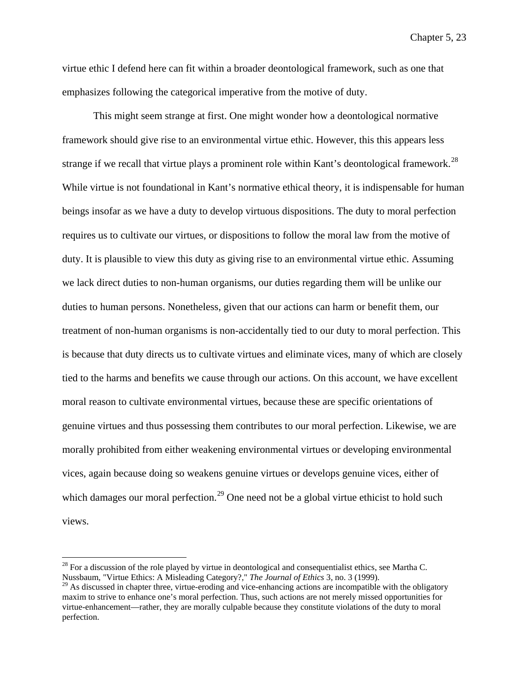virtue ethic I defend here can fit within a broader deontological framework, such as one that emphasizes following the categorical imperative from the motive of duty.

This might seem strange at first. One might wonder how a deontological normative framework should give rise to an environmental virtue ethic. However, this this appears less strange if we recall that virtue plays a prominent role within Kant's deontological framework.<sup>[28](#page-199-0)</sup> While virtue is not foundational in Kant's normative ethical theory, it is indispensable for human beings insofar as we have a duty to develop virtuous dispositions. The duty to moral perfection requires us to cultivate our virtues, or dispositions to follow the moral law from the motive of duty. It is plausible to view this duty as giving rise to an environmental virtue ethic. Assuming we lack direct duties to non-human organisms, our duties regarding them will be unlike our duties to human persons. Nonetheless, given that our actions can harm or benefit them, our treatment of non-human organisms is non-accidentally tied to our duty to moral perfection. This is because that duty directs us to cultivate virtues and eliminate vices, many of which are closely tied to the harms and benefits we cause through our actions. On this account, we have excellent moral reason to cultivate environmental virtues, because these are specific orientations of genuine virtues and thus possessing them contributes to our moral perfection. Likewise, we are morally prohibited from either weakening environmental virtues or developing environmental vices, again because doing so weakens genuine virtues or develops genuine vices, either of which damages our moral perfection.<sup>[29](#page-199-1)</sup> One need not be a global virtue ethicist to hold such views.

<span id="page-199-0"></span> $^{28}$  For a discussion of the role played by virtue in deontological and consequentialist ethics, see Martha C. Nussbaum, "Virtue Ethics: A Misleading Category?," *The Journal of Ethics* 3, no. 3 (1999).

<span id="page-199-1"></span> $^{29}$  As discussed in chapter three, virtue-eroding and vice-enhancing actions are incompatible with the obligatory maxim to strive to enhance one's moral perfection. Thus, such actions are not merely missed opportunities for virtue-enhancement—rather, they are morally culpable because they constitute violations of the duty to moral perfection.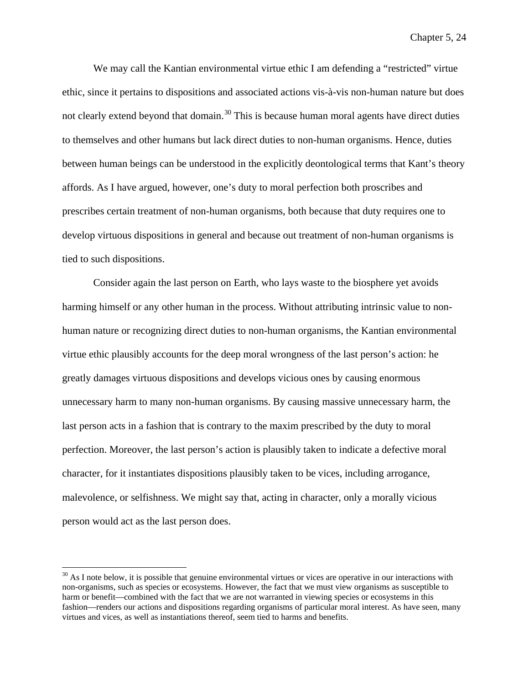We may call the Kantian environmental virtue ethic I am defending a "restricted" virtue ethic, since it pertains to dispositions and associated actions vis-à-vis non-human nature but does not clearly extend beyond that domain.<sup>[30](#page-200-0)</sup> This is because human moral agents have direct duties to themselves and other humans but lack direct duties to non-human organisms. Hence, duties between human beings can be understood in the explicitly deontological terms that Kant's theory affords. As I have argued, however, one's duty to moral perfection both proscribes and prescribes certain treatment of non-human organisms, both because that duty requires one to develop virtuous dispositions in general and because out treatment of non-human organisms is tied to such dispositions.

Consider again the last person on Earth, who lays waste to the biosphere yet avoids harming himself or any other human in the process. Without attributing intrinsic value to nonhuman nature or recognizing direct duties to non-human organisms, the Kantian environmental virtue ethic plausibly accounts for the deep moral wrongness of the last person's action: he greatly damages virtuous dispositions and develops vicious ones by causing enormous unnecessary harm to many non-human organisms. By causing massive unnecessary harm, the last person acts in a fashion that is contrary to the maxim prescribed by the duty to moral perfection. Moreover, the last person's action is plausibly taken to indicate a defective moral character, for it instantiates dispositions plausibly taken to be vices, including arrogance, malevolence, or selfishness. We might say that, acting in character, only a morally vicious person would act as the last person does.

<span id="page-200-0"></span> $30$  As I note below, it is possible that genuine environmental virtues or vices are operative in our interactions with non-organisms, such as species or ecosystems. However, the fact that we must view organisms as susceptible to harm or benefit—combined with the fact that we are not warranted in viewing species or ecosystems in this fashion—renders our actions and dispositions regarding organisms of particular moral interest. As have seen, many virtues and vices, as well as instantiations thereof, seem tied to harms and benefits.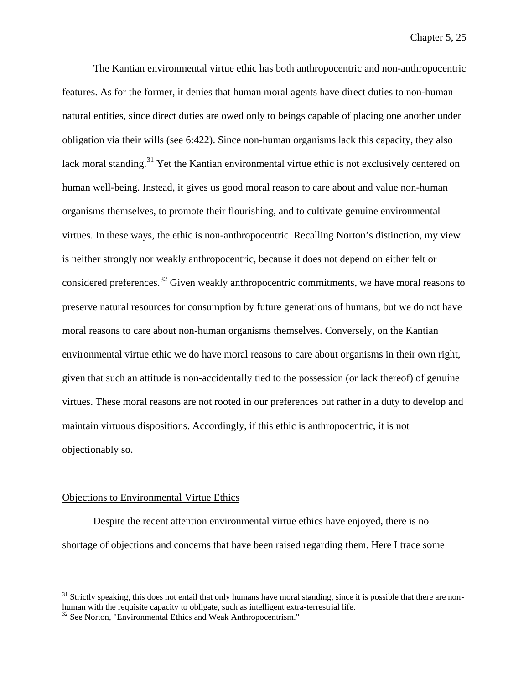The Kantian environmental virtue ethic has both anthropocentric and non-anthropocentric features. As for the former, it denies that human moral agents have direct duties to non-human natural entities, since direct duties are owed only to beings capable of placing one another under obligation via their wills (see 6:422). Since non-human organisms lack this capacity, they also lack moral standing.<sup>[31](#page-201-0)</sup> Yet the Kantian environmental virtue ethic is not exclusively centered on human well-being. Instead, it gives us good moral reason to care about and value non-human organisms themselves, to promote their flourishing, and to cultivate genuine environmental virtues. In these ways, the ethic is non-anthropocentric. Recalling Norton's distinction, my view is neither strongly nor weakly anthropocentric, because it does not depend on either felt or considered preferences.<sup>[32](#page-201-1)</sup> Given weakly anthropocentric commitments, we have moral reasons to preserve natural resources for consumption by future generations of humans, but we do not have moral reasons to care about non-human organisms themselves. Conversely, on the Kantian environmental virtue ethic we do have moral reasons to care about organisms in their own right, given that such an attitude is non-accidentally tied to the possession (or lack thereof) of genuine virtues. These moral reasons are not rooted in our preferences but rather in a duty to develop and maintain virtuous dispositions. Accordingly, if this ethic is anthropocentric, it is not objectionably so.

# Objections to Environmental Virtue Ethics

Despite the recent attention environmental virtue ethics have enjoyed, there is no shortage of objections and concerns that have been raised regarding them. Here I trace some

<span id="page-201-0"></span> $31$  Strictly speaking, this does not entail that only humans have moral standing, since it is possible that there are nonhuman with the requisite capacity to obligate, such as intelligent extra-terrestrial life. <sup>32</sup> See Norton, "Environmental Ethics and Weak Anthropocentrism."

<span id="page-201-1"></span>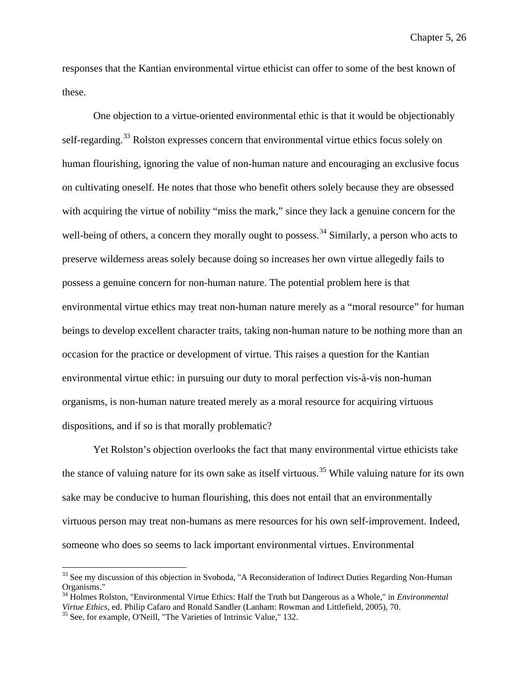responses that the Kantian environmental virtue ethicist can offer to some of the best known of these.

One objection to a virtue-oriented environmental ethic is that it would be objectionably self-regarding.<sup>[33](#page-202-0)</sup> Rolston expresses concern that environmental virtue ethics focus solely on human flourishing, ignoring the value of non-human nature and encouraging an exclusive focus on cultivating oneself. He notes that those who benefit others solely because they are obsessed with acquiring the virtue of nobility "miss the mark," since they lack a genuine concern for the well-being of others, a concern they morally ought to possess.<sup>[34](#page-202-1)</sup> Similarly, a person who acts to preserve wilderness areas solely because doing so increases her own virtue allegedly fails to possess a genuine concern for non-human nature. The potential problem here is that environmental virtue ethics may treat non-human nature merely as a "moral resource" for human beings to develop excellent character traits, taking non-human nature to be nothing more than an occasion for the practice or development of virtue. This raises a question for the Kantian environmental virtue ethic: in pursuing our duty to moral perfection vis-à-vis non-human organisms, is non-human nature treated merely as a moral resource for acquiring virtuous dispositions, and if so is that morally problematic?

Yet Rolston's objection overlooks the fact that many environmental virtue ethicists take the stance of valuing nature for its own sake as itself virtuous.<sup>[35](#page-202-2)</sup> While valuing nature for its own sake may be conducive to human flourishing, this does not entail that an environmentally virtuous person may treat non-humans as mere resources for his own self-improvement. Indeed, someone who does so seems to lack important environmental virtues. Environmental

<span id="page-202-0"></span><sup>&</sup>lt;sup>33</sup> See my discussion of this objection in Svoboda, "A Reconsideration of Indirect Duties Regarding Non-Human Organisms."

<span id="page-202-1"></span><sup>34</sup> Holmes Rolston, "Environmental Virtue Ethics: Half the Truth but Dangerous as a Whole," in *Environmental Virtue Ethics*, ed. Philip Cafaro and Ronald Sandler (Lanham: Rowman and Littlefield, 2005), 70. <sup>35</sup> See, for example, O'Neill, "The Varieties of Intrinsic Value," 132.

<span id="page-202-2"></span>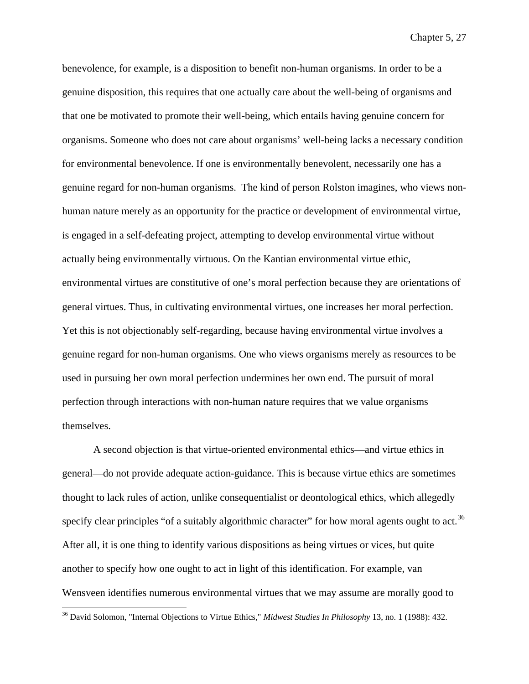benevolence, for example, is a disposition to benefit non-human organisms. In order to be a genuine disposition, this requires that one actually care about the well-being of organisms and that one be motivated to promote their well-being, which entails having genuine concern for organisms. Someone who does not care about organisms' well-being lacks a necessary condition for environmental benevolence. If one is environmentally benevolent, necessarily one has a genuine regard for non-human organisms. The kind of person Rolston imagines, who views nonhuman nature merely as an opportunity for the practice or development of environmental virtue, is engaged in a self-defeating project, attempting to develop environmental virtue without actually being environmentally virtuous. On the Kantian environmental virtue ethic, environmental virtues are constitutive of one's moral perfection because they are orientations of general virtues. Thus, in cultivating environmental virtues, one increases her moral perfection. Yet this is not objectionably self-regarding, because having environmental virtue involves a genuine regard for non-human organisms. One who views organisms merely as resources to be used in pursuing her own moral perfection undermines her own end. The pursuit of moral perfection through interactions with non-human nature requires that we value organisms themselves.

A second objection is that virtue-oriented environmental ethics—and virtue ethics in general—do not provide adequate action-guidance. This is because virtue ethics are sometimes thought to lack rules of action, unlike consequentialist or deontological ethics, which allegedly specify clear principles "of a suitably algorithmic character" for how moral agents ought to act.<sup>[36](#page-203-0)</sup> After all, it is one thing to identify various dispositions as being virtues or vices, but quite another to specify how one ought to act in light of this identification. For example, van Wensveen identifies numerous environmental virtues that we may assume are morally good to

<span id="page-203-0"></span> <sup>36</sup> David Solomon, "Internal Objections to Virtue Ethics," *Midwest Studies In Philosophy* 13, no. 1 (1988): 432.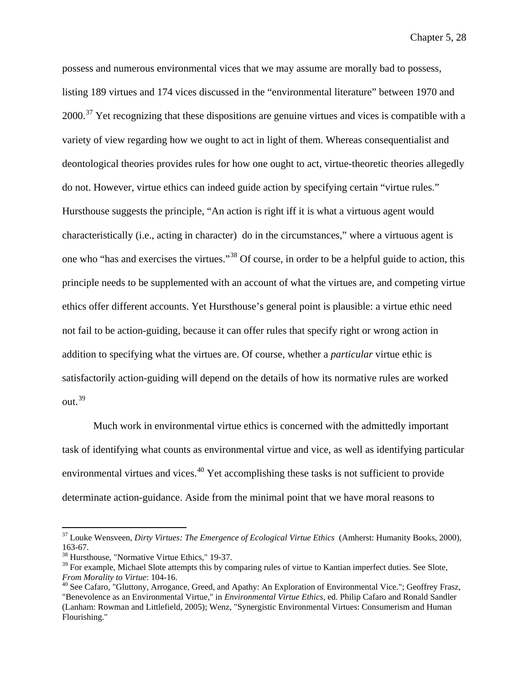possess and numerous environmental vices that we may assume are morally bad to possess, listing 189 virtues and 174 vices discussed in the "environmental literature" between 1970 and  $2000$ <sup>[37](#page-204-0)</sup> Yet recognizing that these dispositions are genuine virtues and vices is compatible with a variety of view regarding how we ought to act in light of them. Whereas consequentialist and deontological theories provides rules for how one ought to act, virtue-theoretic theories allegedly do not. However, virtue ethics can indeed guide action by specifying certain "virtue rules." Hursthouse suggests the principle, "An action is right iff it is what a virtuous agent would characteristically (i.e., acting in character) do in the circumstances," where a virtuous agent is one who "has and exercises the virtues."[38](#page-204-1) Of course, in order to be a helpful guide to action, this principle needs to be supplemented with an account of what the virtues are, and competing virtue ethics offer different accounts. Yet Hursthouse's general point is plausible: a virtue ethic need not fail to be action-guiding, because it can offer rules that specify right or wrong action in addition to specifying what the virtues are. Of course, whether a *particular* virtue ethic is satisfactorily action-guiding will depend on the details of how its normative rules are worked out.[39](#page-204-2)

Much work in environmental virtue ethics is concerned with the admittedly important task of identifying what counts as environmental virtue and vice, as well as identifying particular environmental virtues and vices.<sup>[40](#page-204-3)</sup> Yet accomplishing these tasks is not sufficient to provide determinate action-guidance. Aside from the minimal point that we have moral reasons to

<span id="page-204-0"></span> <sup>37</sup> Louke Wensveen, *Dirty Virtues: The Emergence of Ecological Virtue Ethics* (Amherst: Humanity Books, 2000), 163-67.<br><sup>38</sup> Hursthouse, "Normative Virtue Ethics," 19-37.

<span id="page-204-1"></span>

<span id="page-204-2"></span> $39$  For example, Michael Slote attempts this by comparing rules of virtue to Kantian imperfect duties. See Slote, From Morality to Virtue: 104-16.

<span id="page-204-3"></span><sup>&</sup>lt;sup>40</sup> See Cafaro, "Gluttony, Arrogance, Greed, and Apathy: An Exploration of Environmental Vice."; Geoffrey Frasz, "Benevolence as an Environmental Virtue," in *Environmental Virtue Ethics*, ed. Philip Cafaro and Ronald Sandler (Lanham: Rowman and Littlefield, 2005); Wenz, "Synergistic Environmental Virtues: Consumerism and Human Flourishing."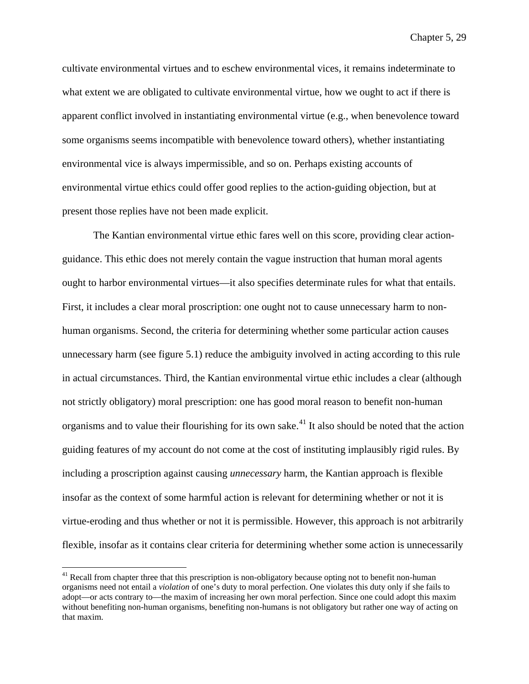cultivate environmental virtues and to eschew environmental vices, it remains indeterminate to what extent we are obligated to cultivate environmental virtue, how we ought to act if there is apparent conflict involved in instantiating environmental virtue (e.g., when benevolence toward some organisms seems incompatible with benevolence toward others), whether instantiating environmental vice is always impermissible, and so on. Perhaps existing accounts of environmental virtue ethics could offer good replies to the action-guiding objection, but at present those replies have not been made explicit.

The Kantian environmental virtue ethic fares well on this score, providing clear actionguidance. This ethic does not merely contain the vague instruction that human moral agents ought to harbor environmental virtues—it also specifies determinate rules for what that entails. First, it includes a clear moral proscription: one ought not to cause unnecessary harm to nonhuman organisms. Second, the criteria for determining whether some particular action causes unnecessary harm (see figure 5.1) reduce the ambiguity involved in acting according to this rule in actual circumstances. Third, the Kantian environmental virtue ethic includes a clear (although not strictly obligatory) moral prescription: one has good moral reason to benefit non-human organisms and to value their flourishing for its own sake.<sup>[41](#page-205-0)</sup> It also should be noted that the action guiding features of my account do not come at the cost of instituting implausibly rigid rules. By including a proscription against causing *unnecessary* harm, the Kantian approach is flexible insofar as the context of some harmful action is relevant for determining whether or not it is virtue-eroding and thus whether or not it is permissible. However, this approach is not arbitrarily flexible, insofar as it contains clear criteria for determining whether some action is unnecessarily

<span id="page-205-0"></span><sup>&</sup>lt;sup>41</sup> Recall from chapter three that this prescription is non-obligatory because opting not to benefit non-human organisms need not entail a *violation* of one's duty to moral perfection. One violates this duty only if she fails to adopt—or acts contrary to—the maxim of increasing her own moral perfection. Since one could adopt this maxim without benefiting non-human organisms, benefiting non-humans is not obligatory but rather one way of acting on that maxim.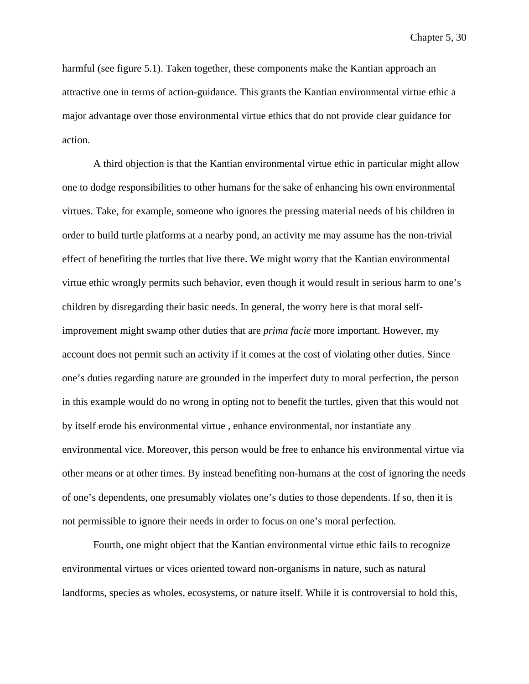harmful (see figure 5.1). Taken together, these components make the Kantian approach an attractive one in terms of action-guidance. This grants the Kantian environmental virtue ethic a major advantage over those environmental virtue ethics that do not provide clear guidance for action.

A third objection is that the Kantian environmental virtue ethic in particular might allow one to dodge responsibilities to other humans for the sake of enhancing his own environmental virtues. Take, for example, someone who ignores the pressing material needs of his children in order to build turtle platforms at a nearby pond, an activity me may assume has the non-trivial effect of benefiting the turtles that live there. We might worry that the Kantian environmental virtue ethic wrongly permits such behavior, even though it would result in serious harm to one's children by disregarding their basic needs. In general, the worry here is that moral selfimprovement might swamp other duties that are *prima facie* more important. However, my account does not permit such an activity if it comes at the cost of violating other duties. Since one's duties regarding nature are grounded in the imperfect duty to moral perfection, the person in this example would do no wrong in opting not to benefit the turtles, given that this would not by itself erode his environmental virtue , enhance environmental, nor instantiate any environmental vice. Moreover, this person would be free to enhance his environmental virtue via other means or at other times. By instead benefiting non-humans at the cost of ignoring the needs of one's dependents, one presumably violates one's duties to those dependents. If so, then it is not permissible to ignore their needs in order to focus on one's moral perfection.

Fourth, one might object that the Kantian environmental virtue ethic fails to recognize environmental virtues or vices oriented toward non-organisms in nature, such as natural landforms, species as wholes, ecosystems, or nature itself. While it is controversial to hold this,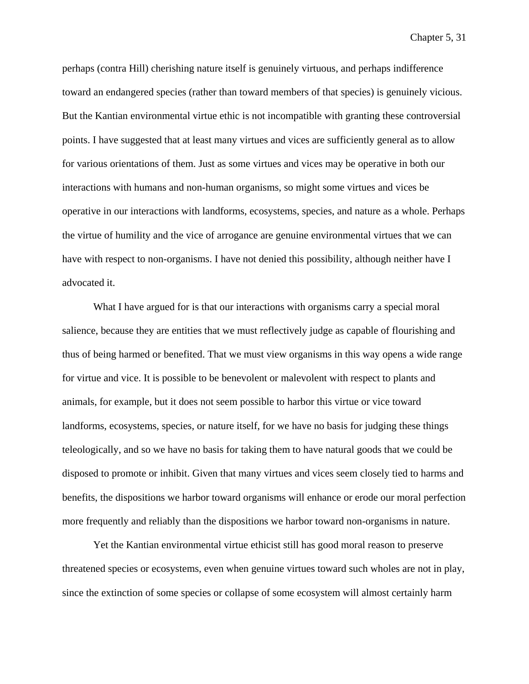perhaps (contra Hill) cherishing nature itself is genuinely virtuous, and perhaps indifference toward an endangered species (rather than toward members of that species) is genuinely vicious. But the Kantian environmental virtue ethic is not incompatible with granting these controversial points. I have suggested that at least many virtues and vices are sufficiently general as to allow for various orientations of them. Just as some virtues and vices may be operative in both our interactions with humans and non-human organisms, so might some virtues and vices be operative in our interactions with landforms, ecosystems, species, and nature as a whole. Perhaps the virtue of humility and the vice of arrogance are genuine environmental virtues that we can have with respect to non-organisms. I have not denied this possibility, although neither have I advocated it.

What I have argued for is that our interactions with organisms carry a special moral salience, because they are entities that we must reflectively judge as capable of flourishing and thus of being harmed or benefited. That we must view organisms in this way opens a wide range for virtue and vice. It is possible to be benevolent or malevolent with respect to plants and animals, for example, but it does not seem possible to harbor this virtue or vice toward landforms, ecosystems, species, or nature itself, for we have no basis for judging these things teleologically, and so we have no basis for taking them to have natural goods that we could be disposed to promote or inhibit. Given that many virtues and vices seem closely tied to harms and benefits, the dispositions we harbor toward organisms will enhance or erode our moral perfection more frequently and reliably than the dispositions we harbor toward non-organisms in nature.

Yet the Kantian environmental virtue ethicist still has good moral reason to preserve threatened species or ecosystems, even when genuine virtues toward such wholes are not in play, since the extinction of some species or collapse of some ecosystem will almost certainly harm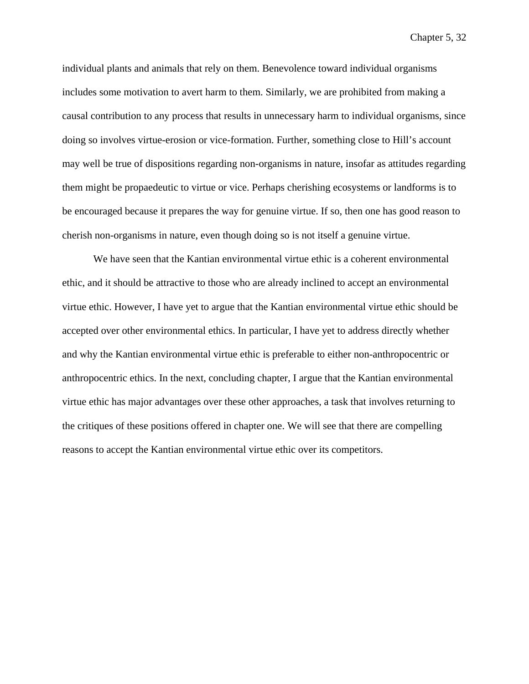individual plants and animals that rely on them. Benevolence toward individual organisms includes some motivation to avert harm to them. Similarly, we are prohibited from making a causal contribution to any process that results in unnecessary harm to individual organisms, since doing so involves virtue-erosion or vice-formation. Further, something close to Hill's account may well be true of dispositions regarding non-organisms in nature, insofar as attitudes regarding them might be propaedeutic to virtue or vice. Perhaps cherishing ecosystems or landforms is to be encouraged because it prepares the way for genuine virtue. If so, then one has good reason to cherish non-organisms in nature, even though doing so is not itself a genuine virtue.

We have seen that the Kantian environmental virtue ethic is a coherent environmental ethic, and it should be attractive to those who are already inclined to accept an environmental virtue ethic. However, I have yet to argue that the Kantian environmental virtue ethic should be accepted over other environmental ethics. In particular, I have yet to address directly whether and why the Kantian environmental virtue ethic is preferable to either non-anthropocentric or anthropocentric ethics. In the next, concluding chapter, I argue that the Kantian environmental virtue ethic has major advantages over these other approaches, a task that involves returning to the critiques of these positions offered in chapter one. We will see that there are compelling reasons to accept the Kantian environmental virtue ethic over its competitors.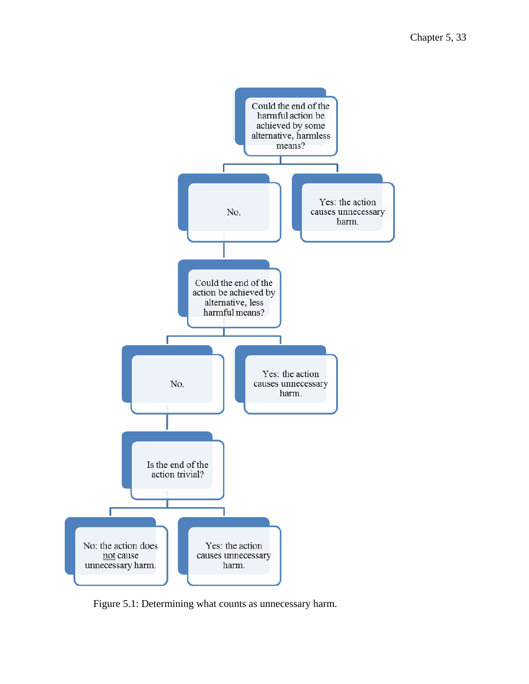

Figure 5.1: Determining what counts as unnecessary harm.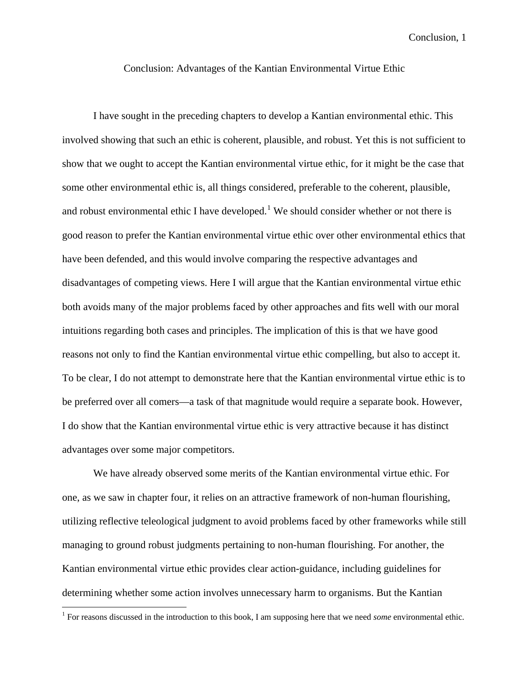Conclusion: Advantages of the Kantian Environmental Virtue Ethic

I have sought in the preceding chapters to develop a Kantian environmental ethic. This involved showing that such an ethic is coherent, plausible, and robust. Yet this is not sufficient to show that we ought to accept the Kantian environmental virtue ethic, for it might be the case that some other environmental ethic is, all things considered, preferable to the coherent, plausible, and robust environmental ethic I have developed.<sup>[1](#page-210-0)</sup> We should consider whether or not there is good reason to prefer the Kantian environmental virtue ethic over other environmental ethics that have been defended, and this would involve comparing the respective advantages and disadvantages of competing views. Here I will argue that the Kantian environmental virtue ethic both avoids many of the major problems faced by other approaches and fits well with our moral intuitions regarding both cases and principles. The implication of this is that we have good reasons not only to find the Kantian environmental virtue ethic compelling, but also to accept it. To be clear, I do not attempt to demonstrate here that the Kantian environmental virtue ethic is to be preferred over all comers—a task of that magnitude would require a separate book. However, I do show that the Kantian environmental virtue ethic is very attractive because it has distinct advantages over some major competitors.

We have already observed some merits of the Kantian environmental virtue ethic. For one, as we saw in chapter four, it relies on an attractive framework of non-human flourishing, utilizing reflective teleological judgment to avoid problems faced by other frameworks while still managing to ground robust judgments pertaining to non-human flourishing. For another, the Kantian environmental virtue ethic provides clear action-guidance, including guidelines for determining whether some action involves unnecessary harm to organisms. But the Kantian

<span id="page-210-0"></span><sup>&</sup>lt;sup>1</sup> For reasons discussed in the introduction to this book, I am supposing here that we need *some* environmental ethic.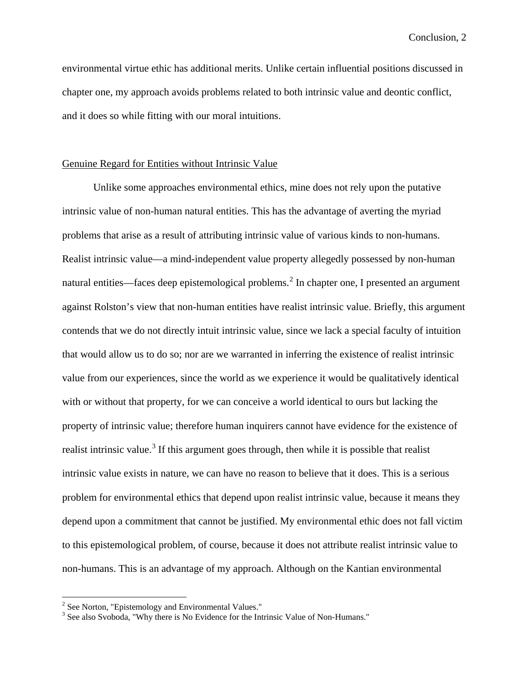environmental virtue ethic has additional merits. Unlike certain influential positions discussed in chapter one, my approach avoids problems related to both intrinsic value and deontic conflict, and it does so while fitting with our moral intuitions.

# Genuine Regard for Entities without Intrinsic Value

Unlike some approaches environmental ethics, mine does not rely upon the putative intrinsic value of non-human natural entities. This has the advantage of averting the myriad problems that arise as a result of attributing intrinsic value of various kinds to non-humans. Realist intrinsic value—a mind-independent value property allegedly possessed by non-human natural entities—faces deep epistemological problems.<sup>[2](#page-211-0)</sup> In chapter one, I presented an argument against Rolston's view that non-human entities have realist intrinsic value. Briefly, this argument contends that we do not directly intuit intrinsic value, since we lack a special faculty of intuition that would allow us to do so; nor are we warranted in inferring the existence of realist intrinsic value from our experiences, since the world as we experience it would be qualitatively identical with or without that property, for we can conceive a world identical to ours but lacking the property of intrinsic value; therefore human inquirers cannot have evidence for the existence of realist intrinsic value.<sup>[3](#page-211-1)</sup> If this argument goes through, then while it is possible that realist intrinsic value exists in nature, we can have no reason to believe that it does. This is a serious problem for environmental ethics that depend upon realist intrinsic value, because it means they depend upon a commitment that cannot be justified. My environmental ethic does not fall victim to this epistemological problem, of course, because it does not attribute realist intrinsic value to non-humans. This is an advantage of my approach. Although on the Kantian environmental

<span id="page-211-1"></span><span id="page-211-0"></span> $2^2$  See Norton, "Epistemology and Environmental Values."<br> $3$  See also Svoboda, "Why there is No Evidence for the Intrinsic Value of Non-Humans."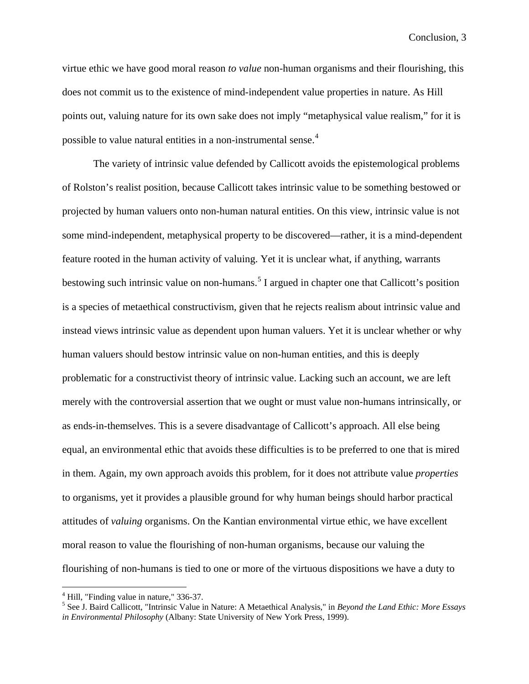virtue ethic we have good moral reason *to value* non-human organisms and their flourishing, this does not commit us to the existence of mind-independent value properties in nature. As Hill points out, valuing nature for its own sake does not imply "metaphysical value realism," for it is possible to value natural entities in a non-instrumental sense.[4](#page-212-0)

The variety of intrinsic value defended by Callicott avoids the epistemological problems of Rolston's realist position, because Callicott takes intrinsic value to be something bestowed or projected by human valuers onto non-human natural entities. On this view, intrinsic value is not some mind-independent, metaphysical property to be discovered—rather, it is a mind-dependent feature rooted in the human activity of valuing. Yet it is unclear what, if anything, warrants bestowing such intrinsic value on non-humans.<sup>[5](#page-212-1)</sup> I argued in chapter one that Callicott's position is a species of metaethical constructivism, given that he rejects realism about intrinsic value and instead views intrinsic value as dependent upon human valuers. Yet it is unclear whether or why human valuers should bestow intrinsic value on non-human entities, and this is deeply problematic for a constructivist theory of intrinsic value. Lacking such an account, we are left merely with the controversial assertion that we ought or must value non-humans intrinsically, or as ends-in-themselves. This is a severe disadvantage of Callicott's approach. All else being equal, an environmental ethic that avoids these difficulties is to be preferred to one that is mired in them. Again, my own approach avoids this problem, for it does not attribute value *properties*  to organisms, yet it provides a plausible ground for why human beings should harbor practical attitudes of *valuing* organisms. On the Kantian environmental virtue ethic, we have excellent moral reason to value the flourishing of non-human organisms, because our valuing the flourishing of non-humans is tied to one or more of the virtuous dispositions we have a duty to

<span id="page-212-1"></span><span id="page-212-0"></span><sup>&</sup>lt;sup>4</sup> Hill, "Finding value in nature," 336-37.<br><sup>5</sup> See J. Baird Callicott, "Intrinsic Value in Nature: A Metaethical Analysis," in *Beyond the Land Ethic: More Essays in Environmental Philosophy* (Albany: State University of New York Press, 1999).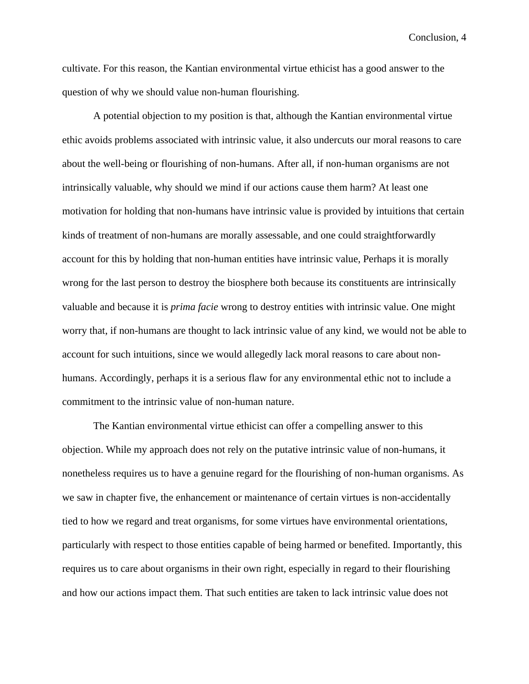cultivate. For this reason, the Kantian environmental virtue ethicist has a good answer to the question of why we should value non-human flourishing.

A potential objection to my position is that, although the Kantian environmental virtue ethic avoids problems associated with intrinsic value, it also undercuts our moral reasons to care about the well-being or flourishing of non-humans. After all, if non-human organisms are not intrinsically valuable, why should we mind if our actions cause them harm? At least one motivation for holding that non-humans have intrinsic value is provided by intuitions that certain kinds of treatment of non-humans are morally assessable, and one could straightforwardly account for this by holding that non-human entities have intrinsic value, Perhaps it is morally wrong for the last person to destroy the biosphere both because its constituents are intrinsically valuable and because it is *prima facie* wrong to destroy entities with intrinsic value. One might worry that, if non-humans are thought to lack intrinsic value of any kind, we would not be able to account for such intuitions, since we would allegedly lack moral reasons to care about nonhumans. Accordingly, perhaps it is a serious flaw for any environmental ethic not to include a commitment to the intrinsic value of non-human nature.

The Kantian environmental virtue ethicist can offer a compelling answer to this objection. While my approach does not rely on the putative intrinsic value of non-humans, it nonetheless requires us to have a genuine regard for the flourishing of non-human organisms. As we saw in chapter five, the enhancement or maintenance of certain virtues is non-accidentally tied to how we regard and treat organisms, for some virtues have environmental orientations, particularly with respect to those entities capable of being harmed or benefited. Importantly, this requires us to care about organisms in their own right, especially in regard to their flourishing and how our actions impact them. That such entities are taken to lack intrinsic value does not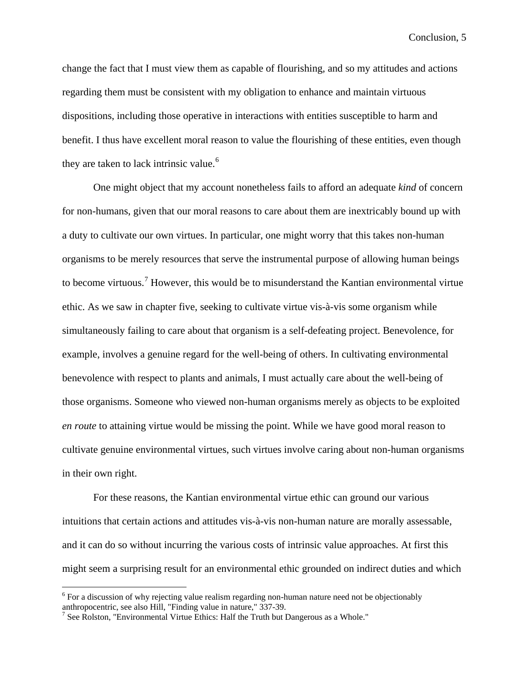change the fact that I must view them as capable of flourishing, and so my attitudes and actions regarding them must be consistent with my obligation to enhance and maintain virtuous dispositions, including those operative in interactions with entities susceptible to harm and benefit. I thus have excellent moral reason to value the flourishing of these entities, even though they are taken to lack intrinsic value.<sup>[6](#page-214-0)</sup>

One might object that my account nonetheless fails to afford an adequate *kind* of concern for non-humans, given that our moral reasons to care about them are inextricably bound up with a duty to cultivate our own virtues. In particular, one might worry that this takes non-human organisms to be merely resources that serve the instrumental purpose of allowing human beings to become virtuous.<sup>[7](#page-214-1)</sup> However, this would be to misunderstand the Kantian environmental virtue ethic. As we saw in chapter five, seeking to cultivate virtue vis-à-vis some organism while simultaneously failing to care about that organism is a self-defeating project. Benevolence, for example, involves a genuine regard for the well-being of others. In cultivating environmental benevolence with respect to plants and animals, I must actually care about the well-being of those organisms. Someone who viewed non-human organisms merely as objects to be exploited *en route* to attaining virtue would be missing the point. While we have good moral reason to cultivate genuine environmental virtues, such virtues involve caring about non-human organisms in their own right.

For these reasons, the Kantian environmental virtue ethic can ground our various intuitions that certain actions and attitudes vis-à-vis non-human nature are morally assessable, and it can do so without incurring the various costs of intrinsic value approaches. At first this might seem a surprising result for an environmental ethic grounded on indirect duties and which

<span id="page-214-0"></span> $6$  For a discussion of why rejecting value realism regarding non-human nature need not be objectionably anthropocentric, see also Hill, "Finding value in nature,"  $337-39$ .

<span id="page-214-1"></span><sup>&</sup>lt;sup>7</sup> See Rolston, "Environmental Virtue Ethics: Half the Truth but Dangerous as a Whole."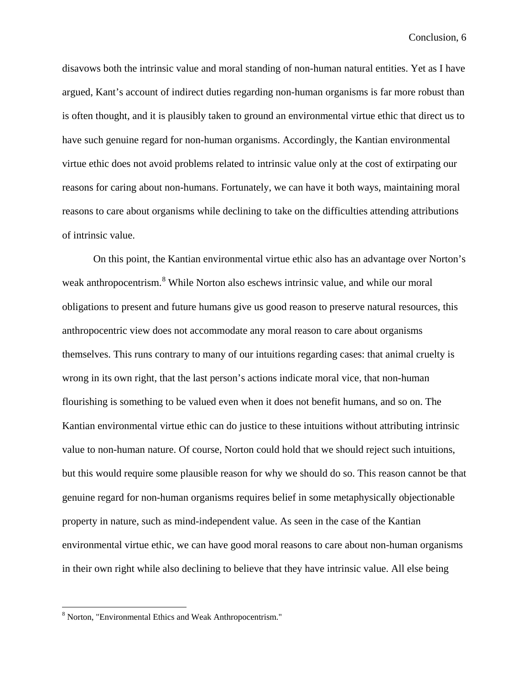disavows both the intrinsic value and moral standing of non-human natural entities. Yet as I have argued, Kant's account of indirect duties regarding non-human organisms is far more robust than is often thought, and it is plausibly taken to ground an environmental virtue ethic that direct us to have such genuine regard for non-human organisms. Accordingly, the Kantian environmental virtue ethic does not avoid problems related to intrinsic value only at the cost of extirpating our reasons for caring about non-humans. Fortunately, we can have it both ways, maintaining moral reasons to care about organisms while declining to take on the difficulties attending attributions of intrinsic value.

On this point, the Kantian environmental virtue ethic also has an advantage over Norton's weak anthropocentrism.<sup>[8](#page-215-0)</sup> While Norton also eschews intrinsic value, and while our moral obligations to present and future humans give us good reason to preserve natural resources, this anthropocentric view does not accommodate any moral reason to care about organisms themselves. This runs contrary to many of our intuitions regarding cases: that animal cruelty is wrong in its own right, that the last person's actions indicate moral vice, that non-human flourishing is something to be valued even when it does not benefit humans, and so on. The Kantian environmental virtue ethic can do justice to these intuitions without attributing intrinsic value to non-human nature. Of course, Norton could hold that we should reject such intuitions, but this would require some plausible reason for why we should do so. This reason cannot be that genuine regard for non-human organisms requires belief in some metaphysically objectionable property in nature, such as mind-independent value. As seen in the case of the Kantian environmental virtue ethic, we can have good moral reasons to care about non-human organisms in their own right while also declining to believe that they have intrinsic value. All else being

<span id="page-215-0"></span> <sup>8</sup> Norton, "Environmental Ethics and Weak Anthropocentrism."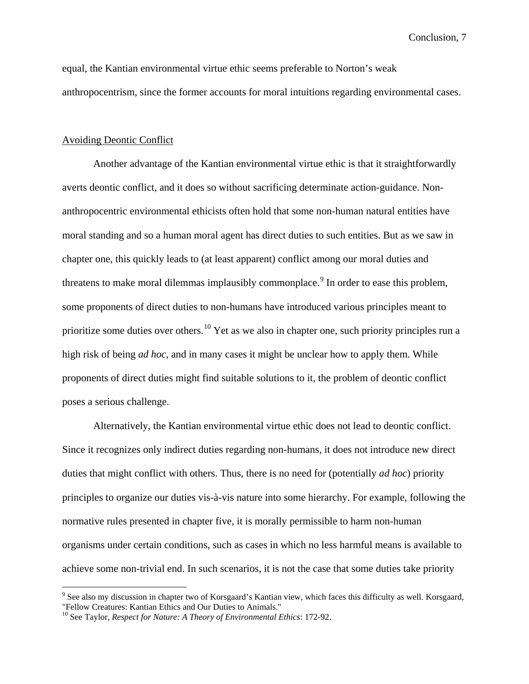equal, the Kantian environmental virtue ethic seems preferable to Norton's weak anthropocentrism, since the former accounts for moral intuitions regarding environmental cases.

## Avoiding Deontic Conflict

Another advantage of the Kantian environmental virtue ethic is that it straightforwardly averts deontic conflict, and it does so without sacrificing determinate action-guidance. Nonanthropocentric environmental ethicists often hold that some non-human natural entities have moral standing and so a human moral agent has direct duties to such entities. But as we saw in chapter one, this quickly leads to (at least apparent) conflict among our moral duties and threatens to make moral dilemmas implausibly commonplace.<sup>[9](#page-216-0)</sup> In order to ease this problem, some proponents of direct duties to non-humans have introduced various principles meant to prioritize some duties over others.<sup>[10](#page-216-1)</sup> Yet as we also in chapter one, such priority principles run a high risk of being *ad hoc*, and in many cases it might be unclear how to apply them. While proponents of direct duties might find suitable solutions to it, the problem of deontic conflict poses a serious challenge.

Alternatively, the Kantian environmental virtue ethic does not lead to deontic conflict. Since it recognizes only indirect duties regarding non-humans, it does not introduce new direct duties that might conflict with others. Thus, there is no need for (potentially *ad hoc*) priority principles to organize our duties vis-à-vis nature into some hierarchy. For example, following the normative rules presented in chapter five, it is morally permissible to harm non-human organisms under certain conditions, such as cases in which no less harmful means is available to achieve some non-trivial end. In such scenarios, it is not the case that some duties take priority

<span id="page-216-0"></span> <sup>9</sup> See also my discussion in chapter two of Korsgaard's Kantian view, which faces this difficulty as well. Korsgaard, "Fellow Creatures: Kantian Ethics and Our Duties to Animals."

<span id="page-216-1"></span><sup>10</sup> See Taylor, *Respect for Nature: A Theory of Environmental Ethics*: 172-92.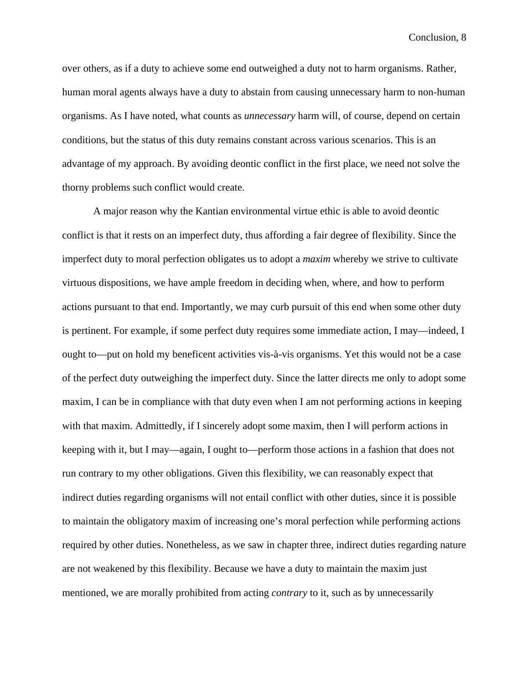over others, as if a duty to achieve some end outweighed a duty not to harm organisms. Rather, human moral agents always have a duty to abstain from causing unnecessary harm to non-human organisms. As I have noted, what counts as *unnecessary* harm will, of course, depend on certain conditions, but the status of this duty remains constant across various scenarios. This is an advantage of my approach. By avoiding deontic conflict in the first place, we need not solve the thorny problems such conflict would create.

A major reason why the Kantian environmental virtue ethic is able to avoid deontic conflict is that it rests on an imperfect duty, thus affording a fair degree of flexibility. Since the imperfect duty to moral perfection obligates us to adopt a *maxim* whereby we strive to cultivate virtuous dispositions, we have ample freedom in deciding when, where, and how to perform actions pursuant to that end. Importantly, we may curb pursuit of this end when some other duty is pertinent. For example, if some perfect duty requires some immediate action, I may—indeed, I ought to—put on hold my beneficent activities vis-à-vis organisms. Yet this would not be a case of the perfect duty outweighing the imperfect duty. Since the latter directs me only to adopt some maxim, I can be in compliance with that duty even when I am not performing actions in keeping with that maxim. Admittedly, if I sincerely adopt some maxim, then I will perform actions in keeping with it, but I may—again, I ought to—perform those actions in a fashion that does not run contrary to my other obligations. Given this flexibility, we can reasonably expect that indirect duties regarding organisms will not entail conflict with other duties, since it is possible to maintain the obligatory maxim of increasing one's moral perfection while performing actions required by other duties. Nonetheless, as we saw in chapter three, indirect duties regarding nature are not weakened by this flexibility. Because we have a duty to maintain the maxim just mentioned, we are morally prohibited from acting *contrary* to it, such as by unnecessarily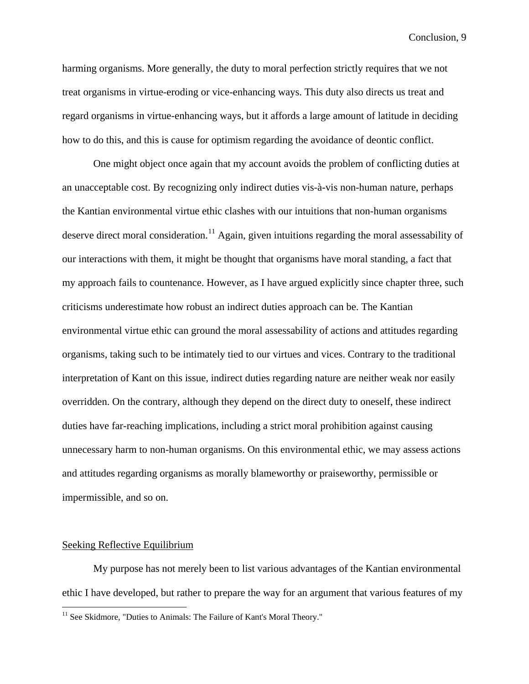harming organisms. More generally, the duty to moral perfection strictly requires that we not treat organisms in virtue-eroding or vice-enhancing ways. This duty also directs us treat and regard organisms in virtue-enhancing ways, but it affords a large amount of latitude in deciding how to do this, and this is cause for optimism regarding the avoidance of deontic conflict.

One might object once again that my account avoids the problem of conflicting duties at an unacceptable cost. By recognizing only indirect duties vis-à-vis non-human nature, perhaps the Kantian environmental virtue ethic clashes with our intuitions that non-human organisms deserve direct moral consideration.<sup>[11](#page-218-0)</sup> Again, given intuitions regarding the moral assessability of our interactions with them, it might be thought that organisms have moral standing, a fact that my approach fails to countenance. However, as I have argued explicitly since chapter three, such criticisms underestimate how robust an indirect duties approach can be. The Kantian environmental virtue ethic can ground the moral assessability of actions and attitudes regarding organisms, taking such to be intimately tied to our virtues and vices. Contrary to the traditional interpretation of Kant on this issue, indirect duties regarding nature are neither weak nor easily overridden. On the contrary, although they depend on the direct duty to oneself, these indirect duties have far-reaching implications, including a strict moral prohibition against causing unnecessary harm to non-human organisms. On this environmental ethic, we may assess actions and attitudes regarding organisms as morally blameworthy or praiseworthy, permissible or impermissible, and so on.

## Seeking Reflective Equilibrium

My purpose has not merely been to list various advantages of the Kantian environmental ethic I have developed, but rather to prepare the way for an argument that various features of my

<span id="page-218-0"></span><sup>&</sup>lt;sup>11</sup> See Skidmore, "Duties to Animals: The Failure of Kant's Moral Theory."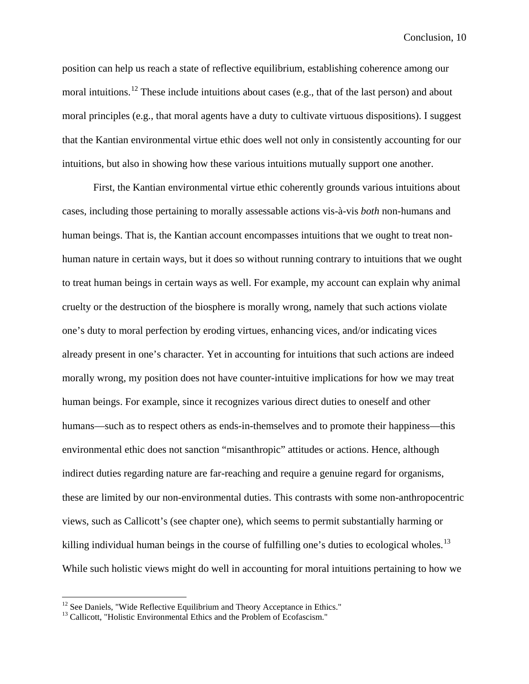position can help us reach a state of reflective equilibrium, establishing coherence among our moral intuitions.<sup>[12](#page-219-0)</sup> These include intuitions about cases (e.g., that of the last person) and about moral principles (e.g., that moral agents have a duty to cultivate virtuous dispositions). I suggest that the Kantian environmental virtue ethic does well not only in consistently accounting for our intuitions, but also in showing how these various intuitions mutually support one another.

First, the Kantian environmental virtue ethic coherently grounds various intuitions about cases, including those pertaining to morally assessable actions vis-à-vis *both* non-humans and human beings. That is, the Kantian account encompasses intuitions that we ought to treat nonhuman nature in certain ways, but it does so without running contrary to intuitions that we ought to treat human beings in certain ways as well. For example, my account can explain why animal cruelty or the destruction of the biosphere is morally wrong, namely that such actions violate one's duty to moral perfection by eroding virtues, enhancing vices, and/or indicating vices already present in one's character. Yet in accounting for intuitions that such actions are indeed morally wrong, my position does not have counter-intuitive implications for how we may treat human beings. For example, since it recognizes various direct duties to oneself and other humans—such as to respect others as ends-in-themselves and to promote their happiness—this environmental ethic does not sanction "misanthropic" attitudes or actions. Hence, although indirect duties regarding nature are far-reaching and require a genuine regard for organisms, these are limited by our non-environmental duties. This contrasts with some non-anthropocentric views, such as Callicott's (see chapter one), which seems to permit substantially harming or killing individual human beings in the course of fulfilling one's duties to ecological wholes.<sup>[13](#page-219-1)</sup> While such holistic views might do well in accounting for moral intuitions pertaining to how we

<span id="page-219-0"></span><sup>&</sup>lt;sup>12</sup> See Daniels, "Wide Reflective Equilibrium and Theory Acceptance in Ethics." <sup>13</sup> Callicott, "Holistic Environmental Ethics and the Problem of Ecofascism."

<span id="page-219-1"></span>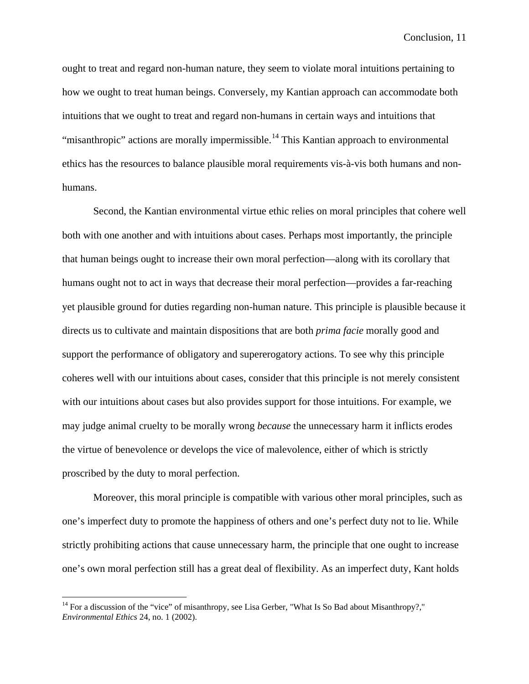ought to treat and regard non-human nature, they seem to violate moral intuitions pertaining to how we ought to treat human beings. Conversely, my Kantian approach can accommodate both intuitions that we ought to treat and regard non-humans in certain ways and intuitions that "misanthropic" actions are morally impermissible.<sup>[14](#page-220-0)</sup> This Kantian approach to environmental ethics has the resources to balance plausible moral requirements vis-à-vis both humans and nonhumans.

Second, the Kantian environmental virtue ethic relies on moral principles that cohere well both with one another and with intuitions about cases. Perhaps most importantly, the principle that human beings ought to increase their own moral perfection—along with its corollary that humans ought not to act in ways that decrease their moral perfection—provides a far-reaching yet plausible ground for duties regarding non-human nature. This principle is plausible because it directs us to cultivate and maintain dispositions that are both *prima facie* morally good and support the performance of obligatory and supererogatory actions. To see why this principle coheres well with our intuitions about cases, consider that this principle is not merely consistent with our intuitions about cases but also provides support for those intuitions. For example, we may judge animal cruelty to be morally wrong *because* the unnecessary harm it inflicts erodes the virtue of benevolence or develops the vice of malevolence, either of which is strictly proscribed by the duty to moral perfection.

Moreover, this moral principle is compatible with various other moral principles, such as one's imperfect duty to promote the happiness of others and one's perfect duty not to lie. While strictly prohibiting actions that cause unnecessary harm, the principle that one ought to increase one's own moral perfection still has a great deal of flexibility. As an imperfect duty, Kant holds

<span id="page-220-0"></span><sup>&</sup>lt;sup>14</sup> For a discussion of the "vice" of misanthropy, see Lisa Gerber, "What Is So Bad about Misanthropy?," *Environmental Ethics* 24, no. 1 (2002).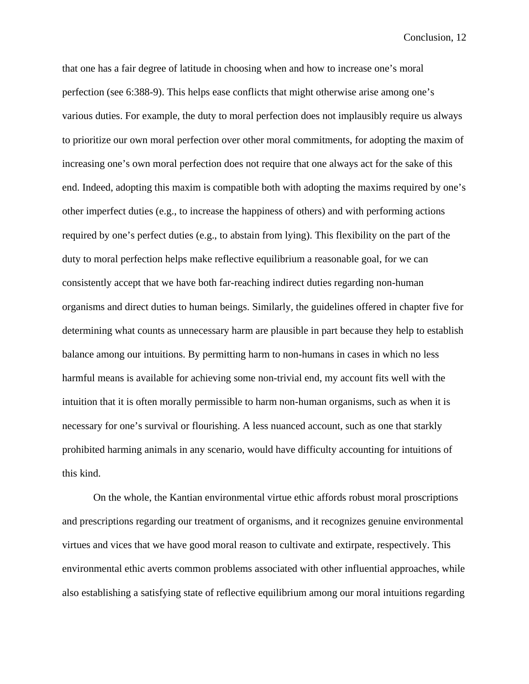that one has a fair degree of latitude in choosing when and how to increase one's moral perfection (see 6:388-9). This helps ease conflicts that might otherwise arise among one's various duties. For example, the duty to moral perfection does not implausibly require us always to prioritize our own moral perfection over other moral commitments, for adopting the maxim of increasing one's own moral perfection does not require that one always act for the sake of this end. Indeed, adopting this maxim is compatible both with adopting the maxims required by one's other imperfect duties (e.g., to increase the happiness of others) and with performing actions required by one's perfect duties (e.g., to abstain from lying). This flexibility on the part of the duty to moral perfection helps make reflective equilibrium a reasonable goal, for we can consistently accept that we have both far-reaching indirect duties regarding non-human organisms and direct duties to human beings. Similarly, the guidelines offered in chapter five for determining what counts as unnecessary harm are plausible in part because they help to establish balance among our intuitions. By permitting harm to non-humans in cases in which no less harmful means is available for achieving some non-trivial end, my account fits well with the intuition that it is often morally permissible to harm non-human organisms, such as when it is necessary for one's survival or flourishing. A less nuanced account, such as one that starkly prohibited harming animals in any scenario, would have difficulty accounting for intuitions of this kind.

On the whole, the Kantian environmental virtue ethic affords robust moral proscriptions and prescriptions regarding our treatment of organisms, and it recognizes genuine environmental virtues and vices that we have good moral reason to cultivate and extirpate, respectively. This environmental ethic averts common problems associated with other influential approaches, while also establishing a satisfying state of reflective equilibrium among our moral intuitions regarding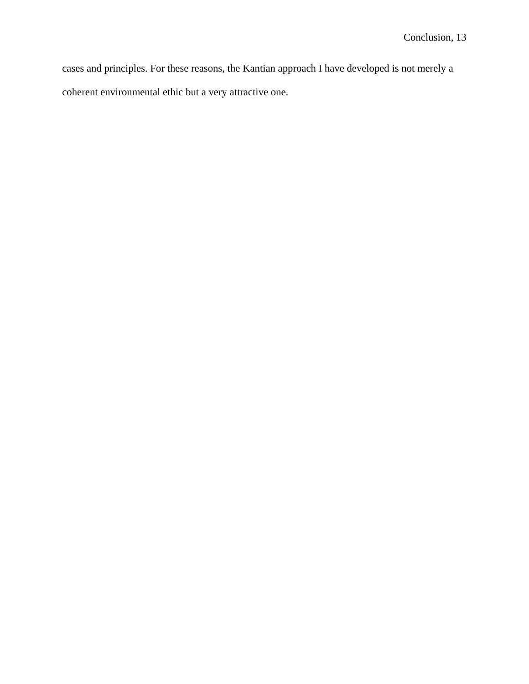cases and principles. For these reasons, the Kantian approach I have developed is not merely a coherent environmental ethic but a very attractive one.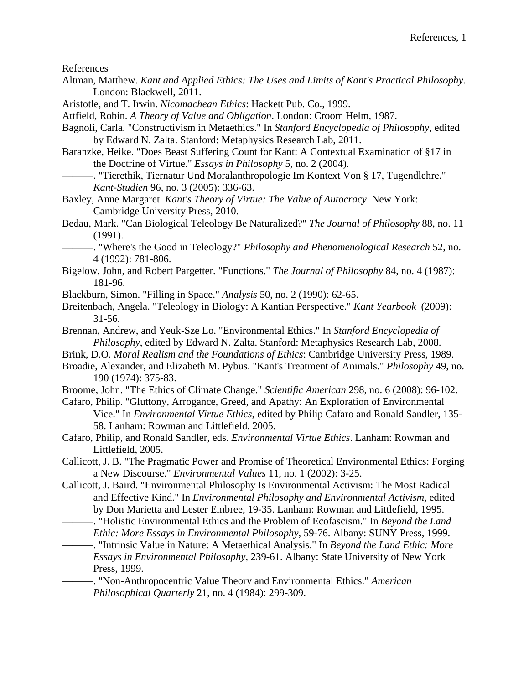References

- Altman, Matthew. *Kant and Applied Ethics: The Uses and Limits of Kant's Practical Philosophy*. London: Blackwell, 2011.
- Aristotle, and T. Irwin. *Nicomachean Ethics*: Hackett Pub. Co., 1999.
- Attfield, Robin. *A Theory of Value and Obligation*. London: Croom Helm, 1987.
- Bagnoli, Carla. "Constructivism in Metaethics." In *Stanford Encyclopedia of Philosophy*, edited by Edward N. Zalta. Stanford: Metaphysics Research Lab, 2011.
- Baranzke, Heike. "Does Beast Suffering Count for Kant: A Contextual Examination of §17 in the Doctrine of Virtue." *Essays in Philosophy* 5, no. 2 (2004).
	- -. "Tierethik, Tiernatur Und Moralanthropologie Im Kontext Von § 17, Tugendlehre." *Kant-Studien* 96, no. 3 (2005): 336-63.

Baxley, Anne Margaret. *Kant's Theory of Virtue: The Value of Autocracy*. New York: Cambridge University Press, 2010.

Bedau, Mark. "Can Biological Teleology Be Naturalized?" *The Journal of Philosophy* 88, no. 11 (1991).

———. "Where's the Good in Teleology?" *Philosophy and Phenomenological Research* 52, no. 4 (1992): 781-806.

- Bigelow, John, and Robert Pargetter. "Functions." *The Journal of Philosophy* 84, no. 4 (1987): 181-96.
- Blackburn, Simon. "Filling in Space." *Analysis* 50, no. 2 (1990): 62-65.
- Breitenbach, Angela. "Teleology in Biology: A Kantian Perspective." *Kant Yearbook* (2009): 31-56.
- Brennan, Andrew, and Yeuk-Sze Lo. "Environmental Ethics." In *Stanford Encyclopedia of Philosophy*, edited by Edward N. Zalta. Stanford: Metaphysics Research Lab, 2008.
- Brink, D.O. *Moral Realism and the Foundations of Ethics*: Cambridge University Press, 1989.
- Broadie, Alexander, and Elizabeth M. Pybus. "Kant's Treatment of Animals." *Philosophy* 49, no. 190 (1974): 375-83.
- Broome, John. "The Ethics of Climate Change." *Scientific American* 298, no. 6 (2008): 96-102.
- Cafaro, Philip. "Gluttony, Arrogance, Greed, and Apathy: An Exploration of Environmental Vice." In *Environmental Virtue Ethics*, edited by Philip Cafaro and Ronald Sandler, 135- 58. Lanham: Rowman and Littlefield, 2005.
- Cafaro, Philip, and Ronald Sandler, eds. *Environmental Virtue Ethics*. Lanham: Rowman and Littlefield, 2005.

Callicott, J. B. "The Pragmatic Power and Promise of Theoretical Environmental Ethics: Forging a New Discourse." *Environmental Values* 11, no. 1 (2002): 3-25.

Callicott, J. Baird. "Environmental Philosophy Is Environmental Activism: The Most Radical and Effective Kind." In *Environmental Philosophy and Environmental Activism*, edited by Don Marietta and Lester Embree, 19-35. Lanham: Rowman and Littlefield, 1995.

———. "Holistic Environmental Ethics and the Problem of Ecofascism." In *Beyond the Land Ethic: More Essays in Environmental Philosophy*, 59-76. Albany: SUNY Press, 1999.

———. "Intrinsic Value in Nature: A Metaethical Analysis." In *Beyond the Land Ethic: More Essays in Environmental Philosophy*, 239-61. Albany: State University of New York Press, 1999.

———. "Non-Anthropocentric Value Theory and Environmental Ethics." *American Philosophical Quarterly* 21, no. 4 (1984): 299-309.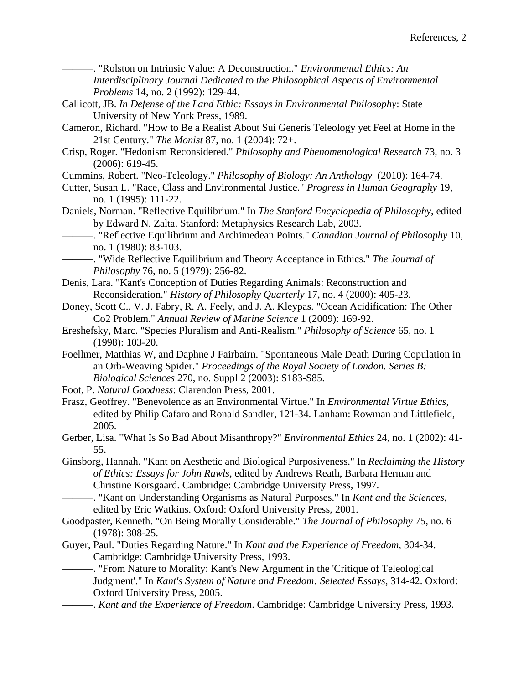———. "Rolston on Intrinsic Value: A Deconstruction." *Environmental Ethics: An Interdisciplinary Journal Dedicated to the Philosophical Aspects of Environmental Problems* 14, no. 2 (1992): 129-44.

- Callicott, JB. *In Defense of the Land Ethic: Essays in Environmental Philosophy*: State University of New York Press, 1989.
- Cameron, Richard. "How to Be a Realist About Sui Generis Teleology yet Feel at Home in the 21st Century." *The Monist* 87, no. 1 (2004): 72+.
- Crisp, Roger. "Hedonism Reconsidered." *Philosophy and Phenomenological Research* 73, no. 3 (2006): 619-45.
- Cummins, Robert. "Neo-Teleology." *Philosophy of Biology: An Anthology* (2010): 164-74.
- Cutter, Susan L. "Race, Class and Environmental Justice." *Progress in Human Geography* 19, no. 1 (1995): 111-22.
- Daniels, Norman. "Reflective Equilibrium." In *The Stanford Encyclopedia of Philosophy*, edited by Edward N. Zalta. Stanford: Metaphysics Research Lab, 2003.
	- ———. "Reflective Equilibrium and Archimedean Points." *Canadian Journal of Philosophy* 10, no. 1 (1980): 83-103.
	- ———. "Wide Reflective Equilibrium and Theory Acceptance in Ethics." *The Journal of Philosophy* 76, no. 5 (1979): 256-82.
- Denis, Lara. "Kant's Conception of Duties Regarding Animals: Reconstruction and Reconsideration." *History of Philosophy Quarterly* 17, no. 4 (2000): 405-23.
- Doney, Scott C., V. J. Fabry, R. A. Feely, and J. A. Kleypas. "Ocean Acidification: The Other Co2 Problem." *Annual Review of Marine Science* 1 (2009): 169-92.
- Ereshefsky, Marc. "Species Pluralism and Anti-Realism." *Philosophy of Science* 65, no. 1 (1998): 103-20.
- Foellmer, Matthias W, and Daphne J Fairbairn. "Spontaneous Male Death During Copulation in an Orb-Weaving Spider." *Proceedings of the Royal Society of London. Series B: Biological Sciences* 270, no. Suppl 2 (2003): S183-S85.
- Foot, P. *Natural Goodness*: Clarendon Press, 2001.
- Frasz, Geoffrey. "Benevolence as an Environmental Virtue." In *Environmental Virtue Ethics*, edited by Philip Cafaro and Ronald Sandler, 121-34. Lanham: Rowman and Littlefield, 2005.
- Gerber, Lisa. "What Is So Bad About Misanthropy?" *Environmental Ethics* 24, no. 1 (2002): 41- 55.
- Ginsborg, Hannah. "Kant on Aesthetic and Biological Purposiveness." In *Reclaiming the History of Ethics: Essays for John Rawls*, edited by Andrews Reath, Barbara Herman and Christine Korsgaard. Cambridge: Cambridge University Press, 1997.
	- ———. "Kant on Understanding Organisms as Natural Purposes." In *Kant and the Sciences*, edited by Eric Watkins. Oxford: Oxford University Press, 2001.
- Goodpaster, Kenneth. "On Being Morally Considerable." *The Journal of Philosophy* 75, no. 6 (1978): 308-25.
- Guyer, Paul. "Duties Regarding Nature." In *Kant and the Experience of Freedom*, 304-34. Cambridge: Cambridge University Press, 1993.
	- ———. "From Nature to Morality: Kant's New Argument in the 'Critique of Teleological Judgment'." In *Kant's System of Nature and Freedom: Selected Essays*, 314-42. Oxford: Oxford University Press, 2005.
	- ———. *Kant and the Experience of Freedom*. Cambridge: Cambridge University Press, 1993.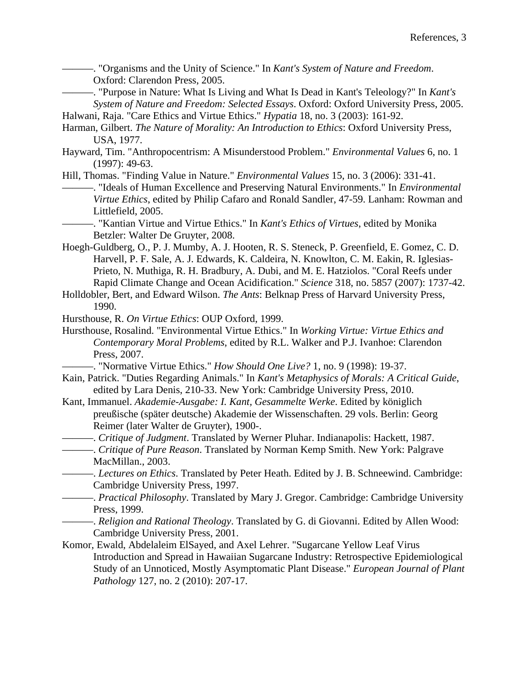———. "Organisms and the Unity of Science." In *Kant's System of Nature and Freedom*. Oxford: Clarendon Press, 2005.

———. "Purpose in Nature: What Is Living and What Is Dead in Kant's Teleology?" In *Kant's System of Nature and Freedom: Selected Essays*. Oxford: Oxford University Press, 2005.

Halwani, Raja. "Care Ethics and Virtue Ethics." *Hypatia* 18, no. 3 (2003): 161-92.

- Harman, Gilbert. *The Nature of Morality: An Introduction to Ethics*: Oxford University Press, USA, 1977.
- Hayward, Tim. "Anthropocentrism: A Misunderstood Problem." *Environmental Values* 6, no. 1 (1997): 49-63.
- Hill, Thomas. "Finding Value in Nature." *Environmental Values* 15, no. 3 (2006): 331-41. ———. "Ideals of Human Excellence and Preserving Natural Environments." In *Environmental Virtue Ethics*, edited by Philip Cafaro and Ronald Sandler, 47-59. Lanham: Rowman and Littlefield, 2005.
	- ———. "Kantian Virtue and Virtue Ethics." In *Kant's Ethics of Virtues*, edited by Monika Betzler: Walter De Gruyter, 2008.
- Hoegh-Guldberg, O., P. J. Mumby, A. J. Hooten, R. S. Steneck, P. Greenfield, E. Gomez, C. D. Harvell, P. F. Sale, A. J. Edwards, K. Caldeira, N. Knowlton, C. M. Eakin, R. Iglesias-Prieto, N. Muthiga, R. H. Bradbury, A. Dubi, and M. E. Hatziolos. "Coral Reefs under Rapid Climate Change and Ocean Acidification." *Science* 318, no. 5857 (2007): 1737-42.
- Holldobler, Bert, and Edward Wilson. *The Ants*: Belknap Press of Harvard University Press, 1990.
- Hursthouse, R. *On Virtue Ethics*: OUP Oxford, 1999.
- Hursthouse, Rosalind. "Environmental Virtue Ethics." In *Working Virtue: Virtue Ethics and Contemporary Moral Problems*, edited by R.L. Walker and P.J. Ivanhoe: Clarendon Press, 2007.
	- ———. "Normative Virtue Ethics." *How Should One Live?* 1, no. 9 (1998): 19-37.
- Kain, Patrick. "Duties Regarding Animals." In *Kant's Metaphysics of Morals: A Critical Guide*, edited by Lara Denis, 210-33. New York: Cambridge University Press, 2010.
- Kant, Immanuel. *Akademie-Ausgabe: I. Kant, Gesammelte Werke*. Edited by königlich preußische (später deutsche) Akademie der Wissenschaften. 29 vols. Berlin: Georg Reimer (later Walter de Gruyter), 1900-.
- ———. *Critique of Judgment*. Translated by Werner Pluhar. Indianapolis: Hackett, 1987.
- ———. *Critique of Pure Reason*. Translated by Norman Kemp Smith. New York: Palgrave MacMillan., 2003.
- ———. *Lectures on Ethics*. Translated by Peter Heath. Edited by J. B. Schneewind. Cambridge: Cambridge University Press, 1997.
	- ———. *Practical Philosophy*. Translated by Mary J. Gregor. Cambridge: Cambridge University Press, 1999.

———. *Religion and Rational Theology*. Translated by G. di Giovanni. Edited by Allen Wood: Cambridge University Press, 2001.

Komor, Ewald, Abdelaleim ElSayed, and Axel Lehrer. "Sugarcane Yellow Leaf Virus Introduction and Spread in Hawaiian Sugarcane Industry: Retrospective Epidemiological Study of an Unnoticed, Mostly Asymptomatic Plant Disease." *European Journal of Plant Pathology* 127, no. 2 (2010): 207-17.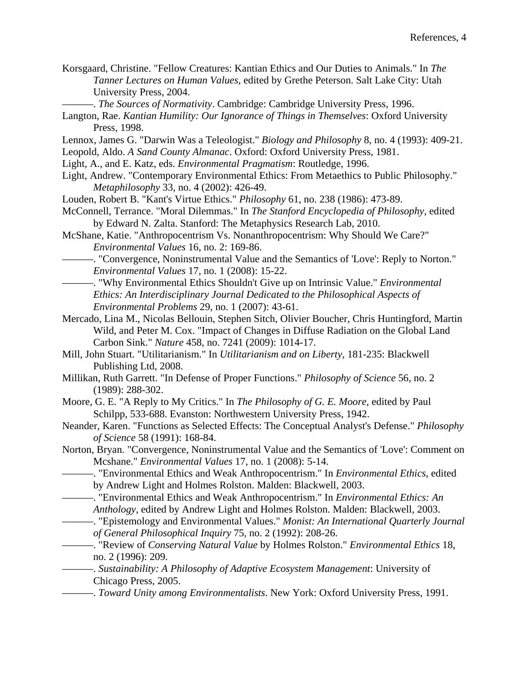- Korsgaard, Christine. "Fellow Creatures: Kantian Ethics and Our Duties to Animals." In *The Tanner Lectures on Human Values*, edited by Grethe Peterson. Salt Lake City: Utah University Press, 2004.
	- ———. *The Sources of Normativity*. Cambridge: Cambridge University Press, 1996.
- Langton, Rae. *Kantian Humility: Our Ignorance of Things in Themselves*: Oxford University Press, 1998.
- Lennox, James G. "Darwin Was a Teleologist." *Biology and Philosophy* 8, no. 4 (1993): 409-21.
- Leopold, Aldo. *A Sand County Almanac*. Oxford: Oxford University Press, 1981.
- Light, A., and E. Katz, eds. *Environmental Pragmatism*: Routledge, 1996.
- Light, Andrew. "Contemporary Environmental Ethics: From Metaethics to Public Philosophy." *Metaphilosophy* 33, no. 4 (2002): 426-49.
- Louden, Robert B. "Kant's Virtue Ethics." *Philosophy* 61, no. 238 (1986): 473-89.
- McConnell, Terrance. "Moral Dilemmas." In *The Stanford Encyclopedia of Philosophy*, edited by Edward N. Zalta. Stanford: The Metaphysics Research Lab, 2010.
- McShane, Katie. "Anthropocentrism Vs. Nonanthropocentrism: Why Should We Care?" *Environmental Values* 16, no. 2: 169-86.
- ———. "Convergence, Noninstrumental Value and the Semantics of 'Love': Reply to Norton." *Environmental Values* 17, no. 1 (2008): 15-22.
	- ———. "Why Environmental Ethics Shouldn't Give up on Intrinsic Value." *Environmental Ethics: An Interdisciplinary Journal Dedicated to the Philosophical Aspects of Environmental Problems* 29, no. 1 (2007): 43-61.
- Mercado, Lina M., Nicolas Bellouin, Stephen Sitch, Olivier Boucher, Chris Huntingford, Martin Wild, and Peter M. Cox. "Impact of Changes in Diffuse Radiation on the Global Land Carbon Sink." *Nature* 458, no. 7241 (2009): 1014-17.
- Mill, John Stuart. "Utilitarianism." In *Utilitarianism and on Liberty*, 181-235: Blackwell Publishing Ltd, 2008.
- Millikan, Ruth Garrett. "In Defense of Proper Functions." *Philosophy of Science* 56, no. 2 (1989): 288-302.
- Moore, G. E. "A Reply to My Critics." In *The Philosophy of G. E. Moore*, edited by Paul Schilpp, 533-688. Evanston: Northwestern University Press, 1942.
- Neander, Karen. "Functions as Selected Effects: The Conceptual Analyst's Defense." *Philosophy of Science* 58 (1991): 168-84.
- Norton, Bryan. "Convergence, Noninstrumental Value and the Semantics of 'Love': Comment on Mcshane." *Environmental Values* 17, no. 1 (2008): 5-14.
	- ———. "Environmental Ethics and Weak Anthropocentrism." In *Environmental Ethics*, edited by Andrew Light and Holmes Rolston. Malden: Blackwell, 2003.
		- ———. "Environmental Ethics and Weak Anthropocentrism." In *Environmental Ethics: An Anthology*, edited by Andrew Light and Holmes Rolston. Malden: Blackwell, 2003.
		- ———. "Epistemology and Environmental Values." *Monist: An International Quarterly Journal of General Philosophical Inquiry* 75, no. 2 (1992): 208-26.
	- ———. "Review of *Conserving Natural Value* by Holmes Rolston." *Environmental Ethics* 18, no. 2 (1996): 209.
	- ———. *Sustainability: A Philosophy of Adaptive Ecosystem Management*: University of Chicago Press, 2005.
	- ———. *Toward Unity among Environmentalists*. New York: Oxford University Press, 1991.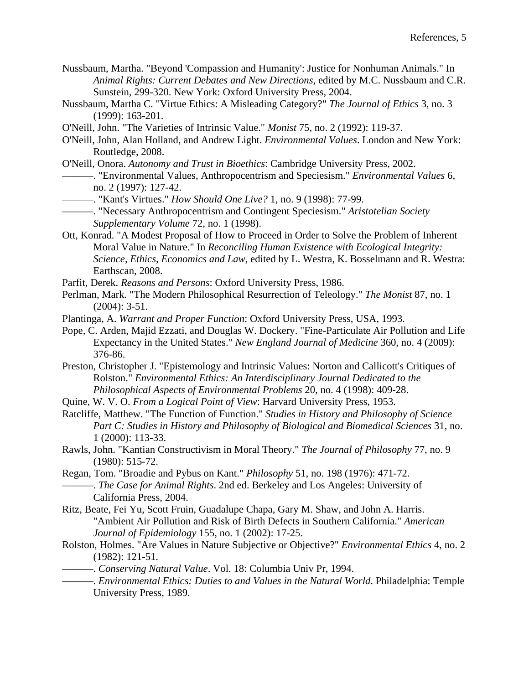- Nussbaum, Martha. "Beyond 'Compassion and Humanity': Justice for Nonhuman Animals." In *Animal Rights: Current Debates and New Directions*, edited by M.C. Nussbaum and C.R. Sunstein, 299-320. New York: Oxford University Press, 2004.
- Nussbaum, Martha C. "Virtue Ethics: A Misleading Category?" *The Journal of Ethics* 3, no. 3 (1999): 163-201.
- O'Neill, John. "The Varieties of Intrinsic Value." *Monist* 75, no. 2 (1992): 119-37.
- O'Neill, John, Alan Holland, and Andrew Light. *Environmental Values*. London and New York: Routledge, 2008.
- O'Neill, Onora. *Autonomy and Trust in Bioethics*: Cambridge University Press, 2002.
- ———. "Environmental Values, Anthropocentrism and Speciesism." *Environmental Values* 6, no. 2 (1997): 127-42.
- ———. "Kant's Virtues." *How Should One Live?* 1, no. 9 (1998): 77-99.
- ———. "Necessary Anthropocentrism and Contingent Speciesism." *Aristotelian Society Supplementary Volume* 72, no. 1 (1998).
- Ott, Konrad. "A Modest Proposal of How to Proceed in Order to Solve the Problem of Inherent Moral Value in Nature." In *Reconciling Human Existence with Ecological Integrity: Science, Ethics, Economics and Law*, edited by L. Westra, K. Bosselmann and R. Westra: Earthscan, 2008.
- Parfit, Derek. *Reasons and Persons*: Oxford University Press, 1986.
- Perlman, Mark. "The Modern Philosophical Resurrection of Teleology." *The Monist* 87, no. 1 (2004): 3-51.
- Plantinga, A. *Warrant and Proper Function*: Oxford University Press, USA, 1993.
- Pope, C. Arden, Majid Ezzati, and Douglas W. Dockery. "Fine-Particulate Air Pollution and Life Expectancy in the United States." *New England Journal of Medicine* 360, no. 4 (2009): 376-86.
- Preston, Christopher J. "Epistemology and Intrinsic Values: Norton and Callicott's Critiques of Rolston." *Environmental Ethics: An Interdisciplinary Journal Dedicated to the Philosophical Aspects of Environmental Problems* 20, no. 4 (1998): 409-28.
- Quine, W. V. O. *From a Logical Point of View*: Harvard University Press, 1953.
- Ratcliffe, Matthew. "The Function of Function." *Studies in History and Philosophy of Science Part C: Studies in History and Philosophy of Biological and Biomedical Sciences* 31, no. 1 (2000): 113-33.
- Rawls, John. "Kantian Constructivism in Moral Theory." *The Journal of Philosophy* 77, no. 9 (1980): 515-72.
- Regan, Tom. "Broadie and Pybus on Kant." *Philosophy* 51, no. 198 (1976): 471-72. ———. *The Case for Animal Rights*. 2nd ed. Berkeley and Los Angeles: University of California Press, 2004.
- Ritz, Beate, Fei Yu, Scott Fruin, Guadalupe Chapa, Gary M. Shaw, and John A. Harris. "Ambient Air Pollution and Risk of Birth Defects in Southern California." *American Journal of Epidemiology* 155, no. 1 (2002): 17-25.
- Rolston, Holmes. "Are Values in Nature Subjective or Objective?" *Environmental Ethics* 4, no. 2 (1982): 121-51.
	- ———. *Conserving Natural Value*. Vol. 18: Columbia Univ Pr, 1994.
- ———. *Environmental Ethics: Duties to and Values in the Natural World*. Philadelphia: Temple University Press, 1989.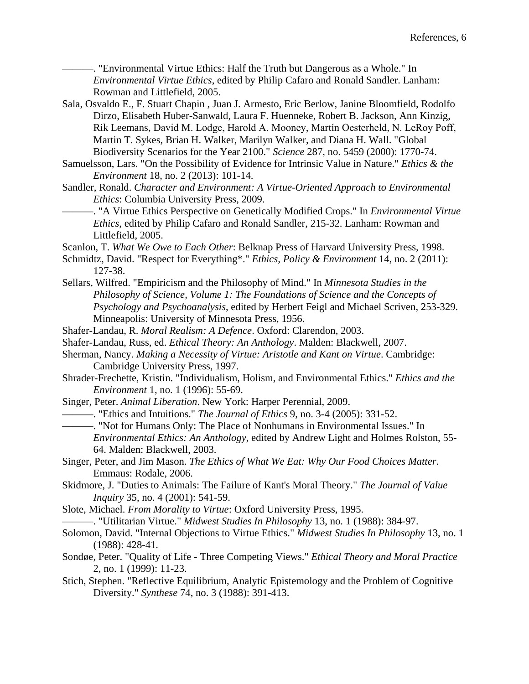———. "Environmental Virtue Ethics: Half the Truth but Dangerous as a Whole." In *Environmental Virtue Ethics*, edited by Philip Cafaro and Ronald Sandler. Lanham: Rowman and Littlefield, 2005.

- Sala, Osvaldo E., F. Stuart Chapin , Juan J. Armesto, Eric Berlow, Janine Bloomfield, Rodolfo Dirzo, Elisabeth Huber-Sanwald, Laura F. Huenneke, Robert B. Jackson, Ann Kinzig, Rik Leemans, David M. Lodge, Harold A. Mooney, Martín Oesterheld, N. LeRoy Poff, Martin T. Sykes, Brian H. Walker, Marilyn Walker, and Diana H. Wall. "Global Biodiversity Scenarios for the Year 2100." *Science* 287, no. 5459 (2000): 1770-74.
- Samuelsson, Lars. "On the Possibility of Evidence for Intrinsic Value in Nature." *Ethics & the Environment* 18, no. 2 (2013): 101-14.
- Sandler, Ronald. *Character and Environment: A Virtue-Oriented Approach to Environmental Ethics*: Columbia University Press, 2009.
	- ———. "A Virtue Ethics Perspective on Genetically Modified Crops." In *Environmental Virtue Ethics*, edited by Philip Cafaro and Ronald Sandler, 215-32. Lanham: Rowman and Littlefield, 2005.
- Scanlon, T. *What We Owe to Each Other*: Belknap Press of Harvard University Press, 1998.
- Schmidtz, David. "Respect for Everything\*." *Ethics, Policy & Environment* 14, no. 2 (2011): 127-38.
- Sellars, Wilfred. "Empiricism and the Philosophy of Mind." In *Minnesota Studies in the Philosophy of Science, Volume 1: The Foundations of Science and the Concepts of Psychology and Psychoanalysis*, edited by Herbert Feigl and Michael Scriven, 253-329. Minneapolis: University of Minnesota Press, 1956.
- Shafer-Landau, R. *Moral Realism: A Defence*. Oxford: Clarendon, 2003.
- Shafer-Landau, Russ, ed. *Ethical Theory: An Anthology*. Malden: Blackwell, 2007.
- Sherman, Nancy. *Making a Necessity of Virtue: Aristotle and Kant on Virtue*. Cambridge: Cambridge University Press, 1997.
- Shrader-Frechette, Kristin. "Individualism, Holism, and Environmental Ethics." *Ethics and the Environment* 1, no. 1 (1996): 55-69.
- Singer, Peter. *Animal Liberation*. New York: Harper Perennial, 2009.
- ———. "Ethics and Intuitions." *The Journal of Ethics* 9, no. 3-4 (2005): 331-52.
- ———. "Not for Humans Only: The Place of Nonhumans in Environmental Issues." In *Environmental Ethics: An Anthology*, edited by Andrew Light and Holmes Rolston, 55- 64. Malden: Blackwell, 2003.
- Singer, Peter, and Jim Mason. *The Ethics of What We Eat: Why Our Food Choices Matter*. Emmaus: Rodale, 2006.
- Skidmore, J. "Duties to Animals: The Failure of Kant's Moral Theory." *The Journal of Value Inquiry* 35, no. 4 (2001): 541-59.
- Slote, Michael. *From Morality to Virtue*: Oxford University Press, 1995.
- ———. "Utilitarian Virtue." *Midwest Studies In Philosophy* 13, no. 1 (1988): 384-97.
- Solomon, David. "Internal Objections to Virtue Ethics." *Midwest Studies In Philosophy* 13, no. 1 (1988): 428-41.
- Sondøe, Peter. "Quality of Life Three Competing Views." *Ethical Theory and Moral Practice*  2, no. 1 (1999): 11-23.
- Stich, Stephen. "Reflective Equilibrium, Analytic Epistemology and the Problem of Cognitive Diversity." *Synthese* 74, no. 3 (1988): 391-413.